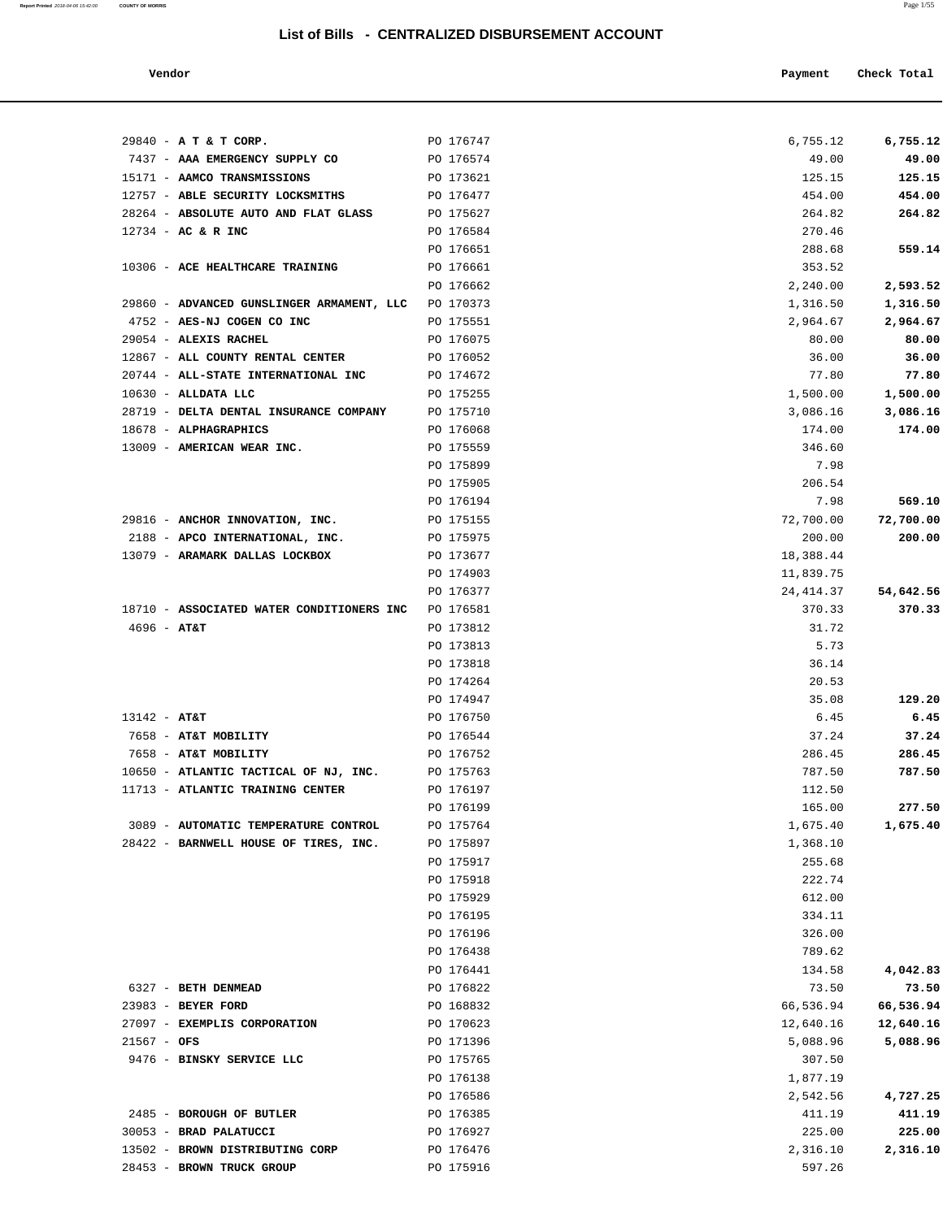**Report Printed** 2018-04-06 15:42:00 **COUNTY OF MORRIS** Page 1/55

| Vendor                                                                  |                        | Payment              | Check Total           |
|-------------------------------------------------------------------------|------------------------|----------------------|-----------------------|
|                                                                         |                        |                      |                       |
| 29840 - A T & T CORP.                                                   | PO 176747              | 6,755.12             | 6,755.12              |
| 7437 - AAA EMERGENCY SUPPLY CO                                          | PO 176574              | 49.00                | 49.00                 |
| 15171 - AAMCO TRANSMISSIONS                                             | PO 173621              | 125.15               | 125.15                |
| 12757 - ABLE SECURITY LOCKSMITHS                                        | PO 176477              | 454.00               | 454.00                |
| 28264 - ABSOLUTE AUTO AND FLAT GLASS                                    | PO 175627              | 264.82               | 264.82                |
| $12734 - AC & R$ INC                                                    | PO 176584              | 270.46               |                       |
|                                                                         | PO 176651              | 288.68               | 559.14                |
| 10306 - ACE HEALTHCARE TRAINING                                         | PO 176661              | 353.52               |                       |
|                                                                         | PO 176662              | 2,240.00             | 2,593.52              |
| 29860 - ADVANCED GUNSLINGER ARMAMENT, LLC<br>4752 - AES-NJ COGEN CO INC | PO 170373<br>PO 175551 | 1,316.50<br>2,964.67 | 1,316.50              |
| 29054 - ALEXIS RACHEL                                                   | PO 176075              | 80.00                | 2,964.67<br>80.00     |
| 12867 - ALL COUNTY RENTAL CENTER                                        | PO 176052              | 36.00                | 36.00                 |
| 20744 - ALL-STATE INTERNATIONAL INC                                     | PO 174672              | 77.80                | 77.80                 |
| $10630$ - ALLDATA LLC                                                   | PO 175255              | 1,500.00             | 1,500.00              |
| 28719 - DELTA DENTAL INSURANCE COMPANY                                  | PO 175710              | 3,086.16             | 3,086.16              |
| 18678 - ALPHAGRAPHICS                                                   | PO 176068              | 174.00               | 174.00                |
| 13009 - AMERICAN WEAR INC.                                              | PO 175559              | 346.60               |                       |
|                                                                         | PO 175899              | 7.98                 |                       |
|                                                                         | PO 175905              | 206.54               |                       |
|                                                                         | PO 176194              | 7.98                 | 569.10                |
| 29816 - ANCHOR INNOVATION, INC.                                         | PO 175155              | 72,700.00            | 72,700.00             |
| 2188 - APCO INTERNATIONAL, INC.                                         | PO 175975              | 200.00               | 200.00                |
| 13079 - ARAMARK DALLAS LOCKBOX                                          | PO 173677              | 18,388.44            |                       |
|                                                                         | PO 174903              | 11,839.75            |                       |
|                                                                         | PO 176377              | 24, 414.37           | 54,642.56             |
| 18710 - ASSOCIATED WATER CONDITIONERS INC                               | PO 176581              | 370.33               | 370.33                |
| $4696 - AT&T$                                                           | PO 173812              | 31.72                |                       |
|                                                                         | PO 173813              | 5.73                 |                       |
|                                                                         | PO 173818              | 36.14                |                       |
|                                                                         | PO 174264              | 20.53                |                       |
|                                                                         | PO 174947              | 35.08                | 129.20                |
| $13142 - AT&T$                                                          | PO 176750              | 6.45                 | 6.45                  |
| 7658 - AT&T MOBILITY                                                    | PO 176544              | 37.24                | 37.24                 |
| 7658 - AT&T MOBILITY                                                    | PO 176752              | 286.45               | 286.45                |
| 10650 - ATLANTIC TACTICAL OF NJ, INC.                                   | PO 175763              | 787.50               | 787.50                |
| 11713 - ATLANTIC TRAINING CENTER                                        | PO 176197              | 112.50               |                       |
|                                                                         | PO 176199              | 165.00               | 277.50                |
| 3089 - AUTOMATIC TEMPERATURE CONTROL                                    | PO 175764              | 1,675.40             | 1,675.40              |
| 28422 - BARNWELL HOUSE OF TIRES, INC.                                   | PO 175897              | 1,368.10             |                       |
|                                                                         | PO 175917              | 255.68               |                       |
|                                                                         | PO 175918              | 222.74               |                       |
|                                                                         | PO 175929              | 612.00               |                       |
|                                                                         | PO 176195              | 334.11               |                       |
|                                                                         | PO 176196              | 326.00               |                       |
|                                                                         | PO 176438              | 789.62               |                       |
|                                                                         | PO 176441              | 134.58               | 4,042.83              |
| 6327 - BETH DENMEAD<br>23983 - BEYER FORD                               | PO 176822              | 73.50                | 73.50                 |
| 27097 - EXEMPLIS CORPORATION                                            | PO 168832              | 66,536.94            | 66,536.94             |
|                                                                         | PO 170623              | 12,640.16            | 12,640.16<br>5,088.96 |
| $21567 - OFS$<br>9476 - BINSKY SERVICE LLC                              | PO 171396<br>PO 175765 | 5,088.96<br>307.50   |                       |
|                                                                         | PO 176138              | 1,877.19             |                       |
|                                                                         | PO 176586              | 2,542.56             | 4,727.25              |
| 2485 - BOROUGH OF BUTLER                                                | PO 176385              | 411.19               | 411.19                |
| 30053 - BRAD PALATUCCI                                                  | PO 176927              | 225.00               | 225.00                |
|                                                                         |                        |                      |                       |

13502 - **BROWN DISTRIBUTING CORP** PO 176476 2,316.10 **2,316.10**

28453 - **BROWN TRUCK GROUP PO 175916 PO** 175916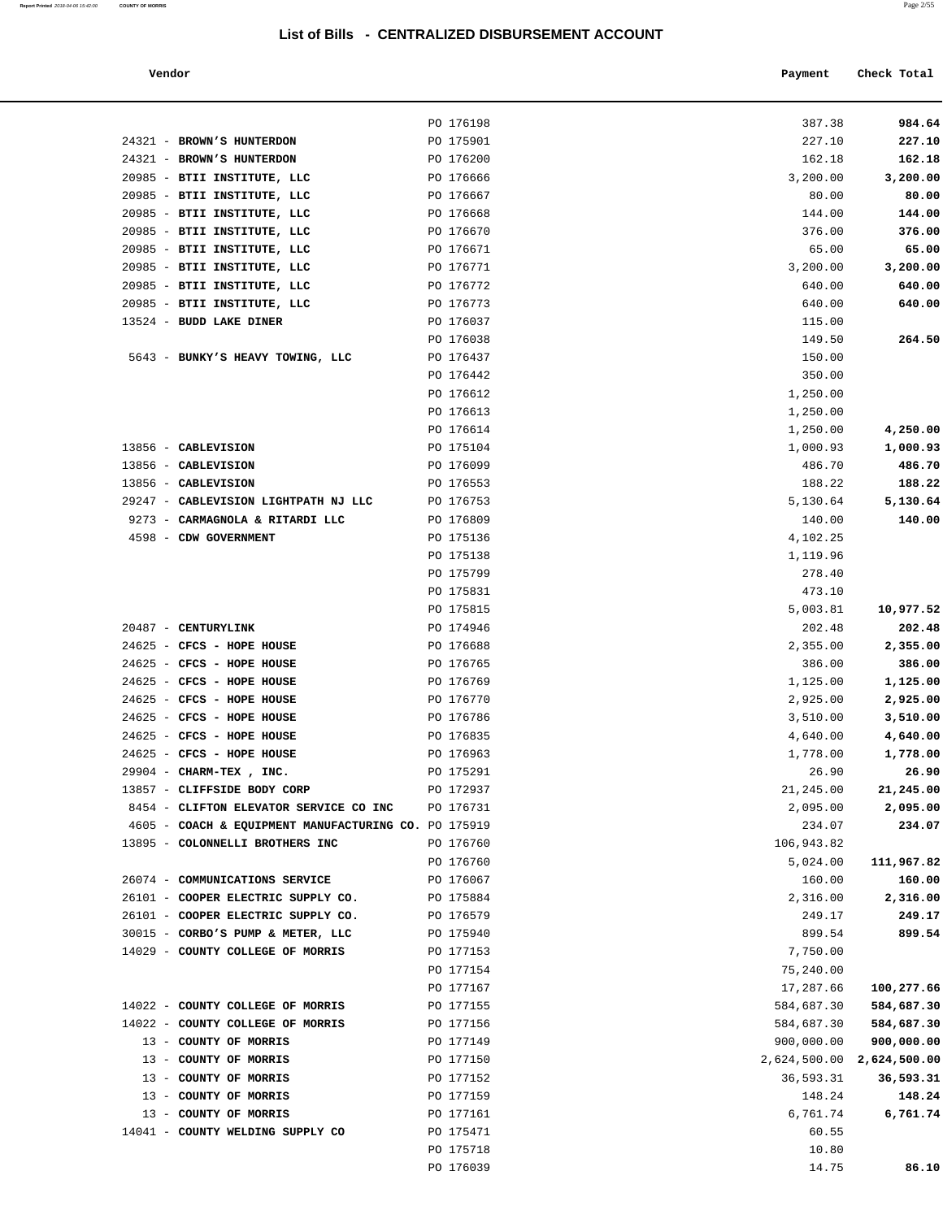#### **Vendor Payment** Check Total

**Report Printed** 2018-04-06 15:42:00 **COUNTY OF MORRIS** Page 2/55

| 984.64               |
|----------------------|
| 227.10               |
| 162.18               |
| 3,200.00             |
| 80.00                |
| 144.00               |
| 376.00               |
| 65.00                |
| 3,200.00             |
| 640.00               |
| 640.00               |
|                      |
| 264.50               |
|                      |
|                      |
|                      |
|                      |
|                      |
| 4,250.00<br>1,000.93 |
|                      |
| 486.70               |
| 188.22               |
| 5,130.64             |
| 140.00               |
|                      |
|                      |
|                      |
|                      |
| 10,977.52            |
| 202.48               |
| 2,355.00             |
| 386.00               |
| 1,125.00             |
| 2,925.00             |
| 3,510.00             |
| 4,640.00             |
| 1,778.00             |
| 26.90                |
| 21,245.00            |
| 2,095.00             |
| 234.07               |
|                      |
| 111,967.82           |
| 160.00               |
| 2,316.00             |
| 249.17               |
| 899.54               |
|                      |
|                      |
| 100,277.66           |
| 584,687.30           |
| 584,687.30           |
| 900,000.00           |
| 2,624,500.00         |
| 36,593.31            |
| 148.24               |
| 6,761.74             |
|                      |
|                      |
| 86.10                |
|                      |

|                                                                       | PO 176198              | 387.38                    | 984.64            |
|-----------------------------------------------------------------------|------------------------|---------------------------|-------------------|
| 24321 - BROWN'S HUNTERDON                                             | PO 175901              | 227.10                    | 227.10            |
| 24321 - BROWN'S HUNTERDON<br>20985 - BTII INSTITUTE, LLC              | PO 176200<br>PO 176666 | 162.18                    | 162.18            |
| 20985 - BTII INSTITUTE, LLC                                           | PO 176667              | 3,200.00<br>80.00         | 3,200.00<br>80.00 |
| 20985 - BTII INSTITUTE, LLC                                           | PO 176668              | 144.00                    | 144.00            |
| 20985 - BTII INSTITUTE, LLC                                           | PO 176670              | 376.00                    | 376.00            |
| 20985 - BTII INSTITUTE, LLC                                           | PO 176671              | 65.00                     | 65.00             |
| 20985 - BTII INSTITUTE, LLC                                           | PO 176771              | 3,200.00                  | 3,200.00          |
| 20985 - BTII INSTITUTE, LLC                                           | PO 176772              | 640.00                    | 640.00            |
| 20985 - BTII INSTITUTE, LLC                                           | PO 176773              | 640.00                    | 640.00            |
| 13524 - BUDD LAKE DINER                                               | PO 176037              | 115.00                    |                   |
|                                                                       | PO 176038              | 149.50                    | 264.50            |
| 5643 - BUNKY'S HEAVY TOWING, LLC                                      | PO 176437              | 150.00                    |                   |
|                                                                       | PO 176442              | 350.00                    |                   |
|                                                                       | PO 176612              | 1,250.00                  |                   |
|                                                                       | PO 176613              | 1,250.00                  |                   |
|                                                                       | PO 176614              | 1,250.00                  | 4,250.00          |
| 13856 - CABLEVISION                                                   | PO 175104              | 1,000.93                  | 1,000.93          |
| 13856 - CABLEVISION                                                   | PO 176099              | 486.70                    | 486.70            |
| 13856 - CABLEVISION                                                   | PO 176553              | 188.22                    | 188.22            |
| 29247 - CABLEVISION LIGHTPATH NJ LLC                                  | PO 176753              | 5,130.64                  | 5,130.64          |
| 9273 - CARMAGNOLA & RITARDI LLC                                       | PO 176809              | 140.00                    | 140.00            |
| 4598 - CDW GOVERNMENT                                                 | PO 175136              | 4,102.25                  |                   |
|                                                                       | PO 175138              | 1,119.96                  |                   |
|                                                                       | PO 175799              | 278.40                    |                   |
|                                                                       | PO 175831              | 473.10                    |                   |
|                                                                       | PO 175815              | 5,003.81                  | 10,977.52         |
| 20487 - CENTURYLINK                                                   | PO 174946              | 202.48                    | 202.48            |
| 24625 - CFCS - HOPE HOUSE                                             | PO 176688              | 2,355.00                  | 2,355.00          |
| 24625 - CFCS - HOPE HOUSE                                             | PO 176765              | 386.00                    | 386.00            |
| 24625 - CFCS - HOPE HOUSE                                             | PO 176769              | 1,125.00                  | 1,125.00          |
| 24625 - CFCS - HOPE HOUSE                                             | PO 176770              | 2,925.00                  | 2,925.00          |
| 24625 - CFCS - HOPE HOUSE                                             | PO 176786              | 3,510.00                  | 3,510.00          |
| 24625 - CFCS - HOPE HOUSE                                             | PO 176835              | 4,640.00                  | 4,640.00          |
| 24625 - CFCS - HOPE HOUSE                                             | PO 176963              | 1,778.00                  | 1,778.00          |
| 29904 - CHARM-TEX, INC.                                               | PO 175291              | 26.90                     | 26.90             |
| 13857 - CLIFFSIDE BODY CORP                                           | PO 172937              | 21,245.00                 | 21,245.00         |
| 8454 - CLIFTON ELEVATOR SERVICE CO INC                                | PO 176731              | 2,095.00                  | 2,095.00          |
| 4605 - COACH & EQUIPMENT MANUFACTURING CO. PO 175919                  |                        | 234.07                    | 234.07            |
| 13895 - COLONNELLI BROTHERS INC                                       | PO 176760              | 106,943.82                |                   |
|                                                                       | PO 176760              | 5,024.00                  | 111,967.82        |
| 26074 - COMMUNICATIONS SERVICE                                        | PO 176067              | 160.00                    | 160.00            |
| 26101 - COOPER ELECTRIC SUPPLY CO.                                    | PO 175884<br>PO 176579 | 2,316.00                  | 2,316.00          |
| 26101 - COOPER ELECTRIC SUPPLY CO.                                    |                        | 249.17                    | 249.17            |
| 30015 - CORBO'S PUMP & METER, LLC<br>14029 - COUNTY COLLEGE OF MORRIS | PO 175940<br>PO 177153 | 899.54<br>7,750.00        | 899.54            |
|                                                                       | PO 177154              | 75,240.00                 |                   |
|                                                                       | PO 177167              | 17,287.66                 | 100,277.66        |
| 14022 - COUNTY COLLEGE OF MORRIS                                      | PO 177155              | 584,687.30                | 584,687.30        |
| 14022 - COUNTY COLLEGE OF MORRIS                                      | PO 177156              | 584,687.30                | 584,687.30        |
| 13 - COUNTY OF MORRIS                                                 | PO 177149              | 900,000.00                | 900,000.00        |
| 13 - COUNTY OF MORRIS                                                 | PO 177150              | 2,624,500.00 2,624,500.00 |                   |
| 13 - COUNTY OF MORRIS                                                 | PO 177152              | 36,593.31                 | 36,593.31         |
| 13 - COUNTY OF MORRIS                                                 | PO 177159              | 148.24                    | 148.24            |
| 13 - COUNTY OF MORRIS                                                 | PO 177161              | 6,761.74                  | 6,761.74          |
| 14041 - COUNTY WELDING SUPPLY CO                                      | PO 175471              | 60.55                     |                   |
|                                                                       | PO 175718              | 10.80                     |                   |
|                                                                       | PO 176039              | 14.75                     | 86.10             |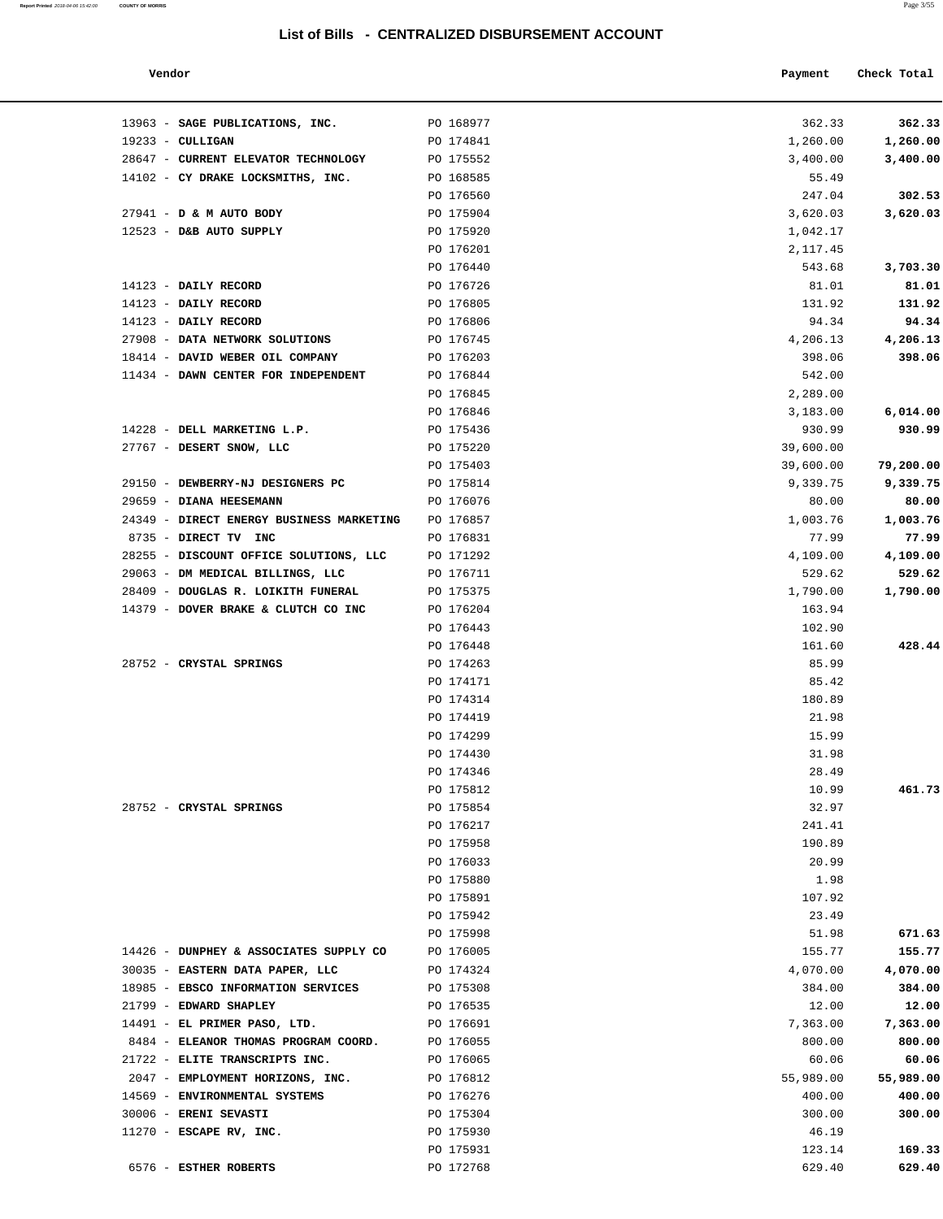13963 - **SAGE PUBLICATIONS, INC.** PO 168977

| Report Printed 2018-04-06 15:42:00 | <b>COUNTY OF MORRIS</b> | Page 3/55 |  |
|------------------------------------|-------------------------|-----------|--|
|                                    |                         |           |  |

| Vendor                       |           | Payment | Check Total |        |
|------------------------------|-----------|---------|-------------|--------|
| 63 - SAGE PUBLICATIONS, INC. | PO 168977 | 362.33  |             | 362.33 |

| 28647 - CURRENT ELEVATOR TECHNOLOGY<br>PO 175552<br>3,400.00<br>14102 - CY DRAKE LOCKSMITHS, INC.<br>PO 168585<br>55.49<br>PO 176560<br>247.04<br>27941 - D & M AUTO BODY<br>PO 175904<br>3,620.03<br>12523 - D&B AUTO SUPPLY<br>PO 175920<br>1,042.17<br>PO 176201<br>2,117.45<br>PO 176440<br>543.68<br>14123 - DAILY RECORD<br>PO 176726<br>81.01<br>14123 - DAILY RECORD<br>PO 176805<br>131.92<br>14123 - DAILY RECORD<br>PO 176806<br>94.34<br>27908 - DATA NETWORK SOLUTIONS<br>PO 176745<br>4,206.13<br>18414 - DAVID WEBER OIL COMPANY<br>PO 176203<br>398.06<br>11434 - DAWN CENTER FOR INDEPENDENT<br>PO 176844<br>542.00<br>PO 176845<br>2,289.00<br>PO 176846<br>3,183.00<br>14228 - DELL MARKETING L.P.<br>PO 175436<br>930.99<br>27767 - DESERT SNOW, LLC<br>PO 175220<br>39,600.00<br>PO 175403<br>39,600.00<br>29150 - DEWBERRY-NJ DESIGNERS PC<br>PO 175814<br>9,339.75<br>29659 - DIANA HEESEMANN<br>PO 176076<br>80.00<br>24349 - DIRECT ENERGY BUSINESS MARKETING<br>PO 176857<br>1,003.76<br>8735 - DIRECT TV INC<br>PO 176831<br>77.99<br>28255 - DISCOUNT OFFICE SOLUTIONS, LLC<br>4,109.00<br>PO 171292<br>29063 - DM MEDICAL BILLINGS, LLC<br>PO 176711<br>529.62<br>28409 - DOUGLAS R. LOIKITH FUNERAL<br>PO 175375<br>1,790.00<br>14379 - DOVER BRAKE & CLUTCH CO INC<br>PO 176204<br>163.94<br>PO 176443<br>102.90<br>PO 176448<br>161.60<br>28752 - CRYSTAL SPRINGS<br>PO 174263<br>85.99<br>PO 174171<br>85.42<br>PO 174314<br>180.89<br>PO 174419<br>21.98<br>PO 174299<br>15.99<br>PO 174430<br>31.98<br>PO 174346<br>28.49<br>PO 175812<br>10.99<br>28752 - CRYSTAL SPRINGS<br>PO 175854<br>32.97<br>PO 176217<br>241.41<br>PO 175958<br>190.89<br>20.99<br>PO 176033<br>PO 175880<br>1.98<br>PO 175891<br>107.92<br>PO 175942<br>23.49<br>PO 175998<br>51.98<br>14426 - DUNPHEY & ASSOCIATES SUPPLY CO<br>PO 176005<br>155.77<br>30035 - EASTERN DATA PAPER, LLC<br>4,070.00<br>PO 174324<br>18985 - EBSCO INFORMATION SERVICES<br>PO 175308<br>384.00<br>21799 - EDWARD SHAPLEY<br>PO 176535<br>12.00<br>14491 - EL PRIMER PASO, LTD.<br>PO 176691<br>7,363.00 | 1,260.00  |
|----------------------------------------------------------------------------------------------------------------------------------------------------------------------------------------------------------------------------------------------------------------------------------------------------------------------------------------------------------------------------------------------------------------------------------------------------------------------------------------------------------------------------------------------------------------------------------------------------------------------------------------------------------------------------------------------------------------------------------------------------------------------------------------------------------------------------------------------------------------------------------------------------------------------------------------------------------------------------------------------------------------------------------------------------------------------------------------------------------------------------------------------------------------------------------------------------------------------------------------------------------------------------------------------------------------------------------------------------------------------------------------------------------------------------------------------------------------------------------------------------------------------------------------------------------------------------------------------------------------------------------------------------------------------------------------------------------------------------------------------------------------------------------------------------------------------------------------------------------------------------------------------------------------------------------------------------------------------------------------------------------------------------------------------------------------------------------------------------|-----------|
|                                                                                                                                                                                                                                                                                                                                                                                                                                                                                                                                                                                                                                                                                                                                                                                                                                                                                                                                                                                                                                                                                                                                                                                                                                                                                                                                                                                                                                                                                                                                                                                                                                                                                                                                                                                                                                                                                                                                                                                                                                                                                                    | 3,400.00  |
|                                                                                                                                                                                                                                                                                                                                                                                                                                                                                                                                                                                                                                                                                                                                                                                                                                                                                                                                                                                                                                                                                                                                                                                                                                                                                                                                                                                                                                                                                                                                                                                                                                                                                                                                                                                                                                                                                                                                                                                                                                                                                                    |           |
|                                                                                                                                                                                                                                                                                                                                                                                                                                                                                                                                                                                                                                                                                                                                                                                                                                                                                                                                                                                                                                                                                                                                                                                                                                                                                                                                                                                                                                                                                                                                                                                                                                                                                                                                                                                                                                                                                                                                                                                                                                                                                                    | 302.53    |
|                                                                                                                                                                                                                                                                                                                                                                                                                                                                                                                                                                                                                                                                                                                                                                                                                                                                                                                                                                                                                                                                                                                                                                                                                                                                                                                                                                                                                                                                                                                                                                                                                                                                                                                                                                                                                                                                                                                                                                                                                                                                                                    | 3,620.03  |
|                                                                                                                                                                                                                                                                                                                                                                                                                                                                                                                                                                                                                                                                                                                                                                                                                                                                                                                                                                                                                                                                                                                                                                                                                                                                                                                                                                                                                                                                                                                                                                                                                                                                                                                                                                                                                                                                                                                                                                                                                                                                                                    |           |
|                                                                                                                                                                                                                                                                                                                                                                                                                                                                                                                                                                                                                                                                                                                                                                                                                                                                                                                                                                                                                                                                                                                                                                                                                                                                                                                                                                                                                                                                                                                                                                                                                                                                                                                                                                                                                                                                                                                                                                                                                                                                                                    |           |
|                                                                                                                                                                                                                                                                                                                                                                                                                                                                                                                                                                                                                                                                                                                                                                                                                                                                                                                                                                                                                                                                                                                                                                                                                                                                                                                                                                                                                                                                                                                                                                                                                                                                                                                                                                                                                                                                                                                                                                                                                                                                                                    | 3,703.30  |
|                                                                                                                                                                                                                                                                                                                                                                                                                                                                                                                                                                                                                                                                                                                                                                                                                                                                                                                                                                                                                                                                                                                                                                                                                                                                                                                                                                                                                                                                                                                                                                                                                                                                                                                                                                                                                                                                                                                                                                                                                                                                                                    | 81.01     |
|                                                                                                                                                                                                                                                                                                                                                                                                                                                                                                                                                                                                                                                                                                                                                                                                                                                                                                                                                                                                                                                                                                                                                                                                                                                                                                                                                                                                                                                                                                                                                                                                                                                                                                                                                                                                                                                                                                                                                                                                                                                                                                    | 131.92    |
|                                                                                                                                                                                                                                                                                                                                                                                                                                                                                                                                                                                                                                                                                                                                                                                                                                                                                                                                                                                                                                                                                                                                                                                                                                                                                                                                                                                                                                                                                                                                                                                                                                                                                                                                                                                                                                                                                                                                                                                                                                                                                                    | 94.34     |
|                                                                                                                                                                                                                                                                                                                                                                                                                                                                                                                                                                                                                                                                                                                                                                                                                                                                                                                                                                                                                                                                                                                                                                                                                                                                                                                                                                                                                                                                                                                                                                                                                                                                                                                                                                                                                                                                                                                                                                                                                                                                                                    | 4,206.13  |
|                                                                                                                                                                                                                                                                                                                                                                                                                                                                                                                                                                                                                                                                                                                                                                                                                                                                                                                                                                                                                                                                                                                                                                                                                                                                                                                                                                                                                                                                                                                                                                                                                                                                                                                                                                                                                                                                                                                                                                                                                                                                                                    | 398.06    |
|                                                                                                                                                                                                                                                                                                                                                                                                                                                                                                                                                                                                                                                                                                                                                                                                                                                                                                                                                                                                                                                                                                                                                                                                                                                                                                                                                                                                                                                                                                                                                                                                                                                                                                                                                                                                                                                                                                                                                                                                                                                                                                    |           |
|                                                                                                                                                                                                                                                                                                                                                                                                                                                                                                                                                                                                                                                                                                                                                                                                                                                                                                                                                                                                                                                                                                                                                                                                                                                                                                                                                                                                                                                                                                                                                                                                                                                                                                                                                                                                                                                                                                                                                                                                                                                                                                    | 6,014.00  |
|                                                                                                                                                                                                                                                                                                                                                                                                                                                                                                                                                                                                                                                                                                                                                                                                                                                                                                                                                                                                                                                                                                                                                                                                                                                                                                                                                                                                                                                                                                                                                                                                                                                                                                                                                                                                                                                                                                                                                                                                                                                                                                    | 930.99    |
|                                                                                                                                                                                                                                                                                                                                                                                                                                                                                                                                                                                                                                                                                                                                                                                                                                                                                                                                                                                                                                                                                                                                                                                                                                                                                                                                                                                                                                                                                                                                                                                                                                                                                                                                                                                                                                                                                                                                                                                                                                                                                                    |           |
|                                                                                                                                                                                                                                                                                                                                                                                                                                                                                                                                                                                                                                                                                                                                                                                                                                                                                                                                                                                                                                                                                                                                                                                                                                                                                                                                                                                                                                                                                                                                                                                                                                                                                                                                                                                                                                                                                                                                                                                                                                                                                                    | 79,200.00 |
|                                                                                                                                                                                                                                                                                                                                                                                                                                                                                                                                                                                                                                                                                                                                                                                                                                                                                                                                                                                                                                                                                                                                                                                                                                                                                                                                                                                                                                                                                                                                                                                                                                                                                                                                                                                                                                                                                                                                                                                                                                                                                                    | 9,339.75  |
|                                                                                                                                                                                                                                                                                                                                                                                                                                                                                                                                                                                                                                                                                                                                                                                                                                                                                                                                                                                                                                                                                                                                                                                                                                                                                                                                                                                                                                                                                                                                                                                                                                                                                                                                                                                                                                                                                                                                                                                                                                                                                                    | 80.00     |
|                                                                                                                                                                                                                                                                                                                                                                                                                                                                                                                                                                                                                                                                                                                                                                                                                                                                                                                                                                                                                                                                                                                                                                                                                                                                                                                                                                                                                                                                                                                                                                                                                                                                                                                                                                                                                                                                                                                                                                                                                                                                                                    | 1,003.76  |
|                                                                                                                                                                                                                                                                                                                                                                                                                                                                                                                                                                                                                                                                                                                                                                                                                                                                                                                                                                                                                                                                                                                                                                                                                                                                                                                                                                                                                                                                                                                                                                                                                                                                                                                                                                                                                                                                                                                                                                                                                                                                                                    | 77.99     |
|                                                                                                                                                                                                                                                                                                                                                                                                                                                                                                                                                                                                                                                                                                                                                                                                                                                                                                                                                                                                                                                                                                                                                                                                                                                                                                                                                                                                                                                                                                                                                                                                                                                                                                                                                                                                                                                                                                                                                                                                                                                                                                    | 4,109.00  |
|                                                                                                                                                                                                                                                                                                                                                                                                                                                                                                                                                                                                                                                                                                                                                                                                                                                                                                                                                                                                                                                                                                                                                                                                                                                                                                                                                                                                                                                                                                                                                                                                                                                                                                                                                                                                                                                                                                                                                                                                                                                                                                    | 529.62    |
|                                                                                                                                                                                                                                                                                                                                                                                                                                                                                                                                                                                                                                                                                                                                                                                                                                                                                                                                                                                                                                                                                                                                                                                                                                                                                                                                                                                                                                                                                                                                                                                                                                                                                                                                                                                                                                                                                                                                                                                                                                                                                                    | 1,790.00  |
|                                                                                                                                                                                                                                                                                                                                                                                                                                                                                                                                                                                                                                                                                                                                                                                                                                                                                                                                                                                                                                                                                                                                                                                                                                                                                                                                                                                                                                                                                                                                                                                                                                                                                                                                                                                                                                                                                                                                                                                                                                                                                                    |           |
|                                                                                                                                                                                                                                                                                                                                                                                                                                                                                                                                                                                                                                                                                                                                                                                                                                                                                                                                                                                                                                                                                                                                                                                                                                                                                                                                                                                                                                                                                                                                                                                                                                                                                                                                                                                                                                                                                                                                                                                                                                                                                                    |           |
|                                                                                                                                                                                                                                                                                                                                                                                                                                                                                                                                                                                                                                                                                                                                                                                                                                                                                                                                                                                                                                                                                                                                                                                                                                                                                                                                                                                                                                                                                                                                                                                                                                                                                                                                                                                                                                                                                                                                                                                                                                                                                                    | 428.44    |
|                                                                                                                                                                                                                                                                                                                                                                                                                                                                                                                                                                                                                                                                                                                                                                                                                                                                                                                                                                                                                                                                                                                                                                                                                                                                                                                                                                                                                                                                                                                                                                                                                                                                                                                                                                                                                                                                                                                                                                                                                                                                                                    |           |
|                                                                                                                                                                                                                                                                                                                                                                                                                                                                                                                                                                                                                                                                                                                                                                                                                                                                                                                                                                                                                                                                                                                                                                                                                                                                                                                                                                                                                                                                                                                                                                                                                                                                                                                                                                                                                                                                                                                                                                                                                                                                                                    |           |
|                                                                                                                                                                                                                                                                                                                                                                                                                                                                                                                                                                                                                                                                                                                                                                                                                                                                                                                                                                                                                                                                                                                                                                                                                                                                                                                                                                                                                                                                                                                                                                                                                                                                                                                                                                                                                                                                                                                                                                                                                                                                                                    |           |
|                                                                                                                                                                                                                                                                                                                                                                                                                                                                                                                                                                                                                                                                                                                                                                                                                                                                                                                                                                                                                                                                                                                                                                                                                                                                                                                                                                                                                                                                                                                                                                                                                                                                                                                                                                                                                                                                                                                                                                                                                                                                                                    |           |
|                                                                                                                                                                                                                                                                                                                                                                                                                                                                                                                                                                                                                                                                                                                                                                                                                                                                                                                                                                                                                                                                                                                                                                                                                                                                                                                                                                                                                                                                                                                                                                                                                                                                                                                                                                                                                                                                                                                                                                                                                                                                                                    |           |
|                                                                                                                                                                                                                                                                                                                                                                                                                                                                                                                                                                                                                                                                                                                                                                                                                                                                                                                                                                                                                                                                                                                                                                                                                                                                                                                                                                                                                                                                                                                                                                                                                                                                                                                                                                                                                                                                                                                                                                                                                                                                                                    |           |
|                                                                                                                                                                                                                                                                                                                                                                                                                                                                                                                                                                                                                                                                                                                                                                                                                                                                                                                                                                                                                                                                                                                                                                                                                                                                                                                                                                                                                                                                                                                                                                                                                                                                                                                                                                                                                                                                                                                                                                                                                                                                                                    |           |
|                                                                                                                                                                                                                                                                                                                                                                                                                                                                                                                                                                                                                                                                                                                                                                                                                                                                                                                                                                                                                                                                                                                                                                                                                                                                                                                                                                                                                                                                                                                                                                                                                                                                                                                                                                                                                                                                                                                                                                                                                                                                                                    | 461.73    |
|                                                                                                                                                                                                                                                                                                                                                                                                                                                                                                                                                                                                                                                                                                                                                                                                                                                                                                                                                                                                                                                                                                                                                                                                                                                                                                                                                                                                                                                                                                                                                                                                                                                                                                                                                                                                                                                                                                                                                                                                                                                                                                    |           |
|                                                                                                                                                                                                                                                                                                                                                                                                                                                                                                                                                                                                                                                                                                                                                                                                                                                                                                                                                                                                                                                                                                                                                                                                                                                                                                                                                                                                                                                                                                                                                                                                                                                                                                                                                                                                                                                                                                                                                                                                                                                                                                    |           |
|                                                                                                                                                                                                                                                                                                                                                                                                                                                                                                                                                                                                                                                                                                                                                                                                                                                                                                                                                                                                                                                                                                                                                                                                                                                                                                                                                                                                                                                                                                                                                                                                                                                                                                                                                                                                                                                                                                                                                                                                                                                                                                    |           |
|                                                                                                                                                                                                                                                                                                                                                                                                                                                                                                                                                                                                                                                                                                                                                                                                                                                                                                                                                                                                                                                                                                                                                                                                                                                                                                                                                                                                                                                                                                                                                                                                                                                                                                                                                                                                                                                                                                                                                                                                                                                                                                    |           |
|                                                                                                                                                                                                                                                                                                                                                                                                                                                                                                                                                                                                                                                                                                                                                                                                                                                                                                                                                                                                                                                                                                                                                                                                                                                                                                                                                                                                                                                                                                                                                                                                                                                                                                                                                                                                                                                                                                                                                                                                                                                                                                    |           |
|                                                                                                                                                                                                                                                                                                                                                                                                                                                                                                                                                                                                                                                                                                                                                                                                                                                                                                                                                                                                                                                                                                                                                                                                                                                                                                                                                                                                                                                                                                                                                                                                                                                                                                                                                                                                                                                                                                                                                                                                                                                                                                    |           |
|                                                                                                                                                                                                                                                                                                                                                                                                                                                                                                                                                                                                                                                                                                                                                                                                                                                                                                                                                                                                                                                                                                                                                                                                                                                                                                                                                                                                                                                                                                                                                                                                                                                                                                                                                                                                                                                                                                                                                                                                                                                                                                    | 671.63    |
|                                                                                                                                                                                                                                                                                                                                                                                                                                                                                                                                                                                                                                                                                                                                                                                                                                                                                                                                                                                                                                                                                                                                                                                                                                                                                                                                                                                                                                                                                                                                                                                                                                                                                                                                                                                                                                                                                                                                                                                                                                                                                                    | 155.77    |
|                                                                                                                                                                                                                                                                                                                                                                                                                                                                                                                                                                                                                                                                                                                                                                                                                                                                                                                                                                                                                                                                                                                                                                                                                                                                                                                                                                                                                                                                                                                                                                                                                                                                                                                                                                                                                                                                                                                                                                                                                                                                                                    | 4,070.00  |
|                                                                                                                                                                                                                                                                                                                                                                                                                                                                                                                                                                                                                                                                                                                                                                                                                                                                                                                                                                                                                                                                                                                                                                                                                                                                                                                                                                                                                                                                                                                                                                                                                                                                                                                                                                                                                                                                                                                                                                                                                                                                                                    | 384.00    |
|                                                                                                                                                                                                                                                                                                                                                                                                                                                                                                                                                                                                                                                                                                                                                                                                                                                                                                                                                                                                                                                                                                                                                                                                                                                                                                                                                                                                                                                                                                                                                                                                                                                                                                                                                                                                                                                                                                                                                                                                                                                                                                    | 12.00     |
|                                                                                                                                                                                                                                                                                                                                                                                                                                                                                                                                                                                                                                                                                                                                                                                                                                                                                                                                                                                                                                                                                                                                                                                                                                                                                                                                                                                                                                                                                                                                                                                                                                                                                                                                                                                                                                                                                                                                                                                                                                                                                                    | 7,363.00  |
| 8484 - ELEANOR THOMAS PROGRAM COORD.<br>PO 176055<br>800.00                                                                                                                                                                                                                                                                                                                                                                                                                                                                                                                                                                                                                                                                                                                                                                                                                                                                                                                                                                                                                                                                                                                                                                                                                                                                                                                                                                                                                                                                                                                                                                                                                                                                                                                                                                                                                                                                                                                                                                                                                                        | 800.00    |
| 21722 - ELITE TRANSCRIPTS INC.<br>60.06<br>PO 176065                                                                                                                                                                                                                                                                                                                                                                                                                                                                                                                                                                                                                                                                                                                                                                                                                                                                                                                                                                                                                                                                                                                                                                                                                                                                                                                                                                                                                                                                                                                                                                                                                                                                                                                                                                                                                                                                                                                                                                                                                                               | 60.06     |
| 2047 - EMPLOYMENT HORIZONS, INC.<br>55,989.00<br>PO 176812                                                                                                                                                                                                                                                                                                                                                                                                                                                                                                                                                                                                                                                                                                                                                                                                                                                                                                                                                                                                                                                                                                                                                                                                                                                                                                                                                                                                                                                                                                                                                                                                                                                                                                                                                                                                                                                                                                                                                                                                                                         | 55,989.00 |
| 14569 - ENVIRONMENTAL SYSTEMS<br>PO 176276<br>400.00                                                                                                                                                                                                                                                                                                                                                                                                                                                                                                                                                                                                                                                                                                                                                                                                                                                                                                                                                                                                                                                                                                                                                                                                                                                                                                                                                                                                                                                                                                                                                                                                                                                                                                                                                                                                                                                                                                                                                                                                                                               | 400.00    |
| 30006 - ERENI SEVASTI<br>PO 175304<br>300.00                                                                                                                                                                                                                                                                                                                                                                                                                                                                                                                                                                                                                                                                                                                                                                                                                                                                                                                                                                                                                                                                                                                                                                                                                                                                                                                                                                                                                                                                                                                                                                                                                                                                                                                                                                                                                                                                                                                                                                                                                                                       | 300.00    |
| $11270$ - ESCAPE RV, INC.<br>PO 175930<br>46.19                                                                                                                                                                                                                                                                                                                                                                                                                                                                                                                                                                                                                                                                                                                                                                                                                                                                                                                                                                                                                                                                                                                                                                                                                                                                                                                                                                                                                                                                                                                                                                                                                                                                                                                                                                                                                                                                                                                                                                                                                                                    |           |
| PO 175931<br>123.14                                                                                                                                                                                                                                                                                                                                                                                                                                                                                                                                                                                                                                                                                                                                                                                                                                                                                                                                                                                                                                                                                                                                                                                                                                                                                                                                                                                                                                                                                                                                                                                                                                                                                                                                                                                                                                                                                                                                                                                                                                                                                | 169.33    |
| PO 172768<br>629.40<br>6576 - ESTHER ROBERTS                                                                                                                                                                                                                                                                                                                                                                                                                                                                                                                                                                                                                                                                                                                                                                                                                                                                                                                                                                                                                                                                                                                                                                                                                                                                                                                                                                                                                                                                                                                                                                                                                                                                                                                                                                                                                                                                                                                                                                                                                                                       | 629.40    |
|                                                                                                                                                                                                                                                                                                                                                                                                                                                                                                                                                                                                                                                                                                                                                                                                                                                                                                                                                                                                                                                                                                                                                                                                                                                                                                                                                                                                                                                                                                                                                                                                                                                                                                                                                                                                                                                                                                                                                                                                                                                                                                    |           |
|                                                                                                                                                                                                                                                                                                                                                                                                                                                                                                                                                                                                                                                                                                                                                                                                                                                                                                                                                                                                                                                                                                                                                                                                                                                                                                                                                                                                                                                                                                                                                                                                                                                                                                                                                                                                                                                                                                                                                                                                                                                                                                    |           |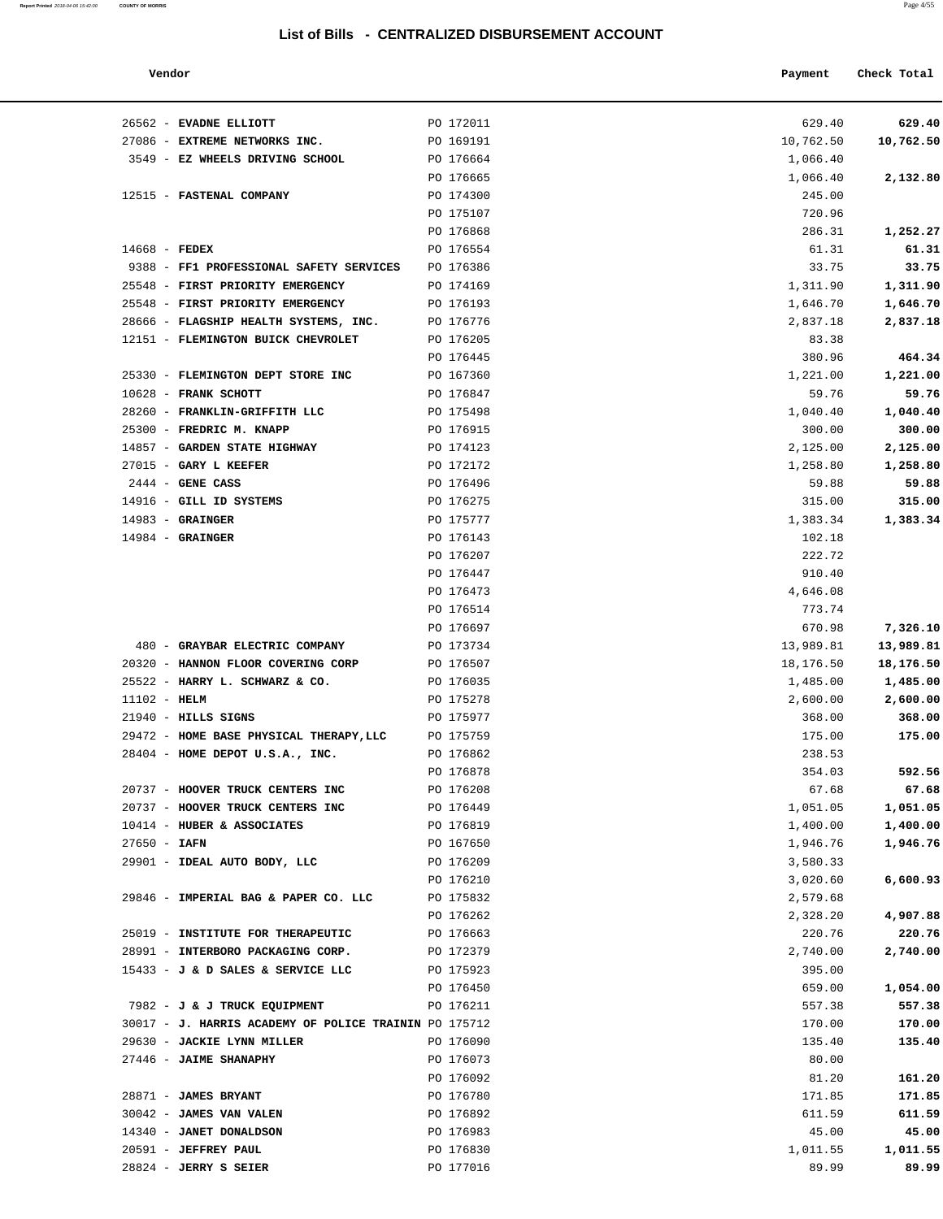| Report Printed 2018-04-06 15:42:00 COUNTY OF MORRIS | Page 4/55 |
|-----------------------------------------------------|-----------|
|                                                     |           |

| Vendor                                                |           | Payment   | Check Total |
|-------------------------------------------------------|-----------|-----------|-------------|
| 26562 - EVADNE ELLIOTT                                | PO 172011 | 629.40    | 629.40      |
| 27086 - EXTREME NETWORKS INC.                         | PO 169191 | 10,762.50 | 10,762.50   |
| 3549 - EZ WHEELS DRIVING SCHOOL                       | PO 176664 | 1,066.40  |             |
|                                                       | PO 176665 | 1,066.40  | 2,132.80    |
| 12515 - FASTENAL COMPANY                              | PO 174300 | 245.00    |             |
|                                                       | PO 175107 | 720.96    |             |
|                                                       | PO 176868 | 286.31    | 1,252.27    |
| $14668$ - FEDEX                                       | PO 176554 | 61.31     | 61.31       |
| 9388 - FF1 PROFESSIONAL SAFETY SERVICES               | PO 176386 | 33.75     | 33.75       |
| 25548 - FIRST PRIORITY EMERGENCY                      | PO 174169 | 1,311.90  | 1,311.90    |
| 25548 - FIRST PRIORITY EMERGENCY                      | PO 176193 | 1,646.70  | 1,646.70    |
| 28666 - FLAGSHIP HEALTH SYSTEMS, INC.                 | PO 176776 | 2,837.18  | 2,837.18    |
| 12151 - FLEMINGTON BUICK CHEVROLET                    | PO 176205 | 83.38     |             |
|                                                       | PO 176445 | 380.96    | 464.34      |
| 25330 - FLEMINGTON DEPT STORE INC                     | PO 167360 | 1,221.00  | 1,221.00    |
| 10628 - FRANK SCHOTT                                  | PO 176847 | 59.76     | 59.76       |
| 28260 - FRANKLIN-GRIFFITH LLC                         | PO 175498 | 1,040.40  | 1,040.40    |
| 25300 - FREDRIC M. KNAPP                              | PO 176915 | 300.00    | 300.00      |
| 14857 - GARDEN STATE HIGHWAY                          | PO 174123 | 2,125.00  | 2,125.00    |
| 27015 - GARY L KEEFER                                 | PO 172172 | 1,258.80  | 1,258.80    |
| $2444$ - GENE CASS                                    | PO 176496 | 59.88     | 59.88       |
| 14916 - GILL ID SYSTEMS                               | PO 176275 | 315.00    | 315.00      |
| $14983$ - GRAINGER                                    | PO 175777 | 1,383.34  | 1,383.34    |
| $14984$ - GRAINGER                                    | PO 176143 | 102.18    |             |
|                                                       | PO 176207 | 222.72    |             |
|                                                       | PO 176447 | 910.40    |             |
|                                                       | PO 176473 | 4,646.08  |             |
|                                                       | PO 176514 | 773.74    |             |
|                                                       | PO 176697 | 670.98    | 7,326.10    |
| 480 - GRAYBAR ELECTRIC COMPANY                        | PO 173734 | 13,989.81 | 13,989.81   |
| 20320 - HANNON FLOOR COVERING CORP                    | PO 176507 | 18,176.50 | 18,176.50   |
| 25522 - HARRY L. SCHWARZ & CO.                        | PO 176035 | 1,485.00  | 1,485.00    |
| $11102 - HELM$                                        | PO 175278 | 2,600.00  | 2,600.00    |
| $21940$ - HILLS SIGNS                                 | PO 175977 | 368.00    | 368.00      |
| 29472 - HOME BASE PHYSICAL THERAPY, LLC               | PO 175759 | 175.00    | 175.00      |
| 28404 - HOME DEPOT U.S.A., INC.                       | PO 176862 | 238.53    |             |
|                                                       | PO 176878 | 354.03    | 592.56      |
| 20737 - HOOVER TRUCK CENTERS INC                      | PO 176208 | 67.68     | 67.68       |
| 20737 - HOOVER TRUCK CENTERS INC                      | PO 176449 | 1,051.05  | 1,051.05    |
| 10414 - HUBER & ASSOCIATES                            | PO 176819 | 1,400.00  | 1,400.00    |
| $27650 - IAFN$                                        | PO 167650 | 1,946.76  | 1,946.76    |
| 29901 - IDEAL AUTO BODY, LLC                          | PO 176209 | 3,580.33  |             |
|                                                       | PO 176210 | 3,020.60  | 6,600.93    |
| 29846 - IMPERIAL BAG & PAPER CO. LLC                  | PO 175832 | 2,579.68  |             |
|                                                       | PO 176262 | 2,328.20  | 4,907.88    |
| 25019 - INSTITUTE FOR THERAPEUTIC                     | PO 176663 | 220.76    | 220.76      |
| 28991 - INTERBORO PACKAGING CORP.                     | PO 172379 | 2,740.00  | 2,740.00    |
| 15433 - J & D SALES & SERVICE LLC                     | PO 175923 | 395.00    |             |
|                                                       | PO 176450 | 659.00    | 1,054.00    |
| 7982 - J & J TRUCK EQUIPMENT                          | PO 176211 | 557.38    | 557.38      |
| 30017 - J. HARRIS ACADEMY OF POLICE TRAININ PO 175712 |           | 170.00    | 170.00      |
| 29630 - JACKIE LYNN MILLER                            | PO 176090 | 135.40    | 135.40      |
| 27446 - JAIME SHANAPHY                                | PO 176073 | 80.00     |             |
|                                                       | PO 176092 | 81.20     | 161.20      |
| 28871 - JAMES BRYANT                                  | PO 176780 | 171.85    | 171.85      |
| 30042 - JAMES VAN VALEN                               | PO 176892 | 611.59    | 611.59      |
| 14340 - JANET DONALDSON                               | PO 176983 | 45.00     | 45.00       |
| 20591 - JEFFREY PAUL                                  | PO 176830 | 1,011.55  | 1,011.55    |
| $28824$ - JERRY S SEIER                               | PO 177016 | 89.99     | 89.99       |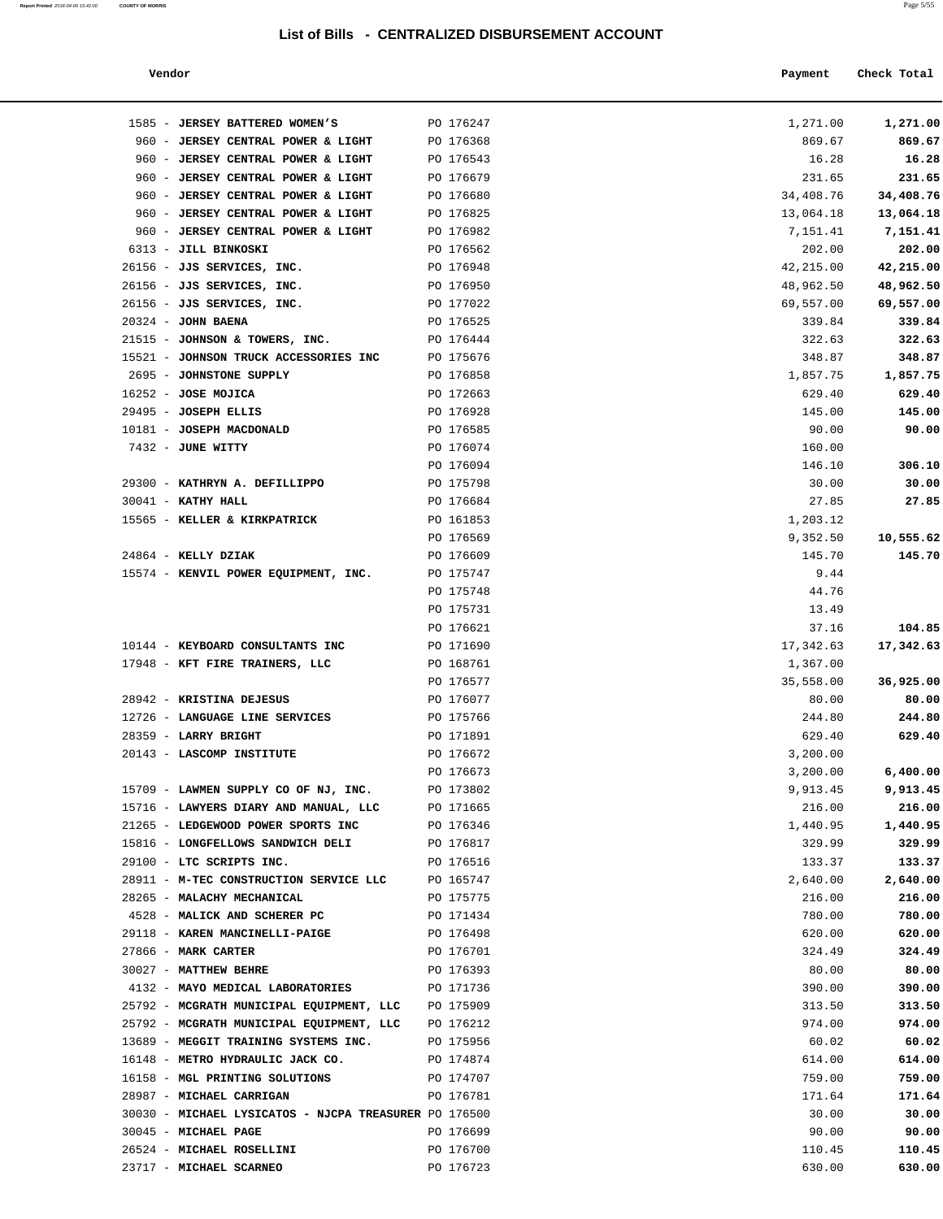| Report Printed 2018-04-06 15:42:00 COUNTY OF MORRIS |  | Page 5/55 |  |
|-----------------------------------------------------|--|-----------|--|
|-----------------------------------------------------|--|-----------|--|

| Payment   | Check Total                         |
|-----------|-------------------------------------|
| 1,271.00  | 1,271.00                            |
| 869.67    | 869.67                              |
| 16.28     | 16.28                               |
| 231.65    | 231.65                              |
| 34,408.76 | 34,408.76                           |
| 13,064.18 | 13,064.18                           |
| 7,151.41  | 7,151.41                            |
| 202.00    | 202.00                              |
| 42,215.00 | 42,215.00                           |
| 48,962.50 | 48,962.50                           |
| 69,557.00 | 69,557.00                           |
| 339.84    | 339.84                              |
| 322.63    | 322.63                              |
| 348.87    | 348.87                              |
| 1,857.75  | 1,857.75                            |
| 629.40    | 629.40                              |
| 145.00    | 145.00                              |
| 90.00     | 90.00                               |
| 160.00    |                                     |
| 146.10    | 306.10                              |
| 30.00     | 30.00                               |
| 27.85     | 27.85                               |
| 1,203.12  |                                     |
| 9,352.50  | 10,555.62                           |
| 145.70    | 145.70                              |
| 9.44      |                                     |
| 44.76     |                                     |
| 13.49     |                                     |
| 37.16     | 104.85                              |
| 17,342.63 | 17,342.63                           |
| 1,367.00  |                                     |
| 35,558.00 | 36,925.00                           |
| 80.00     | 80.00                               |
| 244.80    | 244.80                              |
| 629.40    | 629.40                              |
| 3,200.00  |                                     |
| 3,200.00  | 6,400.00                            |
| 9,913.45  | 9,913.45                            |
| 216.00    | 216.00                              |
| 1,440.95  | 1,440.95                            |
| 329.99    | 329.99                              |
| 133.37    | 133.37                              |
| 2,640.00  | 2,640.00                            |
| 216.00    | 216.00                              |
|           | 780.00                              |
|           | 620.00                              |
|           | 324.49                              |
|           | 80.00                               |
|           | 780.00<br>620.00<br>324.49<br>80.00 |

| 960 - JERSEY CENTRAL POWER & LIGHT                     | PO 176679              | 231.65             | 231.65               |
|--------------------------------------------------------|------------------------|--------------------|----------------------|
| 960 - JERSEY CENTRAL POWER & LIGHT                     | PO 176680              | 34,408.76          | 34,408.76            |
| 960 - JERSEY CENTRAL POWER & LIGHT                     | PO 176825              | 13,064.18          | 13,064.18            |
| 960 - JERSEY CENTRAL POWER & LIGHT                     | PO 176982              | 7,151.41           | 7,151.41             |
| 6313 - JILL BINKOSKI                                   | PO 176562              | 202.00             | 202.00               |
| 26156 - JJS SERVICES, INC.                             | PO 176948              | 42,215.00          | 42,215.00            |
| 26156 - JJS SERVICES, INC.                             | PO 176950              | 48,962.50          | 48,962.50            |
| 26156 - JJS SERVICES, INC.                             | PO 177022              | 69,557.00          | 69,557.00            |
| $20324$ - JOHN BAENA                                   | PO 176525              | 339.84             | 339.84               |
| 21515 - JOHNSON & TOWERS, INC.                         | PO 176444              | 322.63             | 322.63               |
| 15521 - JOHNSON TRUCK ACCESSORIES INC                  | PO 175676              | 348.87             | 348.87               |
| 2695 - JOHNSTONE SUPPLY                                | PO 176858              | 1,857.75           | 1,857.75             |
| $16252 - JOSE MOJICA$                                  | PO 172663              | 629.40             | 629.40               |
| 29495 - JOSEPH ELLIS                                   | PO 176928              | 145.00             | 145.00               |
| 10181 - JOSEPH MACDONALD                               | PO 176585              | 90.00              | 90.00                |
| 7432 - JUNE WITTY                                      | PO 176074              | 160.00             |                      |
|                                                        | PO 176094              | 146.10             | 306.10               |
| 29300 - KATHRYN A. DEFILLIPPO                          | PO 175798              | 30.00              | 30.00                |
| $30041$ - KATHY HALL                                   | PO 176684              | 27.85              | 27.85                |
| 15565 - KELLER & KIRKPATRICK                           | PO 161853              | 1,203.12           |                      |
|                                                        | PO 176569              | 9,352.50           | 10,555.62            |
| 24864 - KELLY DZIAK                                    | PO 176609              | 145.70             | 145.70               |
| 15574 - KENVIL POWER EQUIPMENT, INC.                   | PO 175747              | 9.44               |                      |
|                                                        | PO 175748              | 44.76              |                      |
|                                                        | PO 175731              | 13.49              |                      |
|                                                        | PO 176621              | 37.16              | 104.85               |
| 10144 - KEYBOARD CONSULTANTS INC                       | PO 171690              | 17,342.63          | 17,342.63            |
| 17948 - KFT FIRE TRAINERS, LLC                         | PO 168761              | 1,367.00           |                      |
|                                                        | PO 176577              | 35,558.00          | 36,925.00            |
| 28942 - KRISTINA DEJESUS                               | PO 176077              | 80.00              | 80.00                |
| 12726 - LANGUAGE LINE SERVICES<br>28359 - LARRY BRIGHT | PO 175766              | 244.80<br>629.40   | 244.80<br>629.40     |
|                                                        | PO 171891              |                    |                      |
| 20143 - LASCOMP INSTITUTE                              | PO 176672              | 3,200.00           |                      |
| 15709 - LAWMEN SUPPLY CO OF NJ, INC.                   | PO 176673<br>PO 173802 | 3,200.00           | 6,400.00<br>9,913.45 |
| 15716 - LAWYERS DIARY AND MANUAL, LLC PO 171665        |                        | 9,913.45           | 216.00               |
| 21265 - LEDGEWOOD POWER SPORTS INC PO 176346           |                        | 216.00<br>1,440.95 | 1,440.95             |
| 15816 - LONGFELLOWS SANDWICH DELI                      | PO 176817              | 329.99             | 329.99               |
| 29100 - LTC SCRIPTS INC.                               | PO 176516              | 133.37             | 133.37               |
| 28911 - M-TEC CONSTRUCTION SERVICE LLC                 | PO 165747              | 2,640.00           | 2,640.00             |
| 28265 - MALACHY MECHANICAL                             | PO 175775              | 216.00             | 216.00               |
| 4528 - MALICK AND SCHERER PC                           | PO 171434              | 780.00             | 780.00               |
| 29118 - KAREN MANCINELLI-PAIGE                         | PO 176498              | 620.00             | 620.00               |
| 27866 - MARK CARTER                                    | PO 176701              | 324.49             | 324.49               |
| 30027 - MATTHEW BEHRE                                  | PO 176393              | 80.00              | 80.00                |
| 4132 - MAYO MEDICAL LABORATORIES                       | PO 171736              | 390.00             | 390.00               |
| 25792 - MCGRATH MUNICIPAL EQUIPMENT, LLC               | PO 175909              | 313.50             | 313.50               |
| 25792 - MCGRATH MUNICIPAL EQUIPMENT, LLC               | PO 176212              | 974.00             | 974.00               |
| 13689 - MEGGIT TRAINING SYSTEMS INC.                   | PO 175956              | 60.02              | 60.02                |
| 16148 - METRO HYDRAULIC JACK CO.                       | PO 174874              | 614.00             | 614.00               |
| 16158 - MGL PRINTING SOLUTIONS                         | PO 174707              | 759.00             | 759.00               |
| 28987 - MICHAEL CARRIGAN                               | PO 176781              | 171.64             | 171.64               |
| 30030 - MICHAEL LYSICATOS - NJCPA TREASURER PO 176500  |                        | 30.00              | 30.00                |
| 30045 - MICHAEL PAGE                                   | PO 176699              | 90.00              | 90.00                |
| 26524 - MICHAEL ROSELLINI                              | PO 176700              | 110.45             | 110.45               |
| 23717 - MICHAEL SCARNEO                                | PO 176723              | 630.00             | 630.00               |
|                                                        |                        |                    |                      |
|                                                        |                        |                    |                      |
|                                                        |                        |                    |                      |
|                                                        |                        |                    |                      |
|                                                        |                        |                    |                      |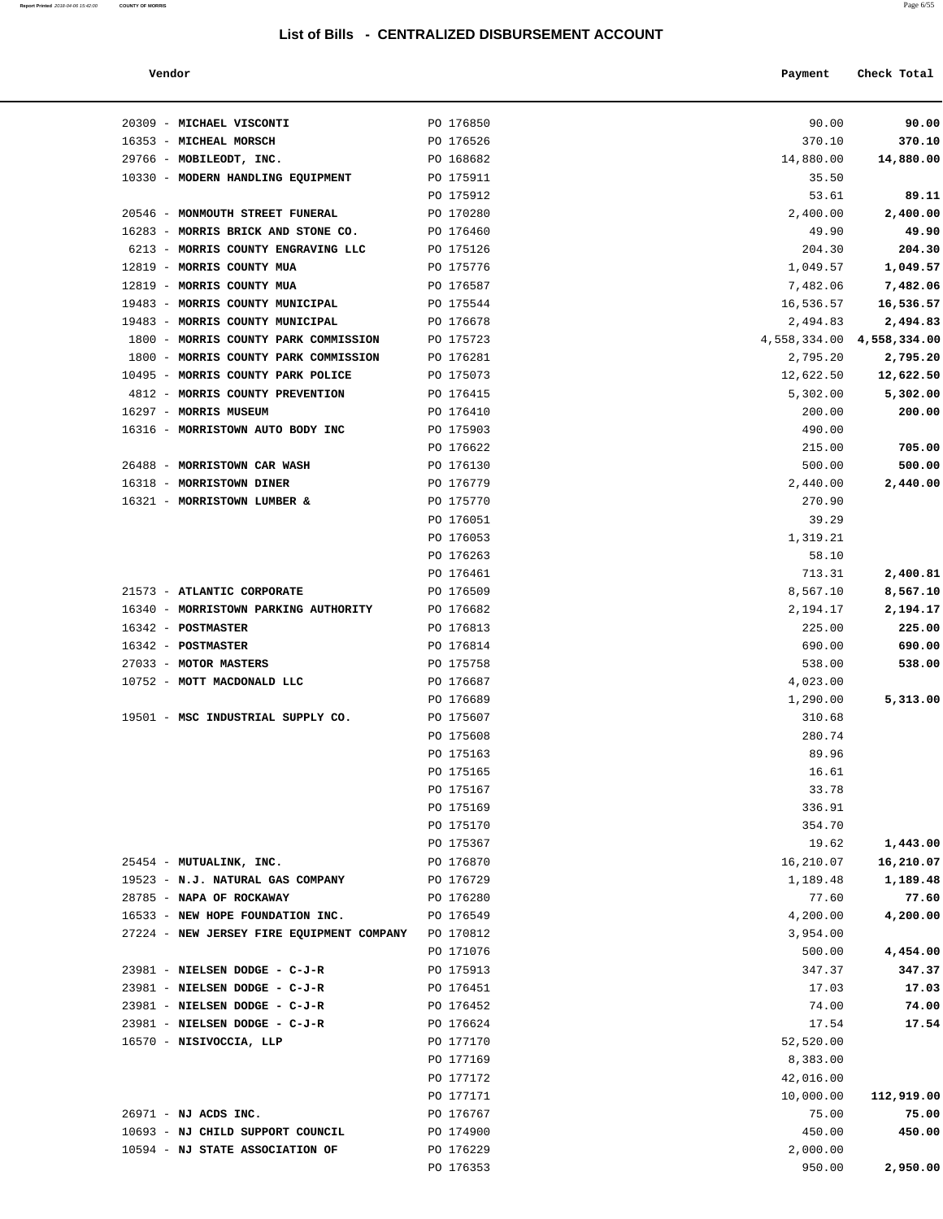| Report Printed 2018-04-06 15:42:00 COUNTY OF MORRIS | Page 6/55 |
|-----------------------------------------------------|-----------|
|                                                     |           |

| Vendor | Payment | Check Total |
|--------|---------|-------------|
|        |         |             |

| 20309 - MICHAEL VISCONTI                  | PO 176850 | 90.00     | 90.00                         |
|-------------------------------------------|-----------|-----------|-------------------------------|
| 16353 - MICHEAL MORSCH                    | PO 176526 | 370.10    | 370.10                        |
| 29766 - MOBILEODT, INC.                   | PO 168682 | 14,880.00 | 14,880.00                     |
| 10330 - MODERN HANDLING EQUIPMENT         | PO 175911 | 35.50     |                               |
|                                           | PO 175912 | 53.61     | 89.11                         |
| 20546 - MONMOUTH STREET FUNERAL           | PO 170280 | 2,400.00  | 2,400.00                      |
| 16283 - MORRIS BRICK AND STONE CO.        | PO 176460 | 49.90     | 49.90                         |
| 6213 - MORRIS COUNTY ENGRAVING LLC        | PO 175126 | 204.30    | 204.30                        |
| 12819 - MORRIS COUNTY MUA                 | PO 175776 | 1,049.57  | 1,049.57                      |
| 12819 - MORRIS COUNTY MUA                 | PO 176587 | 7,482.06  | 7,482.06                      |
| 19483 - MORRIS COUNTY MUNICIPAL           | PO 175544 | 16,536.57 | 16,536.57                     |
| 19483 - MORRIS COUNTY MUNICIPAL           | PO 176678 | 2,494.83  | 2,494.83                      |
| 1800 - MORRIS COUNTY PARK COMMISSION      | PO 175723 |           | $4,558,334.00$ $4,558,334.00$ |
| 1800 - MORRIS COUNTY PARK COMMISSION      | PO 176281 | 2,795.20  | 2,795.20                      |
| 10495 - MORRIS COUNTY PARK POLICE         | PO 175073 | 12,622.50 | 12,622.50                     |
| 4812 - MORRIS COUNTY PREVENTION           | PO 176415 | 5,302.00  | 5,302.00                      |
| 16297 - MORRIS MUSEUM                     | PO 176410 | 200.00    | 200.00                        |
| 16316 - MORRISTOWN AUTO BODY INC          | PO 175903 | 490.00    |                               |
|                                           | PO 176622 | 215.00    | 705.00                        |
| 26488 - MORRISTOWN CAR WASH               | PO 176130 | 500.00    | 500.00                        |
| 16318 - MORRISTOWN DINER                  | PO 176779 | 2,440.00  | 2,440.00                      |
| 16321 - MORRISTOWN LUMBER &               | PO 175770 | 270.90    |                               |
|                                           | PO 176051 | 39.29     |                               |
|                                           | PO 176053 | 1,319.21  |                               |
|                                           | PO 176263 | 58.10     |                               |
|                                           | PO 176461 | 713.31    | 2,400.81                      |
| 21573 - ATLANTIC CORPORATE                | PO 176509 | 8,567.10  | 8,567.10                      |
| 16340 - MORRISTOWN PARKING AUTHORITY      | PO 176682 | 2,194.17  | 2,194.17                      |
| $16342$ - POSTMASTER                      | PO 176813 | 225.00    | 225.00                        |
| 16342 - POSTMASTER                        | PO 176814 | 690.00    | 690.00                        |
| 27033 - MOTOR MASTERS                     | PO 175758 | 538.00    | 538.00                        |
| 10752 - MOTT MACDONALD LLC                | PO 176687 | 4,023.00  |                               |
|                                           | PO 176689 | 1,290.00  | 5,313.00                      |
| 19501 - MSC INDUSTRIAL SUPPLY CO.         | PO 175607 | 310.68    |                               |
|                                           | PO 175608 | 280.74    |                               |
|                                           | PO 175163 | 89.96     |                               |
|                                           | PO 175165 | 16.61     |                               |
|                                           | PO 175167 | 33.78     |                               |
|                                           | PO 175169 | 336.91    |                               |
|                                           | PO 175170 | 354.70    |                               |
|                                           | PO 175367 | 19.62     | 1,443.00                      |
| 25454 - MUTUALINK, INC.                   | PO 176870 | 16,210.07 | 16,210.07                     |
| 19523 - N.J. NATURAL GAS COMPANY          | PO 176729 | 1,189.48  | 1,189.48                      |
| 28785 - NAPA OF ROCKAWAY                  | PO 176280 | 77.60     | 77.60                         |
| 16533 - NEW HOPE FOUNDATION INC.          | PO 176549 | 4,200.00  | 4,200.00                      |
| 27224 - NEW JERSEY FIRE EQUIPMENT COMPANY | PO 170812 | 3,954.00  |                               |
|                                           | PO 171076 | 500.00    | 4,454.00                      |
| 23981 - NIELSEN DODGE - C-J-R             | PO 175913 | 347.37    | 347.37                        |
| 23981 - NIELSEN DODGE - C-J-R             | PO 176451 | 17.03     | 17.03                         |
| 23981 - NIELSEN DODGE - C-J-R             | PO 176452 | 74.00     | 74.00                         |
| 23981 - NIELSEN DODGE - C-J-R             | PO 176624 | 17.54     | 17.54                         |
| 16570 - NISIVOCCIA, LLP                   | PO 177170 | 52,520.00 |                               |
|                                           | PO 177169 | 8,383.00  |                               |
|                                           | PO 177172 | 42,016.00 |                               |
|                                           | PO 177171 | 10,000.00 | 112,919.00                    |
| 26971 - NJ ACDS INC.                      | PO 176767 | 75.00     | 75.00                         |
| 10693 - NJ CHILD SUPPORT COUNCIL          | PO 174900 | 450.00    | 450.00                        |
| 10594 - NJ STATE ASSOCIATION OF           | PO 176229 | 2,000.00  |                               |
|                                           | PO 176353 | 950.00    | 2,950.00                      |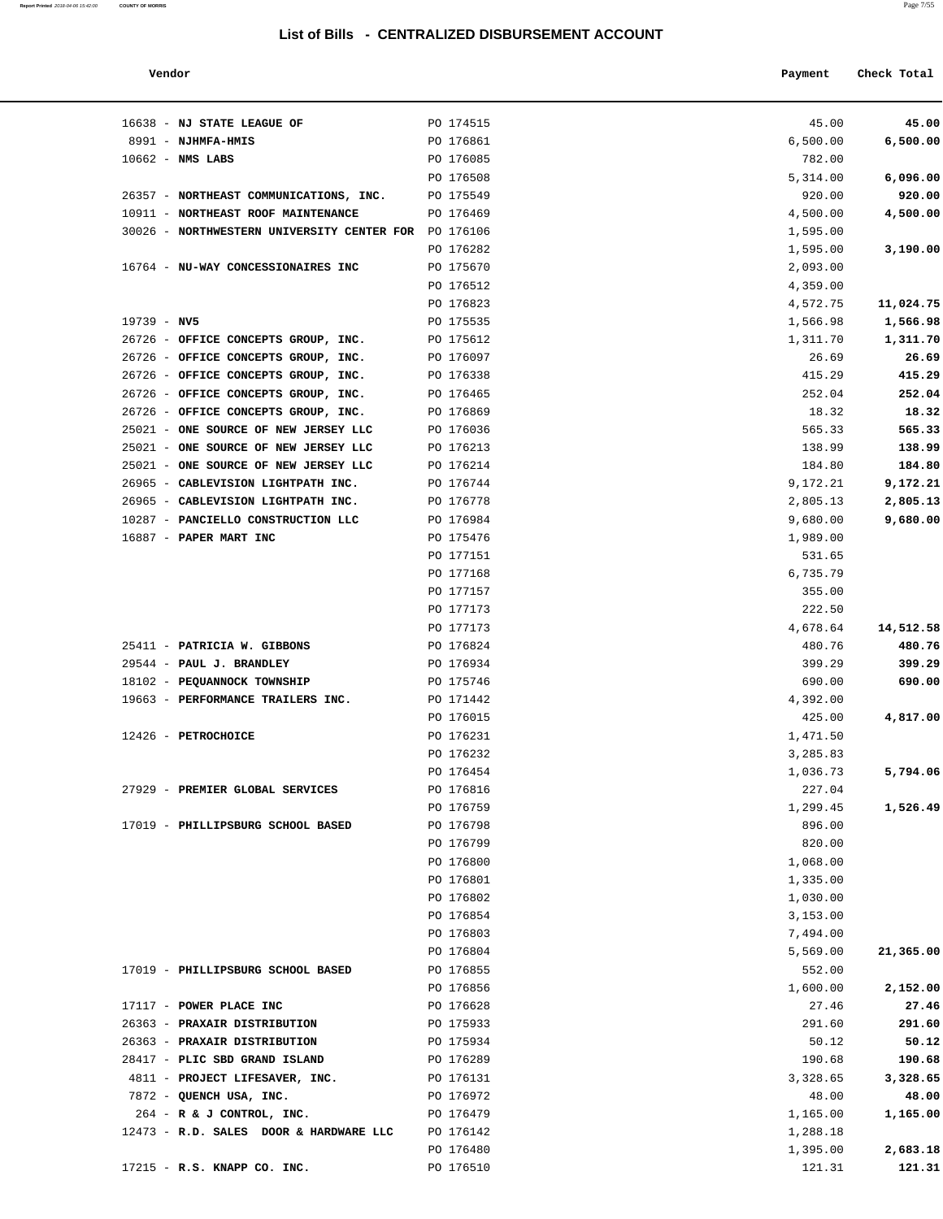**Report Printed** 2018-04-06 15:42:00 **COUNTY OF MORRIS** Page 7/55

| Vendor | Payment | Check Total<br>. |
|--------|---------|------------------|
|        |         |                  |

| 16638 - NJ STATE LEAGUE OF                                               | PO 174515              | 45.00                | 45.00                |
|--------------------------------------------------------------------------|------------------------|----------------------|----------------------|
| 8991 - NJHMFA-HMIS                                                       | PO 176861              | 6,500.00             | 6,500.00             |
| $10662$ - NMS LABS                                                       | PO 176085              | 782.00               |                      |
|                                                                          | PO 176508              | 5,314.00             | 6,096.00             |
| 26357 - NORTHEAST COMMUNICATIONS, INC.                                   | PO 175549              | 920.00               | 920.00               |
| 10911 - NORTHEAST ROOF MAINTENANCE                                       | PO 176469              | 4,500.00             | 4,500.00             |
| 30026 - NORTHWESTERN UNIVERSITY CENTER FOR PO 176106                     |                        | 1,595.00             |                      |
|                                                                          | PO 176282              | 1,595.00             | 3,190.00             |
| 16764 - NU-WAY CONCESSIONAIRES INC                                       | PO 175670              | 2,093.00             |                      |
|                                                                          | PO 176512              | 4,359.00             |                      |
|                                                                          | PO 176823              | 4,572.75             | 11,024.75            |
| $19739 - NV5$                                                            | PO 175535              | 1,566.98             | 1,566.98             |
| 26726 - OFFICE CONCEPTS GROUP, INC.                                      | PO 175612              | 1,311.70             | 1,311.70             |
| 26726 - OFFICE CONCEPTS GROUP, INC.                                      | PO 176097              | 26.69                | 26.69                |
| 26726 - OFFICE CONCEPTS GROUP, INC.                                      | PO 176338              | 415.29               | 415.29               |
| 26726 - OFFICE CONCEPTS GROUP, INC.                                      | PO 176465              | 252.04               | 252.04               |
| 26726 - OFFICE CONCEPTS GROUP, INC.                                      | PO 176869              | 18.32                | 18.32                |
| 25021 - ONE SOURCE OF NEW JERSEY LLC                                     | PO 176036              | 565.33               | 565.33               |
| 25021 - ONE SOURCE OF NEW JERSEY LLC                                     | PO 176213              | 138.99               | 138.99               |
| 25021 - ONE SOURCE OF NEW JERSEY LLC                                     | PO 176214              | 184.80               | 184.80               |
| 26965 - CABLEVISION LIGHTPATH INC.                                       | PO 176744              | 9,172.21             | 9,172.21             |
| 26965 - CABLEVISION LIGHTPATH INC.<br>10287 - PANCIELLO CONSTRUCTION LLC | PO 176778<br>PO 176984 | 2,805.13             | 2,805.13<br>9,680.00 |
| 16887 - PAPER MART INC                                                   | PO 175476              | 9,680.00<br>1,989.00 |                      |
|                                                                          | PO 177151              | 531.65               |                      |
|                                                                          | PO 177168              | 6,735.79             |                      |
|                                                                          | PO 177157              | 355.00               |                      |
|                                                                          | PO 177173              | 222.50               |                      |
|                                                                          | PO 177173              | 4,678.64             | 14,512.58            |
| 25411 - PATRICIA W. GIBBONS                                              | PO 176824              | 480.76               | 480.76               |
| 29544 - PAUL J. BRANDLEY                                                 | PO 176934              | 399.29               | 399.29               |
| 18102 - PEQUANNOCK TOWNSHIP                                              | PO 175746              | 690.00               | 690.00               |
| 19663 - PERFORMANCE TRAILERS INC.                                        | PO 171442              | 4,392.00             |                      |
|                                                                          | PO 176015              | 425.00               | 4,817.00             |
| 12426 - PETROCHOICE                                                      | PO 176231              | 1,471.50             |                      |
|                                                                          | PO 176232              | 3,285.83             |                      |
|                                                                          | PO 176454              | 1,036.73             | 5,794.06             |
| 27929 - PREMIER GLOBAL SERVICES                                          | PO 176816              | 227.04               |                      |
|                                                                          | PO 176759              | 1,299.45             | 1,526.49             |
| 17019 - PHILLIPSBURG SCHOOL BASED                                        | PO 176798              | 896.00               |                      |
|                                                                          | PO 176799              | 820.00               |                      |
|                                                                          | PO 176800              | 1,068.00             |                      |
|                                                                          | PO 176801              | 1,335.00             |                      |
|                                                                          | PO 176802              | 1,030.00             |                      |
|                                                                          | PO 176854              | 3,153.00             |                      |
|                                                                          | PO 176803              | 7,494.00             |                      |
|                                                                          | PO 176804              | 5,569.00             | 21,365.00            |
| 17019 - PHILLIPSBURG SCHOOL BASED                                        | PO 176855              | 552.00               |                      |
|                                                                          | PO 176856              | 1,600.00             | 2,152.00             |
| 17117 - POWER PLACE INC                                                  | PO 176628              | 27.46                | 27.46                |
| 26363 - PRAXAIR DISTRIBUTION                                             | PO 175933              | 291.60               | 291.60               |
| 26363 - PRAXAIR DISTRIBUTION                                             | PO 175934              | 50.12                | 50.12                |
| 28417 - PLIC SBD GRAND ISLAND                                            | PO 176289              | 190.68               | 190.68               |
| 4811 - PROJECT LIFESAVER, INC.                                           | PO 176131              | 3,328.65             | 3,328.65             |
| 7872 - QUENCH USA, INC.                                                  | PO 176972              | 48.00                | 48.00                |
| 264 - R & J CONTROL, INC.                                                | PO 176479              | 1,165.00             | 1,165.00             |
| 12473 - R.D. SALES DOOR & HARDWARE LLC                                   | PO 176142              | 1,288.18             |                      |
|                                                                          | PO 176480              | 1,395.00             | 2,683.18             |
| 17215 - R.S. KNAPP CO. INC.                                              | PO 176510              | 121.31               | 121.31               |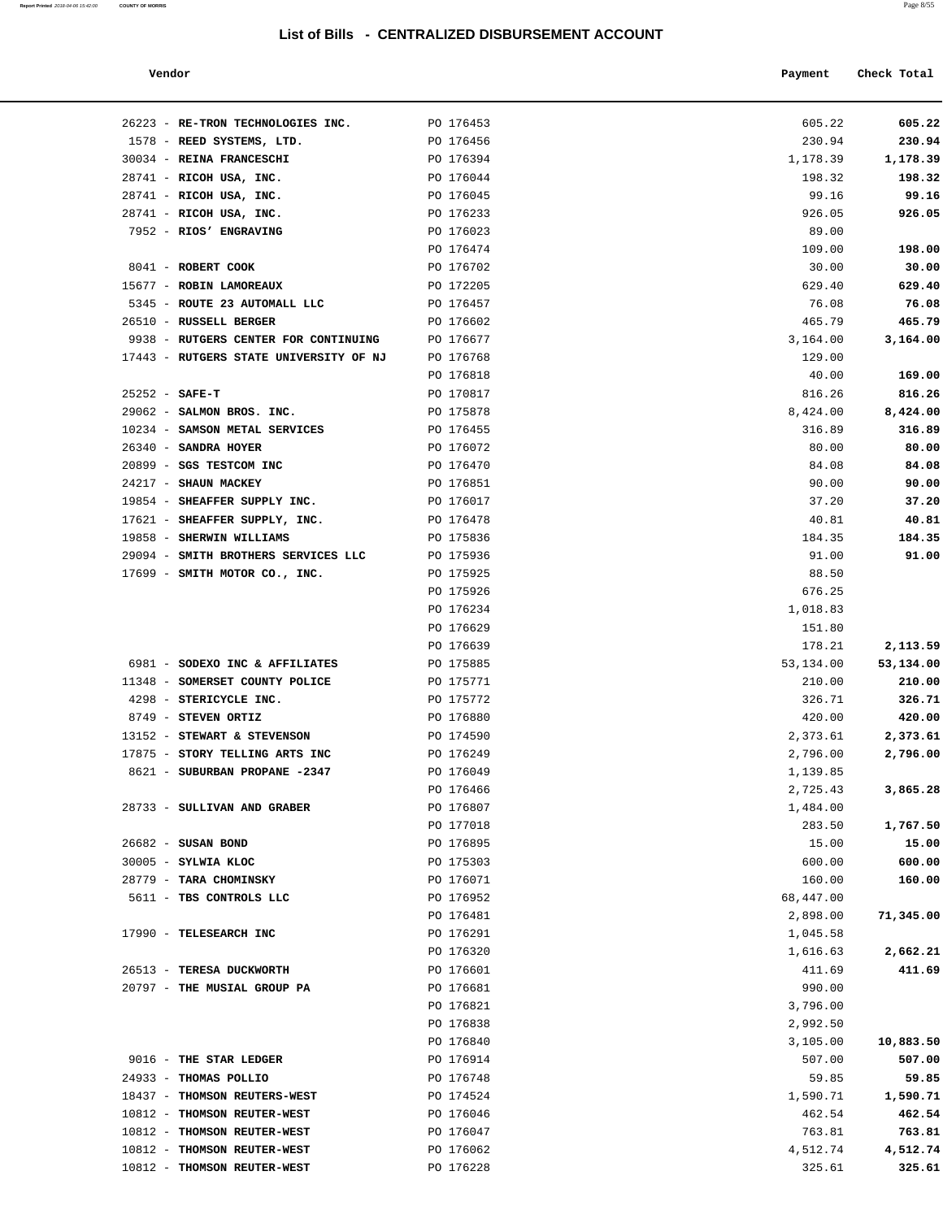| Report Printed 2018-04-06 15:42:00 | <b>COUNTY OF MORRIS</b> | Page 8/55 |
|------------------------------------|-------------------------|-----------|
|                                    |                         |           |

| Vendor | Payment | Check Total |
|--------|---------|-------------|
|        |         |             |

| 26223 - RE-TRON TECHNOLOGIES INC.                         | PO 176453              | 605.22          | 605.22    |
|-----------------------------------------------------------|------------------------|-----------------|-----------|
| 1578 - REED SYSTEMS, LTD.                                 | PO 176456              | 230.94          | 230.94    |
| 30034 - REINA FRANCESCHI                                  | PO 176394              | 1,178.39        | 1,178.39  |
| 28741 - RICOH USA, INC.                                   | PO 176044              | 198.32          | 198.32    |
| 28741 - RICOH USA, INC.                                   | PO 176045              | 99.16           | 99.16     |
| 28741 - RICOH USA, INC.                                   | PO 176233              | 926.05          | 926.05    |
| 7952 - RIOS' ENGRAVING                                    | PO 176023              | 89.00           |           |
|                                                           | PO 176474              | 109.00          | 198.00    |
| 8041 - ROBERT COOK                                        | PO 176702              | 30.00           | 30.00     |
| 15677 - ROBIN LAMOREAUX                                   | PO 172205              | 629.40          | 629.40    |
| 5345 - ROUTE 23 AUTOMALL LLC                              | PO 176457              | 76.08           | 76.08     |
| 26510 - RUSSELL BERGER                                    | PO 176602              | 465.79          | 465.79    |
| 9938 - RUTGERS CENTER FOR CONTINUING                      | PO 176677              | 3,164.00        | 3,164.00  |
| 17443 - RUTGERS STATE UNIVERSITY OF NJ                    | PO 176768              | 129.00          |           |
|                                                           | PO 176818              | 40.00           | 169.00    |
| $25252 - SAFE-T$                                          | PO 170817              | 816.26          | 816.26    |
| 29062 - SALMON BROS. INC.                                 | PO 175878              | 8,424.00        | 8,424.00  |
| 10234 - SAMSON METAL SERVICES                             | PO 176455              | 316.89          | 316.89    |
| $26340$ - SANDRA HOYER                                    | PO 176072              | 80.00           | 80.00     |
| 20899 - SGS TESTCOM INC                                   | PO 176470              | 84.08           | 84.08     |
| 24217 - SHAUN MACKEY                                      | PO 176851              | 90.00           | 90.00     |
| 19854 - SHEAFFER SUPPLY INC.                              | PO 176017              | 37.20           | 37.20     |
| 17621 - SHEAFFER SUPPLY, INC.<br>19858 - SHERWIN WILLIAMS | PO 176478<br>PO 175836 | 40.81           | 40.81     |
|                                                           |                        | 184.35          | 184.35    |
| 29094 - SMITH BROTHERS SERVICES LLC                       | PO 175936              | 91.00           | 91.00     |
| 17699 - SMITH MOTOR CO., INC.                             | PO 175925              | 88.50<br>676.25 |           |
|                                                           | PO 175926<br>PO 176234 | 1,018.83        |           |
|                                                           | PO 176629              | 151.80          |           |
|                                                           | PO 176639              | 178.21          | 2,113.59  |
| 6981 - SODEXO INC & AFFILIATES                            | PO 175885              | 53,134.00       | 53,134.00 |
| 11348 - SOMERSET COUNTY POLICE                            | PO 175771              | 210.00          | 210.00    |
| 4298 - STERICYCLE INC.                                    | PO 175772              | 326.71          | 326.71    |
| 8749 - STEVEN ORTIZ                                       | PO 176880              | 420.00          | 420.00    |
| 13152 - STEWART & STEVENSON                               | PO 174590              | 2,373.61        | 2,373.61  |
| 17875 - STORY TELLING ARTS INC                            | PO 176249              | 2,796.00        | 2,796.00  |
| 8621 - SUBURBAN PROPANE -2347                             | PO 176049              | 1,139.85        |           |
|                                                           | PO 176466              | 2,725.43        | 3,865.28  |
| 28733 - SULLIVAN AND GRABER                               | PO 176807              | 1,484.00        |           |
|                                                           | PO 177018              | 283.50          | 1,767.50  |
| 26682 - SUSAN BOND                                        | PO 176895              | 15.00           | 15.00     |
| 30005 - SYLWIA KLOC                                       | PO 175303              | 600.00          | 600.00    |
| 28779 - TARA CHOMINSKY                                    | PO 176071              | 160.00          | 160.00    |
| 5611 - TBS CONTROLS LLC                                   | PO 176952              | 68,447.00       |           |
|                                                           | PO 176481              | 2,898.00        | 71,345.00 |
| 17990 - TELESEARCH INC                                    | PO 176291              | 1,045.58        |           |
|                                                           | PO 176320              | 1,616.63        | 2,662.21  |
| 26513 - TERESA DUCKWORTH                                  | PO 176601              | 411.69          | 411.69    |
| 20797 - THE MUSIAL GROUP PA                               | PO 176681              | 990.00          |           |
|                                                           | PO 176821              | 3,796.00        |           |
|                                                           | PO 176838              | 2,992.50        |           |
|                                                           | PO 176840              | 3,105.00        | 10,883.50 |
| 9016 - THE STAR LEDGER                                    | PO 176914              | 507.00          | 507.00    |
| 24933 - THOMAS POLLIO                                     | PO 176748              | 59.85           | 59.85     |
| 18437 - THOMSON REUTERS-WEST                              | PO 174524              | 1,590.71        | 1,590.71  |
| 10812 - THOMSON REUTER-WEST                               | PO 176046              | 462.54          | 462.54    |
| 10812 - THOMSON REUTER-WEST                               | PO 176047              | 763.81          | 763.81    |
| 10812 - THOMSON REUTER-WEST                               | PO 176062              | 4,512.74        | 4,512.74  |
| 10812 - THOMSON REUTER-WEST                               | PO 176228              | 325.61          | 325.61    |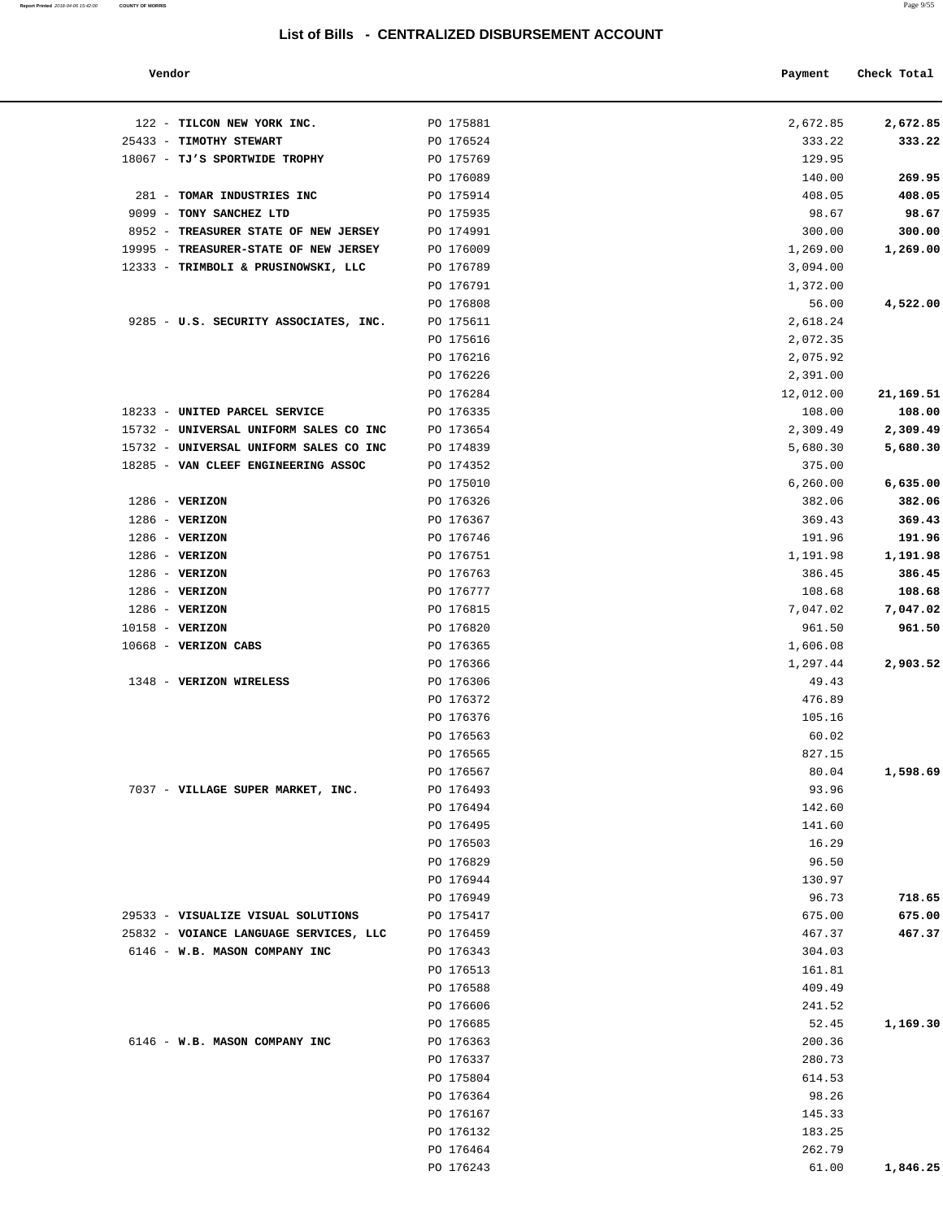#### **Vendor Payment Check Total**

| Report Printed 2018-04-06 15:42:00 COUNTY OF MORRIS | Page 9/55 |
|-----------------------------------------------------|-----------|
|                                                     |           |

| 122 - TILCON NEW YORK INC.             | PO 175881 | 2,672.85  | 2,672.85  |
|----------------------------------------|-----------|-----------|-----------|
| 25433 - TIMOTHY STEWART                | PO 176524 | 333.22    | 333.22    |
| 18067 - TJ'S SPORTWIDE TROPHY          | PO 175769 | 129.95    |           |
|                                        | PO 176089 | 140.00    | 269.95    |
| 281 - TOMAR INDUSTRIES INC             | PO 175914 | 408.05    | 408.05    |
| 9099 - TONY SANCHEZ LTD                | PO 175935 | 98.67     | 98.67     |
| 8952 - TREASURER STATE OF NEW JERSEY   | PO 174991 | 300.00    | 300.00    |
| 19995 - TREASURER-STATE OF NEW JERSEY  | PO 176009 | 1,269.00  | 1,269.00  |
| 12333 - TRIMBOLI & PRUSINOWSKI, LLC    | PO 176789 | 3,094.00  |           |
|                                        | PO 176791 |           |           |
|                                        |           | 1,372.00  |           |
|                                        | PO 176808 | 56.00     | 4,522.00  |
| 9285 - U.S. SECURITY ASSOCIATES, INC.  | PO 175611 | 2,618.24  |           |
|                                        | PO 175616 | 2,072.35  |           |
|                                        | PO 176216 | 2,075.92  |           |
|                                        | PO 176226 | 2,391.00  |           |
|                                        | PO 176284 | 12,012.00 | 21,169.51 |
| 18233 - UNITED PARCEL SERVICE          | PO 176335 | 108.00    | 108.00    |
| 15732 - UNIVERSAL UNIFORM SALES CO INC | PO 173654 | 2,309.49  | 2,309.49  |
| 15732 - UNIVERSAL UNIFORM SALES CO INC | PO 174839 | 5,680.30  | 5,680.30  |
| 18285 - VAN CLEEF ENGINEERING ASSOC    | PO 174352 | 375.00    |           |
|                                        | PO 175010 | 6,260.00  | 6,635.00  |
| $1286$ - VERIZON                       | PO 176326 | 382.06    | 382.06    |
| $1286 - VERIZON$                       | PO 176367 | 369.43    | 369.43    |
| $1286$ - VERIZON                       | PO 176746 | 191.96    | 191.96    |
| $1286 - VERIZON$                       | PO 176751 | 1,191.98  | 1,191.98  |
|                                        |           |           |           |
| 1286 - VERIZON                         | PO 176763 | 386.45    | 386.45    |
| $1286 - VERIZON$                       | PO 176777 | 108.68    | 108.68    |
| 1286 - VERIZON                         | PO 176815 | 7,047.02  | 7,047.02  |
| 10158 - VERIZON                        | PO 176820 | 961.50    | 961.50    |
| 10668 - VERIZON CABS                   | PO 176365 | 1,606.08  |           |
|                                        | PO 176366 | 1,297.44  | 2,903.52  |
| 1348 - VERIZON WIRELESS                | PO 176306 | 49.43     |           |
|                                        | PO 176372 | 476.89    |           |
|                                        | PO 176376 | 105.16    |           |
|                                        | PO 176563 | 60.02     |           |
|                                        | PO 176565 | 827.15    |           |
|                                        | PO 176567 | 80.04     | 1,598.69  |
| 7037 - VILLAGE SUPER MARKET, INC.      | PO 176493 | 93.96     |           |
|                                        | PO 176494 | 142.60    |           |
|                                        | PO 176495 | 141.60    |           |
|                                        | PO 176503 | 16.29     |           |
|                                        |           |           |           |
|                                        | PO 176829 | 96.50     |           |
|                                        | PO 176944 | 130.97    |           |
|                                        | PO 176949 | 96.73     | 718.65    |
| 29533 - VISUALIZE VISUAL SOLUTIONS     | PO 175417 | 675.00    | 675.00    |
| 25832 - VOIANCE LANGUAGE SERVICES, LLC | PO 176459 | 467.37    | 467.37    |
| 6146 - W.B. MASON COMPANY INC          | PO 176343 | 304.03    |           |
|                                        | PO 176513 | 161.81    |           |
|                                        | PO 176588 | 409.49    |           |
|                                        | PO 176606 | 241.52    |           |
|                                        | PO 176685 | 52.45     | 1,169.30  |
| 6146 - W.B. MASON COMPANY INC          | PO 176363 | 200.36    |           |
|                                        | PO 176337 | 280.73    |           |
|                                        | PO 175804 | 614.53    |           |
|                                        | PO 176364 | 98.26     |           |
|                                        |           |           |           |
|                                        | PO 176167 | 145.33    |           |
|                                        | PO 176132 | 183.25    |           |
|                                        | PO 176464 | 262.79    |           |
|                                        | PO 176243 | 61.00     | 1,846.25  |
|                                        |           |           |           |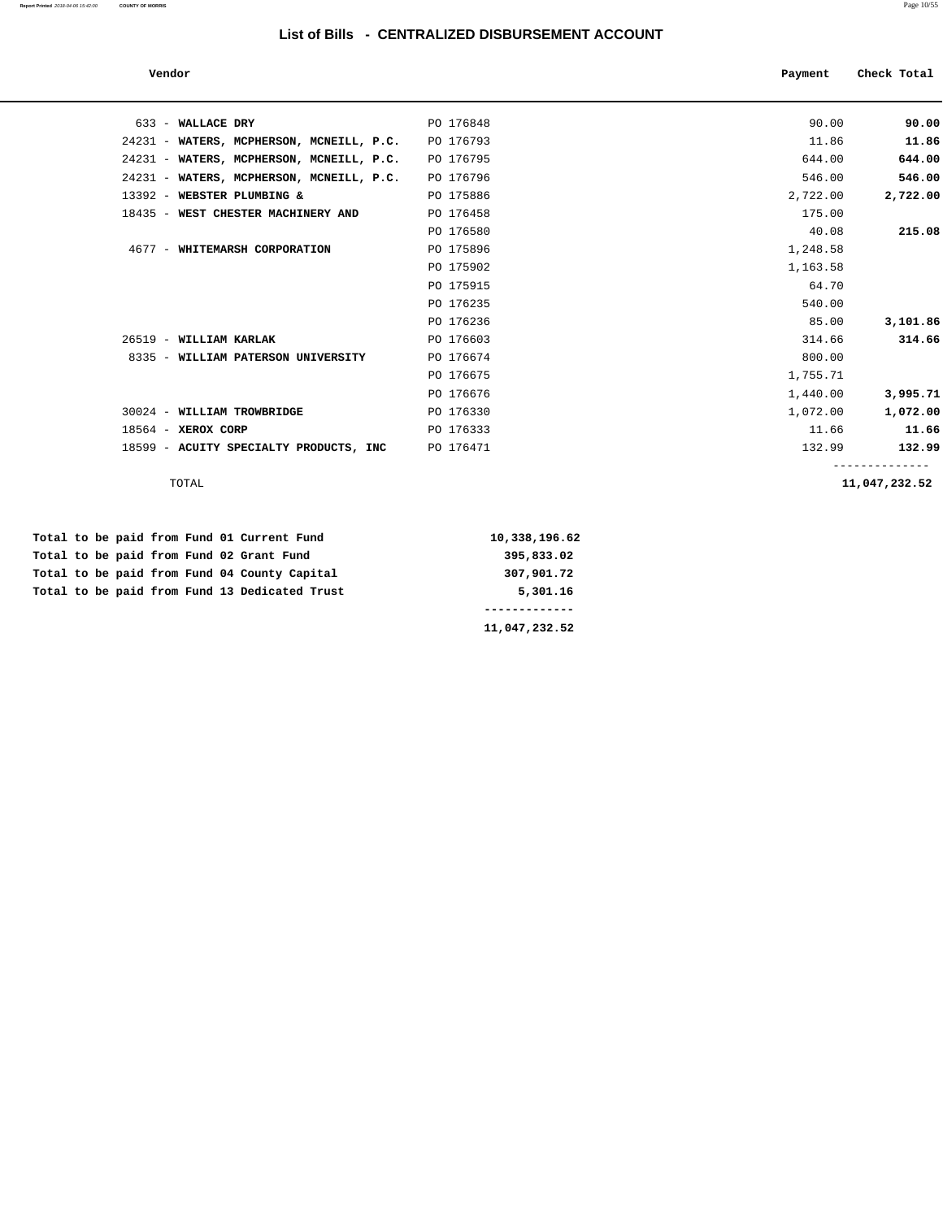| Vendor                                   |           | Payment | Check Total |
|------------------------------------------|-----------|---------|-------------|
|                                          |           |         |             |
| 633 - WALLACE DRY                        | PO 176848 | 90.00   | 90.00       |
| 24231 - WATERS, MCPHERSON, MCNEILL, P.C. | PO 176793 | 11.86   | 11.86       |
| 24231 - WATERS, MCPHERSON, MCNEILL, P.C. | PO 176795 | 644.00  | 644.00      |
| $24231$ – WATERS MODHERSON MONETII D C   | DO 176796 | 546 00  | 546 00      |

| 24231 - WATERS, MCPHERSON, MCNEILL, P.C. | PO 176795 | 644.00   | 644.00         |
|------------------------------------------|-----------|----------|----------------|
| 24231 - WATERS, MCPHERSON, MCNEILL, P.C. | PO 176796 | 546.00   | 546.00         |
| 13392 - WEBSTER PLUMBING &               | PO 175886 | 2,722.00 | 2,722.00       |
| 18435 - WEST CHESTER MACHINERY AND       | PO 176458 | 175.00   |                |
|                                          | PO 176580 | 40.08    | 215.08         |
| 4677 - WHITEMARSH CORPORATION            | PO 175896 | 1,248.58 |                |
|                                          | PO 175902 | 1,163.58 |                |
|                                          | PO 175915 | 64.70    |                |
|                                          | PO 176235 | 540.00   |                |
|                                          | PO 176236 | 85.00    | 3,101.86       |
| 26519 - WILLIAM KARLAK                   | PO 176603 | 314.66   | 314.66         |
| 8335 - WILLIAM PATERSON UNIVERSITY       | PO 176674 | 800.00   |                |
|                                          | PO 176675 | 1,755.71 |                |
|                                          | PO 176676 | 1,440.00 | 3,995.71       |
| 30024 - WILLIAM TROWBRIDGE               | PO 176330 | 1,072.00 | 1,072.00       |
| $18564 - XEROX CORP$                     | PO 176333 | 11.66    | 11.66          |
| 18599 - ACUITY SPECIALTY PRODUCTS, INC   | PO 176471 | 132.99   | 132.99         |
|                                          |           |          | -------------- |
| TOTAL                                    |           |          | 11,047,232.52  |

 **Total to be paid from Fund 01 Current Fund 10,338,196.62 Total to be paid from Fund 02 Grant Fund 395,833.02 Total to be paid from Fund 04 County Capital 307,901.72** Total to be paid from Fund 13 Dedicated Trust 5,301.16  **-------------**

**11,047,232.52**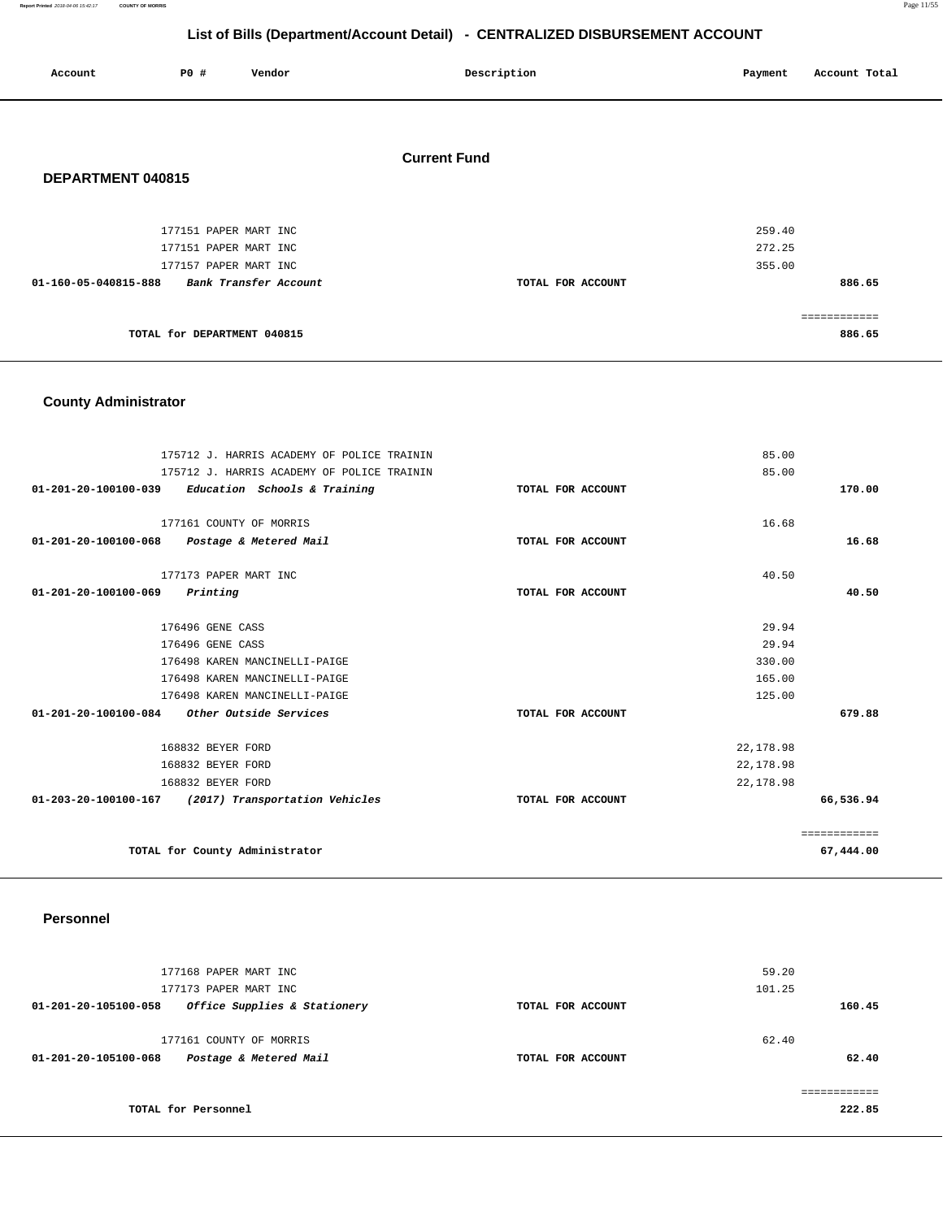**Report Printed** 2018-04-06 15:42:17 **COUNTY OF MORRIS** Page 11/55

# **List of Bills (Department/Account Detail) - CENTRALIZED DISBURSEMENT ACCOUNT**

| Account              | <b>PO #</b>                                                             | Vendor                | Description         | Account Total<br>Payment             |
|----------------------|-------------------------------------------------------------------------|-----------------------|---------------------|--------------------------------------|
| DEPARTMENT 040815    |                                                                         |                       | <b>Current Fund</b> |                                      |
| 01-160-05-040815-888 | 177151 PAPER MART INC<br>177151 PAPER MART INC<br>177157 PAPER MART INC | Bank Transfer Account | TOTAL FOR ACCOUNT   | 259.40<br>272.25<br>355.00<br>886.65 |
|                      | TOTAL for DEPARTMENT 040815                                             |                       |                     | ============<br>886.65               |

# **County Administrator**

| 175712 J. HARRIS ACADEMY OF POLICE TRAININ             | 85.00             |              |
|--------------------------------------------------------|-------------------|--------------|
| 175712 J. HARRIS ACADEMY OF POLICE TRAININ             | 85.00             |              |
| 01-201-20-100100-039<br>Education Schools & Training   | TOTAL FOR ACCOUNT | 170.00       |
|                                                        |                   |              |
| 177161 COUNTY OF MORRIS                                | 16.68             |              |
| 01-201-20-100100-068<br>Postage & Metered Mail         | TOTAL FOR ACCOUNT | 16.68        |
| 177173 PAPER MART INC                                  | 40.50             |              |
| 01-201-20-100100-069<br>Printing                       | TOTAL FOR ACCOUNT | 40.50        |
|                                                        |                   |              |
| 176496 GENE CASS                                       | 29.94             |              |
| 176496 GENE CASS                                       | 29.94             |              |
| 176498 KAREN MANCINELLI-PAIGE                          | 330.00            |              |
| 176498 KAREN MANCINELLI-PAIGE                          | 165.00            |              |
| 176498 KAREN MANCINELLI-PAIGE                          | 125.00            |              |
| $01-201-20-100100-084$ Other Outside Services          | TOTAL FOR ACCOUNT | 679.88       |
| 168832 BEYER FORD                                      | 22,178.98         |              |
| 168832 BEYER FORD                                      | 22,178.98         |              |
| 168832 BEYER FORD                                      | 22,178.98         |              |
| 01-203-20-100100-167<br>(2017) Transportation Vehicles | TOTAL FOR ACCOUNT | 66,536.94    |
|                                                        |                   | ============ |
| TOTAL for County Administrator                         |                   | 67,444.00    |

### **Personnel**

| 177168 PAPER MART INC<br>177173 PAPER MART INC                            |                   | 59.20<br>101.25 |
|---------------------------------------------------------------------------|-------------------|-----------------|
| Office Supplies & Stationery<br>01-201-20-105100-058                      | TOTAL FOR ACCOUNT | 160.45          |
| 177161 COUNTY OF MORRIS<br>Postage & Metered Mail<br>01-201-20-105100-068 | TOTAL FOR ACCOUNT | 62.40<br>62.40  |
|                                                                           |                   |                 |
| TOTAL for Personnel                                                       |                   | 222.85          |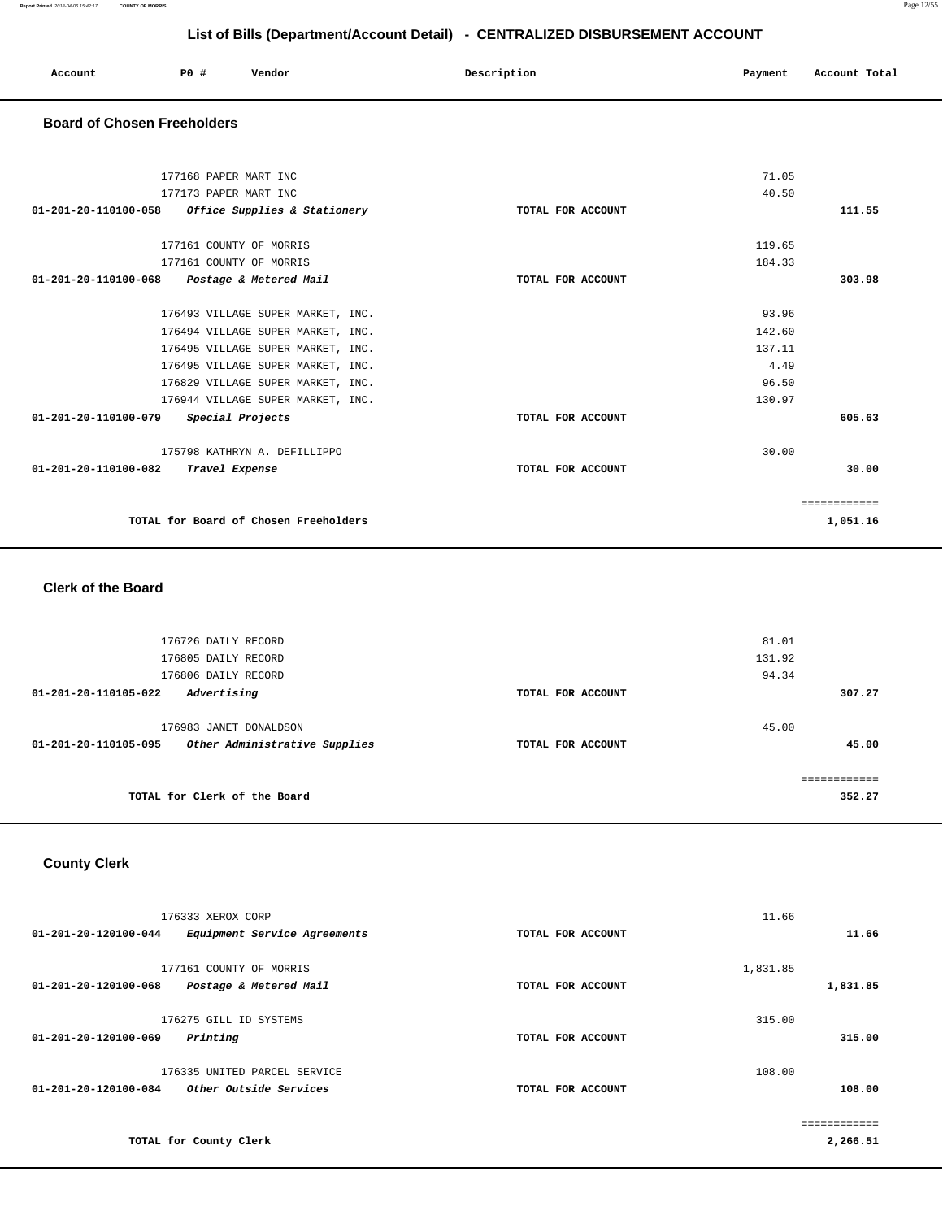| Account | PO# | Vendor | Description | Payment | Account Total |
|---------|-----|--------|-------------|---------|---------------|
|         |     |        |             |         |               |

#### **Board of Chosen Freeholders**

| 177168 PAPER MART INC                                |                   | 71.05  |              |
|------------------------------------------------------|-------------------|--------|--------------|
| 177173 PAPER MART INC                                |                   | 40.50  |              |
| Office Supplies & Stationery<br>01-201-20-110100-058 | TOTAL FOR ACCOUNT |        | 111.55       |
|                                                      |                   |        |              |
| 177161 COUNTY OF MORRIS                              |                   | 119.65 |              |
| 177161 COUNTY OF MORRIS                              |                   | 184.33 |              |
| 01-201-20-110100-068 Postage & Metered Mail          | TOTAL FOR ACCOUNT |        | 303.98       |
|                                                      |                   |        |              |
| 176493 VILLAGE SUPER MARKET, INC.                    |                   | 93.96  |              |
| 176494 VILLAGE SUPER MARKET, INC.                    |                   | 142.60 |              |
| 176495 VILLAGE SUPER MARKET, INC.                    |                   | 137.11 |              |
| 176495 VILLAGE SUPER MARKET, INC.                    |                   | 4.49   |              |
| 176829 VILLAGE SUPER MARKET, INC.                    |                   | 96.50  |              |
| 176944 VILLAGE SUPER MARKET, INC.                    |                   | 130.97 |              |
| 01-201-20-110100-079<br>Special Projects             | TOTAL FOR ACCOUNT |        | 605.63       |
| 175798 KATHRYN A. DEFILLIPPO                         |                   | 30.00  |              |
| 01-201-20-110100-082<br>Travel Expense               | TOTAL FOR ACCOUNT |        | 30.00        |
|                                                      |                   |        |              |
|                                                      |                   |        | ============ |
| TOTAL for Board of Chosen Freeholders                |                   |        | 1,051.16     |
|                                                      |                   |        |              |

#### **Clerk of the Board**

| 176726 DAILY RECORD                                   |                   | 81.01  |             |
|-------------------------------------------------------|-------------------|--------|-------------|
| 176805 DAILY RECORD                                   |                   | 131.92 |             |
| 176806 DAILY RECORD                                   |                   | 94.34  |             |
| Advertising<br>01-201-20-110105-022                   | TOTAL FOR ACCOUNT |        | 307.27      |
|                                                       |                   |        |             |
| 176983 JANET DONALDSON                                |                   | 45.00  |             |
| 01-201-20-110105-095<br>Other Administrative Supplies | TOTAL FOR ACCOUNT |        | 45.00       |
|                                                       |                   |        |             |
|                                                       |                   |        | ----------- |
| TOTAL for Clerk of the Board                          |                   |        | 352.27      |
|                                                       |                   |        |             |

# **County Clerk**

| 176333 XEROX CORP                                    |                   | 11.66    |          |
|------------------------------------------------------|-------------------|----------|----------|
| 01-201-20-120100-044<br>Equipment Service Agreements | TOTAL FOR ACCOUNT |          | 11.66    |
| 177161 COUNTY OF MORRIS                              |                   | 1,831.85 |          |
| 01-201-20-120100-068<br>Postage & Metered Mail       | TOTAL FOR ACCOUNT |          | 1,831.85 |
| 176275 GILL ID SYSTEMS                               |                   | 315.00   |          |
| 01-201-20-120100-069<br>Printing                     | TOTAL FOR ACCOUNT |          | 315.00   |
| 176335 UNITED PARCEL SERVICE                         |                   | 108.00   |          |
| 01-201-20-120100-084<br>Other Outside Services       | TOTAL FOR ACCOUNT |          | 108.00   |
|                                                      |                   |          |          |
| TOTAL for County Clerk                               |                   |          | 2,266.51 |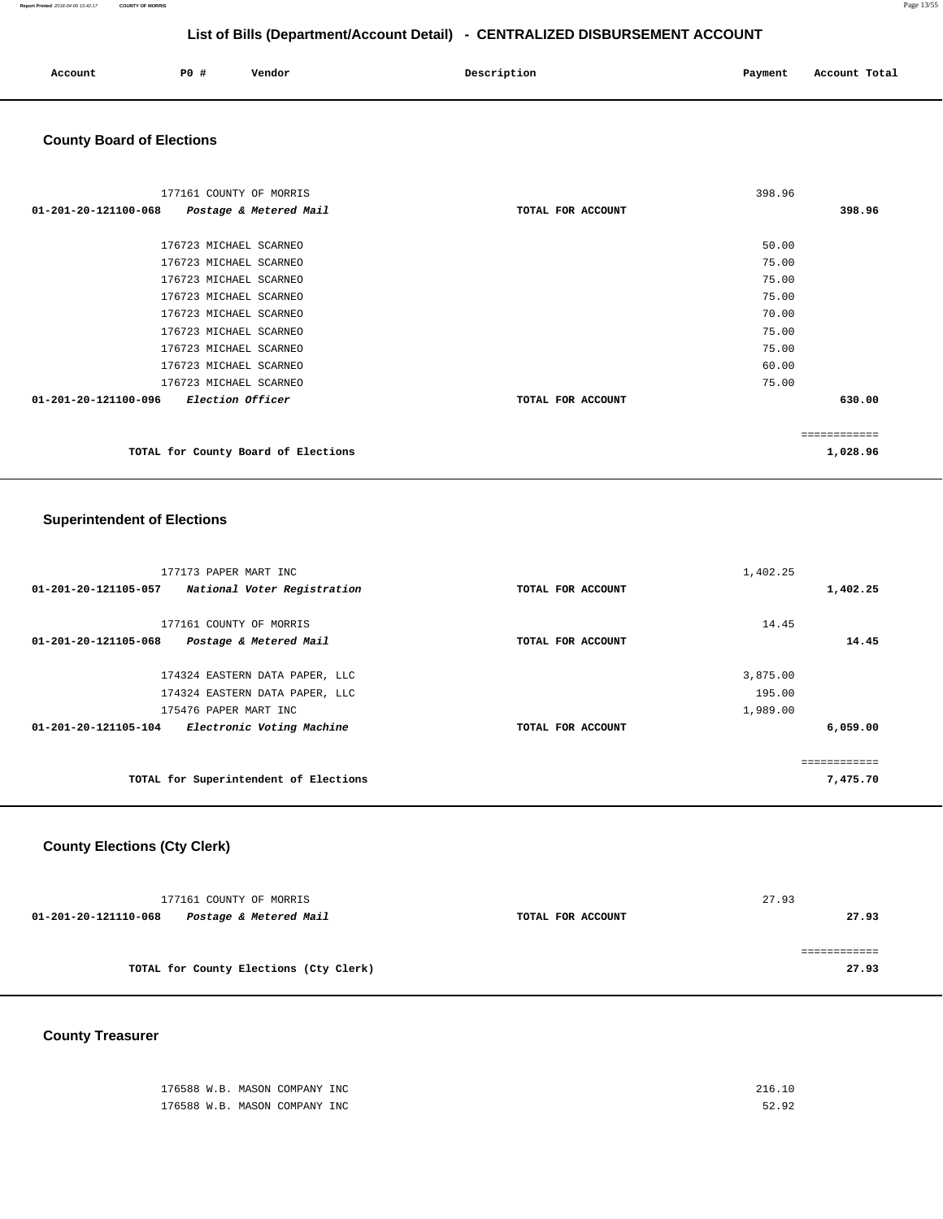| Account<br>. | PO# | Vendor | Description | Payment | Account Total<br>. |
|--------------|-----|--------|-------------|---------|--------------------|
|              |     |        |             |         |                    |

### **County Board of Elections**

| 177161 COUNTY OF MORRIS                         |                        |                   | 398.96   |
|-------------------------------------------------|------------------------|-------------------|----------|
| 01-201-20-121100-068                            | Postage & Metered Mail | TOTAL FOR ACCOUNT | 398.96   |
|                                                 |                        |                   |          |
| 176723 MICHAEL SCARNEO                          |                        |                   | 50.00    |
| 176723 MICHAEL SCARNEO                          |                        |                   | 75.00    |
| 176723 MICHAEL SCARNEO                          |                        |                   | 75.00    |
| 176723 MICHAEL SCARNEO                          |                        |                   | 75.00    |
| 176723 MICHAEL SCARNEO                          |                        |                   | 70.00    |
| 176723 MICHAEL SCARNEO                          |                        |                   | 75.00    |
| 176723 MICHAEL SCARNEO                          |                        |                   | 75.00    |
| 176723 MICHAEL SCARNEO                          |                        |                   | 60.00    |
| 176723 MICHAEL SCARNEO                          |                        |                   | 75.00    |
| 01-201-20-121100-096<br><i>Election Officer</i> |                        | TOTAL FOR ACCOUNT | 630.00   |
|                                                 |                        |                   |          |
| TOTAL for County Board of Elections             |                        |                   | 1,028.96 |

### **Superintendent of Elections**

| 177173 PAPER MART INC                               |                   | 1,402.25 |              |
|-----------------------------------------------------|-------------------|----------|--------------|
| 01-201-20-121105-057<br>National Voter Registration | TOTAL FOR ACCOUNT |          | 1,402.25     |
| 177161 COUNTY OF MORRIS                             |                   | 14.45    |              |
| 01-201-20-121105-068<br>Postage & Metered Mail      | TOTAL FOR ACCOUNT |          | 14.45        |
|                                                     |                   |          |              |
| 174324 EASTERN DATA PAPER, LLC                      |                   | 3,875.00 |              |
| 174324 EASTERN DATA PAPER, LLC                      |                   | 195.00   |              |
| 175476 PAPER MART INC                               |                   | 1,989.00 |              |
| 01-201-20-121105-104<br>Electronic Voting Machine   | TOTAL FOR ACCOUNT |          | 6,059.00     |
|                                                     |                   |          |              |
|                                                     |                   |          | ============ |
| TOTAL for Superintendent of Elections               |                   |          | 7,475.70     |

# **County Elections (Cty Clerk)**

|                      | 177161 COUNTY OF MORRIS                |                   | 27.93 |
|----------------------|----------------------------------------|-------------------|-------|
| 01-201-20-121110-068 | Postage & Metered Mail                 | TOTAL FOR ACCOUNT | 27.93 |
|                      |                                        |                   |       |
|                      | TOTAL for County Elections (Cty Clerk) |                   | 27.93 |

# **County Treasurer**

| 176588 W.B. MASON COMPANY INC | 216.10 |
|-------------------------------|--------|
| 176588 W.B. MASON COMPANY INC | 52.92  |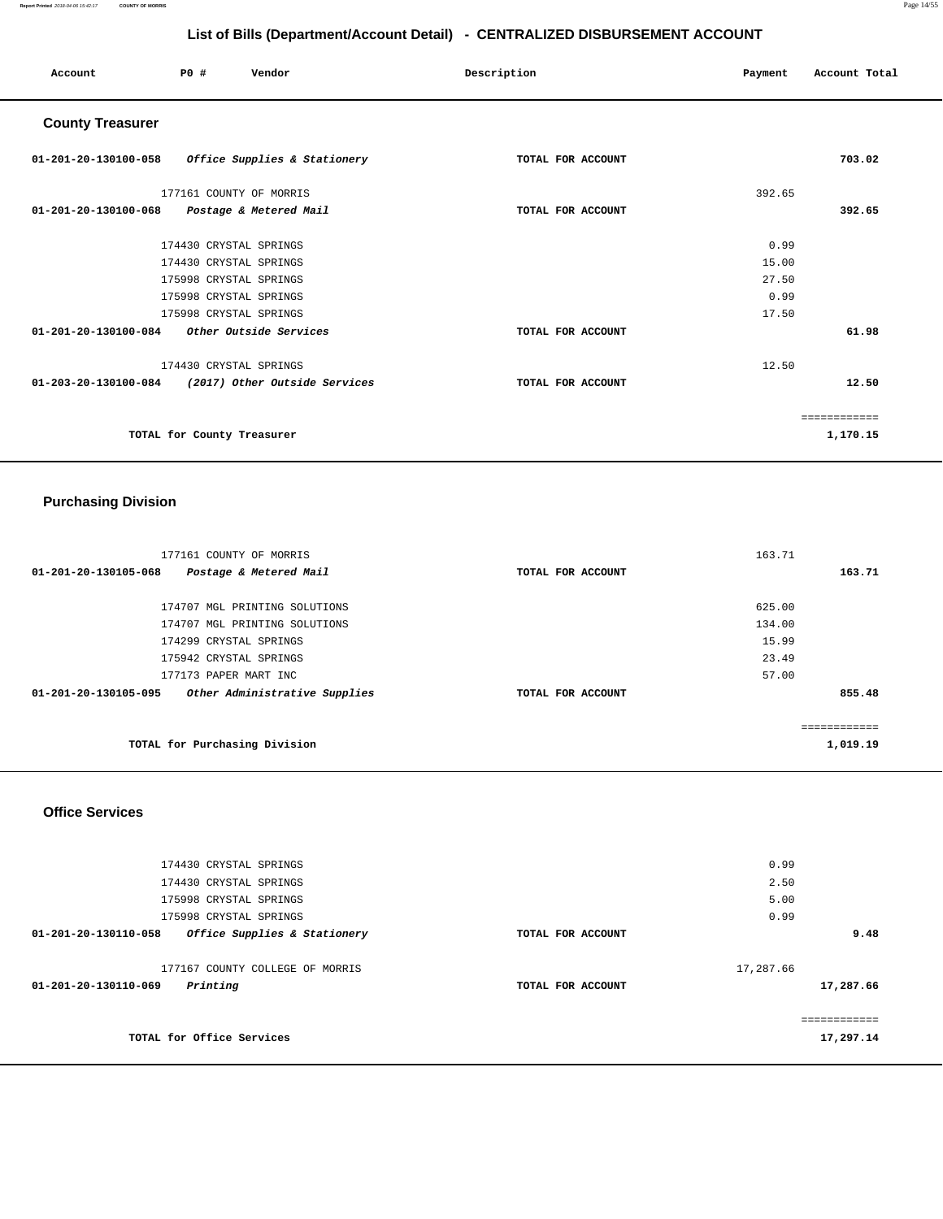#### **Report Printed** 2018-04-06 15:42:17 **COUNTY OF MORRIS** Page 14/55

# **List of Bills (Department/Account Detail) - CENTRALIZED DISBURSEMENT ACCOUNT**

| Account                                     | P0#                        | Vendor                                             | Description       | Payment | Account Total |
|---------------------------------------------|----------------------------|----------------------------------------------------|-------------------|---------|---------------|
| <b>County Treasurer</b>                     |                            |                                                    |                   |         |               |
|                                             |                            | 01-201-20-130100-058 Office Supplies & Stationery  | TOTAL FOR ACCOUNT |         | 703.02        |
|                                             | 177161 COUNTY OF MORRIS    |                                                    |                   | 392.65  |               |
| 01-201-20-130100-068 Postage & Metered Mail |                            |                                                    | TOTAL FOR ACCOUNT |         | 392.65        |
|                                             | 174430 CRYSTAL SPRINGS     |                                                    |                   | 0.99    |               |
|                                             | 174430 CRYSTAL SPRINGS     |                                                    |                   | 15.00   |               |
|                                             | 175998 CRYSTAL SPRINGS     |                                                    |                   | 27.50   |               |
|                                             | 175998 CRYSTAL SPRINGS     |                                                    |                   | 0.99    |               |
|                                             | 175998 CRYSTAL SPRINGS     |                                                    |                   | 17.50   |               |
| 01-201-20-130100-084 Other Outside Services |                            |                                                    | TOTAL FOR ACCOUNT |         | 61.98         |
|                                             | 174430 CRYSTAL SPRINGS     |                                                    |                   | 12.50   |               |
|                                             |                            | 01-203-20-130100-084 (2017) Other Outside Services | TOTAL FOR ACCOUNT |         | 12.50         |
|                                             |                            |                                                    |                   |         | ============  |
|                                             | TOTAL for County Treasurer |                                                    |                   |         | 1,170.15      |

# **Purchasing Division**

| 177161 COUNTY OF MORRIS                               |                   | 163.71       |
|-------------------------------------------------------|-------------------|--------------|
| 01-201-20-130105-068<br>Postage & Metered Mail        | TOTAL FOR ACCOUNT | 163.71       |
|                                                       |                   |              |
| 174707 MGL PRINTING SOLUTIONS                         |                   | 625.00       |
| 174707 MGL PRINTING SOLUTIONS                         |                   | 134.00       |
| 174299 CRYSTAL SPRINGS                                |                   | 15.99        |
| 175942 CRYSTAL SPRINGS                                |                   | 23.49        |
| 177173 PAPER MART INC                                 |                   | 57.00        |
| Other Administrative Supplies<br>01-201-20-130105-095 | TOTAL FOR ACCOUNT | 855.48       |
|                                                       |                   |              |
|                                                       |                   | ------------ |
| TOTAL for Purchasing Division                         |                   | 1,019.19     |
|                                                       |                   |              |

#### **Office Services**

| 174430 CRYSTAL SPRINGS                               |                   | 0.99        |
|------------------------------------------------------|-------------------|-------------|
| 174430 CRYSTAL SPRINGS                               |                   | 2.50        |
| 175998 CRYSTAL SPRINGS                               |                   | 5.00        |
| 175998 CRYSTAL SPRINGS                               |                   | 0.99        |
| Office Supplies & Stationery<br>01-201-20-130110-058 | TOTAL FOR ACCOUNT | 9.48        |
|                                                      |                   |             |
| 177167 COUNTY COLLEGE OF MORRIS                      |                   | 17,287.66   |
| Printing<br>01-201-20-130110-069                     | TOTAL FOR ACCOUNT | 17,287.66   |
|                                                      |                   |             |
|                                                      |                   | eeeeeeeeeee |
| TOTAL for Office Services                            |                   | 17,297.14   |
|                                                      |                   |             |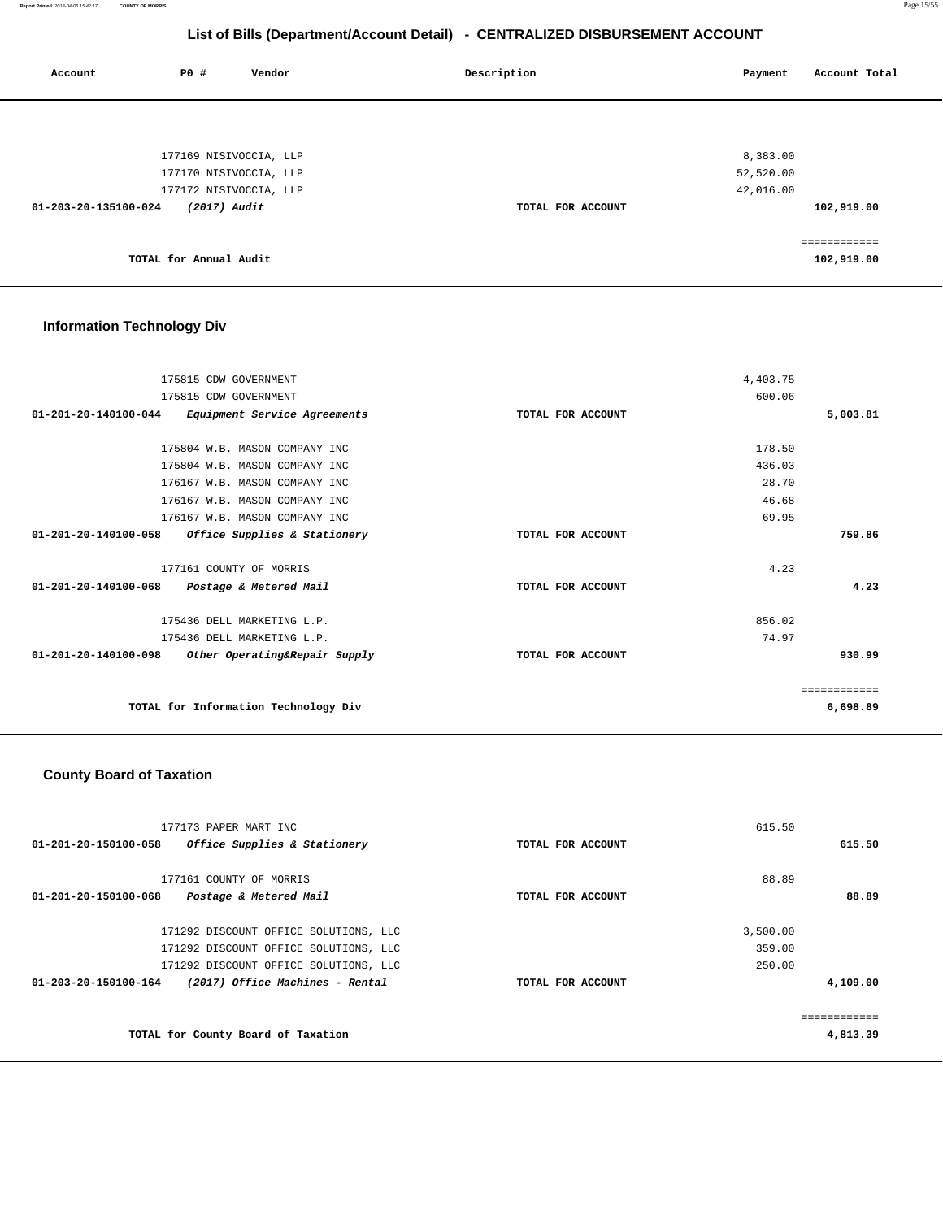**Report Printed** 2018-04-06 15:42:17 **COUNTY OF MORRIS** Page 15/55

# **List of Bills (Department/Account Detail) - CENTRALIZED DISBURSEMENT ACCOUNT**

| Account              | P0 #                   | Vendor                 | Description       | Payment      | Account Total |
|----------------------|------------------------|------------------------|-------------------|--------------|---------------|
|                      |                        |                        |                   |              |               |
|                      |                        | 177169 NISIVOCCIA, LLP |                   | 8,383.00     |               |
|                      |                        | 177170 NISIVOCCIA, LLP |                   | 52,520.00    |               |
|                      |                        | 177172 NISIVOCCIA, LLP |                   | 42,016.00    |               |
| 01-203-20-135100-024 | (2017) Audit           |                        | TOTAL FOR ACCOUNT | 102,919.00   |               |
|                      |                        |                        |                   | ============ |               |
|                      | TOTAL for Annual Audit |                        |                   | 102,919.00   |               |
|                      |                        |                        |                   |              |               |

# **Information Technology Div**

| 175815 CDW GOVERNMENT                                    |                   | 4,403.75 |              |
|----------------------------------------------------------|-------------------|----------|--------------|
| 175815 CDW GOVERNMENT                                    |                   | 600.06   |              |
| 01-201-20-140100-044<br>Equipment Service Agreements     | TOTAL FOR ACCOUNT |          | 5,003.81     |
|                                                          |                   |          |              |
| 175804 W.B. MASON COMPANY INC                            |                   | 178.50   |              |
| 175804 W.B. MASON COMPANY INC                            |                   | 436.03   |              |
| 176167 W.B. MASON COMPANY INC                            |                   | 28.70    |              |
| 176167 W.B. MASON COMPANY INC                            |                   | 46.68    |              |
| 176167 W.B. MASON COMPANY INC                            |                   | 69.95    |              |
| 01-201-20-140100-058<br>Office Supplies & Stationery     | TOTAL FOR ACCOUNT |          | 759.86       |
| 177161 COUNTY OF MORRIS                                  |                   | 4.23     |              |
| $01 - 201 - 20 - 140100 - 068$<br>Postage & Metered Mail | TOTAL FOR ACCOUNT |          | 4.23         |
| 175436 DELL MARKETING L.P.                               |                   | 856.02   |              |
| 175436 DELL MARKETING L.P.                               |                   | 74.97    |              |
| 01-201-20-140100-098<br>Other Operating&Repair Supply    | TOTAL FOR ACCOUNT |          | 930.99       |
|                                                          |                   |          | ============ |
| TOTAL for Information Technology Div                     |                   |          | 6,698.89     |

### **County Board of Taxation**

| 177173 PAPER MART INC                                          |                   | 615.50   |
|----------------------------------------------------------------|-------------------|----------|
| $01 - 201 - 20 - 150100 - 058$<br>Office Supplies & Stationery | TOTAL FOR ACCOUNT | 615.50   |
|                                                                |                   |          |
| 177161 COUNTY OF MORRIS                                        |                   | 88.89    |
| Postage & Metered Mail<br>01-201-20-150100-068                 | TOTAL FOR ACCOUNT | 88.89    |
|                                                                |                   |          |
| 171292 DISCOUNT OFFICE SOLUTIONS, LLC                          |                   | 3,500.00 |
| 171292 DISCOUNT OFFICE SOLUTIONS, LLC                          |                   | 359.00   |
| 171292 DISCOUNT OFFICE SOLUTIONS, LLC                          |                   | 250.00   |
| (2017) Office Machines - Rental<br>01-203-20-150100-164        | TOTAL FOR ACCOUNT | 4,109.00 |
|                                                                |                   |          |
|                                                                |                   |          |
| TOTAL for County Board of Taxation                             |                   | 4,813.39 |
|                                                                |                   |          |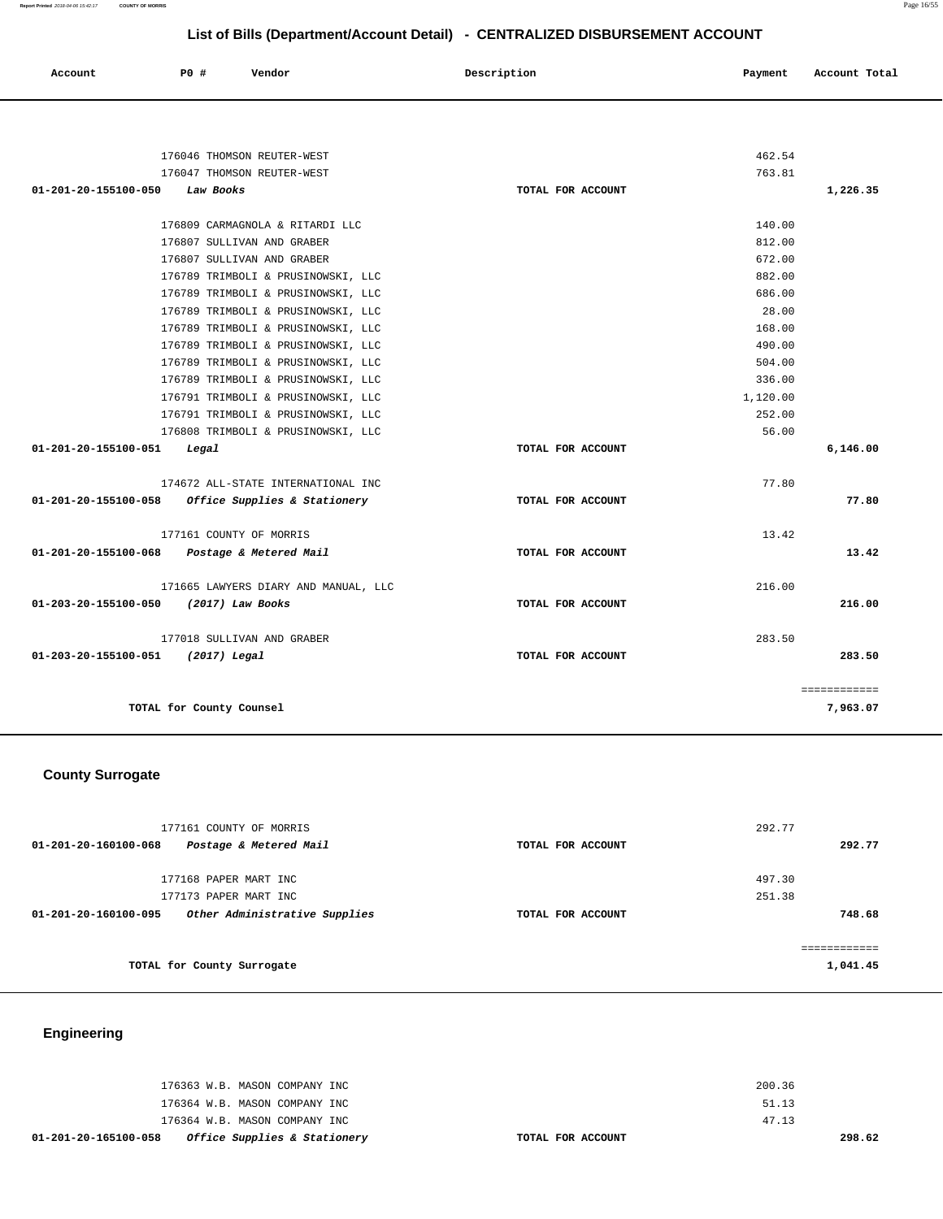| Account | P0 # | Vendor<br>. | Description | Payment | Account Total |
|---------|------|-------------|-------------|---------|---------------|
|         |      |             |             |         |               |

| 176046 THOMSON REUTER-WEST                                      |                   | 462.54   |              |
|-----------------------------------------------------------------|-------------------|----------|--------------|
| 176047 THOMSON REUTER-WEST                                      |                   | 763.81   |              |
| 01-201-20-155100-050<br>Law Books                               | TOTAL FOR ACCOUNT |          | 1,226.35     |
| 176809 CARMAGNOLA & RITARDI LLC                                 |                   | 140.00   |              |
| 176807 SULLIVAN AND GRABER                                      |                   | 812.00   |              |
| 176807 SULLIVAN AND GRABER                                      |                   | 672.00   |              |
| 176789 TRIMBOLI & PRUSINOWSKI, LLC                              |                   | 882.00   |              |
| 176789 TRIMBOLI & PRUSINOWSKI, LLC                              |                   | 686.00   |              |
| 176789 TRIMBOLI & PRUSINOWSKI, LLC                              |                   | 28.00    |              |
| 176789 TRIMBOLI & PRUSINOWSKI, LLC                              |                   | 168.00   |              |
| 176789 TRIMBOLI & PRUSINOWSKI, LLC                              |                   | 490.00   |              |
| 176789 TRIMBOLI & PRUSINOWSKI, LLC                              |                   | 504.00   |              |
| 176789 TRIMBOLI & PRUSINOWSKI, LLC                              |                   | 336.00   |              |
| 176791 TRIMBOLI & PRUSINOWSKI, LLC                              |                   | 1,120.00 |              |
| 176791 TRIMBOLI & PRUSINOWSKI, LLC                              |                   | 252.00   |              |
| 176808 TRIMBOLI & PRUSINOWSKI, LLC                              |                   | 56.00    |              |
| 01-201-20-155100-051<br>Legal                                   | TOTAL FOR ACCOUNT |          | 6,146.00     |
|                                                                 |                   |          |              |
| 174672 ALL-STATE INTERNATIONAL INC                              |                   | 77.80    |              |
| 01-201-20-155100-058<br><i>Office Supplies &amp; Stationery</i> | TOTAL FOR ACCOUNT |          | 77.80        |
| 177161 COUNTY OF MORRIS                                         |                   | 13.42    |              |
| 01-201-20-155100-068<br>Postage & Metered Mail                  | TOTAL FOR ACCOUNT |          | 13.42        |
| 171665 LAWYERS DIARY AND MANUAL, LLC                            |                   | 216.00   |              |
| 01-203-20-155100-050<br>(2017) Law Books                        | TOTAL FOR ACCOUNT |          | 216.00       |
| 177018 SULLIVAN AND GRABER                                      |                   | 283.50   |              |
| 01-203-20-155100-051<br>(2017) Legal                            | TOTAL FOR ACCOUNT |          | 283.50       |
|                                                                 |                   |          |              |
|                                                                 |                   |          | ============ |
| TOTAL for County Counsel                                        |                   |          | 7,963.07     |

# **County Surrogate**

| 177161 COUNTY OF MORRIS<br>$01 - 201 - 20 - 160100 - 068$<br>Postage & Metered Mail | TOTAL FOR ACCOUNT | 292.77<br>292.77 |
|-------------------------------------------------------------------------------------|-------------------|------------------|
| 177168 PAPER MART INC                                                               |                   | 497.30           |
| 177173 PAPER MART INC                                                               |                   | 251.38           |
| Other Administrative Supplies<br>01-201-20-160100-095                               | TOTAL FOR ACCOUNT | 748.68           |
|                                                                                     |                   | ==========       |
| TOTAL for County Surrogate                                                          |                   | 1,041.45         |

# **Engineering**

| 01-201-20-165100-058 | <i>Office Supplies &amp; Stationery</i> | TOTAL FOR ACCOUNT |        | 298.62 |
|----------------------|-----------------------------------------|-------------------|--------|--------|
|                      | 176364 W.B. MASON COMPANY INC           |                   | 47.13  |        |
|                      | 176364 W.B. MASON COMPANY INC           |                   | 51.13  |        |
|                      | 176363 W.B. MASON COMPANY INC           |                   | 200.36 |        |
|                      |                                         |                   |        |        |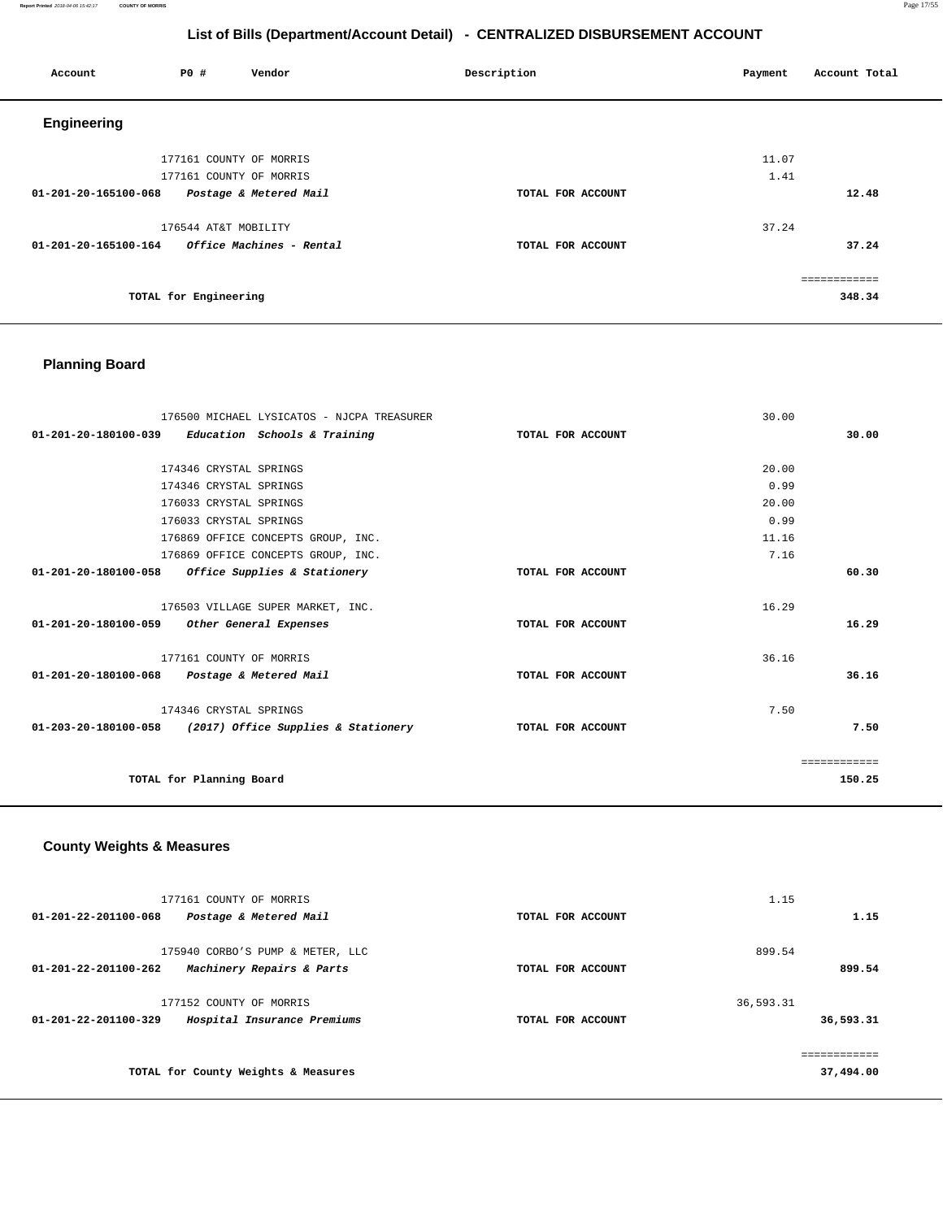**Report Printed** 2018-04-06 15:42:17 **COUNTY OF MORRIS** Page 17/55

# **List of Bills (Department/Account Detail) - CENTRALIZED DISBURSEMENT ACCOUNT**

| Account              | <b>PO #</b>             | Vendor                          | Description       | Account Total<br>Payment |
|----------------------|-------------------------|---------------------------------|-------------------|--------------------------|
| <b>Engineering</b>   |                         |                                 |                   |                          |
|                      | 177161 COUNTY OF MORRIS |                                 |                   | 11.07                    |
|                      | 177161 COUNTY OF MORRIS |                                 |                   | 1.41                     |
| 01-201-20-165100-068 |                         | Postage & Metered Mail          | TOTAL FOR ACCOUNT | 12.48                    |
|                      | 176544 AT&T MOBILITY    |                                 |                   | 37.24                    |
| 01-201-20-165100-164 |                         | <i>Office Machines - Rental</i> | TOTAL FOR ACCOUNT | 37.24                    |
|                      |                         |                                 |                   | ============             |
|                      | TOTAL for Engineering   |                                 |                   | 348.34                   |

# **Planning Board**

| 176500 MICHAEL LYSICATOS - NJCPA TREASURER                  |                   | 30.00        |
|-------------------------------------------------------------|-------------------|--------------|
| 01-201-20-180100-039<br>Education Schools & Training        | TOTAL FOR ACCOUNT | 30.00        |
|                                                             |                   |              |
| 174346 CRYSTAL SPRINGS                                      |                   | 20.00        |
| 174346 CRYSTAL SPRINGS                                      |                   | 0.99         |
| 176033 CRYSTAL SPRINGS                                      |                   | 20.00        |
| 176033 CRYSTAL SPRINGS                                      |                   | 0.99         |
| 176869 OFFICE CONCEPTS GROUP, INC.                          |                   | 11.16        |
| 176869 OFFICE CONCEPTS GROUP, INC.                          |                   | 7.16         |
| Office Supplies & Stationery<br>01-201-20-180100-058        | TOTAL FOR ACCOUNT | 60.30        |
|                                                             |                   |              |
| 176503 VILLAGE SUPER MARKET, INC.                           |                   | 16.29        |
| 01-201-20-180100-059<br>Other General Expenses              | TOTAL FOR ACCOUNT | 16.29        |
|                                                             |                   |              |
| 177161 COUNTY OF MORRIS                                     |                   | 36.16        |
| 01-201-20-180100-068<br>Postage & Metered Mail              | TOTAL FOR ACCOUNT | 36.16        |
|                                                             |                   |              |
| 174346 CRYSTAL SPRINGS                                      |                   | 7.50         |
| 01-203-20-180100-058<br>(2017) Office Supplies & Stationery | TOTAL FOR ACCOUNT | 7.50         |
|                                                             |                   |              |
|                                                             |                   | ============ |
| TOTAL for Planning Board                                    |                   | 150.25       |
|                                                             |                   |              |

# **County Weights & Measures**

| 177161 COUNTY OF MORRIS<br>01-201-22-201100-068<br>Postage & Metered Mail                       | TOTAL FOR ACCOUNT | 1.15<br>1.15              |
|-------------------------------------------------------------------------------------------------|-------------------|---------------------------|
| 175940 CORBO'S PUMP & METER, LLC<br>$01 - 201 - 22 - 201100 - 262$<br>Machinery Repairs & Parts | TOTAL FOR ACCOUNT | 899.54<br>899.54          |
| 177152 COUNTY OF MORRIS<br>$01 - 201 - 22 - 201100 - 329$<br>Hospital Insurance Premiums        | TOTAL FOR ACCOUNT | 36,593.31<br>36,593.31    |
| TOTAL for County Weights & Measures                                                             |                   | ============<br>37,494.00 |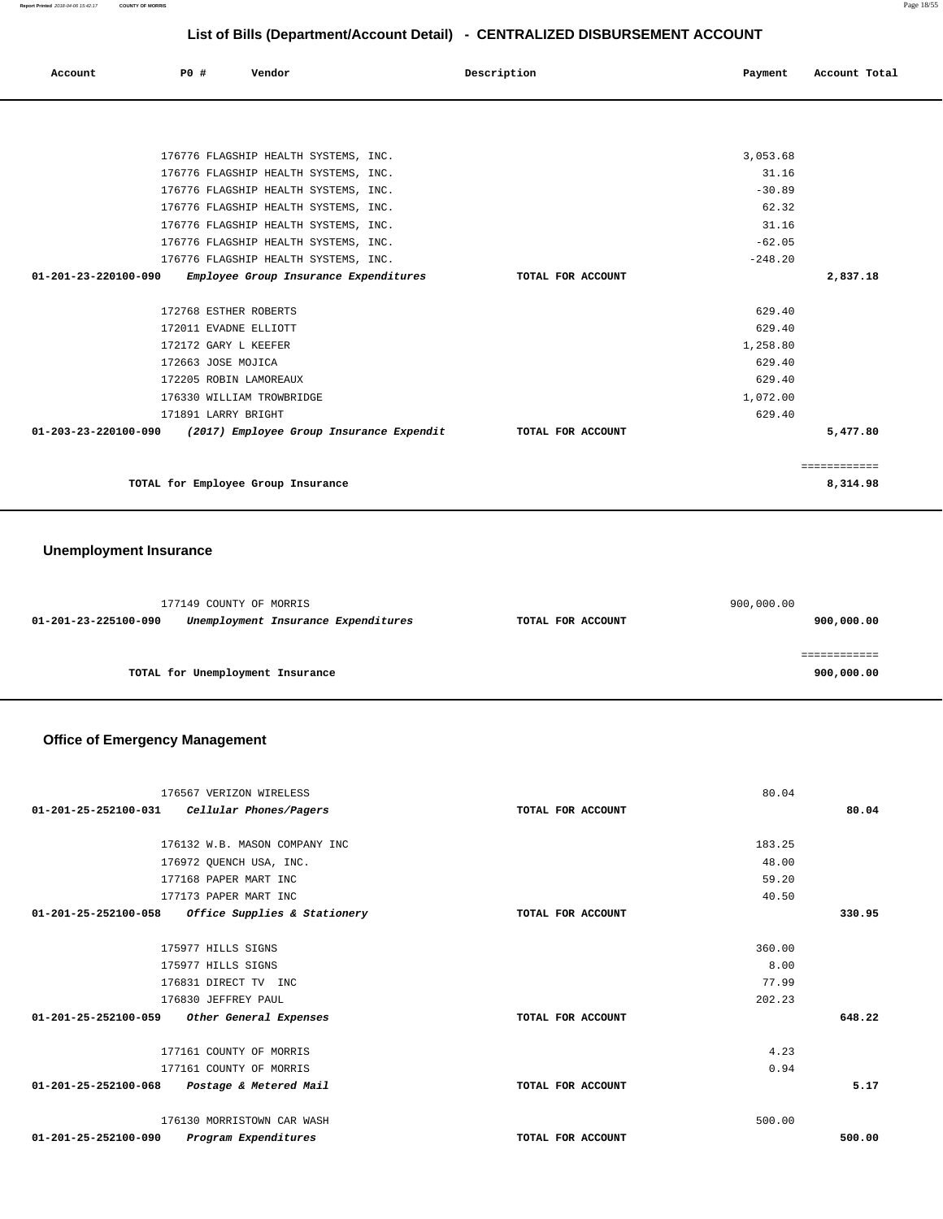**Report Printed** 2018-04-06 15:42:17 **COUNTY OF MORRIS** Page 18/55

# **List of Bills (Department/Account Detail) - CENTRALIZED DISBURSEMENT ACCOUNT**

| Account                        | PO# |                        | Vendor                                |                                          | Description |                   | Payment   | Account Total |
|--------------------------------|-----|------------------------|---------------------------------------|------------------------------------------|-------------|-------------------|-----------|---------------|
|                                |     |                        |                                       |                                          |             |                   |           |               |
|                                |     |                        | 176776 FLAGSHIP HEALTH SYSTEMS, INC.  |                                          |             |                   | 3,053.68  |               |
|                                |     |                        | 176776 FLAGSHIP HEALTH SYSTEMS, INC.  |                                          |             |                   | 31.16     |               |
|                                |     |                        | 176776 FLAGSHIP HEALTH SYSTEMS, INC.  |                                          |             |                   | $-30.89$  |               |
|                                |     |                        | 176776 FLAGSHIP HEALTH SYSTEMS, INC.  |                                          |             |                   | 62.32     |               |
|                                |     |                        | 176776 FLAGSHIP HEALTH SYSTEMS, INC.  |                                          |             |                   | 31.16     |               |
|                                |     |                        | 176776 FLAGSHIP HEALTH SYSTEMS, INC.  |                                          |             |                   | $-62.05$  |               |
|                                |     |                        | 176776 FLAGSHIP HEALTH SYSTEMS, INC.  |                                          |             |                   | $-248.20$ |               |
| $01 - 201 - 23 - 220100 - 090$ |     |                        | Employee Group Insurance Expenditures |                                          |             | TOTAL FOR ACCOUNT |           | 2,837.18      |
|                                |     |                        |                                       |                                          |             |                   |           |               |
|                                |     | 172768 ESTHER ROBERTS  |                                       |                                          |             |                   | 629.40    |               |
|                                |     | 172011 EVADNE ELLIOTT  |                                       |                                          |             |                   | 629.40    |               |
|                                |     | 172172 GARY L KEEFER   |                                       |                                          |             |                   | 1,258.80  |               |
|                                |     | 172663 JOSE MOJICA     |                                       |                                          |             |                   | 629.40    |               |
|                                |     | 172205 ROBIN LAMOREAUX |                                       |                                          |             |                   | 629.40    |               |
|                                |     |                        | 176330 WILLIAM TROWBRIDGE             |                                          |             |                   | 1,072.00  |               |
|                                |     | 171891 LARRY BRIGHT    |                                       |                                          |             |                   | 629.40    |               |
| 01-203-23-220100-090           |     |                        |                                       | (2017) Employee Group Insurance Expendit |             | TOTAL FOR ACCOUNT |           | 5,477.80      |
|                                |     |                        |                                       |                                          |             |                   |           | ============  |
|                                |     |                        | TOTAL for Employee Group Insurance    |                                          |             |                   |           | 8,314.98      |

### **Unemployment Insurance**

|                      | 177149 COUNTY OF MORRIS             |                   | 900,000.00 |
|----------------------|-------------------------------------|-------------------|------------|
| 01-201-23-225100-090 | Unemployment Insurance Expenditures | TOTAL FOR ACCOUNT | 900,000.00 |
|                      |                                     |                   |            |
|                      |                                     |                   |            |
|                      | TOTAL for Unemployment Insurance    |                   | 900,000.00 |

### **Office of Emergency Management**

| 176567 VERIZON WIRELESS                                  |                   | 80.04  |        |
|----------------------------------------------------------|-------------------|--------|--------|
| $01-201-25-252100-031$ Cellular Phones/Pagers            | TOTAL FOR ACCOUNT |        | 80.04  |
|                                                          |                   |        |        |
| 176132 W.B. MASON COMPANY INC                            |                   | 183.25 |        |
| 176972 QUENCH USA, INC.                                  |                   | 48.00  |        |
| 177168 PAPER MART INC                                    |                   | 59.20  |        |
| 177173 PAPER MART INC                                    |                   | 40.50  |        |
| 01-201-25-252100-058 Office Supplies & Stationery        | TOTAL FOR ACCOUNT |        | 330.95 |
|                                                          |                   |        |        |
| 175977 HILLS SIGNS                                       |                   | 360.00 |        |
| 175977 HILLS SIGNS                                       |                   | 8.00   |        |
| 176831 DIRECT TV INC                                     |                   | 77.99  |        |
| 176830 JEFFREY PAUL                                      |                   | 202.23 |        |
| 01-201-25-252100-059<br>Other General Expenses           | TOTAL FOR ACCOUNT |        | 648.22 |
|                                                          |                   |        |        |
| 177161 COUNTY OF MORRIS                                  |                   | 4.23   |        |
| 177161 COUNTY OF MORRIS                                  |                   | 0.94   |        |
| $01 - 201 - 25 - 252100 - 068$<br>Postage & Metered Mail | TOTAL FOR ACCOUNT |        | 5.17   |
| 176130 MORRISTOWN CAR WASH                               |                   | 500.00 |        |
| 01-201-25-252100-090<br>Program Expenditures             | TOTAL FOR ACCOUNT |        | 500.00 |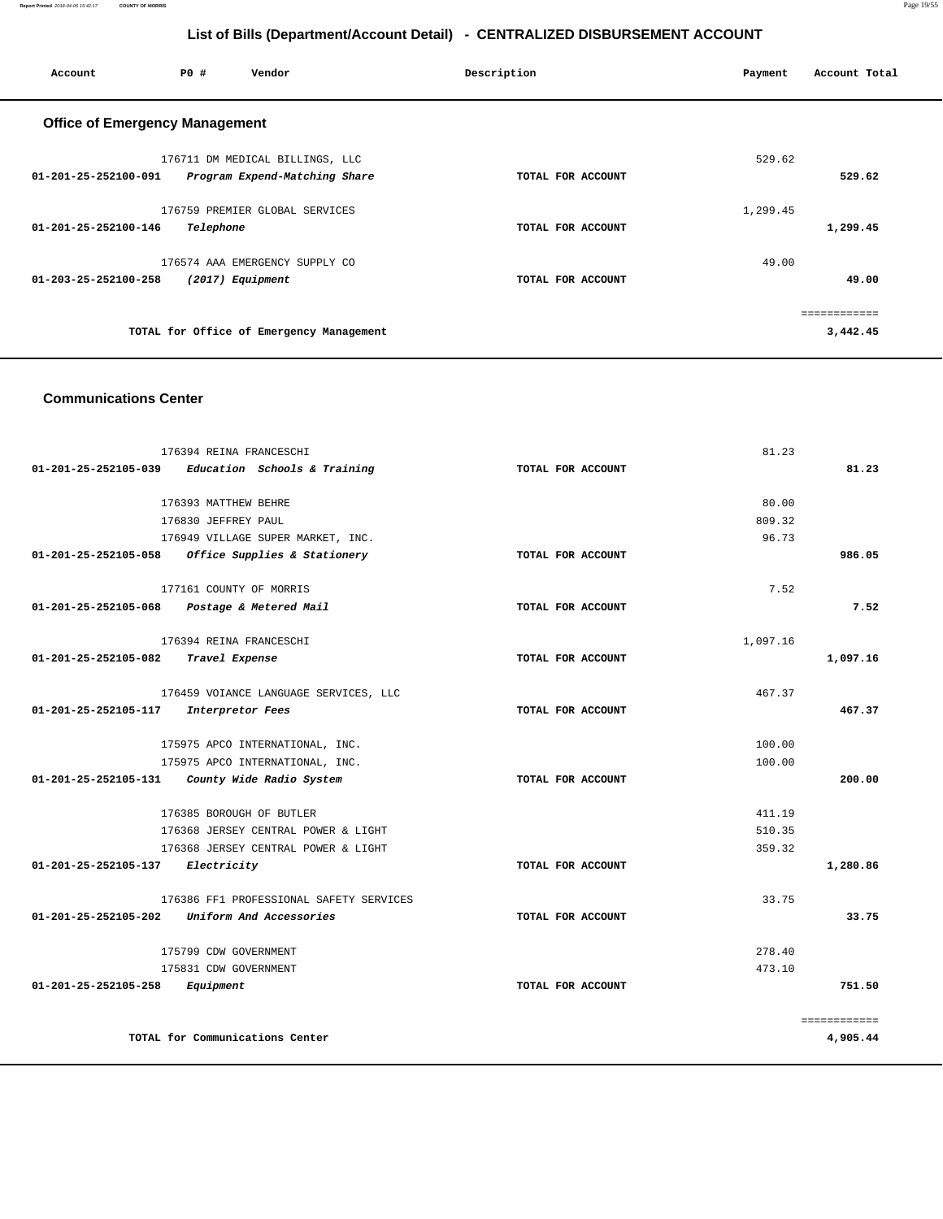**Report Printed** 2018-04-06 15:42:17 **COUNTY OF MORRIS** Page 19/55

# **List of Bills (Department/Account Detail) - CENTRALIZED DISBURSEMENT ACCOUNT**

| Account                               | PO#              | Vendor                                                           | Description       | Payment  | Account Total |
|---------------------------------------|------------------|------------------------------------------------------------------|-------------------|----------|---------------|
| <b>Office of Emergency Management</b> |                  |                                                                  |                   |          |               |
| 01-201-25-252100-091                  |                  | 176711 DM MEDICAL BILLINGS, LLC<br>Program Expend-Matching Share | TOTAL FOR ACCOUNT | 529.62   | 529.62        |
| 01-201-25-252100-146                  | Telephone        | 176759 PREMIER GLOBAL SERVICES                                   | TOTAL FOR ACCOUNT | 1,299.45 | 1,299.45      |
| 01-203-25-252100-258                  | (2017) Equipment | 176574 AAA EMERGENCY SUPPLY CO                                   | TOTAL FOR ACCOUNT | 49.00    | 49.00         |
|                                       |                  | TOTAL for Office of Emergency Management                         |                   |          | 3,442.45      |

#### **Communications Center**

| 176394 REINA FRANCESCHI                              |                   | 81.23        |
|------------------------------------------------------|-------------------|--------------|
| Education Schools & Training<br>01-201-25-252105-039 | TOTAL FOR ACCOUNT | 81.23        |
|                                                      |                   |              |
| 176393 MATTHEW BEHRE                                 |                   | 80.00        |
| 176830 JEFFREY PAUL                                  |                   | 809.32       |
| 176949 VILLAGE SUPER MARKET, INC.                    |                   | 96.73        |
| Office Supplies & Stationery<br>01-201-25-252105-058 | TOTAL FOR ACCOUNT | 986.05       |
| 177161 COUNTY OF MORRIS                              |                   | 7.52         |
| 01-201-25-252105-068 Postage & Metered Mail          | TOTAL FOR ACCOUNT | 7.52         |
| 176394 REINA FRANCESCHI                              |                   | 1,097.16     |
| 01-201-25-252105-082<br>Travel Expense               | TOTAL FOR ACCOUNT | 1,097.16     |
| 176459 VOIANCE LANGUAGE SERVICES, LLC                |                   | 467.37       |
| 01-201-25-252105-117<br>Interpretor Fees             | TOTAL FOR ACCOUNT | 467.37       |
| 175975 APCO INTERNATIONAL, INC.                      |                   | 100.00       |
| 175975 APCO INTERNATIONAL, INC.                      |                   | 100.00       |
| 01-201-25-252105-131<br>County Wide Radio System     | TOTAL FOR ACCOUNT | 200.00       |
|                                                      |                   |              |
| 176385 BOROUGH OF BUTLER                             |                   | 411.19       |
| 176368 JERSEY CENTRAL POWER & LIGHT                  |                   | 510.35       |
| 176368 JERSEY CENTRAL POWER & LIGHT                  |                   | 359.32       |
| 01-201-25-252105-137<br>Electricity                  | TOTAL FOR ACCOUNT | 1,280.86     |
| 176386 FF1 PROFESSIONAL SAFETY SERVICES              |                   | 33.75        |
| $01-201-25-252105-202$ Uniform And Accessories       | TOTAL FOR ACCOUNT | 33.75        |
| 175799 CDW GOVERNMENT                                |                   | 278.40       |
| 175831 CDW GOVERNMENT                                |                   | 473.10       |
| 01-201-25-252105-258<br>Equipment                    | TOTAL FOR ACCOUNT | 751.50       |
|                                                      |                   | ============ |
| TOTAL for Communications Center                      |                   | 4,905.44     |
|                                                      |                   |              |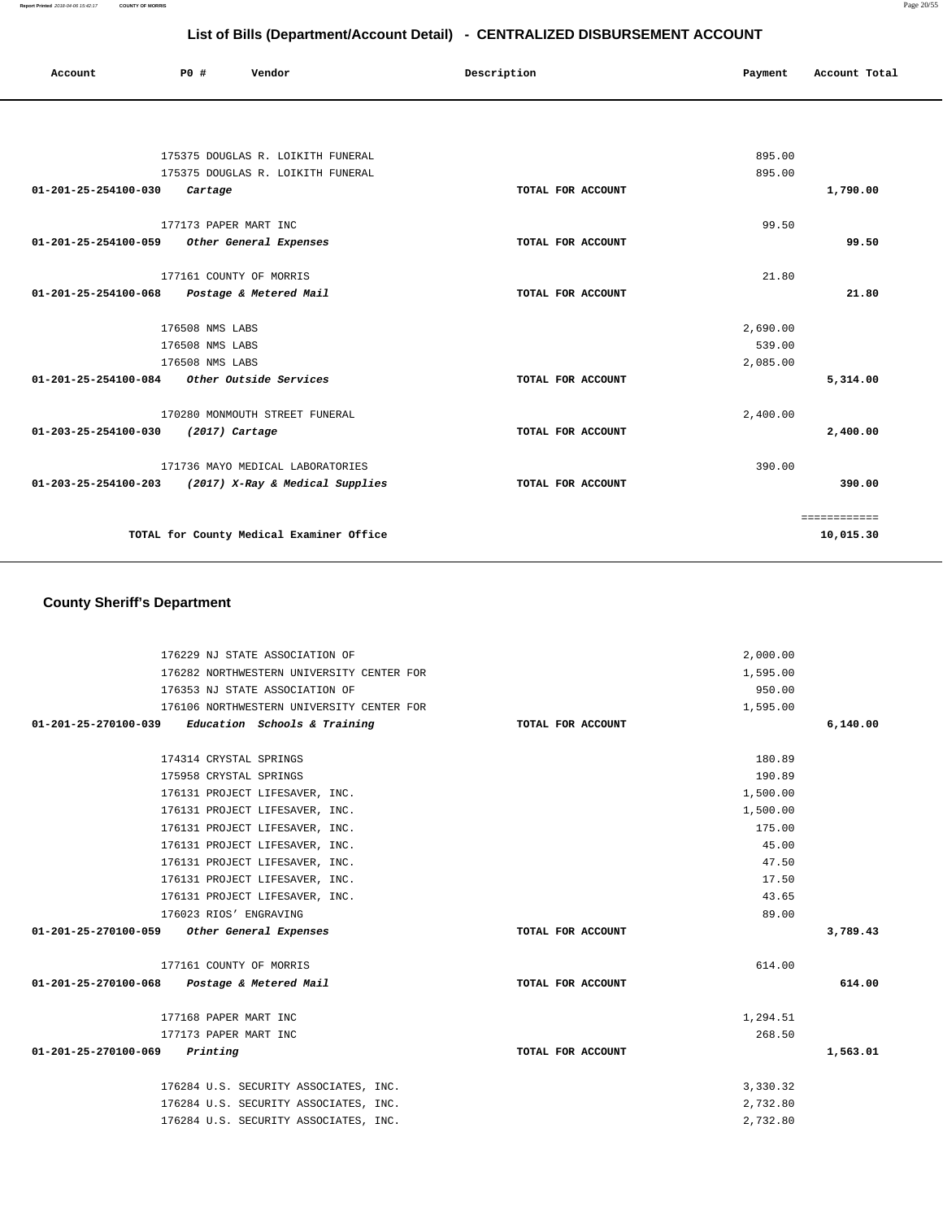| Account              | PO#                     | Vendor                                   | Description       | Payment  | Account Total |
|----------------------|-------------------------|------------------------------------------|-------------------|----------|---------------|
|                      |                         |                                          |                   |          |               |
|                      |                         | 175375 DOUGLAS R. LOIKITH FUNERAL        |                   | 895.00   |               |
|                      |                         | 175375 DOUGLAS R. LOIKITH FUNERAL        |                   | 895.00   |               |
| 01-201-25-254100-030 | Cartage                 |                                          | TOTAL FOR ACCOUNT |          | 1,790.00      |
|                      | 177173 PAPER MART INC   |                                          |                   | 99.50    |               |
| 01-201-25-254100-059 |                         | Other General Expenses                   | TOTAL FOR ACCOUNT |          | 99.50         |
|                      | 177161 COUNTY OF MORRIS |                                          |                   | 21.80    |               |
| 01-201-25-254100-068 |                         | Postage & Metered Mail                   | TOTAL FOR ACCOUNT |          | 21.80         |
|                      | 176508 NMS LABS         |                                          |                   | 2,690.00 |               |
|                      | 176508 NMS LABS         |                                          |                   | 539.00   |               |
|                      | 176508 NMS LABS         |                                          |                   | 2,085.00 |               |
| 01-201-25-254100-084 |                         | Other Outside Services                   | TOTAL FOR ACCOUNT |          | 5,314.00      |
|                      |                         | 170280 MONMOUTH STREET FUNERAL           |                   | 2,400.00 |               |
| 01-203-25-254100-030 | $(2017)$ Cartage        |                                          | TOTAL FOR ACCOUNT |          | 2,400.00      |
|                      |                         | 171736 MAYO MEDICAL LABORATORIES         |                   | 390.00   |               |
| 01-203-25-254100-203 |                         | (2017) X-Ray & Medical Supplies          | TOTAL FOR ACCOUNT |          | 390.00        |
|                      |                         |                                          |                   |          | ============  |
|                      |                         | TOTAL for County Medical Examiner Office |                   |          | 10,015.30     |

# **County Sheriff's Department**

| 176229 NJ STATE ASSOCIATION OF                    |                   | 2,000.00 |          |
|---------------------------------------------------|-------------------|----------|----------|
| 176282 NORTHWESTERN UNIVERSITY CENTER FOR         |                   | 1,595.00 |          |
| 176353 NJ STATE ASSOCIATION OF                    |                   | 950.00   |          |
| 176106 NORTHWESTERN UNIVERSITY CENTER FOR         |                   | 1,595.00 |          |
| 01-201-25-270100-039 Education Schools & Training | TOTAL FOR ACCOUNT |          | 6,140.00 |
| 174314 CRYSTAL SPRINGS                            |                   | 180.89   |          |
| 175958 CRYSTAL SPRINGS                            |                   | 190.89   |          |
|                                                   |                   |          |          |
| 176131 PROJECT LIFESAVER, INC.                    |                   | 1,500.00 |          |
| 176131 PROJECT LIFESAVER, INC.                    |                   | 1,500.00 |          |
| 176131 PROJECT LIFESAVER, INC.                    |                   | 175.00   |          |
| 176131 PROJECT LIFESAVER, INC.                    |                   | 45.00    |          |
| 176131 PROJECT LIFESAVER, INC.                    |                   | 47.50    |          |
| 176131 PROJECT LIFESAVER, INC.                    |                   | 17.50    |          |
| 176131 PROJECT LIFESAVER, INC.                    |                   | 43.65    |          |
| 176023 RIOS' ENGRAVING                            |                   | 89.00    |          |
| 01-201-25-270100-059 Other General Expenses       | TOTAL FOR ACCOUNT |          | 3,789.43 |
| 177161 COUNTY OF MORRIS                           |                   | 614.00   |          |
| 01-201-25-270100-068 Postage & Metered Mail       | TOTAL FOR ACCOUNT |          | 614.00   |
| 177168 PAPER MART INC                             |                   | 1,294.51 |          |
| 177173 PAPER MART INC                             |                   | 268.50   |          |
| 01-201-25-270100-069<br>Printing                  | TOTAL FOR ACCOUNT |          | 1,563.01 |
| 176284 U.S. SECURITY ASSOCIATES, INC.             |                   | 3,330.32 |          |
| 176284 U.S. SECURITY ASSOCIATES, INC.             |                   | 2,732.80 |          |
| 176284 U.S. SECURITY ASSOCIATES, INC.             |                   | 2,732.80 |          |
|                                                   |                   |          |          |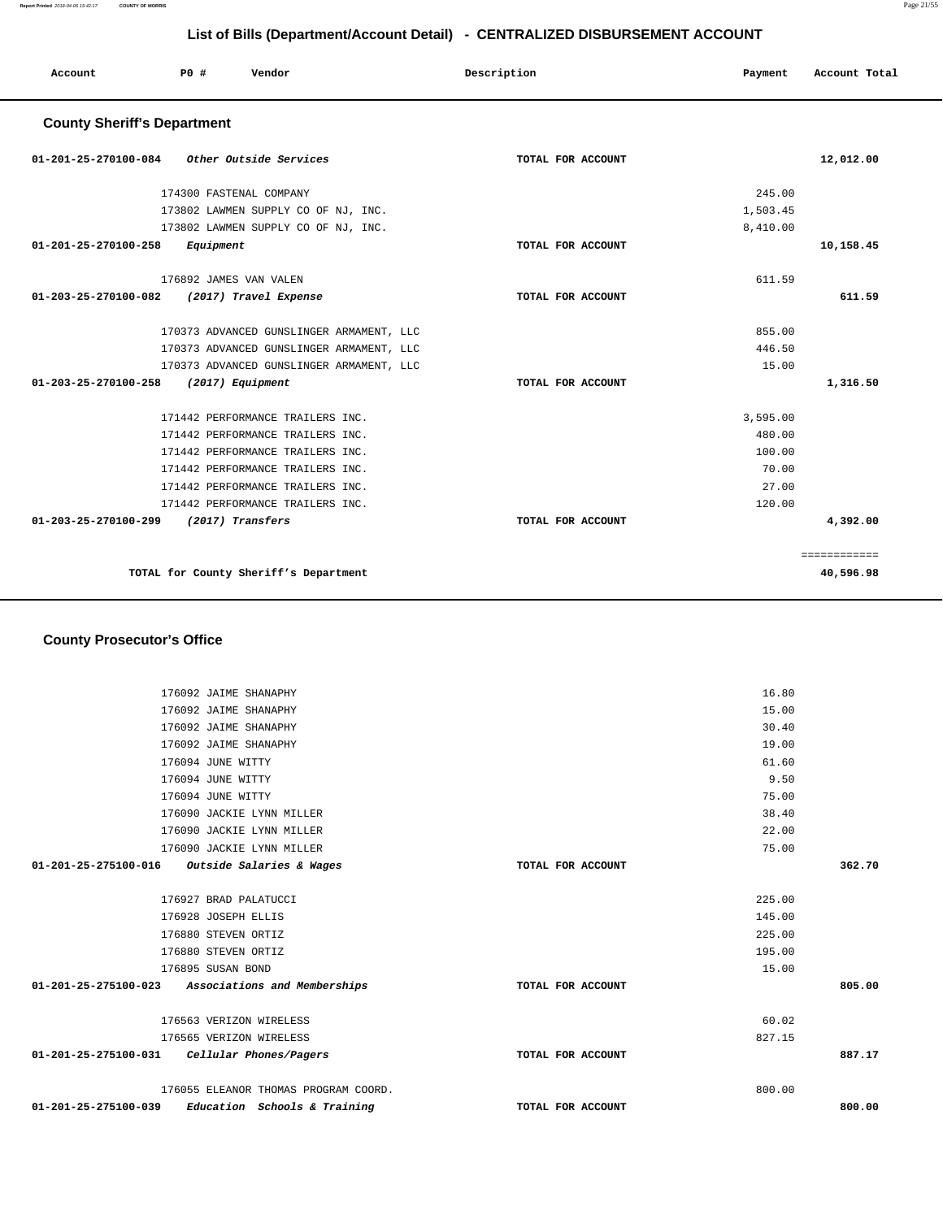**Report Printed** 2018-04-06 15:42:17 **COUNTY OF MORRIS** Page 21/55

# **List of Bills (Department/Account Detail) - CENTRALIZED DISBURSEMENT ACCOUNT**

| PO#<br>Vendor<br>Account                           | Description       | Payment  | Account Total             |
|----------------------------------------------------|-------------------|----------|---------------------------|
| <b>County Sheriff's Department</b>                 |                   |          |                           |
| Other Outside Services<br>01-201-25-270100-084     | TOTAL FOR ACCOUNT |          | 12,012.00                 |
| 174300 FASTENAL COMPANY                            |                   | 245.00   |                           |
| 173802 LAWMEN SUPPLY CO OF NJ, INC.                |                   | 1,503.45 |                           |
| 173802 LAWMEN SUPPLY CO OF NJ, INC.                |                   | 8,410.00 |                           |
| 01-201-25-270100-258<br>Equipment                  | TOTAL FOR ACCOUNT |          | 10,158.45                 |
| 176892 JAMES VAN VALEN                             |                   | 611.59   |                           |
| (2017) Travel Expense<br>01-203-25-270100-082      | TOTAL FOR ACCOUNT |          | 611.59                    |
| 170373 ADVANCED GUNSLINGER ARMAMENT, LLC           |                   | 855.00   |                           |
| 170373 ADVANCED GUNSLINGER ARMAMENT, LLC           |                   | 446.50   |                           |
| 170373 ADVANCED GUNSLINGER ARMAMENT, LLC           |                   | 15.00    |                           |
| $01 - 203 - 25 - 270100 - 258$<br>(2017) Equipment | TOTAL FOR ACCOUNT |          | 1,316.50                  |
| 171442 PERFORMANCE TRAILERS INC.                   |                   | 3,595.00 |                           |
| 171442 PERFORMANCE TRAILERS INC.                   |                   | 480.00   |                           |
| 171442 PERFORMANCE TRAILERS INC.                   |                   | 100.00   |                           |
| 171442 PERFORMANCE TRAILERS INC.                   |                   | 70.00    |                           |
| 171442 PERFORMANCE TRAILERS INC.                   |                   | 27.00    |                           |
| 171442 PERFORMANCE TRAILERS INC.                   |                   | 120.00   |                           |
| 01-203-25-270100-299<br>(2017) Transfers           | TOTAL FOR ACCOUNT |          | 4,392.00                  |
| TOTAL for County Sheriff's Department              |                   |          | ============<br>40,596.98 |

### **County Prosecutor's Office**

|                                               | 176092 JAIME SHANAPHY                             |                   | 16.80  |        |
|-----------------------------------------------|---------------------------------------------------|-------------------|--------|--------|
|                                               | 176092 JAIME SHANAPHY                             |                   | 15.00  |        |
|                                               | 176092 JAIME SHANAPHY                             |                   | 30.40  |        |
|                                               | 176092 JAIME SHANAPHY                             |                   | 19.00  |        |
|                                               | 176094 JUNE WITTY                                 |                   | 61.60  |        |
|                                               | 176094 JUNE WITTY                                 |                   | 9.50   |        |
|                                               | 176094 JUNE WITTY                                 |                   | 75.00  |        |
|                                               | 176090 JACKIE LYNN MILLER                         |                   | 38.40  |        |
|                                               | 176090 JACKIE LYNN MILLER                         |                   | 22.00  |        |
|                                               | 176090 JACKIE LYNN MILLER                         |                   | 75.00  |        |
| 01-201-25-275100-016 Outside Salaries & Wages |                                                   | TOTAL FOR ACCOUNT |        | 362.70 |
|                                               |                                                   |                   |        |        |
|                                               | 176927 BRAD PALATUCCI                             |                   | 225.00 |        |
|                                               | 176928 JOSEPH ELLIS                               |                   | 145.00 |        |
|                                               | 176880 STEVEN ORTIZ                               |                   | 225.00 |        |
|                                               | 176880 STEVEN ORTIZ                               |                   | 195.00 |        |
|                                               | 176895 SUSAN BOND                                 |                   | 15.00  |        |
|                                               | 01-201-25-275100-023 Associations and Memberships | TOTAL FOR ACCOUNT |        | 805.00 |
|                                               |                                                   |                   |        |        |
|                                               | 176563 VERIZON WIRELESS                           |                   | 60.02  |        |
|                                               | 176565 VERIZON WIRELESS                           |                   | 827.15 |        |
|                                               | 01-201-25-275100-031 Cellular Phones/Pagers       | TOTAL FOR ACCOUNT |        | 887.17 |
|                                               |                                                   |                   |        |        |
|                                               | 176055 ELEANOR THOMAS PROGRAM COORD.              |                   | 800.00 |        |
| 01-201-25-275100-039                          | Education Schools & Training                      | TOTAL FOR ACCOUNT |        | 800.00 |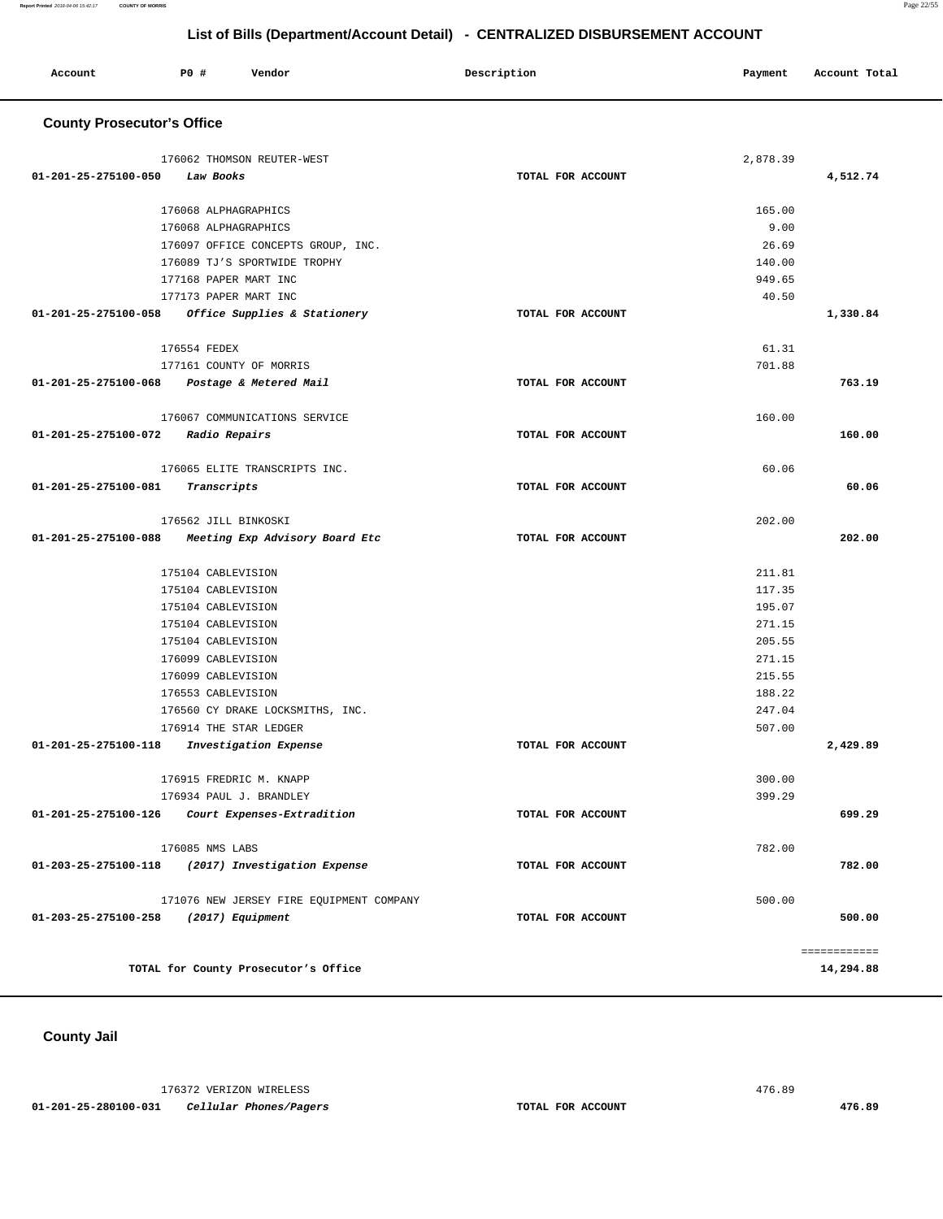| Account | P0 # | Vendor<br>. | Description | Payment | Account Total |
|---------|------|-------------|-------------|---------|---------------|
|         |      |             |             |         |               |

### **County Prosecutor's Office**

|                      | 176062 THOMSON REUTER-WEST                        |                   | 2,878.39 |              |
|----------------------|---------------------------------------------------|-------------------|----------|--------------|
| 01-201-25-275100-050 | Law Books                                         | TOTAL FOR ACCOUNT |          | 4,512.74     |
|                      |                                                   |                   |          |              |
|                      | 176068 ALPHAGRAPHICS                              |                   | 165.00   |              |
|                      | 176068 ALPHAGRAPHICS                              |                   | 9.00     |              |
|                      | 176097 OFFICE CONCEPTS GROUP, INC.                |                   | 26.69    |              |
|                      | 176089 TJ'S SPORTWIDE TROPHY                      |                   | 140.00   |              |
|                      | 177168 PAPER MART INC                             |                   | 949.65   |              |
|                      | 177173 PAPER MART INC                             |                   | 40.50    |              |
|                      | 01-201-25-275100-058 Office Supplies & Stationery | TOTAL FOR ACCOUNT |          | 1,330.84     |
|                      | 176554 FEDEX                                      |                   | 61.31    |              |
|                      | 177161 COUNTY OF MORRIS                           |                   | 701.88   |              |
|                      | 01-201-25-275100-068 Postage & Metered Mail       | TOTAL FOR ACCOUNT |          | 763.19       |
|                      | 176067 COMMUNICATIONS SERVICE                     |                   | 160.00   |              |
| 01-201-25-275100-072 | <i>Radio Repairs</i>                              | TOTAL FOR ACCOUNT |          | 160.00       |
|                      |                                                   |                   |          |              |
|                      | 176065 ELITE TRANSCRIPTS INC.                     |                   | 60.06    |              |
| 01-201-25-275100-081 | Transcripts                                       | TOTAL FOR ACCOUNT |          | 60.06        |
|                      | 176562 JILL BINKOSKI                              |                   |          |              |
|                      |                                                   | TOTAL FOR ACCOUNT | 202.00   |              |
| 01-201-25-275100-088 | Meeting Exp Advisory Board Etc                    |                   |          | 202.00       |
|                      | 175104 CABLEVISION                                |                   | 211.81   |              |
|                      | 175104 CABLEVISION                                |                   | 117.35   |              |
|                      | 175104 CABLEVISION                                |                   | 195.07   |              |
|                      | 175104 CABLEVISION                                |                   | 271.15   |              |
|                      | 175104 CABLEVISION                                |                   | 205.55   |              |
|                      | 176099 CABLEVISION                                |                   | 271.15   |              |
|                      | 176099 CABLEVISION                                |                   | 215.55   |              |
|                      | 176553 CABLEVISION                                |                   | 188.22   |              |
|                      | 176560 CY DRAKE LOCKSMITHS, INC.                  |                   | 247.04   |              |
|                      | 176914 THE STAR LEDGER                            |                   | 507.00   |              |
| 01-201-25-275100-118 | Investigation Expense                             | TOTAL FOR ACCOUNT |          | 2,429.89     |
|                      | 176915 FREDRIC M. KNAPP                           |                   | 300.00   |              |
|                      | 176934 PAUL J. BRANDLEY                           |                   | 399.29   |              |
| 01-201-25-275100-126 | Court Expenses-Extradition                        | TOTAL FOR ACCOUNT |          | 699.29       |
|                      |                                                   |                   |          |              |
|                      | 176085 NMS LABS                                   |                   | 782.00   |              |
| 01-203-25-275100-118 | (2017) Investigation Expense                      | TOTAL FOR ACCOUNT |          | 782.00       |
|                      | 171076 NEW JERSEY FIRE EQUIPMENT COMPANY          |                   | 500.00   |              |
| 01-203-25-275100-258 | (2017) Equipment                                  | TOTAL FOR ACCOUNT |          | 500.00       |
|                      |                                                   |                   |          | ============ |
|                      | TOTAL for County Prosecutor's Office              |                   |          | 14,294.88    |

**County Jail** 

176372 VERIZON WIRELESS 476.89  **01-201-25-280100-031 Cellular Phones/Pagers TOTAL FOR ACCOUNT 476.89**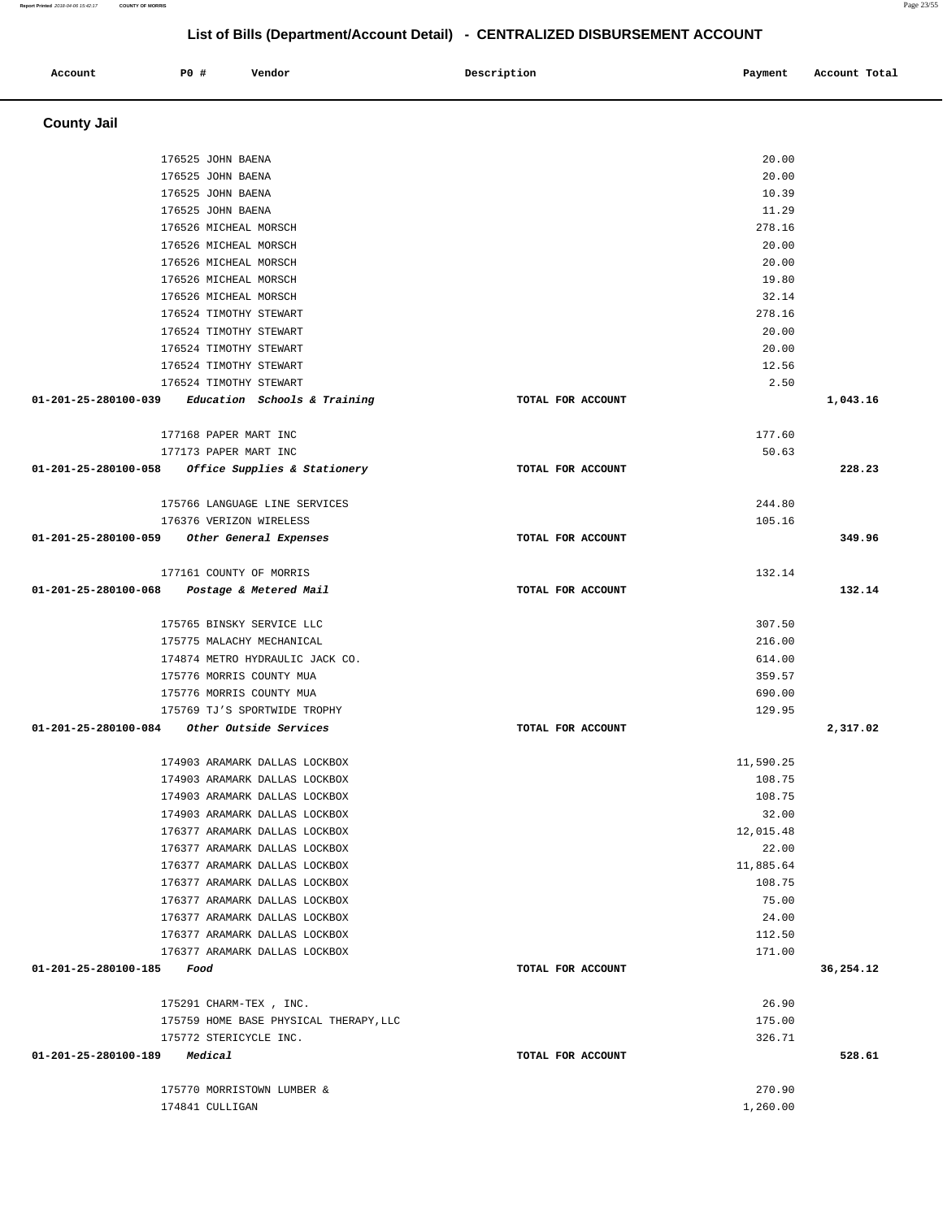| Account                             | P0 #                   | Vendor                                 | Description       | Payment   | Account Total |
|-------------------------------------|------------------------|----------------------------------------|-------------------|-----------|---------------|
| <b>County Jail</b>                  |                        |                                        |                   |           |               |
|                                     | 176525 JOHN BAENA      |                                        |                   | 20.00     |               |
|                                     | 176525 JOHN BAENA      |                                        |                   | 20.00     |               |
|                                     | 176525 JOHN BAENA      |                                        |                   | 10.39     |               |
|                                     | 176525 JOHN BAENA      |                                        |                   | 11.29     |               |
|                                     | 176526 MICHEAL MORSCH  |                                        |                   | 278.16    |               |
|                                     | 176526 MICHEAL MORSCH  |                                        |                   | 20.00     |               |
|                                     | 176526 MICHEAL MORSCH  |                                        |                   | 20.00     |               |
|                                     | 176526 MICHEAL MORSCH  |                                        |                   | 19.80     |               |
|                                     | 176526 MICHEAL MORSCH  |                                        |                   | 32.14     |               |
|                                     | 176524 TIMOTHY STEWART |                                        |                   | 278.16    |               |
|                                     | 176524 TIMOTHY STEWART |                                        |                   | 20.00     |               |
|                                     | 176524 TIMOTHY STEWART |                                        |                   | 20.00     |               |
|                                     | 176524 TIMOTHY STEWART |                                        |                   | 12.56     |               |
|                                     | 176524 TIMOTHY STEWART |                                        |                   | 2.50      |               |
| 01-201-25-280100-039                |                        | Education Schools & Training           | TOTAL FOR ACCOUNT |           | 1,043.16      |
|                                     | 177168 PAPER MART INC  |                                        |                   | 177.60    |               |
|                                     | 177173 PAPER MART INC  |                                        |                   | 50.63     |               |
| 01-201-25-280100-058                |                        | Office Supplies & Stationery           | TOTAL FOR ACCOUNT |           | 228.23        |
|                                     |                        | 175766 LANGUAGE LINE SERVICES          |                   | 244.80    |               |
|                                     |                        | 176376 VERIZON WIRELESS                |                   | 105.16    |               |
| 01-201-25-280100-059                |                        | Other General Expenses                 | TOTAL FOR ACCOUNT |           | 349.96        |
|                                     |                        | 177161 COUNTY OF MORRIS                |                   | 132.14    |               |
| 01-201-25-280100-068                |                        | Postage & Metered Mail                 | TOTAL FOR ACCOUNT |           | 132.14        |
|                                     |                        | 175765 BINSKY SERVICE LLC              |                   | 307.50    |               |
|                                     |                        | 175775 MALACHY MECHANICAL              |                   | 216.00    |               |
|                                     |                        | 174874 METRO HYDRAULIC JACK CO.        |                   | 614.00    |               |
|                                     |                        | 175776 MORRIS COUNTY MUA               |                   | 359.57    |               |
|                                     |                        | 175776 MORRIS COUNTY MUA               |                   | 690.00    |               |
|                                     |                        | 175769 TJ'S SPORTWIDE TROPHY           |                   | 129.95    |               |
| 01-201-25-280100-084                |                        | Other Outside Services                 | TOTAL FOR ACCOUNT |           | 2,317.02      |
|                                     |                        | 174903 ARAMARK DALLAS LOCKBOX          |                   | 11,590.25 |               |
|                                     |                        | 174903 ARAMARK DALLAS LOCKBOX          |                   | 108.75    |               |
|                                     |                        | 174903 ARAMARK DALLAS LOCKBOX          |                   | 108.75    |               |
|                                     |                        | 174903 ARAMARK DALLAS LOCKBOX          |                   | 32.00     |               |
|                                     |                        | 176377 ARAMARK DALLAS LOCKBOX          |                   | 12,015.48 |               |
|                                     |                        | 176377 ARAMARK DALLAS LOCKBOX          |                   | 22.00     |               |
|                                     |                        | 176377 ARAMARK DALLAS LOCKBOX          |                   | 11,885.64 |               |
|                                     |                        | 176377 ARAMARK DALLAS LOCKBOX          |                   | 108.75    |               |
|                                     |                        | 176377 ARAMARK DALLAS LOCKBOX          |                   | 75.00     |               |
|                                     |                        | 176377 ARAMARK DALLAS LOCKBOX          |                   | 24.00     |               |
|                                     |                        | 176377 ARAMARK DALLAS LOCKBOX          |                   | 112.50    |               |
|                                     |                        | 176377 ARAMARK DALLAS LOCKBOX          |                   | 171.00    |               |
| $01 - 201 - 25 - 280100 - 185$ Food |                        |                                        | TOTAL FOR ACCOUNT |           | 36,254.12     |
|                                     | 175291 CHARM-TEX, INC. |                                        |                   | 26.90     |               |
|                                     |                        | 175759 HOME BASE PHYSICAL THERAPY, LLC |                   | 175.00    |               |
|                                     | 175772 STERICYCLE INC. |                                        |                   | 326.71    |               |
| 01-201-25-280100-189 Medical        |                        |                                        | TOTAL FOR ACCOUNT |           | 528.61        |
|                                     |                        | 175770 MORRISTOWN LUMBER &             |                   | 270.90    |               |
|                                     | 174841 CULLIGAN        |                                        |                   | 1,260.00  |               |

**Report Printed** 2018-04-06 15:42:17 **COUNTY OF MORRIS** Page 23/55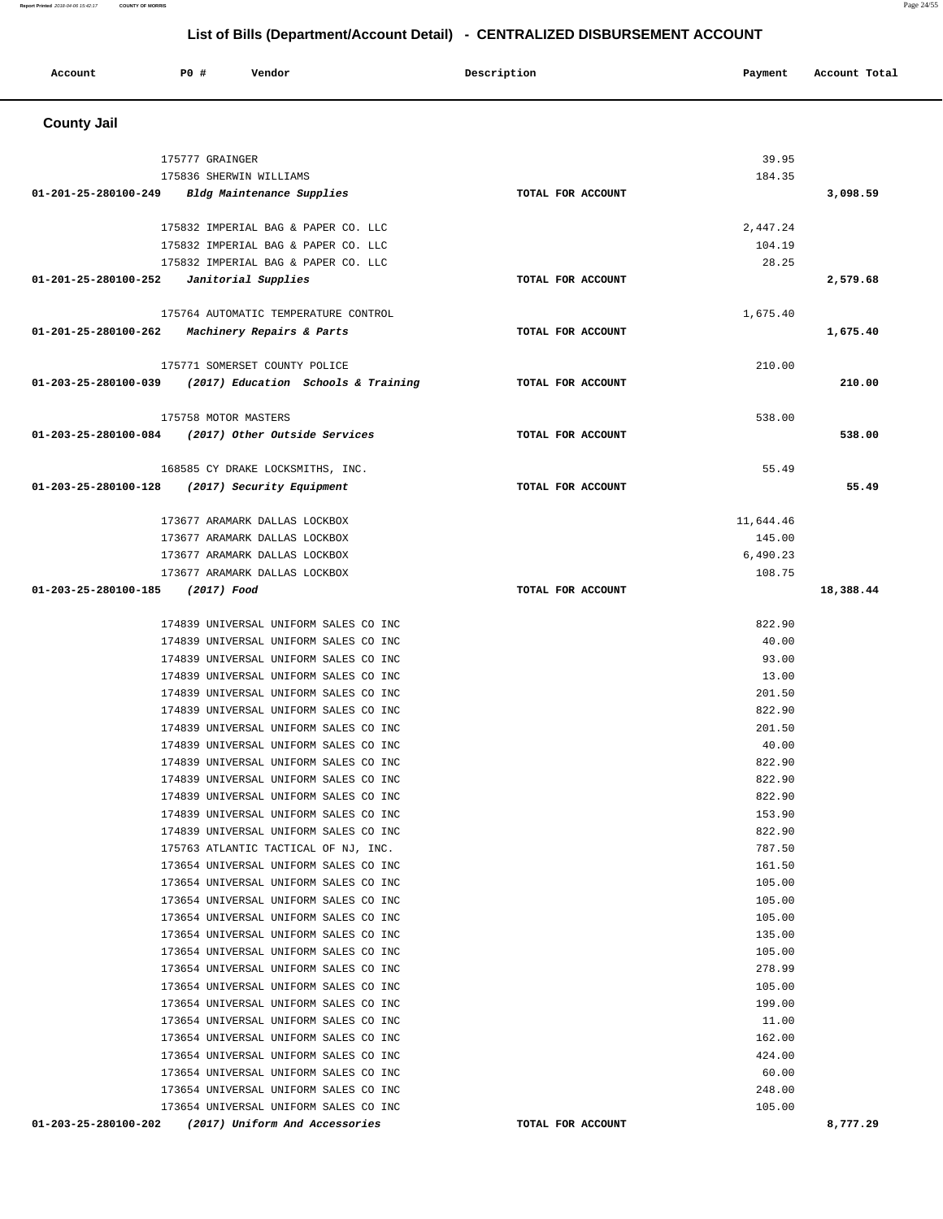| Account              | P0 #<br>Vendor                                                                            | Description       | Payment          | Account Total |
|----------------------|-------------------------------------------------------------------------------------------|-------------------|------------------|---------------|
| <b>County Jail</b>   |                                                                                           |                   |                  |               |
|                      | 175777 GRAINGER                                                                           |                   | 39.95            |               |
|                      | 175836 SHERWIN WILLIAMS                                                                   |                   | 184.35           |               |
|                      | 01-201-25-280100-249 Bldg Maintenance Supplies                                            | TOTAL FOR ACCOUNT |                  | 3,098.59      |
|                      |                                                                                           |                   |                  |               |
|                      | 175832 IMPERIAL BAG & PAPER CO. LLC                                                       |                   | 2,447.24         |               |
|                      | 175832 IMPERIAL BAG & PAPER CO. LLC                                                       |                   | 104.19           |               |
|                      | 175832 IMPERIAL BAG & PAPER CO. LLC                                                       | TOTAL FOR ACCOUNT | 28.25            | 2,579.68      |
|                      |                                                                                           |                   |                  |               |
|                      | 175764 AUTOMATIC TEMPERATURE CONTROL                                                      |                   | 1,675.40         |               |
|                      | 01-201-25-280100-262 Machinery Repairs & Parts                                            | TOTAL FOR ACCOUNT |                  | 1,675.40      |
|                      |                                                                                           |                   | 210.00           |               |
|                      | 175771 SOMERSET COUNTY POLICE<br>01-203-25-280100-039 (2017) Education Schools & Training | TOTAL FOR ACCOUNT |                  | 210.00        |
|                      |                                                                                           |                   |                  |               |
|                      | 175758 MOTOR MASTERS                                                                      |                   | 538.00           |               |
|                      | 01-203-25-280100-084 (2017) Other Outside Services                                        | TOTAL FOR ACCOUNT |                  | 538.00        |
|                      | 168585 CY DRAKE LOCKSMITHS, INC.                                                          |                   | 55.49            |               |
|                      | 01-203-25-280100-128 (2017) Security Equipment                                            | TOTAL FOR ACCOUNT |                  | 55.49         |
|                      |                                                                                           |                   |                  |               |
|                      | 173677 ARAMARK DALLAS LOCKBOX                                                             |                   | 11,644.46        |               |
|                      | 173677 ARAMARK DALLAS LOCKBOX                                                             |                   | 145.00           |               |
|                      | 173677 ARAMARK DALLAS LOCKBOX                                                             |                   | 6,490.23         |               |
|                      | 173677 ARAMARK DALLAS LOCKBOX                                                             |                   | 108.75           |               |
| 01-203-25-280100-185 | (2017) Food                                                                               | TOTAL FOR ACCOUNT |                  | 18,388.44     |
|                      | 174839 UNIVERSAL UNIFORM SALES CO INC                                                     |                   | 822.90           |               |
|                      | 174839 UNIVERSAL UNIFORM SALES CO INC                                                     |                   | 40.00            |               |
|                      | 174839 UNIVERSAL UNIFORM SALES CO INC                                                     |                   | 93.00            |               |
|                      | 174839 UNIVERSAL UNIFORM SALES CO INC                                                     |                   | 13.00            |               |
|                      | 174839 UNIVERSAL UNIFORM SALES CO INC                                                     |                   | 201.50           |               |
|                      | 174839 UNIVERSAL UNIFORM SALES CO INC                                                     |                   | 822.90           |               |
|                      | 174839 UNIVERSAL UNIFORM SALES CO INC                                                     |                   | 201.50           |               |
|                      | 174839 UNIVERSAL UNIFORM SALES CO INC                                                     |                   | 40.00            |               |
|                      | 174839 UNIVERSAL UNIFORM SALES CO INC                                                     |                   | 822.90           |               |
|                      | 174839 UNIVERSAL UNIFORM SALES CO INC                                                     |                   | 822.90           |               |
|                      | 174839 UNIVERSAL UNIFORM SALES CO INC                                                     |                   | 822.90           |               |
|                      | 174839 UNIVERSAL UNIFORM SALES CO INC                                                     |                   | 153.90           |               |
|                      | 174839 UNIVERSAL UNIFORM SALES CO INC                                                     |                   | 822.90           |               |
|                      | 175763 ATLANTIC TACTICAL OF NJ, INC.                                                      |                   | 787.50           |               |
|                      | 173654 UNIVERSAL UNIFORM SALES CO INC<br>173654 UNIVERSAL UNIFORM SALES CO INC            |                   | 161.50<br>105.00 |               |
|                      | 173654 UNIVERSAL UNIFORM SALES CO INC                                                     |                   | 105.00           |               |
|                      | 173654 UNIVERSAL UNIFORM SALES CO INC                                                     |                   | 105.00           |               |
|                      | 173654 UNIVERSAL UNIFORM SALES CO INC                                                     |                   | 135.00           |               |
|                      | 173654 UNIVERSAL UNIFORM SALES CO INC                                                     |                   | 105.00           |               |
|                      | 173654 UNIVERSAL UNIFORM SALES CO INC                                                     |                   | 278.99           |               |
|                      | 173654 UNIVERSAL UNIFORM SALES CO INC                                                     |                   | 105.00           |               |
|                      | 173654 UNIVERSAL UNIFORM SALES CO INC                                                     |                   | 199.00           |               |
|                      | 173654 UNIVERSAL UNIFORM SALES CO INC                                                     |                   | 11.00            |               |
|                      | 173654 UNIVERSAL UNIFORM SALES CO INC                                                     |                   | 162.00           |               |
|                      | 173654 UNIVERSAL UNIFORM SALES CO INC                                                     |                   | 424.00           |               |
|                      | 173654 UNIVERSAL UNIFORM SALES CO INC                                                     |                   | 60.00            |               |
|                      | 173654 UNIVERSAL UNIFORM SALES CO INC                                                     |                   | 248.00           |               |
|                      | 173654 UNIVERSAL UNIFORM SALES CO INC                                                     |                   | 105.00           |               |
|                      | 01-203-25-280100-202 (2017) Uniform And Accessories                                       | TOTAL FOR ACCOUNT |                  | 8,777.29      |

**Report Printed** 2018-04-06 15:42:17 **COUNTY OF MORRIS** Page 24/55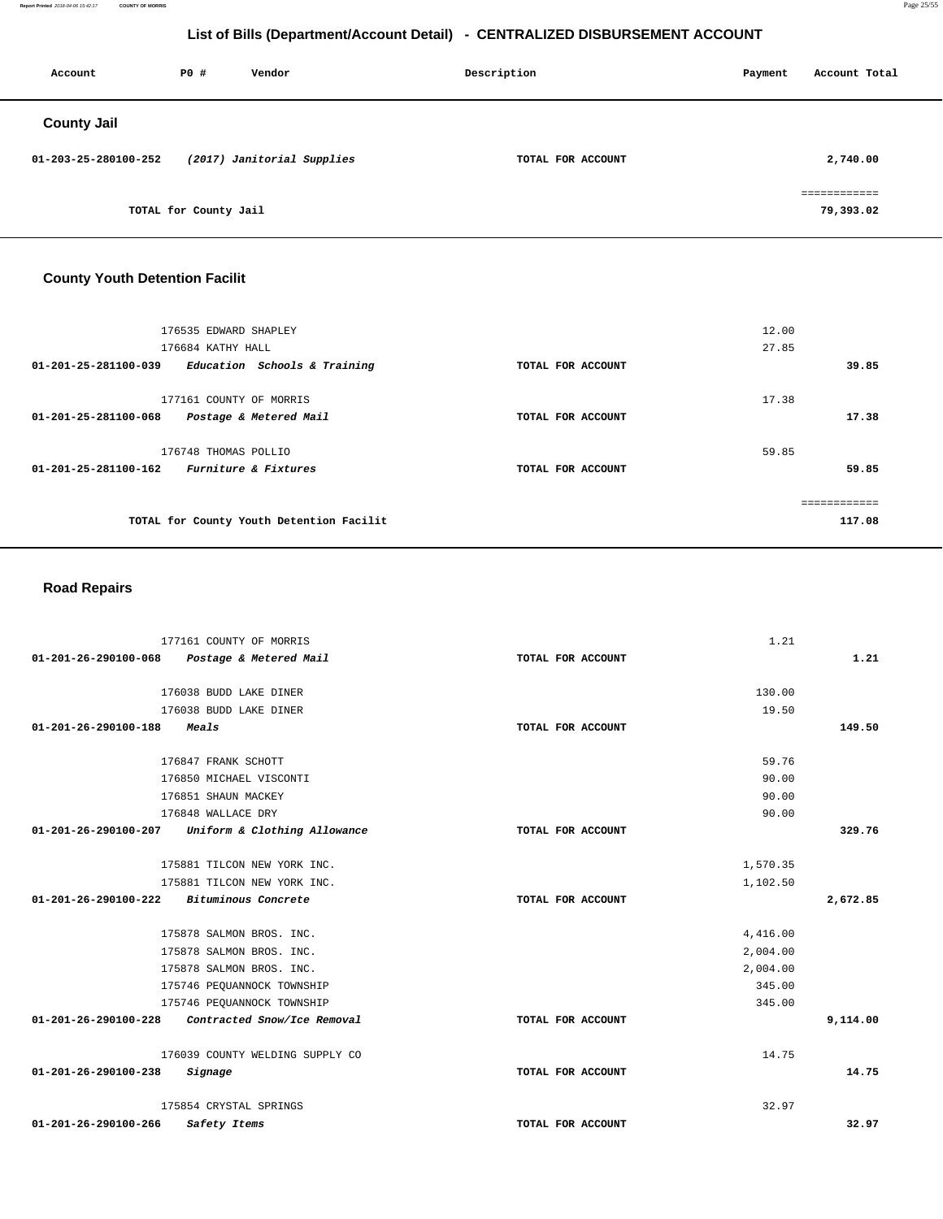**Report Printed** 2018-04-06 15:42:17 **COUNTY OF MORRIS** Page 25/55

# **List of Bills (Department/Account Detail) - CENTRALIZED DISBURSEMENT ACCOUNT**

| PO# | Vendor |                                                     |                   | Payment     | Account Total             |
|-----|--------|-----------------------------------------------------|-------------------|-------------|---------------------------|
|     |        |                                                     |                   |             |                           |
|     |        |                                                     | TOTAL FOR ACCOUNT |             | 2,740.00                  |
|     |        |                                                     |                   |             | ============<br>79,393.02 |
|     |        | (2017) Janitorial Supplies<br>TOTAL for County Jail |                   | Description |                           |

# **County Youth Detention Facilit**

| 176535 EDWARD SHAPLEY<br>176684 KATHY HALL<br>Education Schools & Training<br>01-201-25-281100-039 | TOTAL FOR ACCOUNT | 12.00<br>27.85<br>39.85 |
|----------------------------------------------------------------------------------------------------|-------------------|-------------------------|
| 177161 COUNTY OF MORRIS<br>01-201-25-281100-068<br>Postage & Metered Mail                          | TOTAL FOR ACCOUNT | 17.38<br>17.38          |
| 176748 THOMAS POLLIO<br>Furniture & Fixtures<br>01-201-25-281100-162                               | TOTAL FOR ACCOUNT | 59.85<br>59.85          |
| TOTAL for County Youth Detention Facilit                                                           |                   | 117.08                  |

# **Road Repairs**

| 177161 COUNTY OF MORRIS                              |                   | 1.21     |          |
|------------------------------------------------------|-------------------|----------|----------|
| 01-201-26-290100-068 Postage & Metered Mail          | TOTAL FOR ACCOUNT |          | 1.21     |
| 176038 BUDD LAKE DINER                               |                   | 130.00   |          |
| 176038 BUDD LAKE DINER                               |                   | 19.50    |          |
| 01-201-26-290100-188<br>Meals                        | TOTAL FOR ACCOUNT |          | 149.50   |
| 176847 FRANK SCHOTT                                  |                   | 59.76    |          |
| 176850 MICHAEL VISCONTI                              |                   | 90.00    |          |
| 176851 SHAUN MACKEY                                  |                   | 90.00    |          |
| 176848 WALLACE DRY                                   |                   | 90.00    |          |
| Uniform & Clothing Allowance<br>01-201-26-290100-207 | TOTAL FOR ACCOUNT |          | 329.76   |
| 175881 TILCON NEW YORK INC.                          |                   | 1,570.35 |          |
| 175881 TILCON NEW YORK INC.                          |                   | 1,102.50 |          |
| 01-201-26-290100-222 Bituminous Concrete             | TOTAL FOR ACCOUNT |          | 2,672.85 |
| 175878 SALMON BROS. INC.                             |                   | 4,416.00 |          |
| 175878 SALMON BROS. INC.                             |                   | 2,004.00 |          |
| 175878 SALMON BROS. INC.                             |                   | 2,004.00 |          |
| 175746 PEQUANNOCK TOWNSHIP                           |                   | 345.00   |          |
| 175746 PEQUANNOCK TOWNSHIP                           |                   | 345.00   |          |
| 01-201-26-290100-228 Contracted Snow/Ice Removal     | TOTAL FOR ACCOUNT |          | 9,114.00 |
| 176039 COUNTY WELDING SUPPLY CO                      |                   | 14.75    |          |
| 01-201-26-290100-238<br>Signage                      | TOTAL FOR ACCOUNT |          | 14.75    |
| 175854 CRYSTAL SPRINGS                               |                   | 32.97    |          |
| 01-201-26-290100-266<br>Safety Items                 | TOTAL FOR ACCOUNT |          | 32.97    |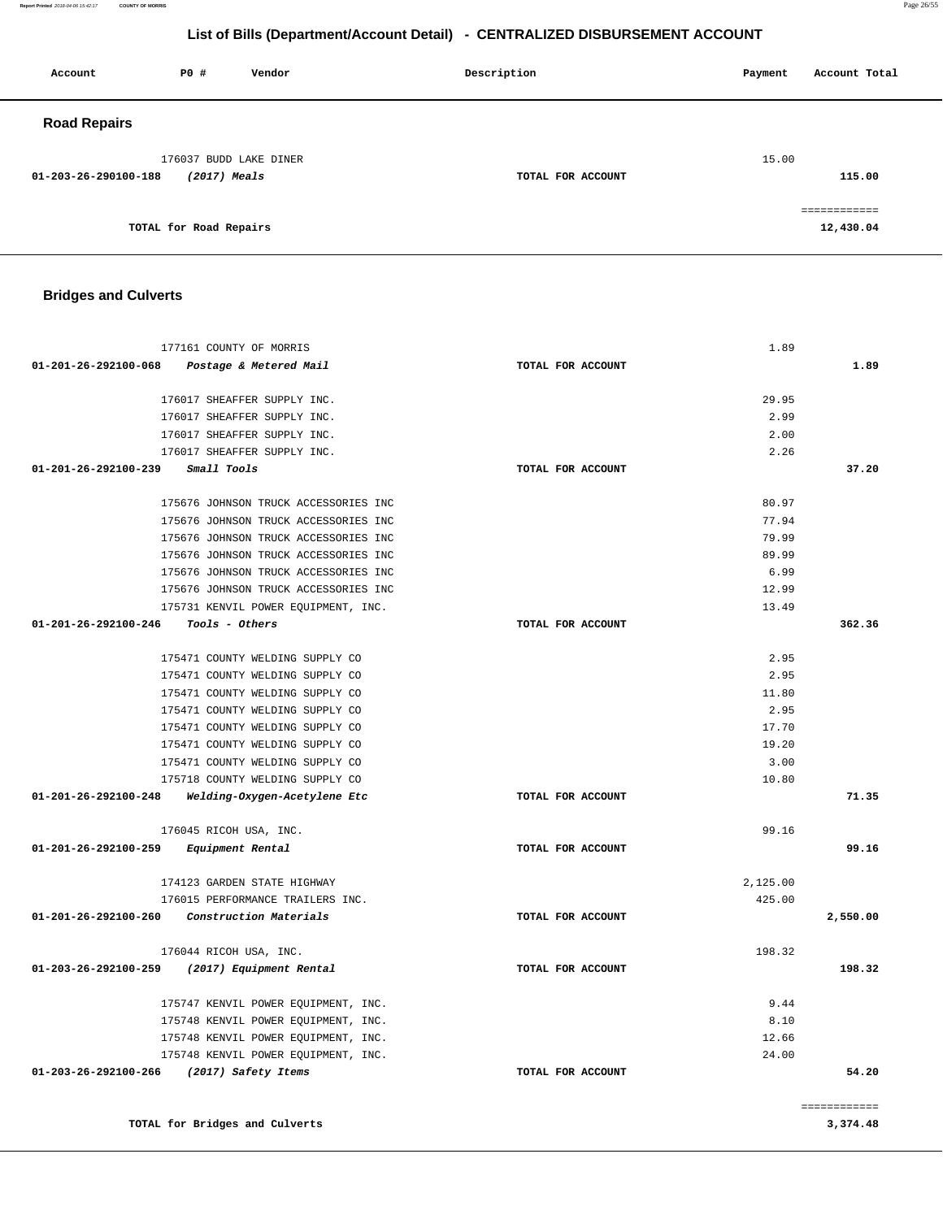**Report Printed** 2018-04-06 15:42:17 **COUNTY OF MORRIS** Page 26/55

# **List of Bills (Department/Account Detail) - CENTRALIZED DISBURSEMENT ACCOUNT**

| Account              | <b>PO #</b>                              | Vendor | Description       | Payment | Account Total             |
|----------------------|------------------------------------------|--------|-------------------|---------|---------------------------|
| <b>Road Repairs</b>  |                                          |        |                   |         |                           |
| 01-203-26-290100-188 | 176037 BUDD LAKE DINER<br>$(2017)$ Meals |        | TOTAL FOR ACCOUNT | 15.00   | 115.00                    |
|                      | TOTAL for Road Repairs                   |        |                   |         | ------------<br>12,430.04 |

# **Bridges and Culverts**

**TOTAL for Bridges and Culverts** 

| 177161 COUNTY OF MORRIS                             |                   | 1.89          |                    |
|-----------------------------------------------------|-------------------|---------------|--------------------|
| 01-201-26-292100-068<br>Postage & Metered Mail      | TOTAL FOR ACCOUNT |               | 1.89               |
|                                                     |                   |               |                    |
| 176017 SHEAFFER SUPPLY INC.                         |                   | 29.95         |                    |
| 176017 SHEAFFER SUPPLY INC.                         |                   | 2.99          |                    |
| 176017 SHEAFFER SUPPLY INC.                         |                   | 2.00          |                    |
| 176017 SHEAFFER SUPPLY INC.                         |                   | 2.26          |                    |
| 01-201-26-292100-239<br>Small Tools                 | TOTAL FOR ACCOUNT |               | 37.20              |
|                                                     |                   |               |                    |
| 175676 JOHNSON TRUCK ACCESSORIES INC                |                   | 80.97         |                    |
| 175676 JOHNSON TRUCK ACCESSORIES INC                |                   | 77.94         |                    |
| 175676 JOHNSON TRUCK ACCESSORIES INC                |                   | 79.99         |                    |
| 175676 JOHNSON TRUCK ACCESSORIES INC                |                   | 89.99         |                    |
| 175676 JOHNSON TRUCK ACCESSORIES INC                |                   | 6.99          |                    |
| 175676 JOHNSON TRUCK ACCESSORIES INC                |                   | 12.99         |                    |
| 175731 KENVIL POWER EQUIPMENT, INC.                 |                   | 13.49         |                    |
| 01-201-26-292100-246<br>Tools - Others              | TOTAL FOR ACCOUNT |               | 362.36             |
|                                                     |                   |               |                    |
| 175471 COUNTY WELDING SUPPLY CO                     |                   | 2.95          |                    |
| 175471 COUNTY WELDING SUPPLY CO                     |                   | 2.95          |                    |
| 175471 COUNTY WELDING SUPPLY CO                     |                   | 11.80         |                    |
| 175471 COUNTY WELDING SUPPLY CO                     |                   | 2.95          |                    |
| 175471 COUNTY WELDING SUPPLY CO                     |                   | 17.70         |                    |
| 175471 COUNTY WELDING SUPPLY CO                     |                   | 19.20         |                    |
| 175471 COUNTY WELDING SUPPLY CO                     |                   | 3.00<br>10.80 |                    |
| 175718 COUNTY WELDING SUPPLY CO                     |                   |               |                    |
| $01-201-26-292100-248$ Welding-Oxygen-Acetylene Etc | TOTAL FOR ACCOUNT |               | 71.35              |
| 176045 RICOH USA, INC.                              |                   | 99.16         |                    |
| 01-201-26-292100-259<br>Equipment Rental            | TOTAL FOR ACCOUNT |               | 99.16              |
|                                                     |                   |               |                    |
| 174123 GARDEN STATE HIGHWAY                         |                   | 2,125.00      |                    |
| 176015 PERFORMANCE TRAILERS INC.                    |                   | 425.00        |                    |
| 01-201-26-292100-260<br>Construction Materials      | TOTAL FOR ACCOUNT |               | 2,550.00           |
|                                                     |                   |               |                    |
| 176044 RICOH USA, INC.                              |                   | 198.32        |                    |
| 01-203-26-292100-259<br>(2017) Equipment Rental     | TOTAL FOR ACCOUNT |               | 198.32             |
| 175747 KENVIL POWER EQUIPMENT, INC.                 |                   | 9.44          |                    |
| 175748 KENVIL POWER EQUIPMENT, INC.                 |                   | 8.10          |                    |
| 175748 KENVIL POWER EQUIPMENT, INC.                 |                   | 12.66         |                    |
| 175748 KENVIL POWER EQUIPMENT, INC.                 |                   | 24.00         |                    |
| 01-203-26-292100-266<br>(2017) Safety Items         | TOTAL FOR ACCOUNT |               | 54.20              |
|                                                     |                   |               |                    |
|                                                     |                   |               | <b>EEEEEEEEEEE</b> |

**3,374.48**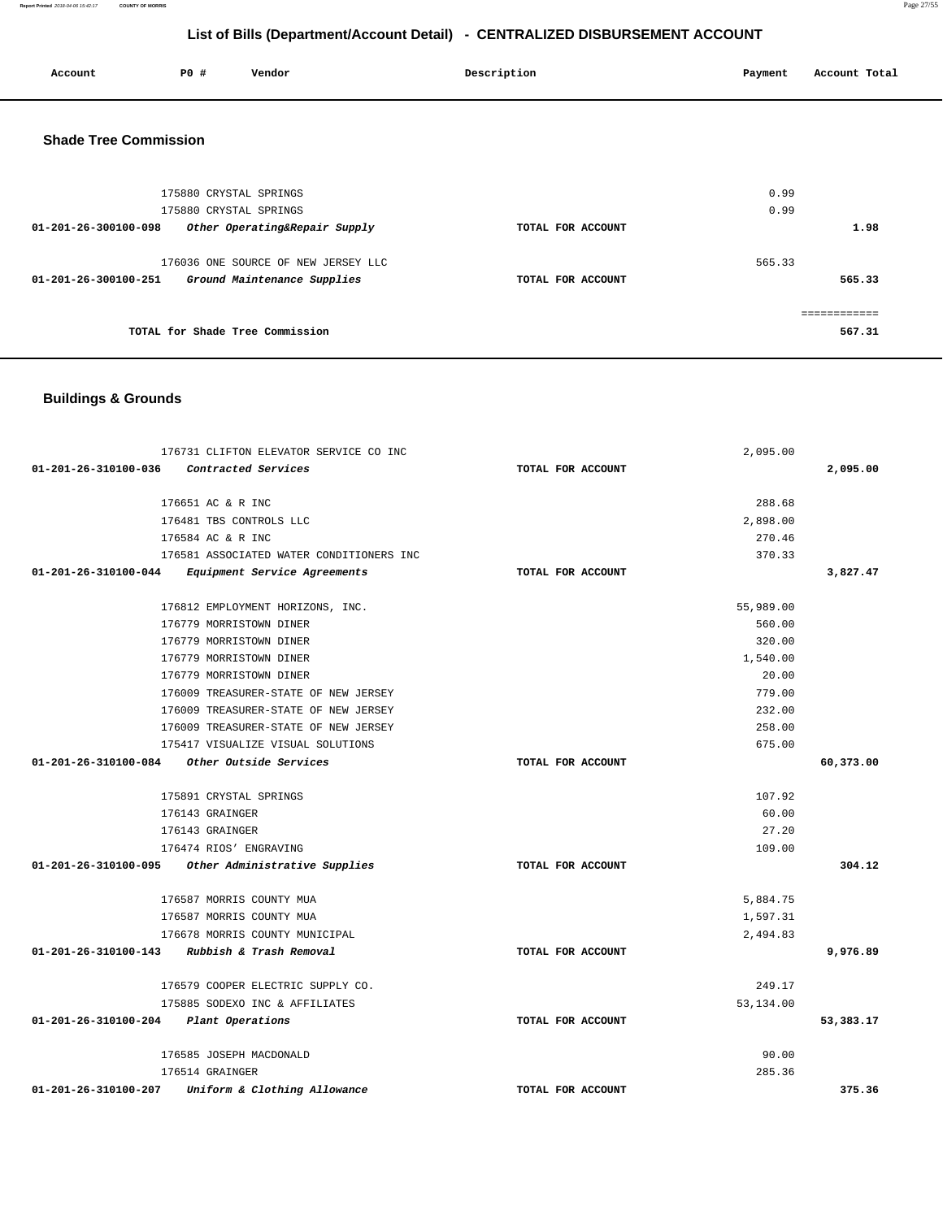**Report Printed** 2018-04-06 15:42:17 **COUNTY OF MORRIS** Page 27/55

# **List of Bills (Department/Account Detail) - CENTRALIZED DISBURSEMENT ACCOUNT**

| Account | P0 # | Vendor<br>. | Description | Payment | Account Total |
|---------|------|-------------|-------------|---------|---------------|
|         |      |             |             |         |               |

# **Shade Tree Commission**

| 175880 CRYSTAL SPRINGS                                |                   | 0.99   |  |
|-------------------------------------------------------|-------------------|--------|--|
| 175880 CRYSTAL SPRINGS                                |                   | 0.99   |  |
| Other Operating&Repair Supply<br>01-201-26-300100-098 | TOTAL FOR ACCOUNT | 1.98   |  |
|                                                       |                   |        |  |
| 176036 ONE SOURCE OF NEW JERSEY LLC                   |                   | 565.33 |  |
| 01-201-26-300100-251<br>Ground Maintenance Supplies   | TOTAL FOR ACCOUNT | 565.33 |  |
|                                                       |                   |        |  |
|                                                       |                   |        |  |
| TOTAL for Shade Tree Commission                       |                   | 567.31 |  |
|                                                       |                   |        |  |

### **Buildings & Grounds**

| 01-201-26-310100-036<br>Contracted Services<br>TOTAL FOR ACCOUNT                                  | 2,095.00  |
|---------------------------------------------------------------------------------------------------|-----------|
|                                                                                                   |           |
|                                                                                                   |           |
| 176651 AC & R INC<br>288.68                                                                       |           |
| 176481 TBS CONTROLS LLC<br>2,898.00                                                               |           |
| 176584 AC & R INC<br>270.46                                                                       |           |
| 176581 ASSOCIATED WATER CONDITIONERS INC<br>370.33                                                |           |
| 01-201-26-310100-044 Equipment Service Agreements<br>TOTAL FOR ACCOUNT                            | 3,827.47  |
| 176812 EMPLOYMENT HORIZONS, INC.<br>55,989.00                                                     |           |
| 176779 MORRISTOWN DINER<br>560.00                                                                 |           |
| 176779 MORRISTOWN DINER<br>320.00                                                                 |           |
| 176779 MORRISTOWN DINER<br>1,540.00                                                               |           |
| 20.00<br>176779 MORRISTOWN DINER                                                                  |           |
| 779.00<br>176009 TREASURER-STATE OF NEW JERSEY                                                    |           |
| 176009 TREASURER-STATE OF NEW JERSEY<br>232.00                                                    |           |
| 258.00<br>176009 TREASURER-STATE OF NEW JERSEY                                                    |           |
| 175417 VISUALIZE VISUAL SOLUTIONS<br>675.00                                                       |           |
| 01-201-26-310100-084 Other Outside Services<br>TOTAL FOR ACCOUNT                                  | 60,373.00 |
|                                                                                                   |           |
| 175891 CRYSTAL SPRINGS<br>107.92                                                                  |           |
| 176143 GRAINGER<br>60.00                                                                          |           |
| 27.20<br>176143 GRAINGER<br>109.00                                                                |           |
| 176474 RIOS' ENGRAVING<br>01-201-26-310100-095 Other Administrative Supplies<br>TOTAL FOR ACCOUNT | 304.12    |
|                                                                                                   |           |
| 176587 MORRIS COUNTY MUA<br>5,884.75                                                              |           |
| 176587 MORRIS COUNTY MUA<br>1,597.31                                                              |           |
| 176678 MORRIS COUNTY MUNICIPAL<br>2,494.83                                                        |           |
| 01-201-26-310100-143 Rubbish & Trash Removal<br>TOTAL FOR ACCOUNT                                 | 9,976.89  |
| 249.17<br>176579 COOPER ELECTRIC SUPPLY CO.                                                       |           |
| 175885 SODEXO INC & AFFILIATES<br>53,134.00                                                       |           |
| 01-201-26-310100-204 Plant Operations<br>TOTAL FOR ACCOUNT                                        | 53,383.17 |
| 90.00<br>176585 JOSEPH MACDONALD                                                                  |           |
| 176514 GRAINGER                                                                                   | 285.36    |
|                                                                                                   |           |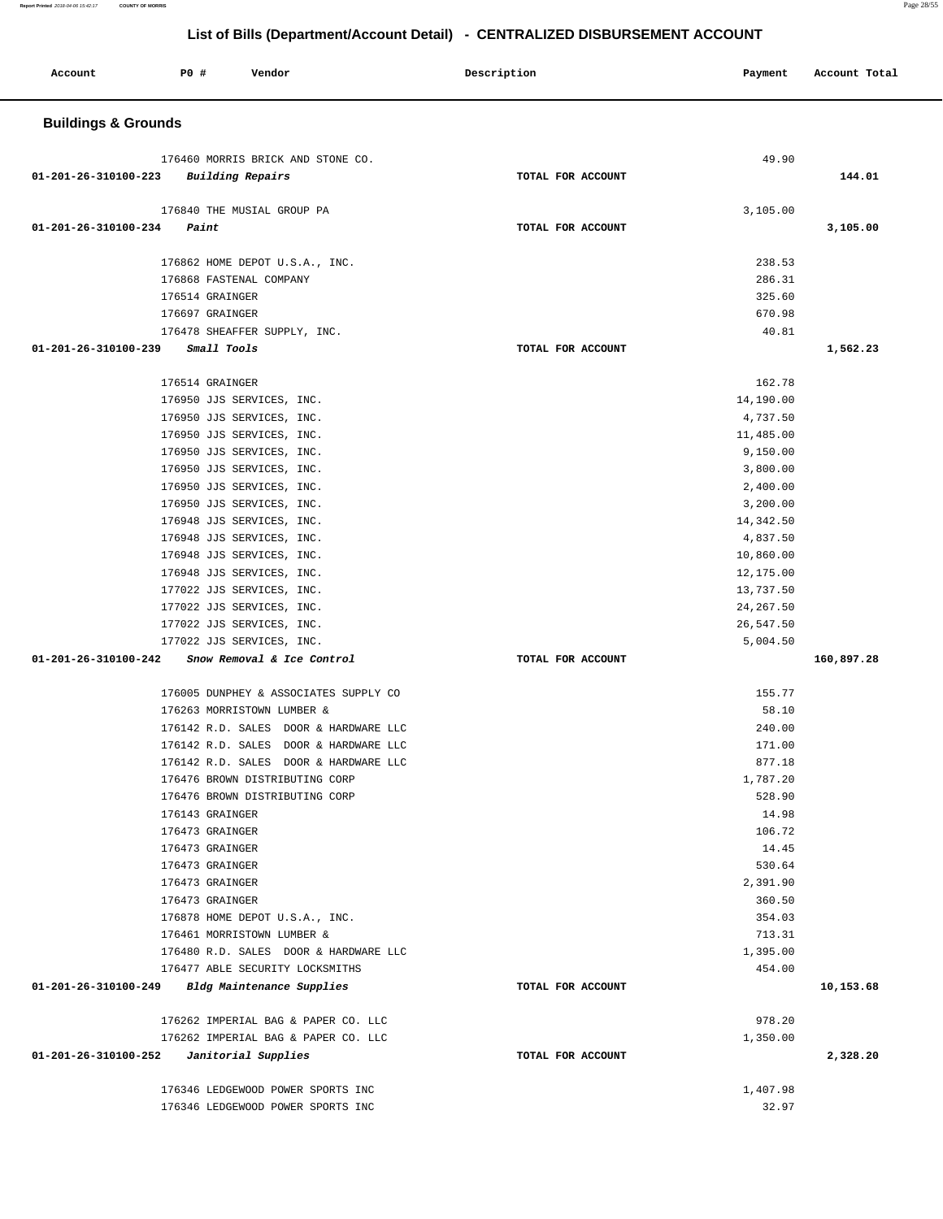| Account                        | P0 #            | Vendor                                                                   | Description       | Payment                | Account Total |
|--------------------------------|-----------------|--------------------------------------------------------------------------|-------------------|------------------------|---------------|
| <b>Buildings &amp; Grounds</b> |                 |                                                                          |                   |                        |               |
|                                |                 | 176460 MORRIS BRICK AND STONE CO.                                        |                   | 49.90                  |               |
| 01-201-26-310100-223           |                 | Building Repairs                                                         | TOTAL FOR ACCOUNT |                        | 144.01        |
|                                |                 |                                                                          |                   |                        |               |
| 01-201-26-310100-234           | Paint           | 176840 THE MUSIAL GROUP PA                                               | TOTAL FOR ACCOUNT | 3,105.00               | 3,105.00      |
|                                |                 |                                                                          |                   |                        |               |
|                                |                 | 176862 HOME DEPOT U.S.A., INC.                                           |                   | 238.53                 |               |
|                                |                 | 176868 FASTENAL COMPANY                                                  |                   | 286.31                 |               |
|                                | 176514 GRAINGER |                                                                          |                   | 325.60                 |               |
|                                | 176697 GRAINGER |                                                                          |                   | 670.98                 |               |
|                                |                 | 176478 SHEAFFER SUPPLY, INC.                                             |                   | 40.81                  |               |
| 01-201-26-310100-239           | Small Tools     |                                                                          | TOTAL FOR ACCOUNT |                        | 1,562.23      |
|                                | 176514 GRAINGER |                                                                          |                   | 162.78                 |               |
|                                |                 | 176950 JJS SERVICES, INC.                                                |                   | 14,190.00              |               |
|                                |                 | 176950 JJS SERVICES, INC.                                                |                   | 4,737.50               |               |
|                                |                 | 176950 JJS SERVICES, INC.                                                |                   | 11,485.00              |               |
|                                |                 | 176950 JJS SERVICES, INC.                                                |                   | 9,150.00               |               |
|                                |                 | 176950 JJS SERVICES, INC.                                                |                   | 3,800.00               |               |
|                                |                 | 176950 JJS SERVICES, INC.                                                |                   | 2,400.00               |               |
|                                |                 | 176950 JJS SERVICES, INC.                                                |                   | 3,200.00               |               |
|                                |                 | 176948 JJS SERVICES, INC.                                                |                   | 14,342.50              |               |
|                                |                 | 176948 JJS SERVICES, INC.                                                |                   | 4,837.50               |               |
|                                |                 | 176948 JJS SERVICES, INC.<br>176948 JJS SERVICES, INC.                   |                   | 10,860.00<br>12,175.00 |               |
|                                |                 | 177022 JJS SERVICES, INC.                                                |                   | 13,737.50              |               |
|                                |                 | 177022 JJS SERVICES, INC.                                                |                   | 24, 267.50             |               |
|                                |                 | 177022 JJS SERVICES, INC.                                                |                   | 26,547.50              |               |
|                                |                 | 177022 JJS SERVICES, INC.                                                |                   | 5,004.50               |               |
| $01 - 201 - 26 - 310100 - 242$ |                 | Snow Removal & Ice Control                                               | TOTAL FOR ACCOUNT |                        | 160,897.28    |
|                                |                 | 176005 DUNPHEY & ASSOCIATES SUPPLY CO                                    |                   | 155.77                 |               |
|                                |                 | 176263 MORRISTOWN LUMBER &                                               |                   | 58.10                  |               |
|                                |                 | 176142 R.D. SALES DOOR & HARDWARE LLC                                    |                   | 240.00                 |               |
|                                |                 | 176142 R.D. SALES DOOR & HARDWARE LLC                                    |                   | 171.00                 |               |
|                                |                 | 176142 R.D. SALES DOOR & HARDWARE LLC                                    |                   | 877.18                 |               |
|                                |                 | 176476 BROWN DISTRIBUTING CORP                                           |                   | 1,787.20               |               |
|                                |                 | 176476 BROWN DISTRIBUTING CORP                                           |                   | 528.90                 |               |
|                                | 176143 GRAINGER |                                                                          |                   | 14.98                  |               |
|                                | 176473 GRAINGER |                                                                          |                   | 106.72                 |               |
|                                | 176473 GRAINGER |                                                                          |                   | 14.45                  |               |
|                                | 176473 GRAINGER |                                                                          |                   | 530.64                 |               |
|                                | 176473 GRAINGER |                                                                          |                   | 2,391.90               |               |
|                                | 176473 GRAINGER |                                                                          |                   | 360.50                 |               |
|                                |                 | 176878 HOME DEPOT U.S.A., INC.                                           |                   | 354.03                 |               |
|                                |                 | 176461 MORRISTOWN LUMBER &                                               |                   | 713.31                 |               |
|                                |                 | 176480 R.D. SALES DOOR & HARDWARE LLC<br>176477 ABLE SECURITY LOCKSMITHS |                   | 1,395.00<br>454.00     |               |
| 01-201-26-310100-249           |                 | Bldg Maintenance Supplies                                                | TOTAL FOR ACCOUNT |                        | 10,153.68     |
|                                |                 |                                                                          |                   |                        |               |
|                                |                 | 176262 IMPERIAL BAG & PAPER CO. LLC                                      |                   | 978.20                 |               |
|                                |                 | 176262 IMPERIAL BAG & PAPER CO. LLC                                      |                   | 1,350.00               |               |
| 01-201-26-310100-252           |                 | Janitorial Supplies                                                      | TOTAL FOR ACCOUNT |                        | 2,328.20      |
|                                |                 | 176346 LEDGEWOOD POWER SPORTS INC                                        |                   | 1,407.98               |               |
|                                |                 | 176346 LEDGEWOOD POWER SPORTS INC                                        |                   | 32.97                  |               |

**Report Printed** 2018-04-06 15:42:17 **COUNTY OF MORRIS** Page 28/55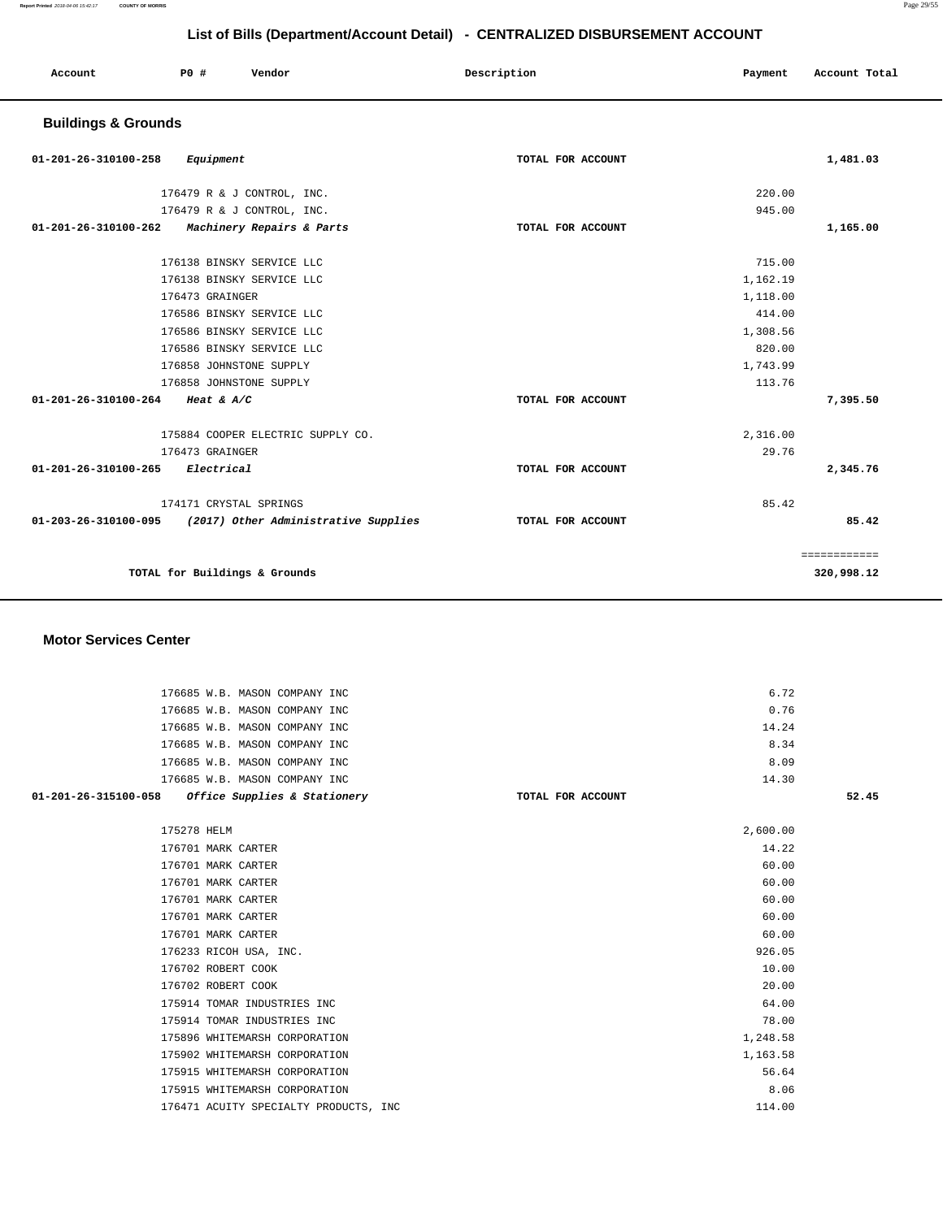**320,998.12** 

|                                |                           |                                   | List of Bills (Department/Account Detail) - CENTRALIZED DISBURSEMENT ACCOUNT |          |               |
|--------------------------------|---------------------------|-----------------------------------|------------------------------------------------------------------------------|----------|---------------|
| Account                        | PO#                       | Vendor                            | Description                                                                  | Payment  | Account Total |
| <b>Buildings &amp; Grounds</b> |                           |                                   |                                                                              |          |               |
| 01-201-26-310100-258           | Equipment                 |                                   | TOTAL FOR ACCOUNT                                                            |          | 1,481.03      |
|                                |                           | 176479 R & J CONTROL, INC.        |                                                                              | 220.00   |               |
|                                |                           | 176479 R & J CONTROL, INC.        |                                                                              | 945.00   |               |
| 01-201-26-310100-262           |                           | Machinery Repairs & Parts         | TOTAL FOR ACCOUNT                                                            |          | 1,165.00      |
|                                | 176138 BINSKY SERVICE LLC |                                   |                                                                              | 715.00   |               |
|                                | 176138 BINSKY SERVICE LLC |                                   |                                                                              | 1,162.19 |               |
|                                | 176473 GRAINGER           |                                   |                                                                              | 1,118.00 |               |
|                                | 176586 BINSKY SERVICE LLC |                                   |                                                                              | 414.00   |               |
|                                | 176586 BINSKY SERVICE LLC |                                   |                                                                              | 1,308.56 |               |
|                                | 176586 BINSKY SERVICE LLC |                                   |                                                                              | 820.00   |               |
|                                | 176858 JOHNSTONE SUPPLY   |                                   |                                                                              | 1,743.99 |               |
|                                | 176858 JOHNSTONE SUPPLY   |                                   |                                                                              | 113.76   |               |
| 01-201-26-310100-264           | Heat & $A/C$              |                                   | TOTAL FOR ACCOUNT                                                            |          | 7,395.50      |
|                                |                           | 175884 COOPER ELECTRIC SUPPLY CO. |                                                                              | 2,316.00 |               |
|                                | 176473 GRAINGER           |                                   |                                                                              | 29.76    |               |
| 01-201-26-310100-265           | Electrical                |                                   | TOTAL FOR ACCOUNT                                                            |          | 2,345.76      |

|                      | 174171 CRYSTAL SPRINGS               |                   | 85.42 |
|----------------------|--------------------------------------|-------------------|-------|
| 01-203-26-310100-095 | (2017) Other Administrative Supplies | TOTAL FOR ACCOUNT | 85.42 |
|                      |                                      |                   |       |
|                      |                                      |                   |       |

**TOTAL for Buildings & Grounds** 

#### **Motor Services Center**

| 176685 W.B. MASON COMPANY INC                        |                   | 6.72     |       |
|------------------------------------------------------|-------------------|----------|-------|
| 176685 W.B. MASON COMPANY INC                        |                   | 0.76     |       |
| 176685 W.B. MASON COMPANY INC                        |                   | 14.24    |       |
| 176685 W.B. MASON COMPANY INC                        |                   | 8.34     |       |
| 176685 W.B. MASON COMPANY INC                        |                   | 8.09     |       |
| 176685 W.B. MASON COMPANY INC                        |                   | 14.30    |       |
| 01-201-26-315100-058<br>Office Supplies & Stationery | TOTAL FOR ACCOUNT |          | 52.45 |
| 175278 HELM                                          |                   | 2,600.00 |       |
| 176701 MARK CARTER                                   |                   | 14.22    |       |
| 176701 MARK CARTER                                   |                   | 60.00    |       |
| 176701 MARK CARTER                                   |                   | 60.00    |       |
| 176701 MARK CARTER                                   |                   | 60.00    |       |
| 176701 MARK CARTER                                   |                   | 60.00    |       |
| 176701 MARK CARTER                                   |                   | 60.00    |       |
| 176233 RICOH USA, INC.                               |                   | 926.05   |       |
| 176702 ROBERT COOK                                   |                   | 10.00    |       |
| 176702 ROBERT COOK                                   |                   | 20.00    |       |
| 175914 TOMAR INDUSTRIES INC                          |                   | 64.00    |       |
| 175914 TOMAR INDUSTRIES INC                          |                   | 78.00    |       |
| 175896 WHITEMARSH CORPORATION                        |                   | 1,248.58 |       |
| 175902 WHITEMARSH CORPORATION                        |                   | 1,163.58 |       |
| 175915 WHITEMARSH CORPORATION                        |                   | 56.64    |       |
| 175915 WHITEMARSH CORPORATION                        |                   | 8.06     |       |
| 176471 ACUITY SPECIALTY PRODUCTS, INC                |                   | 114.00   |       |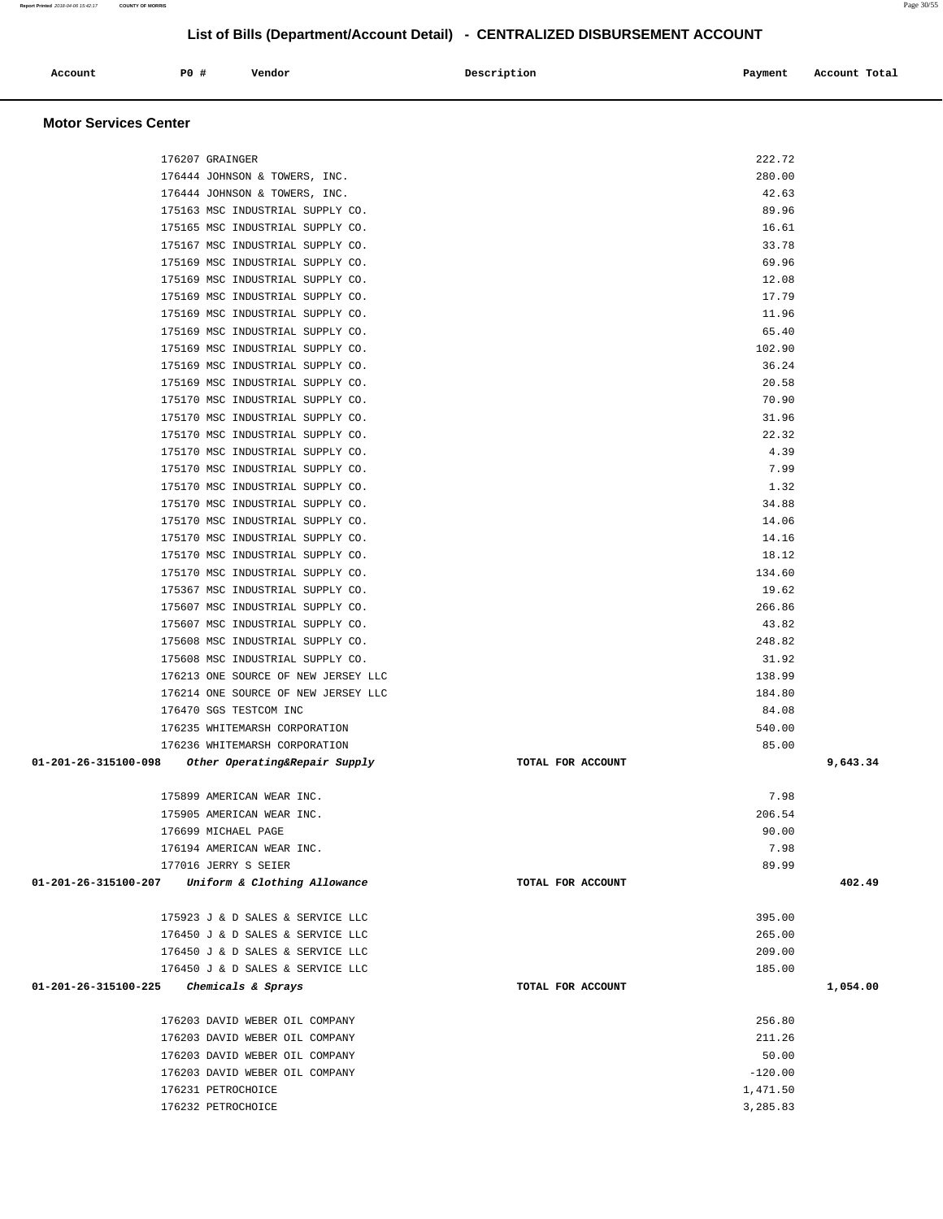### **Account P0 # Vendor Description Payment Account Total Motor Services Center**  176207 GRAINGER 222.72 176444 JOHNSON & TOWERS, INC. 280.00 176444 JOHNSON & TOWERS, INC. 42.63 175163 MSC INDUSTRIAL SUPPLY CO. 89.96 175165 MSC INDUSTRIAL SUPPLY CO. 16.61 175167 MSC INDUSTRIAL SUPPLY CO. 33.78 175169 MSC INDUSTRIAL SUPPLY CO. 69.96 175169 MSC INDUSTRIAL SUPPLY CO. 12.08 175169 MSC INDUSTRIAL SUPPLY CO. 17.79 175169 MSC INDUSTRIAL SUPPLY CO. 11.96 175169 MSC INDUSTRIAL SUPPLY CO. 65.40 175169 MSC INDUSTRIAL SUPPLY CO. 102.90 175169 MSC INDUSTRIAL SUPPLY CO. 36.24 175169 MSC INDUSTRIAL SUPPLY CO. 20.58 175170 MSC INDUSTRIAL SUPPLY CO. 70.90 175170 MSC INDUSTRIAL SUPPLY CO. 31.96 175170 MSC INDUSTRIAL SUPPLY CO. 22.32 175170 MSC INDUSTRIAL SUPPLY CO. 4.39 175170 MSC INDUSTRIAL SUPPLY CO. 7.99 175170 MSC INDUSTRIAL SUPPLY CO. 1.32 175170 MSC INDUSTRIAL SUPPLY CO. 34.88 175170 MSC INDUSTRIAL SUPPLY CO. 14.06 175170 MSC INDUSTRIAL SUPPLY CO. 14.16 175170 MSC INDUSTRIAL SUPPLY CO. 18.12 175170 MSC INDUSTRIAL SUPPLY CO. 134.60 175367 MSC INDUSTRIAL SUPPLY CO. 19.62 175607 MSC INDUSTRIAL SUPPLY CO. 266.86 175607 MSC INDUSTRIAL SUPPLY CO. 43.82 175608 MSC INDUSTRIAL SUPPLY CO. 248.82 175608 MSC INDUSTRIAL SUPPLY CO. 31.92 176213 ONE SOURCE OF NEW JERSEY LLC 138.99 176214 ONE SOURCE OF NEW JERSEY LLC 38 and the state of the state of the state of the state of the 184.80 176470 SGS TESTCOM INC 84.08 176235 WHITEMARSH CORPORATION 540.00 176236 WHITEMARSH CORPORATION 85.00  **01-201-26-315100-098 Other Operating&Repair Supply TOTAL FOR ACCOUNT 9,643.34** 175899 AMERICAN WEAR INC. 7.98 175905 AMERICAN WEAR INC. 206.54 176699 MICHAEL PAGE 90.00 176194 AMERICAN WEAR INC. 2008 2014 17:398 2014 17:41 2015 2020 2031 2040 2051 2062 207:498 207:498 207:498 20 177016 JERRY S SEIER 89.99  **01-201-26-315100-207 Uniform & Clothing Allowance TOTAL FOR ACCOUNT 402.49** 175923 J & D SALES & SERVICE LLC 395.00 176450 J & D SALES & SERVICE LLC 265.00 176450 J & D SALES & SERVICE LLC 209.00 176450 J & D SALES & SERVICE LLC 185.00  **01-201-26-315100-225 Chemicals & Sprays TOTAL FOR ACCOUNT 1,054.00** 176203 DAVID WEBER OIL COMPANY 256.80 176203 DAVID WEBER OIL COMPANY 211.26 176203 DAVID WEBER OIL COMPANY 50.00 176203 DAVID WEBER OIL COMPANY  $-120.00$ 176231 PETROCHOICE 1,471.50

 $176232$  PETROCHOICE  $\overline{3}$ , 285.83

**Report Printed** 2018-04-06 15:42:17 **COUNTY OF MORRIS** Page 30/55

#### **List of Bills (Department/Account Detail) - CENTRALIZED DISBURSEMENT ACCOUNT**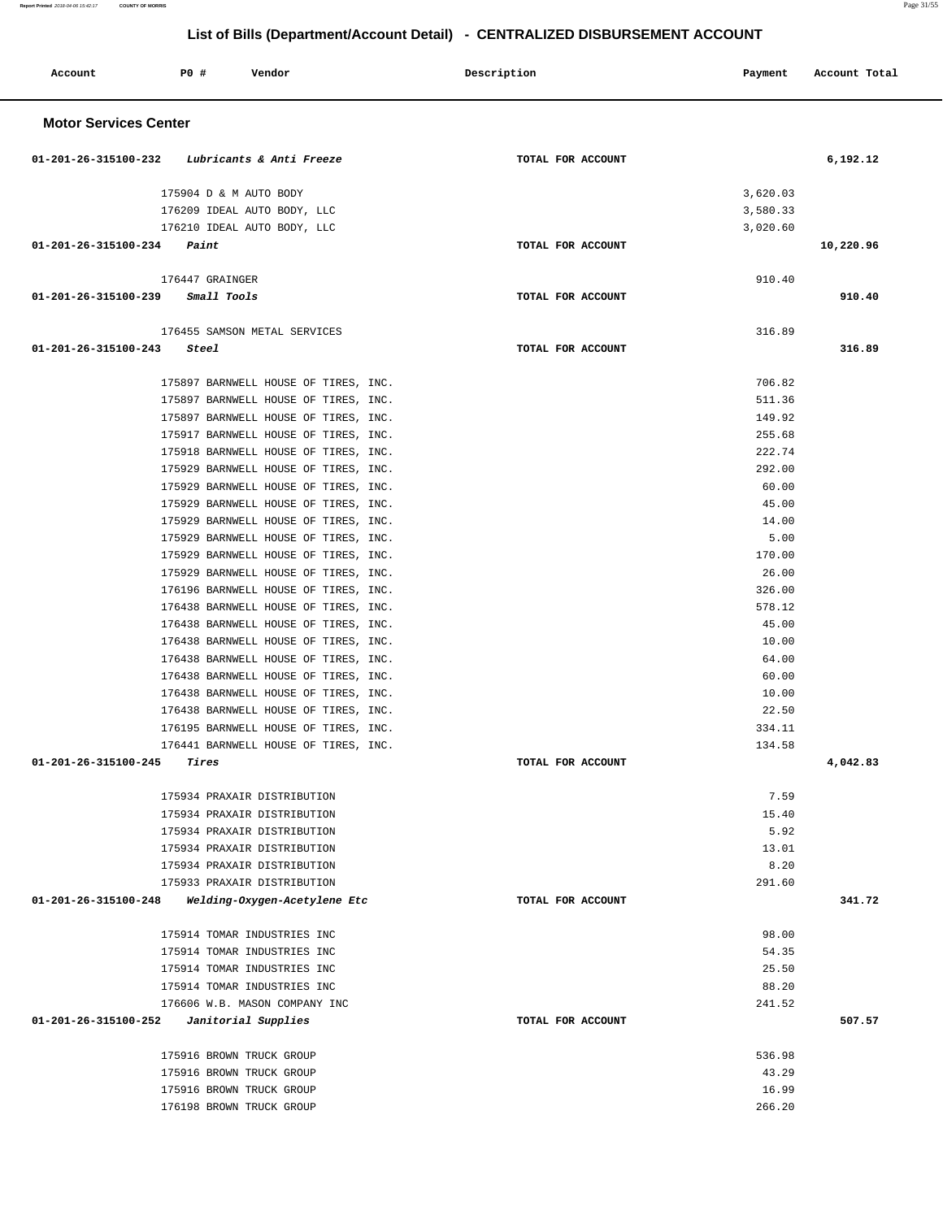| Account                      | P0 #                     | Vendor                                                                       | Description       | Payment          | Account Total |
|------------------------------|--------------------------|------------------------------------------------------------------------------|-------------------|------------------|---------------|
| <b>Motor Services Center</b> |                          |                                                                              |                   |                  |               |
| 01-201-26-315100-232         |                          | Lubricants & Anti Freeze                                                     | TOTAL FOR ACCOUNT |                  | 6,192.12      |
|                              | 175904 D & M AUTO BODY   |                                                                              |                   | 3,620.03         |               |
|                              |                          | 176209 IDEAL AUTO BODY, LLC                                                  |                   | 3,580.33         |               |
|                              |                          | 176210 IDEAL AUTO BODY, LLC                                                  |                   | 3,020.60         |               |
| 01-201-26-315100-234         | Paint                    |                                                                              | TOTAL FOR ACCOUNT |                  | 10,220.96     |
|                              | 176447 GRAINGER          |                                                                              |                   | 910.40           |               |
| 01-201-26-315100-239         | Small Tools              |                                                                              | TOTAL FOR ACCOUNT |                  | 910.40        |
|                              |                          |                                                                              |                   |                  |               |
|                              |                          | 176455 SAMSON METAL SERVICES                                                 |                   | 316.89           |               |
| 01-201-26-315100-243         | Steel                    |                                                                              | TOTAL FOR ACCOUNT |                  | 316.89        |
|                              |                          |                                                                              |                   |                  |               |
|                              |                          | 175897 BARNWELL HOUSE OF TIRES, INC.                                         |                   | 706.82<br>511.36 |               |
|                              |                          | 175897 BARNWELL HOUSE OF TIRES, INC.<br>175897 BARNWELL HOUSE OF TIRES, INC. |                   | 149.92           |               |
|                              |                          | 175917 BARNWELL HOUSE OF TIRES, INC.                                         |                   | 255.68           |               |
|                              |                          | 175918 BARNWELL HOUSE OF TIRES, INC.                                         |                   | 222.74           |               |
|                              |                          | 175929 BARNWELL HOUSE OF TIRES, INC.                                         |                   | 292.00           |               |
|                              |                          | 175929 BARNWELL HOUSE OF TIRES, INC.                                         |                   | 60.00            |               |
|                              |                          | 175929 BARNWELL HOUSE OF TIRES, INC.                                         |                   | 45.00            |               |
|                              |                          | 175929 BARNWELL HOUSE OF TIRES, INC.                                         |                   | 14.00            |               |
|                              |                          | 175929 BARNWELL HOUSE OF TIRES, INC.                                         |                   | 5.00             |               |
|                              |                          | 175929 BARNWELL HOUSE OF TIRES, INC.                                         |                   | 170.00           |               |
|                              |                          | 175929 BARNWELL HOUSE OF TIRES, INC.                                         |                   | 26.00            |               |
|                              |                          | 176196 BARNWELL HOUSE OF TIRES, INC.                                         |                   | 326.00           |               |
|                              |                          | 176438 BARNWELL HOUSE OF TIRES, INC.                                         |                   | 578.12           |               |
|                              |                          | 176438 BARNWELL HOUSE OF TIRES, INC.                                         |                   | 45.00            |               |
|                              |                          | 176438 BARNWELL HOUSE OF TIRES, INC.                                         |                   | 10.00            |               |
|                              |                          | 176438 BARNWELL HOUSE OF TIRES, INC.                                         |                   | 64.00            |               |
|                              |                          | 176438 BARNWELL HOUSE OF TIRES, INC.                                         |                   | 60.00            |               |
|                              |                          | 176438 BARNWELL HOUSE OF TIRES, INC.                                         |                   | 10.00            |               |
|                              |                          | 176438 BARNWELL HOUSE OF TIRES, INC.<br>176195 BARNWELL HOUSE OF TIRES, INC. |                   | 22.50<br>334.11  |               |
|                              |                          | 176441 BARNWELL HOUSE OF TIRES, INC.                                         |                   | 134.58           |               |
| 01-201-26-315100-245         | Tires                    |                                                                              | TOTAL FOR ACCOUNT |                  | 4,042.83      |
|                              |                          |                                                                              |                   |                  |               |
|                              |                          | 175934 PRAXAIR DISTRIBUTION                                                  |                   | 7.59             |               |
|                              |                          | 175934 PRAXAIR DISTRIBUTION                                                  |                   | 15.40            |               |
|                              |                          | 175934 PRAXAIR DISTRIBUTION                                                  |                   | 5.92             |               |
|                              |                          | 175934 PRAXAIR DISTRIBUTION                                                  |                   | 13.01            |               |
|                              |                          | 175934 PRAXAIR DISTRIBUTION                                                  |                   | 8.20             |               |
|                              |                          | 175933 PRAXAIR DISTRIBUTION                                                  |                   | 291.60           |               |
| 01-201-26-315100-248         |                          | Welding-Oxygen-Acetylene Etc                                                 | TOTAL FOR ACCOUNT |                  | 341.72        |
|                              |                          | 175914 TOMAR INDUSTRIES INC                                                  |                   | 98.00            |               |
|                              |                          | 175914 TOMAR INDUSTRIES INC                                                  |                   | 54.35            |               |
|                              |                          | 175914 TOMAR INDUSTRIES INC                                                  |                   | 25.50            |               |
|                              |                          | 175914 TOMAR INDUSTRIES INC                                                  |                   | 88.20            |               |
|                              |                          | 176606 W.B. MASON COMPANY INC                                                |                   | 241.52           |               |
| 01-201-26-315100-252         |                          | Janitorial Supplies                                                          | TOTAL FOR ACCOUNT |                  | 507.57        |
|                              | 175916 BROWN TRUCK GROUP |                                                                              |                   | 536.98           |               |
|                              | 175916 BROWN TRUCK GROUP |                                                                              |                   | 43.29            |               |
|                              | 175916 BROWN TRUCK GROUP |                                                                              |                   | 16.99            |               |
|                              | 176198 BROWN TRUCK GROUP |                                                                              |                   | 266.20           |               |

**Report Printed** 2018-04-06 15:42:17 **COUNTY OF MORRIS** Page 31/55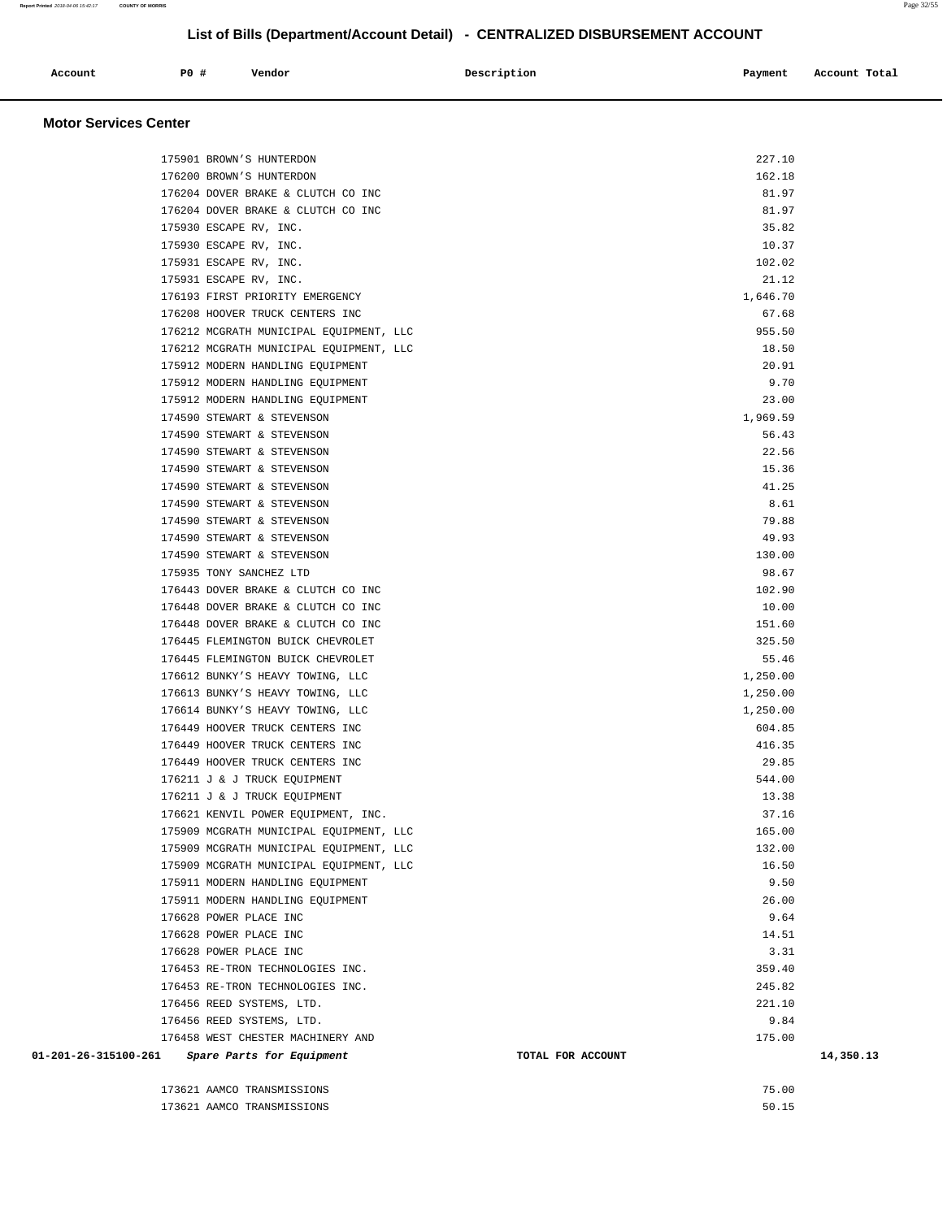| Account | <b>PO #</b> | Vendor | Description | Payment | Account Total |
|---------|-------------|--------|-------------|---------|---------------|
|         |             |        |             |         |               |

**Motor Services Center** 

| 175901 BROWN'S HUNTERDON                          | 227.10            |           |
|---------------------------------------------------|-------------------|-----------|
| 176200 BROWN'S HUNTERDON                          | 162.18            |           |
| 176204 DOVER BRAKE & CLUTCH CO INC                | 81.97             |           |
| 176204 DOVER BRAKE & CLUTCH CO INC                | 81.97             |           |
| 175930 ESCAPE RV, INC.                            | 35.82             |           |
| 175930 ESCAPE RV, INC.                            | 10.37             |           |
| 175931 ESCAPE RV, INC.                            | 102.02            |           |
| 175931 ESCAPE RV, INC.                            | 21.12             |           |
| 176193 FIRST PRIORITY EMERGENCY                   | 1,646.70          |           |
| 176208 HOOVER TRUCK CENTERS INC                   | 67.68             |           |
| 176212 MCGRATH MUNICIPAL EQUIPMENT, LLC           | 955.50            |           |
| 176212 MCGRATH MUNICIPAL EQUIPMENT, LLC           | 18.50             |           |
| 175912 MODERN HANDLING EQUIPMENT                  | 20.91             |           |
| 175912 MODERN HANDLING EQUIPMENT                  | 9.70              |           |
| 175912 MODERN HANDLING EQUIPMENT                  | 23.00             |           |
| 174590 STEWART & STEVENSON                        | 1,969.59          |           |
| 174590 STEWART & STEVENSON                        | 56.43             |           |
| 174590 STEWART & STEVENSON                        | 22.56             |           |
| 174590 STEWART & STEVENSON                        | 15.36             |           |
| 174590 STEWART & STEVENSON                        | 41.25             |           |
| 174590 STEWART & STEVENSON                        | 8.61              |           |
| 174590 STEWART & STEVENSON                        | 79.88             |           |
| 174590 STEWART & STEVENSON                        | 49.93             |           |
| 174590 STEWART & STEVENSON                        | 130.00            |           |
| 175935 TONY SANCHEZ LTD                           | 98.67             |           |
| 176443 DOVER BRAKE & CLUTCH CO INC                | 102.90            |           |
| 176448 DOVER BRAKE & CLUTCH CO INC                | 10.00             |           |
| 176448 DOVER BRAKE & CLUTCH CO INC                | 151.60            |           |
| 176445 FLEMINGTON BUICK CHEVROLET                 | 325.50            |           |
| 176445 FLEMINGTON BUICK CHEVROLET                 | 55.46             |           |
| 176612 BUNKY'S HEAVY TOWING, LLC                  | 1,250.00          |           |
| 176613 BUNKY'S HEAVY TOWING, LLC                  | 1,250.00          |           |
| 176614 BUNKY'S HEAVY TOWING, LLC                  | 1,250.00          |           |
| 176449 HOOVER TRUCK CENTERS INC                   | 604.85            |           |
| 176449 HOOVER TRUCK CENTERS INC                   | 416.35            |           |
| 176449 HOOVER TRUCK CENTERS INC                   | 29.85             |           |
| 176211 J & J TRUCK EQUIPMENT                      | 544.00            |           |
| 176211 J & J TRUCK EQUIPMENT                      | 13.38             |           |
| 176621 KENVIL POWER EQUIPMENT, INC.               | 37.16             |           |
| 175909 MCGRATH MUNICIPAL EQUIPMENT, LLC           | 165.00            |           |
| 175909 MCGRATH MUNICIPAL EQUIPMENT, LLC           | 132.00            |           |
| 175909 MCGRATH MUNICIPAL EQUIPMENT, LLC           | 16.50             |           |
| 175911 MODERN HANDLING EQUIPMENT                  | 9.50              |           |
| 175911 MODERN HANDLING EQUIPMENT                  | 26.00             |           |
| 176628 POWER PLACE INC                            | 9.64              |           |
| 176628 POWER PLACE INC                            | 14.51             |           |
| 176628 POWER PLACE INC                            | 3.31              |           |
| 176453 RE-TRON TECHNOLOGIES INC.                  | 359.40            |           |
| 176453 RE-TRON TECHNOLOGIES INC.                  | 245.82            |           |
| 176456 REED SYSTEMS, LTD.                         | 221.10            |           |
| 176456 REED SYSTEMS, LTD.                         | 9.84              |           |
| 176458 WEST CHESTER MACHINERY AND                 | 175.00            |           |
| 01-201-26-315100-261<br>Spare Parts for Equipment | TOTAL FOR ACCOUNT | 14,350.13 |
| 173621 AAMCO TRANSMISSIONS                        | 75.00             |           |
|                                                   |                   |           |

| 173621 AAMCO TRANSMISSIONS | 75.00 |
|----------------------------|-------|
| 173621 AAMCO TRANSMISSIONS | 50.15 |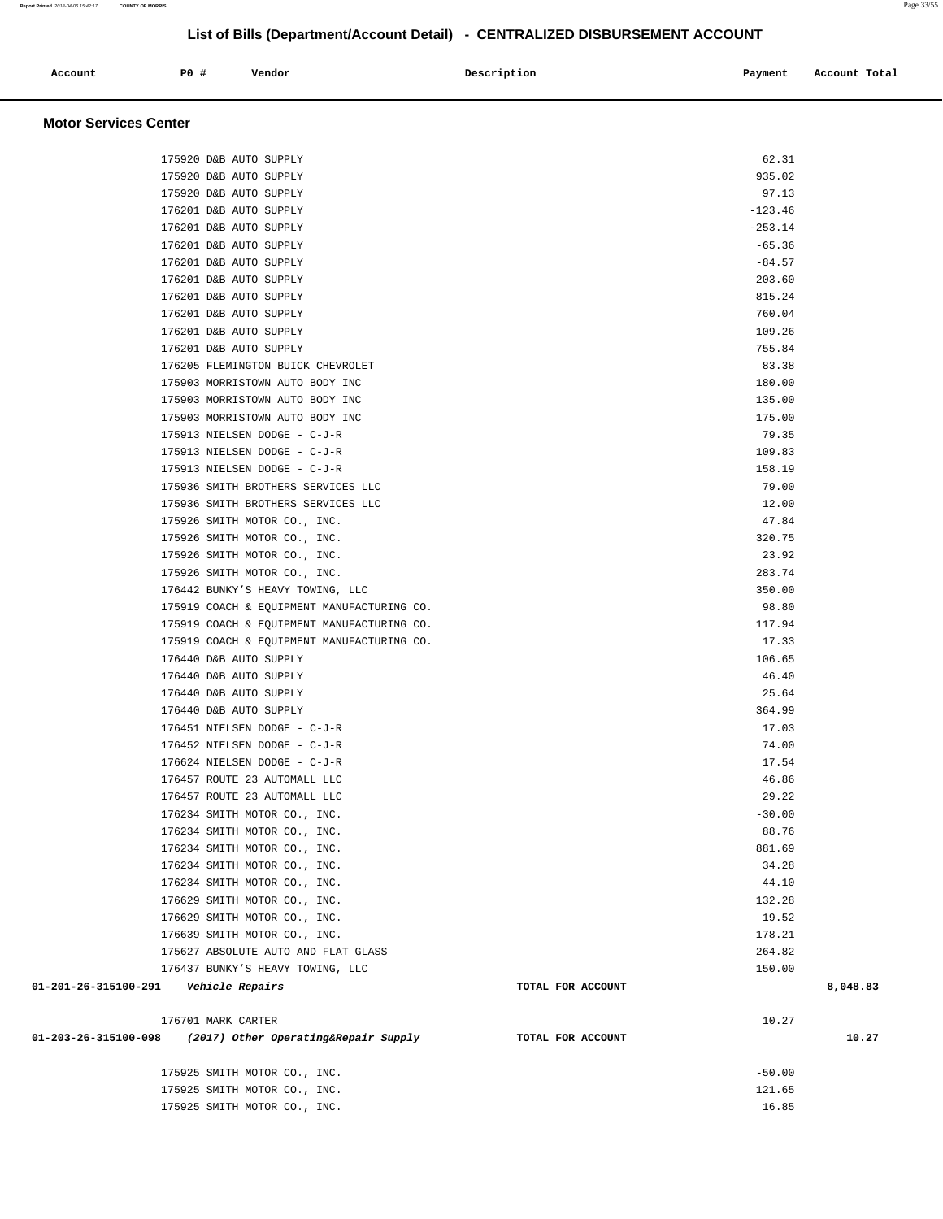| Account<br>. | <b>PO #</b> | Vendor<br>. | Description<br>$\sim$ $\sim$ | Payment | Account Total<br>.<br>. |
|--------------|-------------|-------------|------------------------------|---------|-------------------------|
|              |             |             |                              |         |                         |

#### **Motor Services Center**

|                                         | 175920 D&B AUTO SUPPLY                     |                   | 62.31     |          |
|-----------------------------------------|--------------------------------------------|-------------------|-----------|----------|
|                                         | 175920 D&B AUTO SUPPLY                     |                   | 935.02    |          |
|                                         | 175920 D&B AUTO SUPPLY                     |                   | 97.13     |          |
|                                         | 176201 D&B AUTO SUPPLY                     |                   | $-123.46$ |          |
|                                         | 176201 D&B AUTO SUPPLY                     |                   | $-253.14$ |          |
|                                         | 176201 D&B AUTO SUPPLY                     |                   | $-65.36$  |          |
|                                         | 176201 D&B AUTO SUPPLY                     |                   | $-84.57$  |          |
|                                         | 176201 D&B AUTO SUPPLY                     |                   | 203.60    |          |
|                                         | 176201 D&B AUTO SUPPLY                     |                   | 815.24    |          |
|                                         | 176201 D&B AUTO SUPPLY                     |                   | 760.04    |          |
|                                         | 176201 D&B AUTO SUPPLY                     |                   | 109.26    |          |
|                                         | 176201 D&B AUTO SUPPLY                     |                   | 755.84    |          |
|                                         | 176205 FLEMINGTON BUICK CHEVROLET          |                   | 83.38     |          |
|                                         | 175903 MORRISTOWN AUTO BODY INC            |                   | 180.00    |          |
|                                         | 175903 MORRISTOWN AUTO BODY INC            |                   | 135.00    |          |
|                                         | 175903 MORRISTOWN AUTO BODY INC            |                   | 175.00    |          |
|                                         | 175913 NIELSEN DODGE - C-J-R               |                   | 79.35     |          |
|                                         | 175913 NIELSEN DODGE - C-J-R               |                   | 109.83    |          |
|                                         | 175913 NIELSEN DODGE - C-J-R               |                   | 158.19    |          |
|                                         | 175936 SMITH BROTHERS SERVICES LLC         |                   | 79.00     |          |
|                                         | 175936 SMITH BROTHERS SERVICES LLC         |                   | 12.00     |          |
|                                         | 175926 SMITH MOTOR CO., INC.               |                   | 47.84     |          |
|                                         | 175926 SMITH MOTOR CO., INC.               |                   | 320.75    |          |
|                                         | 175926 SMITH MOTOR CO., INC.               |                   | 23.92     |          |
|                                         | 175926 SMITH MOTOR CO., INC.               |                   | 283.74    |          |
|                                         | 176442 BUNKY'S HEAVY TOWING, LLC           |                   | 350.00    |          |
|                                         | 175919 COACH & EQUIPMENT MANUFACTURING CO. |                   | 98.80     |          |
|                                         | 175919 COACH & EQUIPMENT MANUFACTURING CO. |                   | 117.94    |          |
|                                         | 175919 COACH & EQUIPMENT MANUFACTURING CO. |                   | 17.33     |          |
|                                         | 176440 D&B AUTO SUPPLY                     |                   | 106.65    |          |
|                                         | 176440 D&B AUTO SUPPLY                     |                   | 46.40     |          |
|                                         | 176440 D&B AUTO SUPPLY                     |                   | 25.64     |          |
|                                         | 176440 D&B AUTO SUPPLY                     |                   | 364.99    |          |
|                                         | 176451 NIELSEN DODGE - C-J-R               |                   | 17.03     |          |
|                                         | 176452 NIELSEN DODGE - C-J-R               |                   | 74.00     |          |
|                                         | 176624 NIELSEN DODGE - C-J-R               |                   | 17.54     |          |
|                                         | 176457 ROUTE 23 AUTOMALL LLC               |                   | 46.86     |          |
|                                         | 176457 ROUTE 23 AUTOMALL LLC               |                   | 29.22     |          |
|                                         | 176234 SMITH MOTOR CO., INC.               |                   | $-30.00$  |          |
|                                         | 176234 SMITH MOTOR CO., INC.               |                   | 88.76     |          |
|                                         | 176234 SMITH MOTOR CO., INC.               |                   | 881.69    |          |
|                                         | 176234 SMITH MOTOR CO., INC.               |                   | 34.28     |          |
|                                         | 176234 SMITH MOTOR CO., INC.               |                   | 44.10     |          |
|                                         | 176629 SMITH MOTOR CO., INC.               |                   | 132.28    |          |
|                                         | 176629 SMITH MOTOR CO., INC.               |                   | 19.52     |          |
|                                         | 176639 SMITH MOTOR CO., INC.               |                   | 178.21    |          |
|                                         | 175627 ABSOLUTE AUTO AND FLAT GLASS        |                   | 264.82    |          |
|                                         | 176437 BUNKY'S HEAVY TOWING, LLC           |                   | 150.00    |          |
| 01-201-26-315100-291    Vehicle Repairs |                                            | TOTAL FOR ACCOUNT |           | 8,048.83 |
|                                         | 176701 MARK CARTER                         |                   | 10.27     |          |
| 01-203-26-315100-098                    | (2017) Other Operating&Repair Supply       | TOTAL FOR ACCOUNT |           | 10.27    |
|                                         | 175925 SMITH MOTOR CO., INC.               |                   | $-50.00$  |          |
|                                         | 175925 SMITH MOTOR CO., INC.               |                   | 121.65    |          |
|                                         | 175925 SMITH MOTOR CO., INC.               |                   | 16.85     |          |

**Report Printed** 2018-04-06 15:42:17 **COUNTY OF MORRIS** Page 33/55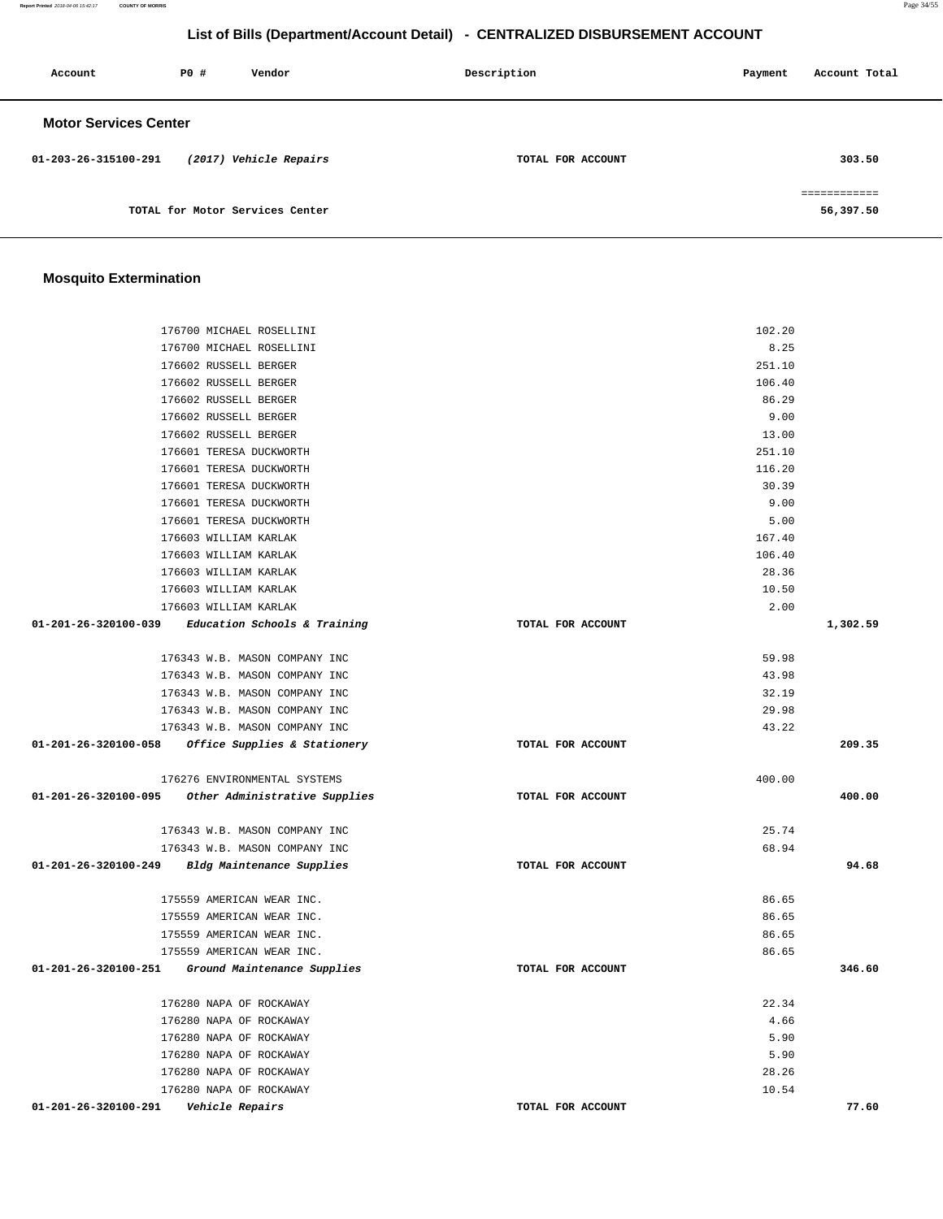**Report Printed** 2018-04-06 15:42:17 **COUNTY OF MORRIS** Page 34/55

# **List of Bills (Department/Account Detail) - CENTRALIZED DISBURSEMENT ACCOUNT**

| Account                      | PO# | Vendor                          | Description       | Payment | Account Total |
|------------------------------|-----|---------------------------------|-------------------|---------|---------------|
| <b>Motor Services Center</b> |     |                                 |                   |         |               |
| 01-203-26-315100-291         |     | (2017) Vehicle Repairs          | TOTAL FOR ACCOUNT |         | 303.50        |
|                              |     | TOTAL for Motor Services Center |                   |         | 56,397.50     |

# **Mosquito Extermination**

| 176700 MICHAEL ROSELLINI                               |                   | 102.20 |          |
|--------------------------------------------------------|-------------------|--------|----------|
| 176700 MICHAEL ROSELLINI                               |                   | 8.25   |          |
| 176602 RUSSELL BERGER                                  |                   | 251.10 |          |
| 176602 RUSSELL BERGER                                  |                   | 106.40 |          |
| 176602 RUSSELL BERGER                                  |                   | 86.29  |          |
| 176602 RUSSELL BERGER                                  |                   | 9.00   |          |
| 176602 RUSSELL BERGER                                  |                   | 13.00  |          |
| 176601 TERESA DUCKWORTH                                |                   | 251.10 |          |
| 176601 TERESA DUCKWORTH                                |                   | 116.20 |          |
| 176601 TERESA DUCKWORTH                                |                   | 30.39  |          |
| 176601 TERESA DUCKWORTH                                |                   | 9.00   |          |
| 176601 TERESA DUCKWORTH                                |                   | 5.00   |          |
| 176603 WILLIAM KARLAK                                  |                   | 167.40 |          |
| 176603 WILLIAM KARLAK                                  |                   | 106.40 |          |
| 176603 WILLIAM KARLAK                                  |                   | 28.36  |          |
| 176603 WILLIAM KARLAK                                  |                   | 10.50  |          |
| 176603 WILLIAM KARLAK                                  |                   | 2.00   |          |
| $01-201-26-320100-039$ Education Schools & Training    | TOTAL FOR ACCOUNT |        | 1,302.59 |
| 176343 W.B. MASON COMPANY INC                          |                   | 59.98  |          |
| 176343 W.B. MASON COMPANY INC                          |                   | 43.98  |          |
| 176343 W.B. MASON COMPANY INC                          |                   | 32.19  |          |
| 176343 W.B. MASON COMPANY INC                          |                   | 29.98  |          |
|                                                        |                   | 43.22  |          |
| 176343 W.B. MASON COMPANY INC                          |                   |        |          |
| 01-201-26-320100-058 Office Supplies & Stationery      | TOTAL FOR ACCOUNT |        | 209.35   |
| 176276 ENVIRONMENTAL SYSTEMS                           |                   | 400.00 |          |
| 01-201-26-320100-095 Other Administrative Supplies     | TOTAL FOR ACCOUNT |        | 400.00   |
| 176343 W.B. MASON COMPANY INC                          |                   | 25.74  |          |
| 176343 W.B. MASON COMPANY INC                          |                   | 68.94  |          |
| 01-201-26-320100-249 Bldg Maintenance Supplies         | TOTAL FOR ACCOUNT |        | 94.68    |
| 175559 AMERICAN WEAR INC.                              |                   | 86.65  |          |
|                                                        |                   | 86.65  |          |
| 175559 AMERICAN WEAR INC.<br>175559 AMERICAN WEAR INC. |                   | 86.65  |          |
|                                                        |                   | 86.65  |          |
| 175559 AMERICAN WEAR INC.                              |                   |        | 346.60   |
| 01-201-26-320100-251<br>Ground Maintenance Supplies    | TOTAL FOR ACCOUNT |        |          |
| 176280 NAPA OF ROCKAWAY                                |                   | 22.34  |          |
| 176280 NAPA OF ROCKAWAY                                |                   | 4.66   |          |
| 176280 NAPA OF ROCKAWAY                                |                   | 5.90   |          |
| 176280 NAPA OF ROCKAWAY                                |                   | 5.90   |          |
| 176280 NAPA OF ROCKAWAY                                |                   | 28.26  |          |
| 176280 NAPA OF ROCKAWAY                                |                   | 10.54  |          |
| 01-201-26-320100-291<br>Vehicle Repairs                | TOTAL FOR ACCOUNT |        | 77.60    |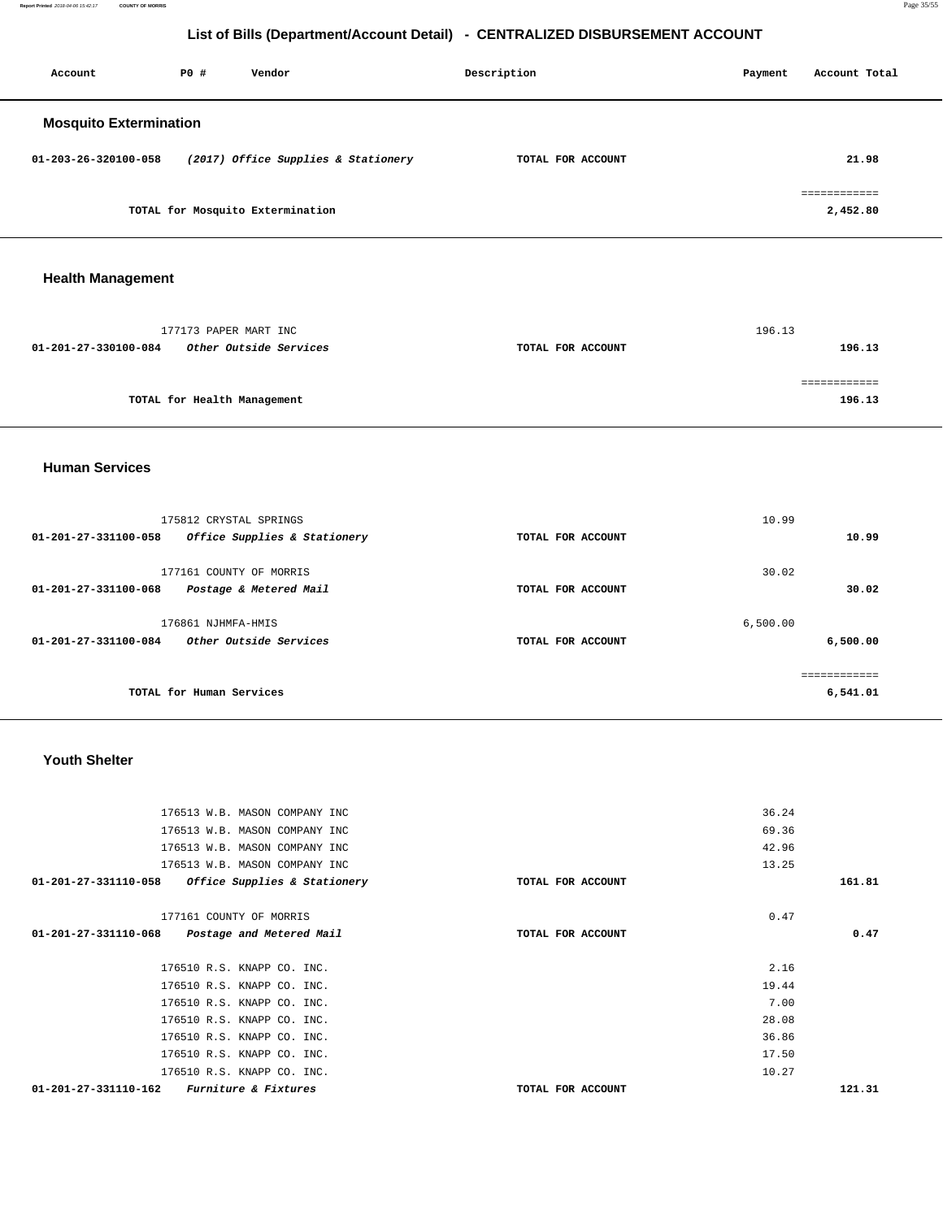**Report Printed** 2018-04-06 15:42:17 **COUNTY OF MORRIS** Page 35/55

# **List of Bills (Department/Account Detail) - CENTRALIZED DISBURSEMENT ACCOUNT**

| Account                       | P0 # | Vendor                              | Description       | Account Total<br>Payment |  |
|-------------------------------|------|-------------------------------------|-------------------|--------------------------|--|
| <b>Mosquito Extermination</b> |      |                                     |                   |                          |  |
| 01-203-26-320100-058          |      | (2017) Office Supplies & Stationery | TOTAL FOR ACCOUNT | 21.98                    |  |
|                               |      | TOTAL for Mosquito Extermination    |                   | ============<br>2,452.80 |  |

# **Health Management**

|                      | 177173 PAPER MART INC         |                   | 196.13 |
|----------------------|-------------------------------|-------------------|--------|
| 01-201-27-330100-084 | <i>Other Outside Services</i> | TOTAL FOR ACCOUNT | 196.13 |
|                      |                               |                   |        |
|                      |                               |                   |        |
|                      | TOTAL for Health Management   |                   | 196.13 |

### **Human Services**

| 175812 CRYSTAL SPRINGS<br>$01 - 201 - 27 - 331100 - 058$<br>Office Supplies & Stationery | TOTAL FOR ACCOUNT | 10.99    | 10.99                    |
|------------------------------------------------------------------------------------------|-------------------|----------|--------------------------|
| 177161 COUNTY OF MORRIS<br>$01 - 201 - 27 - 331100 - 068$<br>Postage & Metered Mail      | TOTAL FOR ACCOUNT | 30.02    | 30.02                    |
| 176861 NJHMFA-HMIS<br>Other Outside Services<br>$01 - 201 - 27 - 331100 - 084$           | TOTAL FOR ACCOUNT | 6.500.00 | 6,500.00                 |
| TOTAL for Human Services                                                                 |                   |          | ------------<br>6,541.01 |

### **Youth Shelter**

|        | 36.24 |                   | 176513 W.B. MASON COMPANY INC                           |
|--------|-------|-------------------|---------------------------------------------------------|
|        | 69.36 |                   | 176513 W.B. MASON COMPANY INC                           |
|        | 42.96 |                   | 176513 W.B. MASON COMPANY INC                           |
|        | 13.25 |                   | 176513 W.B. MASON COMPANY INC                           |
| 161.81 |       | TOTAL FOR ACCOUNT | 01-201-27-331110-058<br>Office Supplies & Stationery    |
|        |       |                   |                                                         |
|        | 0.47  |                   | 177161 COUNTY OF MORRIS                                 |
| 0.47   |       | TOTAL FOR ACCOUNT | 01-201-27-331110-068<br>Postage and Metered Mail        |
|        |       |                   |                                                         |
|        | 2.16  |                   | 176510 R.S. KNAPP CO. INC.                              |
|        | 19.44 |                   | 176510 R.S. KNAPP CO. INC.                              |
|        | 7.00  |                   | 176510 R.S. KNAPP CO. INC.                              |
|        | 28.08 |                   | 176510 R.S. KNAPP CO. INC.                              |
|        | 36.86 |                   | 176510 R.S. KNAPP CO. INC.                              |
|        | 17.50 |                   | 176510 R.S. KNAPP CO. INC.                              |
|        | 10.27 |                   | 176510 R.S. KNAPP CO. INC.                              |
| 121.31 |       | TOTAL FOR ACCOUNT | <b>Furniture &amp; Fixtures</b><br>01-201-27-331110-162 |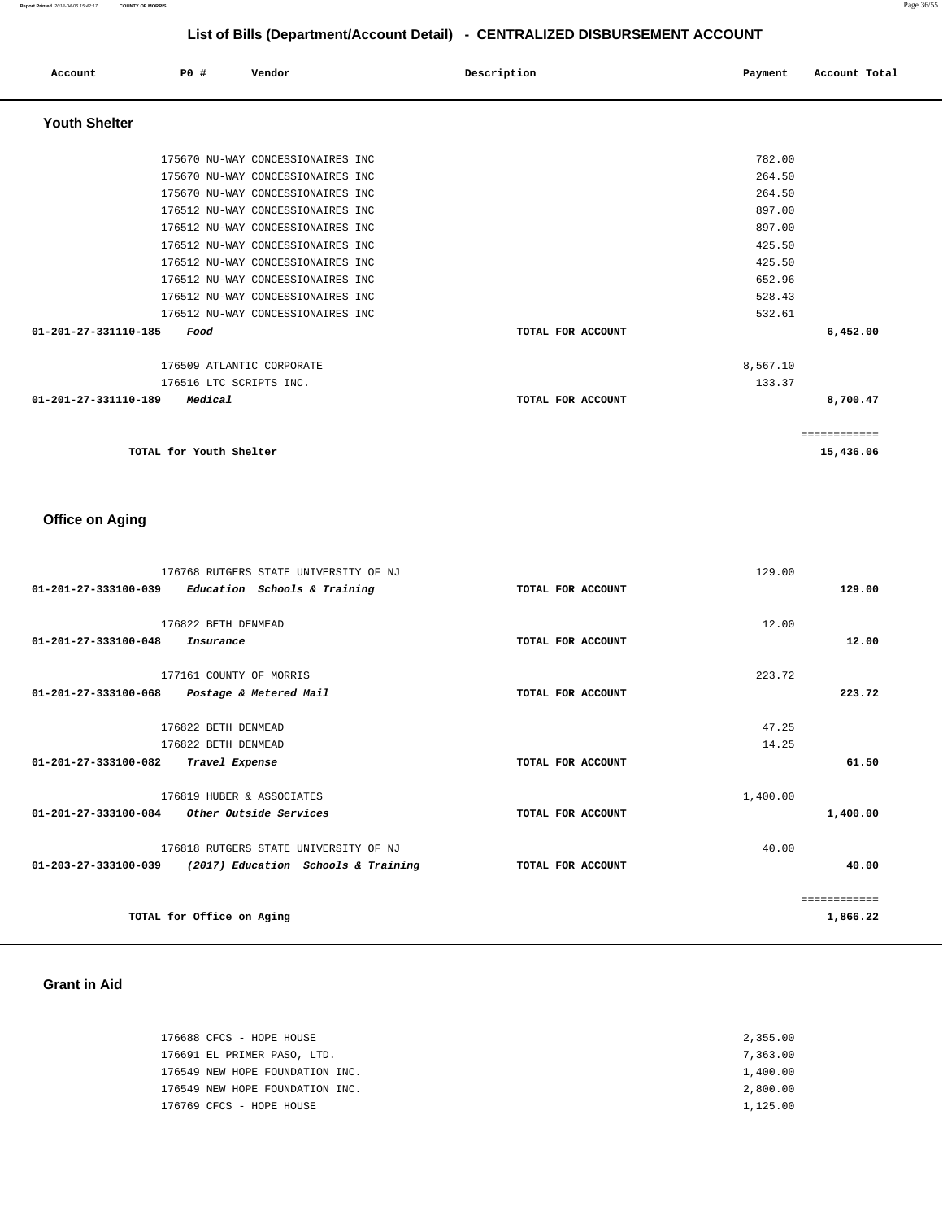| Account              | PO#                                                             | Vendor                                                                                                                                                                                                                                                                                                                                    | Description       | Payment                                                                                | Account Total             |
|----------------------|-----------------------------------------------------------------|-------------------------------------------------------------------------------------------------------------------------------------------------------------------------------------------------------------------------------------------------------------------------------------------------------------------------------------------|-------------------|----------------------------------------------------------------------------------------|---------------------------|
| <b>Youth Shelter</b> |                                                                 |                                                                                                                                                                                                                                                                                                                                           |                   |                                                                                        |                           |
|                      |                                                                 | 175670 NU-WAY CONCESSIONAIRES INC<br>175670 NU-WAY CONCESSIONAIRES INC<br>175670 NU-WAY CONCESSIONAIRES INC<br>176512 NU-WAY CONCESSIONAIRES INC<br>176512 NU-WAY CONCESSIONAIRES INC<br>176512 NU-WAY CONCESSIONAIRES INC<br>176512 NU-WAY CONCESSIONAIRES INC<br>176512 NU-WAY CONCESSIONAIRES INC<br>176512 NU-WAY CONCESSIONAIRES INC |                   | 782.00<br>264.50<br>264.50<br>897.00<br>897.00<br>425.50<br>425.50<br>652.96<br>528.43 |                           |
| 01-201-27-331110-185 | Food                                                            | 176512 NU-WAY CONCESSIONAIRES INC                                                                                                                                                                                                                                                                                                         | TOTAL FOR ACCOUNT | 532.61                                                                                 | 6,452.00                  |
| 01-201-27-331110-189 | 176509 ATLANTIC CORPORATE<br>176516 LTC SCRIPTS INC.<br>Medical |                                                                                                                                                                                                                                                                                                                                           | TOTAL FOR ACCOUNT | 8,567.10<br>133.37                                                                     | 8,700.47                  |
|                      | TOTAL for Youth Shelter                                         |                                                                                                                                                                                                                                                                                                                                           |                   |                                                                                        | ============<br>15,436.06 |

# **Office on Aging**

| 176768 RUTGERS STATE UNIVERSITY OF NJ                       |                   | 129.00       |
|-------------------------------------------------------------|-------------------|--------------|
| 01-201-27-333100-039<br>Education Schools & Training        | TOTAL FOR ACCOUNT | 129.00       |
|                                                             |                   |              |
| 176822 BETH DENMEAD                                         |                   | 12.00        |
| 01-201-27-333100-048<br>Insurance                           | TOTAL FOR ACCOUNT | 12.00        |
| 177161 COUNTY OF MORRIS                                     |                   | 223.72       |
| 01-201-27-333100-068<br>Postage & Metered Mail              | TOTAL FOR ACCOUNT | 223.72       |
|                                                             |                   |              |
| 176822 BETH DENMEAD                                         |                   | 47.25        |
| 176822 BETH DENMEAD                                         |                   | 14.25        |
| 01-201-27-333100-082<br>Travel Expense                      | TOTAL FOR ACCOUNT | 61.50        |
| 176819 HUBER & ASSOCIATES                                   |                   | 1,400.00     |
| 01-201-27-333100-084<br>Other Outside Services              | TOTAL FOR ACCOUNT | 1,400.00     |
|                                                             |                   |              |
| 176818 RUTGERS STATE UNIVERSITY OF NJ                       |                   | 40.00        |
| 01-203-27-333100-039<br>(2017) Education Schools & Training | TOTAL FOR ACCOUNT | 40.00        |
|                                                             |                   |              |
|                                                             |                   | ============ |
| TOTAL for Office on Aging                                   |                   | 1,866.22     |
|                                                             |                   |              |

#### **Grant in Aid**

| 176688 CFCS - HOPE HOUSE        | 2,355.00 |
|---------------------------------|----------|
| 176691 EL PRIMER PASO, LTD.     | 7,363.00 |
| 176549 NEW HOPE FOUNDATION INC. | 1,400.00 |
| 176549 NEW HOPE FOUNDATION INC. | 2,800.00 |
| 176769 CFCS - HOPE HOUSE        | 1,125.00 |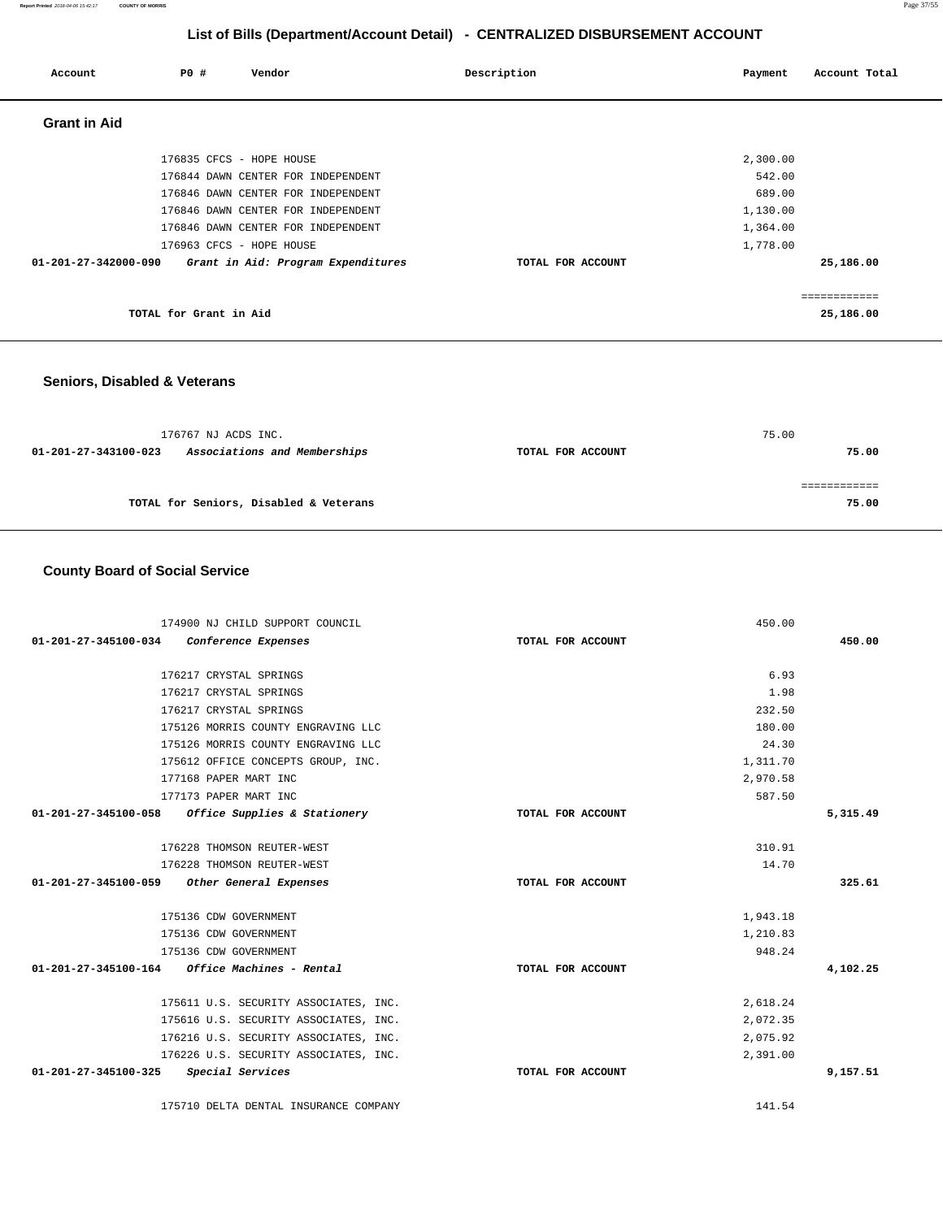| Account              | P0 #                   | Vendor                             | Description       | Payment  | Account Total |
|----------------------|------------------------|------------------------------------|-------------------|----------|---------------|
| <b>Grant in Aid</b>  |                        |                                    |                   |          |               |
|                      |                        | 176835 CFCS - HOPE HOUSE           |                   | 2,300.00 |               |
|                      |                        | 176844 DAWN CENTER FOR INDEPENDENT |                   | 542.00   |               |
|                      |                        | 176846 DAWN CENTER FOR INDEPENDENT |                   | 689.00   |               |
|                      |                        | 176846 DAWN CENTER FOR INDEPENDENT |                   | 1,130.00 |               |
|                      |                        | 176846 DAWN CENTER FOR INDEPENDENT |                   | 1,364.00 |               |
|                      |                        | 176963 CFCS - HOPE HOUSE           |                   | 1,778.00 |               |
| 01-201-27-342000-090 |                        | Grant in Aid: Program Expenditures | TOTAL FOR ACCOUNT |          | 25,186.00     |
|                      |                        |                                    |                   |          | ============  |
|                      | TOTAL for Grant in Aid |                                    |                   |          | 25,186.00     |

### **Seniors, Disabled & Veterans**

| 176767 NJ ACDS INC.                                  |                   | 75.00 |
|------------------------------------------------------|-------------------|-------|
| Associations and Memberships<br>01-201-27-343100-023 | TOTAL FOR ACCOUNT | 75.00 |
|                                                      |                   |       |
|                                                      |                   |       |
| TOTAL for Seniors, Disabled & Veterans               |                   | 75.00 |

### **County Board of Social Service**

| 174900 NJ CHILD SUPPORT COUNCIL                   |                   | 450.00   |          |
|---------------------------------------------------|-------------------|----------|----------|
| 01-201-27-345100-034 Conference Expenses          | TOTAL FOR ACCOUNT |          | 450.00   |
| 176217 CRYSTAL SPRINGS                            |                   | 6.93     |          |
| 176217 CRYSTAL SPRINGS                            |                   | 1.98     |          |
| 176217 CRYSTAL SPRINGS                            |                   | 232.50   |          |
| 175126 MORRIS COUNTY ENGRAVING LLC                |                   | 180.00   |          |
| 175126 MORRIS COUNTY ENGRAVING LLC                |                   | 24.30    |          |
| 175612 OFFICE CONCEPTS GROUP, INC.                |                   | 1,311.70 |          |
| 177168 PAPER MART INC                             |                   | 2,970.58 |          |
| 177173 PAPER MART INC                             |                   | 587.50   |          |
| 01-201-27-345100-058 Office Supplies & Stationery | TOTAL FOR ACCOUNT |          | 5,315.49 |
| 176228 THOMSON REUTER-WEST                        |                   | 310.91   |          |
| 176228 THOMSON REUTER-WEST                        |                   | 14.70    |          |
| 01-201-27-345100-059 Other General Expenses       | TOTAL FOR ACCOUNT |          | 325.61   |
| 175136 CDW GOVERNMENT                             |                   | 1,943.18 |          |
| 175136 CDW GOVERNMENT                             |                   | 1,210.83 |          |
| 175136 CDW GOVERNMENT                             |                   | 948.24   |          |
|                                                   | TOTAL FOR ACCOUNT |          | 4,102.25 |
| 175611 U.S. SECURITY ASSOCIATES, INC.             |                   | 2,618.24 |          |
| 175616 U.S. SECURITY ASSOCIATES, INC.             |                   | 2,072.35 |          |
| 176216 U.S. SECURITY ASSOCIATES, INC.             |                   | 2,075.92 |          |
| 176226 U.S. SECURITY ASSOCIATES, INC.             |                   | 2,391.00 |          |
| 01-201-27-345100-325 Special Services             | TOTAL FOR ACCOUNT |          | 9,157.51 |
| 175710 DELTA DENTAL INSURANCE COMPANY             |                   | 141.54   |          |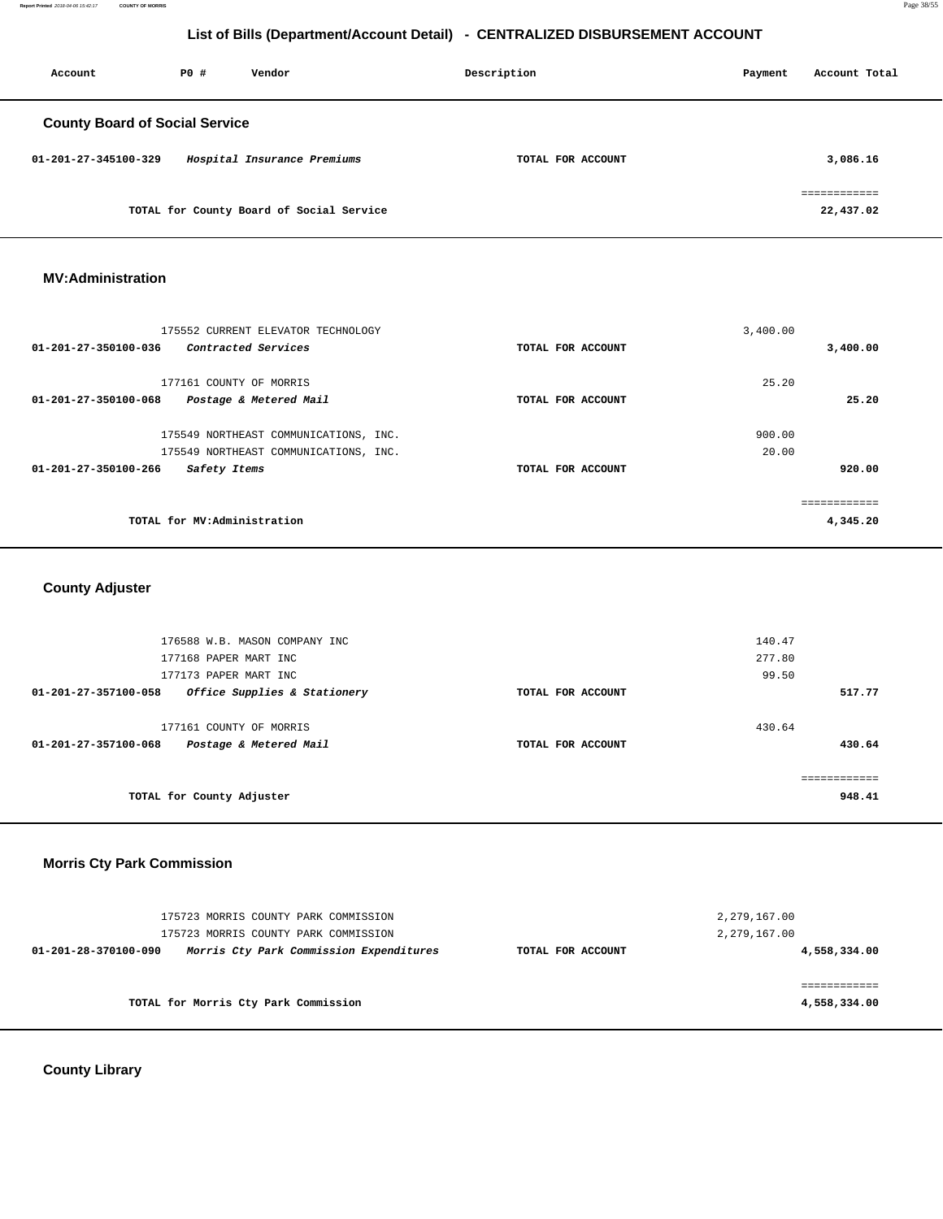**Report Printed** 2018-04-06 15:42:17 **COUNTY OF MORRIS** Page 38/55

# **List of Bills (Department/Account Detail) - CENTRALIZED DISBURSEMENT ACCOUNT**

| Account                               | PO# | Vendor                                   | Description       | Payment | Account Total             |
|---------------------------------------|-----|------------------------------------------|-------------------|---------|---------------------------|
| <b>County Board of Social Service</b> |     |                                          |                   |         |                           |
| 01-201-27-345100-329                  |     | Hospital Insurance Premiums              | TOTAL FOR ACCOUNT |         | 3,086.16                  |
|                                       |     | TOTAL for County Board of Social Service |                   |         | ============<br>22,437.02 |

#### **MV:Administration**

| 175552 CURRENT ELEVATOR TECHNOLOGY             |                   | 3,400.00     |
|------------------------------------------------|-------------------|--------------|
| 01-201-27-350100-036<br>Contracted Services    | TOTAL FOR ACCOUNT | 3,400.00     |
|                                                |                   |              |
| 177161 COUNTY OF MORRIS                        |                   | 25.20        |
| 01-201-27-350100-068<br>Postage & Metered Mail | TOTAL FOR ACCOUNT | 25.20        |
|                                                |                   |              |
| 175549 NORTHEAST COMMUNICATIONS, INC.          |                   | 900.00       |
| 175549 NORTHEAST COMMUNICATIONS, INC.          |                   | 20.00        |
| 01-201-27-350100-266<br>Safety Items           | TOTAL FOR ACCOUNT | 920.00       |
|                                                |                   |              |
|                                                |                   | ------------ |
| TOTAL for MV:Administration                    |                   | 4,345.20     |
|                                                |                   |              |

# **County Adjuster**

| 177161 COUNTY OF MORRIS<br>Postage & Metered Mail | TOTAL FOR ACCOUNT | 430.64 | 430.64 |
|---------------------------------------------------|-------------------|--------|--------|
| Office Supplies & Stationery                      | TOTAL FOR ACCOUNT |        | 517.77 |
| 177173 PAPER MART INC                             |                   | 99.50  |        |
| 177168 PAPER MART INC                             |                   | 277.80 |        |
| 176588 W.B. MASON COMPANY INC                     |                   | 140.47 |        |
|                                                   |                   |        |        |

### **Morris Cty Park Commission**

| 175723 MORRIS COUNTY PARK COMMISSION<br>175723 MORRIS COUNTY PARK COMMISSION |                                         |                   | 2,279,167.00<br>2,279,167.00 |
|------------------------------------------------------------------------------|-----------------------------------------|-------------------|------------------------------|
| 01-201-28-370100-090                                                         | Morris Cty Park Commission Expenditures | TOTAL FOR ACCOUNT | 4,558,334.00                 |
|                                                                              |                                         |                   |                              |
| TOTAL for Morris Cty Park Commission                                         |                                         |                   | 4,558,334.00                 |

**County Library**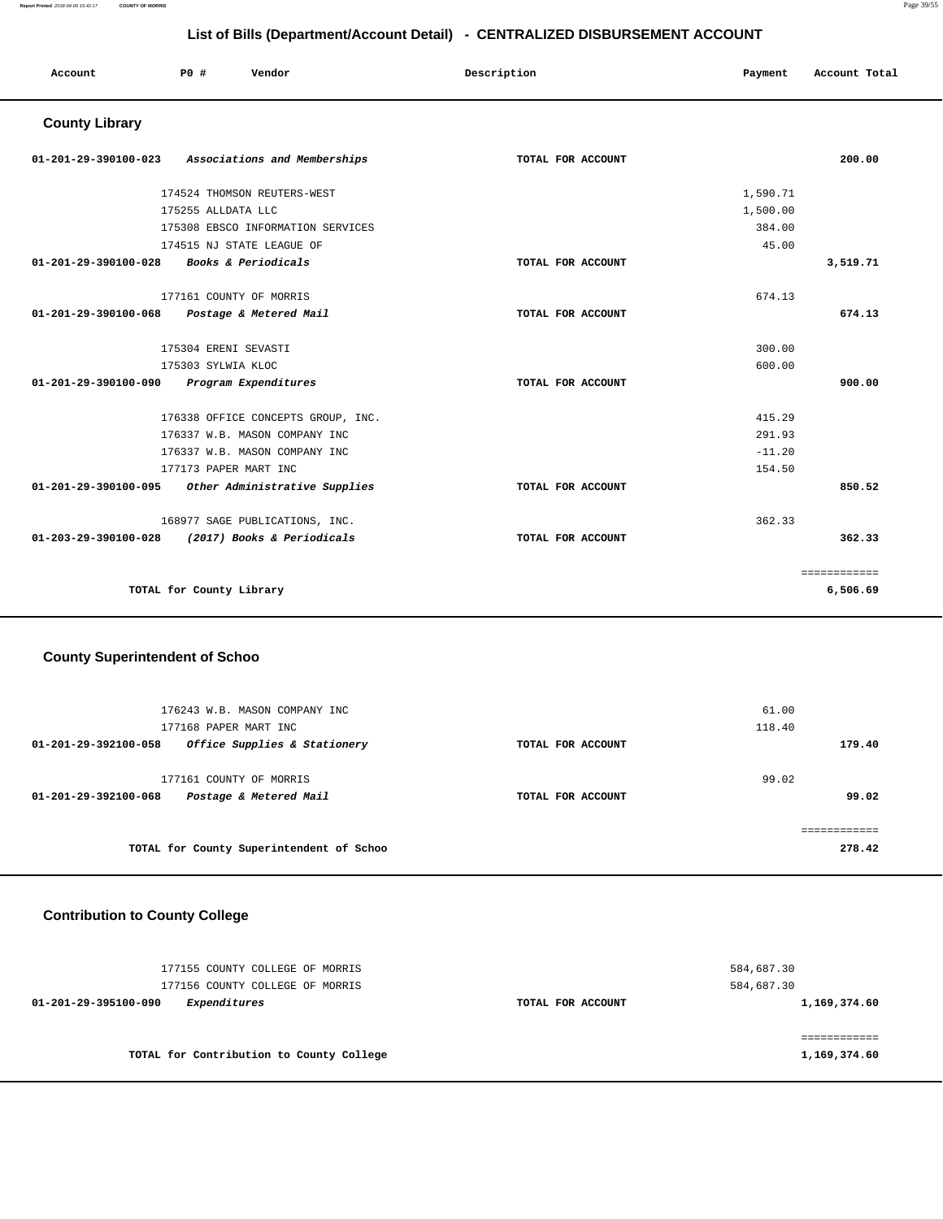#### **Report Printed** 2018-04-06 15:42:17 **COUNTY OF MORRIS** Page 39/55

# **List of Bills (Department/Account Detail) - CENTRALIZED DISBURSEMENT ACCOUNT**

| LIST OF BIIIS (Department/Account Detail) - CENTRALIZED DISBURSEMENT ACCOUNT |                          |                                    |                   |          |               |
|------------------------------------------------------------------------------|--------------------------|------------------------------------|-------------------|----------|---------------|
| Account                                                                      | PO#                      | Vendor                             | Description       | Payment  | Account Total |
| <b>County Library</b>                                                        |                          |                                    |                   |          |               |
| 01-201-29-390100-023                                                         |                          | Associations and Memberships       | TOTAL FOR ACCOUNT |          | 200.00        |
|                                                                              |                          | 174524 THOMSON REUTERS-WEST        |                   | 1,590.71 |               |
|                                                                              | 175255 ALLDATA LLC       |                                    |                   | 1,500.00 |               |
|                                                                              |                          | 175308 EBSCO INFORMATION SERVICES  |                   | 384.00   |               |
|                                                                              |                          | 174515 NJ STATE LEAGUE OF          |                   | 45.00    |               |
| 01-201-29-390100-028                                                         |                          | Books & Periodicals                | TOTAL FOR ACCOUNT |          | 3,519.71      |
|                                                                              |                          | 177161 COUNTY OF MORRIS            |                   | 674.13   |               |
| 01-201-29-390100-068                                                         |                          | Postage & Metered Mail             | TOTAL FOR ACCOUNT |          | 674.13        |
|                                                                              | 175304 ERENI SEVASTI     |                                    |                   | 300.00   |               |
|                                                                              | 175303 SYLWIA KLOC       |                                    |                   | 600.00   |               |
| 01-201-29-390100-090                                                         |                          | Program Expenditures               | TOTAL FOR ACCOUNT |          | 900.00        |
|                                                                              |                          | 176338 OFFICE CONCEPTS GROUP, INC. |                   | 415.29   |               |
|                                                                              |                          | 176337 W.B. MASON COMPANY INC      |                   | 291.93   |               |
|                                                                              |                          | 176337 W.B. MASON COMPANY INC      |                   | $-11.20$ |               |
|                                                                              |                          | 177173 PAPER MART INC              |                   | 154.50   |               |
| 01-201-29-390100-095                                                         |                          | Other Administrative Supplies      | TOTAL FOR ACCOUNT |          | 850.52        |
|                                                                              |                          | 168977 SAGE PUBLICATIONS, INC.     |                   | 362.33   |               |
| 01-203-29-390100-028                                                         |                          | (2017) Books & Periodicals         | TOTAL FOR ACCOUNT |          | 362.33        |
|                                                                              |                          |                                    |                   |          | ============  |
|                                                                              | TOTAL for County Library |                                    |                   |          | 6,506.69      |

# **County Superintendent of Schoo**

| 176243 W.B. MASON COMPANY INC<br>177168 PAPER MART INC |                   | 61.00<br>118.40 |
|--------------------------------------------------------|-------------------|-----------------|
| Office Supplies & Stationery<br>01-201-29-392100-058   | TOTAL FOR ACCOUNT | 179.40          |
| 177161 COUNTY OF MORRIS                                |                   | 99.02           |
| Postage & Metered Mail<br>01-201-29-392100-068         | TOTAL FOR ACCOUNT | 99.02           |
|                                                        |                   |                 |
| TOTAL for County Superintendent of Schoo               |                   | 278.42          |

# **Contribution to County College**

| 177155 COUNTY COLLEGE OF MORRIS<br>177156 COUNTY COLLEGE OF MORRIS |                   | 584,687.30<br>584,687.30 |
|--------------------------------------------------------------------|-------------------|--------------------------|
| Expenditures<br>01-201-29-395100-090                               | TOTAL FOR ACCOUNT | 1,169,374.60             |
|                                                                    |                   |                          |
| TOTAL for Contribution to County College                           |                   | 1,169,374.60             |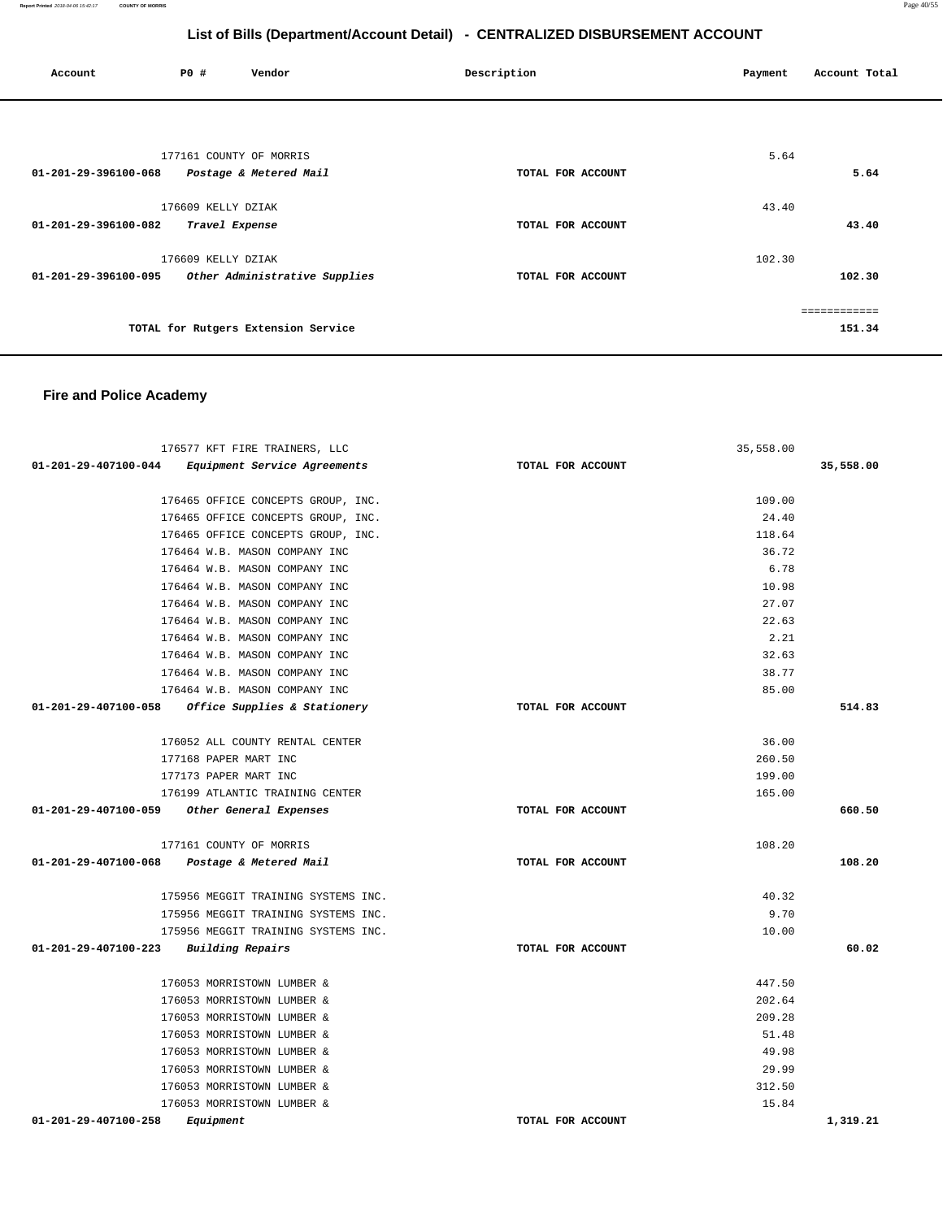**Report Printed** 2018-04-06 15:42:17 **COUNTY OF MORRIS** Page 40/55

# **List of Bills (Department/Account Detail) - CENTRALIZED DISBURSEMENT ACCOUNT**

| Account              | P0 #                    | Vendor                              | Description       | Payment | Account Total |
|----------------------|-------------------------|-------------------------------------|-------------------|---------|---------------|
|                      |                         |                                     |                   |         |               |
|                      | 177161 COUNTY OF MORRIS |                                     |                   | 5.64    |               |
| 01-201-29-396100-068 |                         | Postage & Metered Mail              | TOTAL FOR ACCOUNT |         | 5.64          |
|                      | 176609 KELLY DZIAK      |                                     |                   | 43.40   |               |
| 01-201-29-396100-082 | Travel Expense          |                                     | TOTAL FOR ACCOUNT |         | 43.40         |
|                      | 176609 KELLY DZIAK      |                                     |                   | 102.30  |               |
| 01-201-29-396100-095 |                         | Other Administrative Supplies       | TOTAL FOR ACCOUNT |         | 102.30        |
|                      |                         |                                     |                   |         |               |
|                      |                         | TOTAL for Rutgers Extension Service |                   |         | 151.34        |

# **Fire and Police Academy**

| 176577 KFT FIRE TRAINERS, LLC                               |                   | 35,558.00 |           |
|-------------------------------------------------------------|-------------------|-----------|-----------|
| 01-201-29-407100-044<br><i>Equipment Service Agreements</i> | TOTAL FOR ACCOUNT |           | 35,558.00 |
| 176465 OFFICE CONCEPTS GROUP, INC.                          |                   | 109.00    |           |
| 176465 OFFICE CONCEPTS GROUP, INC.                          |                   | 24.40     |           |
| 176465 OFFICE CONCEPTS GROUP, INC.                          |                   | 118.64    |           |
| 176464 W.B. MASON COMPANY INC                               |                   | 36.72     |           |
| 176464 W.B. MASON COMPANY INC                               |                   | 6.78      |           |
| 176464 W.B. MASON COMPANY INC                               |                   | 10.98     |           |
| 176464 W.B. MASON COMPANY INC                               |                   | 27.07     |           |
| 176464 W.B. MASON COMPANY INC                               |                   | 22.63     |           |
| 176464 W.B. MASON COMPANY INC                               |                   | 2.21      |           |
| 176464 W.B. MASON COMPANY INC                               |                   | 32.63     |           |
| 176464 W.B. MASON COMPANY INC                               |                   | 38.77     |           |
| 176464 W.B. MASON COMPANY INC                               |                   | 85.00     |           |
| 01-201-29-407100-058 Office Supplies & Stationery           | TOTAL FOR ACCOUNT |           | 514.83    |
| 176052 ALL COUNTY RENTAL CENTER                             |                   | 36.00     |           |
| 177168 PAPER MART INC                                       |                   | 260.50    |           |
| 177173 PAPER MART INC                                       |                   | 199.00    |           |
| 176199 ATLANTIC TRAINING CENTER                             |                   | 165.00    |           |
| 01-201-29-407100-059 Other General Expenses                 | TOTAL FOR ACCOUNT |           | 660.50    |
|                                                             |                   |           |           |
| 177161 COUNTY OF MORRIS                                     |                   | 108.20    |           |
| 01-201-29-407100-068 Postage & Metered Mail                 | TOTAL FOR ACCOUNT |           | 108.20    |
| 175956 MEGGIT TRAINING SYSTEMS INC.                         |                   | 40.32     |           |
| 175956 MEGGIT TRAINING SYSTEMS INC.                         |                   | 9.70      |           |
| 175956 MEGGIT TRAINING SYSTEMS INC.                         |                   | 10.00     |           |
| 01-201-29-407100-223<br>Building Repairs                    | TOTAL FOR ACCOUNT |           | 60.02     |
| 176053 MORRISTOWN LUMBER &                                  |                   | 447.50    |           |
| 176053 MORRISTOWN LUMBER &                                  |                   | 202.64    |           |
| 176053 MORRISTOWN LUMBER &                                  |                   | 209.28    |           |
| 176053 MORRISTOWN LUMBER &                                  |                   | 51.48     |           |
| 176053 MORRISTOWN LUMBER &                                  |                   | 49.98     |           |
| 176053 MORRISTOWN LUMBER &                                  |                   | 29.99     |           |
| 176053 MORRISTOWN LUMBER &                                  |                   | 312.50    |           |
| 176053 MORRISTOWN LUMBER &                                  |                   | 15.84     |           |
| 01-201-29-407100-258<br>Equipment                           | TOTAL FOR ACCOUNT |           | 1,319.21  |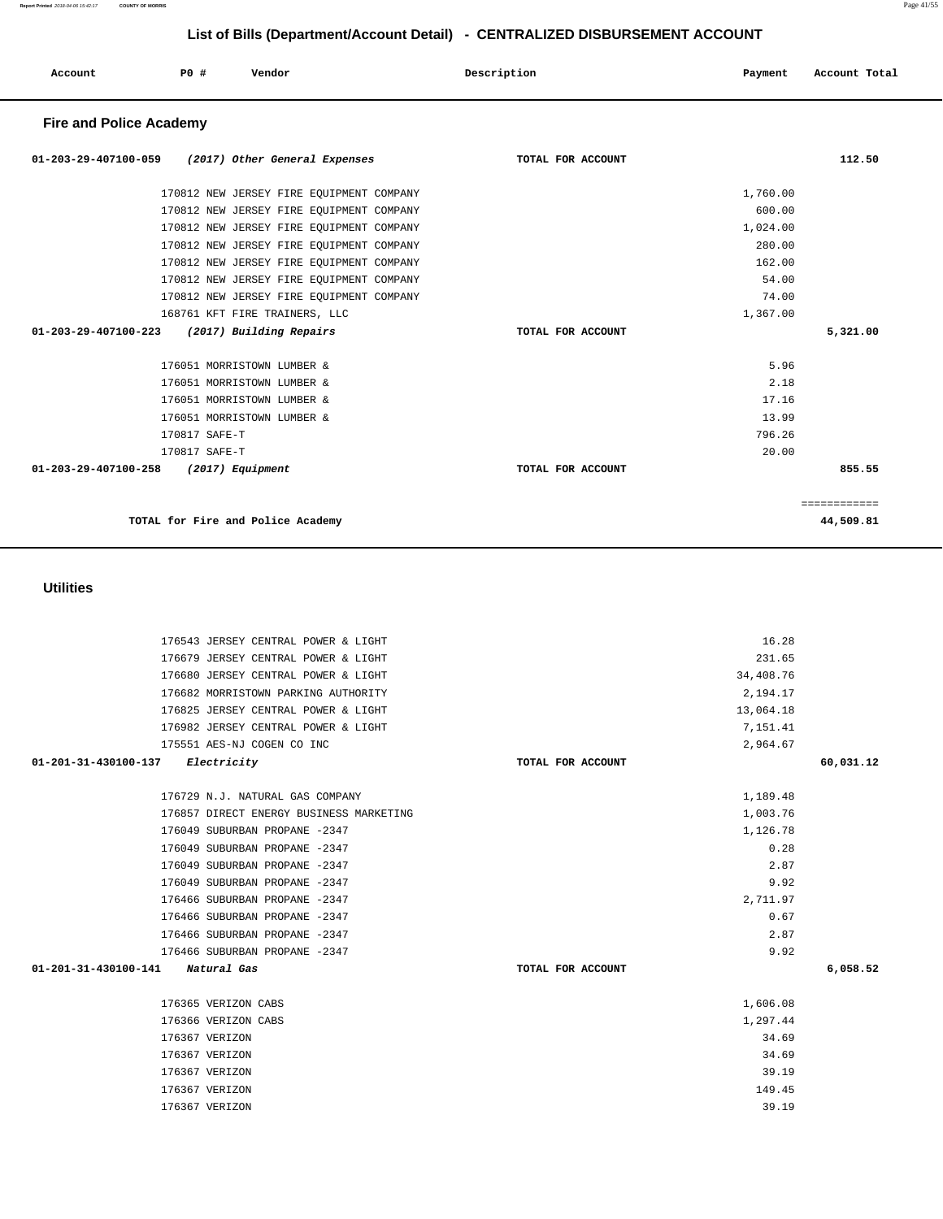| 01-201-31-430100-137<br><i>Electricity</i> | TOTAL FOR ACCOUNT | 60,031.12 |
|--------------------------------------------|-------------------|-----------|
|                                            |                   |           |
| 176729 N.J. NATURAL GAS COMPANY            | 1,189.48          |           |
| 176857 DIRECT ENERGY BUSINESS MARKETING    | 1,003.76          |           |
| 176049 SUBURBAN PROPANE -2347              | 1,126.78          |           |
| 176049 SUBURBAN PROPANE -2347              | 0.28              |           |
| 176049 SUBURBAN PROPANE -2347              | 2.87              |           |
| 176049 SUBURBAN PROPANE -2347              | 9.92              |           |
| 176466 SUBURBAN PROPANE -2347              | 2,711.97          |           |
| 176466 SUBURBAN PROPANE -2347              | 0.67              |           |
| 176466 SUBURBAN PROPANE -2347              | 2.87              |           |
| 176466 SUBURBAN PROPANE -2347              | 9.92              |           |
| 01-201-31-430100-141<br>Natural Gas        | TOTAL FOR ACCOUNT | 6,058.52  |
|                                            |                   |           |
| 176365 VERIZON CABS                        | 1,606.08          |           |
| 176366 VERIZON CABS                        | 1,297.44          |           |
| 176367 VERIZON                             | 34.69             |           |
| 176367 VERIZON                             | 34.69             |           |
| 176367 VERIZON                             | 39.19             |           |
| 176367 VERIZON                             | 149.45            |           |
| 176367 VERIZON                             | 39.19             |           |

#### **Utilities**

| 170812 NEW JERSEY FIRE EQUIPMENT COMPANY<br>170812 NEW JERSEY FIRE EQUIPMENT COMPANY |                   | 600.00<br>1,024.00 |              |
|--------------------------------------------------------------------------------------|-------------------|--------------------|--------------|
| 170812 NEW JERSEY FIRE EQUIPMENT COMPANY                                             |                   | 280.00             |              |
| 170812 NEW JERSEY FIRE EQUIPMENT COMPANY                                             |                   | 162.00             |              |
| 170812 NEW JERSEY FIRE EQUIPMENT COMPANY                                             |                   | 54.00              |              |
| 170812 NEW JERSEY FIRE EQUIPMENT COMPANY                                             |                   | 74.00              |              |
| 168761 KFT FIRE TRAINERS, LLC                                                        |                   | 1,367.00           |              |
| 01-203-29-407100-223<br>(2017) Building Repairs                                      | TOTAL FOR ACCOUNT |                    | 5,321.00     |
|                                                                                      |                   |                    |              |
| 176051 MORRISTOWN LUMBER &                                                           |                   | 5.96               |              |
| 176051 MORRISTOWN LUMBER &                                                           |                   | 2.18               |              |
| 176051 MORRISTOWN LUMBER &                                                           |                   | 17.16              |              |
| 176051 MORRISTOWN LUMBER &                                                           |                   | 13.99              |              |
| 170817 SAFE-T                                                                        |                   | 796.26             |              |
| 170817 SAFE-T                                                                        |                   | 20.00              |              |
| 01-203-29-407100-258<br>(2017) Equipment                                             | TOTAL FOR ACCOUNT |                    | 855.55       |
|                                                                                      |                   |                    |              |
|                                                                                      |                   |                    | ============ |
| TOTAL for Fire and Police Academy                                                    |                   |                    | 44,509.81    |
|                                                                                      |                   |                    |              |

176543 JERSEY CENTRAL POWER & LIGHT 16.28 176679 JERSEY CENTRAL POWER & LIGHT 231.65 176680 JERSEY CENTRAL POWER & LIGHT 34,408.76 176682 MORRISTOWN PARKING AUTHORITY 2,194.17 176825 JERSEY CENTRAL POWER & LIGHT 13,064.18 176982 JERSEY CENTRAL POWER & LIGHT 7,151.41 175551 AES-NJ COGEN CO INC 2,964.67

#### **Fire and Police Academy**

**Report Printed** 2018-04-06 15:42:17 **COUNTY OF MORRIS** Page 41/55

 **Account P0 # Vendor Description Payment Account Total** 

**01-203-29-407100-059 (2017) Other General Expenses TOTAL FOR ACCOUNT 112.50**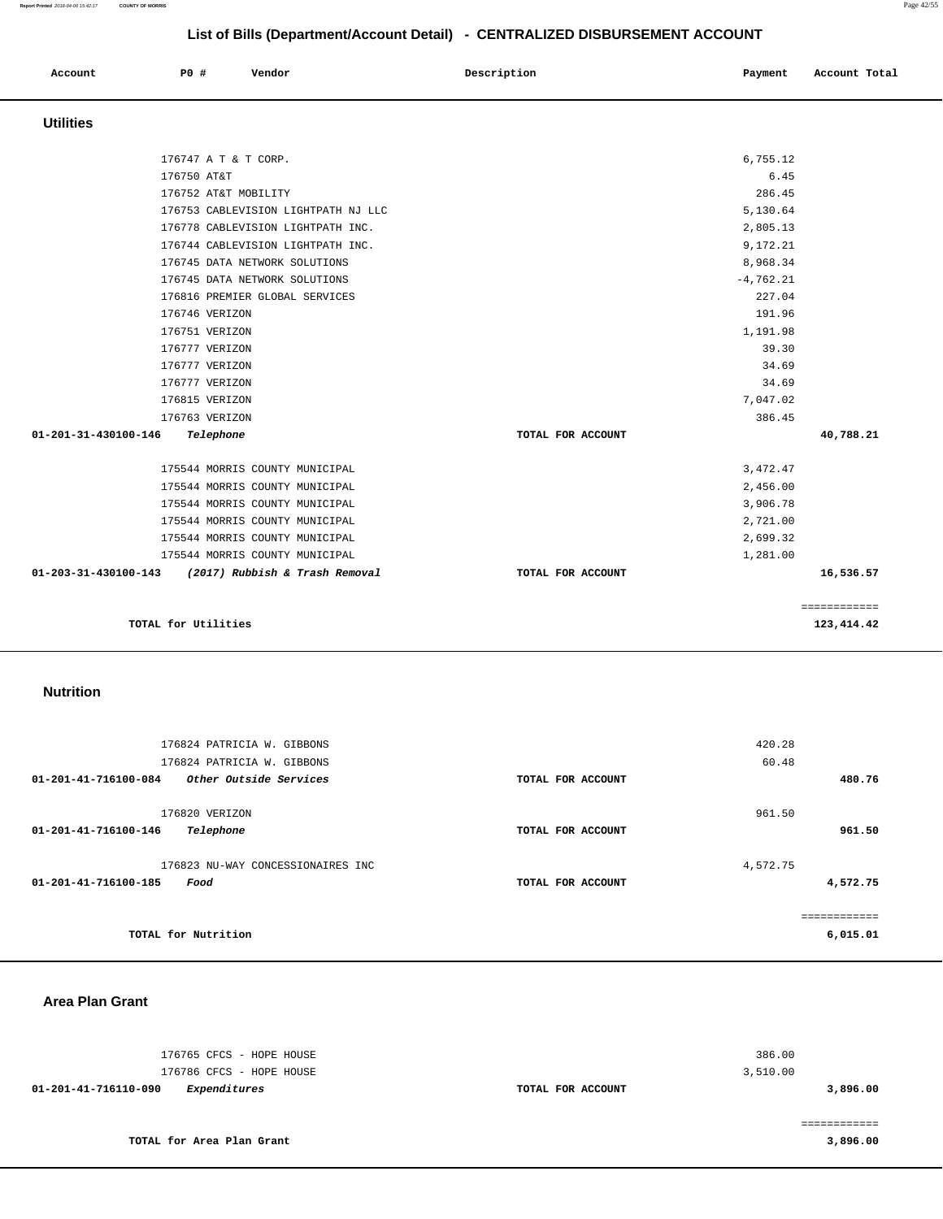| Account | P0 # | Vendor | Description | Payment | Account Total |
|---------|------|--------|-------------|---------|---------------|
|         |      |        |             |         |               |

# **Utilities**

| 176747 A T & T CORP.                                |                   | 6,755.12    |              |
|-----------------------------------------------------|-------------------|-------------|--------------|
| 176750 AT&T                                         |                   | 6.45        |              |
| 176752 AT&T MOBILITY                                |                   | 286.45      |              |
| 176753 CABLEVISION LIGHTPATH NJ LLC                 |                   | 5,130.64    |              |
| 176778 CABLEVISION LIGHTPATH INC.                   |                   | 2,805.13    |              |
| 176744 CABLEVISION LIGHTPATH INC.                   |                   | 9,172.21    |              |
| 176745 DATA NETWORK SOLUTIONS                       |                   | 8,968.34    |              |
| 176745 DATA NETWORK SOLUTIONS                       |                   | $-4,762.21$ |              |
| 176816 PREMIER GLOBAL SERVICES                      |                   | 227.04      |              |
| 176746 VERIZON                                      |                   | 191.96      |              |
| 176751 VERIZON                                      |                   | 1,191.98    |              |
| 176777 VERIZON                                      |                   | 39.30       |              |
| 176777 VERIZON                                      |                   | 34.69       |              |
| 176777 VERIZON                                      |                   | 34.69       |              |
| 176815 VERIZON                                      |                   | 7,047.02    |              |
| 176763 VERIZON                                      |                   | 386.45      |              |
| 01-201-31-430100-146<br>Telephone                   | TOTAL FOR ACCOUNT |             | 40,788.21    |
| 175544 MORRIS COUNTY MUNICIPAL                      |                   | 3, 472.47   |              |
| 175544 MORRIS COUNTY MUNICIPAL                      |                   | 2,456.00    |              |
| 175544 MORRIS COUNTY MUNICIPAL                      |                   | 3,906.78    |              |
| 175544 MORRIS COUNTY MUNICIPAL                      |                   | 2,721.00    |              |
| 175544 MORRIS COUNTY MUNICIPAL                      |                   | 2,699.32    |              |
| 175544 MORRIS COUNTY MUNICIPAL                      |                   | 1,281.00    |              |
| 01-203-31-430100-143 (2017) Rubbish & Trash Removal | TOTAL FOR ACCOUNT |             | 16,536.57    |
|                                                     |                   |             | ============ |
| TOTAL for Utilities                                 |                   |             | 123,414.42   |

# **Nutrition**

| 176824 PATRICIA W. GIBBONS<br>176824 PATRICIA W. GIBBONS          | 420.28                        | 60.48    |
|-------------------------------------------------------------------|-------------------------------|----------|
| 01-201-41-716100-084<br>Other Outside Services                    | TOTAL FOR ACCOUNT             | 480.76   |
| 176820 VERIZON<br>01-201-41-716100-146<br>Telephone               | 961.50<br>TOTAL FOR ACCOUNT   | 961.50   |
| 176823 NU-WAY CONCESSIONAIRES INC<br>01-201-41-716100-185<br>Food | 4,572.75<br>TOTAL FOR ACCOUNT | 4,572.75 |
| TOTAL for Nutrition                                               |                               | 6,015.01 |

#### **Area Plan Grant**

| 176765 CFCS - HOPE HOUSE<br>176786 CFCS - HOPE HOUSE |                   | 386.00<br>3,510.00 |
|------------------------------------------------------|-------------------|--------------------|
| Expenditures<br>01-201-41-716110-090                 | TOTAL FOR ACCOUNT | 3,896.00           |
|                                                      |                   |                    |
| TOTAL for Area Plan Grant                            |                   | 3,896.00           |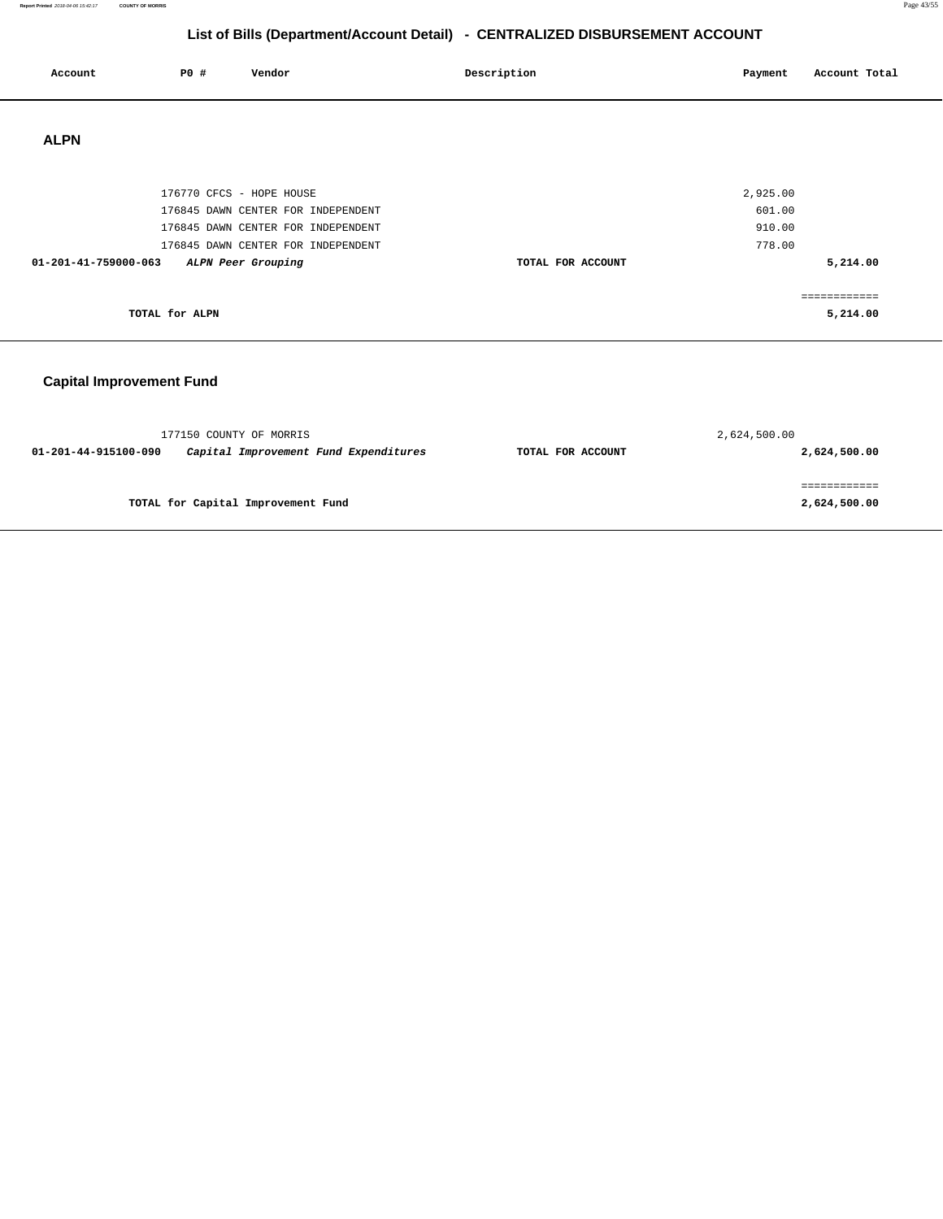**Report Printed** 2018-04-06 15:42:17 **COUNTY OF MORRIS** Page 43/55

# **List of Bills (Department/Account Detail) - CENTRALIZED DISBURSEMENT ACCOUNT**

| Account              | <b>PO #</b>    | Vendor                             | Description       | Payment  | Account Total |
|----------------------|----------------|------------------------------------|-------------------|----------|---------------|
| <b>ALPN</b>          |                |                                    |                   |          |               |
|                      |                | 176770 CFCS - HOPE HOUSE           |                   | 2,925.00 |               |
|                      |                | 176845 DAWN CENTER FOR INDEPENDENT |                   | 601.00   |               |
|                      |                | 176845 DAWN CENTER FOR INDEPENDENT |                   | 910.00   |               |
|                      |                | 176845 DAWN CENTER FOR INDEPENDENT |                   | 778.00   |               |
| 01-201-41-759000-063 |                | ALPN Peer Grouping                 | TOTAL FOR ACCOUNT |          | 5,214.00      |
|                      |                |                                    |                   |          |               |
|                      |                |                                    |                   |          | ------------  |
|                      | TOTAL for ALPN |                                    |                   |          | 5,214.00      |

# **Capital Improvement Fund**

| 177150 COUNTY OF MORRIS            |                                       |                   | 2,624,500.00 |
|------------------------------------|---------------------------------------|-------------------|--------------|
| 01-201-44-915100-090               | Capital Improvement Fund Expenditures | TOTAL FOR ACCOUNT | 2,624,500.00 |
|                                    |                                       |                   |              |
| TOTAL for Capital Improvement Fund |                                       |                   | 2,624,500.00 |
|                                    |                                       |                   |              |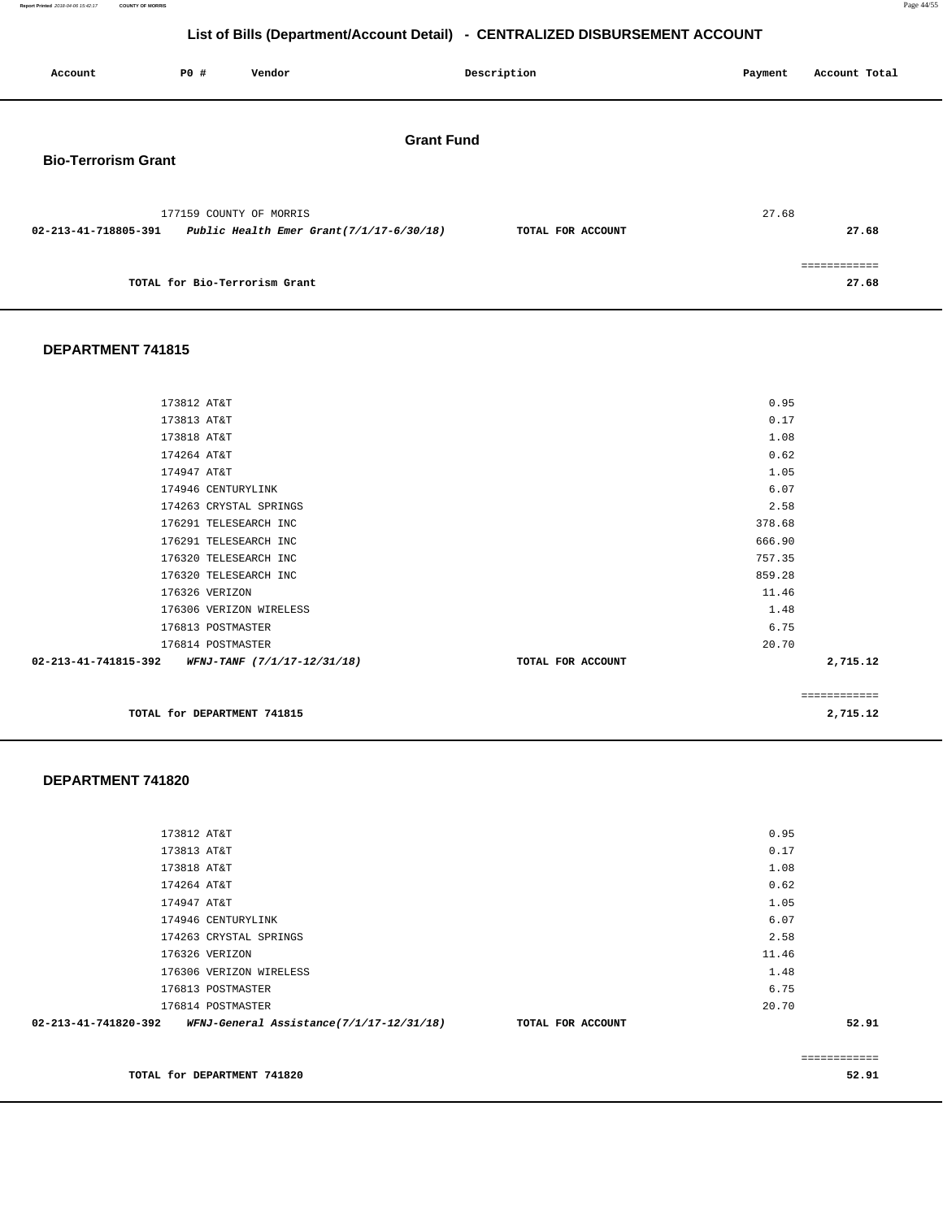**Report Printed** 2018-04-06 15:42:17 **COUNTY OF MORRIS** Page 44/55

**52.91** 

# **List of Bills (Department/Account Detail) - CENTRALIZED DISBURSEMENT ACCOUNT**

| Account                                         | P0 # | Vendor                        |                                               | Description       | Payment | Account Total          |
|-------------------------------------------------|------|-------------------------------|-----------------------------------------------|-------------------|---------|------------------------|
| <b>Grant Fund</b><br><b>Bio-Terrorism Grant</b> |      |                               |                                               |                   |         |                        |
| 02-213-41-718805-391                            |      | 177159 COUNTY OF MORRIS       | Public Health Emer Grant $(7/1/17 - 6/30/18)$ | TOTAL FOR ACCOUNT | 27.68   | 27.68                  |
|                                                 |      | TOTAL for Bio-Terrorism Grant |                                               |                   |         | -------------<br>27.68 |

#### **DEPARTMENT 741815**

| 02-213-41-741815-392 WFNJ-TANF (7/1/17-12/31/18) | TOTAL FOR ACCOUNT | 2,715.12 |
|--------------------------------------------------|-------------------|----------|
| 176814 POSTMASTER                                | 20.70             |          |
| 176813 POSTMASTER                                | 6.75              |          |
| 176306 VERIZON WIRELESS                          | 1.48              |          |
| 176326 VERIZON                                   | 11.46             |          |
| 176320 TELESEARCH INC                            | 859.28            |          |
| 176320 TELESEARCH INC                            | 757.35            |          |
| 176291 TELESEARCH INC                            | 666.90            |          |
| 176291 TELESEARCH INC                            | 378.68            |          |
| 174263 CRYSTAL SPRINGS                           | 2.58              |          |
| 174946 CENTURYLINK                               | 6.07              |          |
| 174947 AT&T                                      | 1.05              |          |
| 174264 AT&T                                      | 0.62              |          |
| 173818 AT&T                                      | 1.08              |          |
| 173813 AT&T                                      | 0.17              |          |
| 173812 AT&T                                      | 0.95              |          |

#### **DEPARTMENT 741820**

|                      |                                          |                   |       | ========= |
|----------------------|------------------------------------------|-------------------|-------|-----------|
| 02-213-41-741820-392 | WFNJ-General Assistance(7/1/17-12/31/18) | TOTAL FOR ACCOUNT |       | 52.91     |
|                      | 176814 POSTMASTER                        |                   | 20.70 |           |
|                      |                                          |                   |       |           |
|                      | 176813 POSTMASTER                        |                   | 6.75  |           |
|                      | 176306 VERIZON WIRELESS                  |                   | 1.48  |           |
|                      | 176326 VERIZON                           |                   | 11.46 |           |
|                      | 174263 CRYSTAL SPRINGS                   |                   | 2.58  |           |
|                      | 174946 CENTURYLINK                       |                   | 6.07  |           |
| 174947 AT&T          |                                          |                   | 1.05  |           |
| 174264 AT&T          |                                          |                   | 0.62  |           |
| 173818 AT&T          |                                          |                   | 1.08  |           |
| 173813 AT&T          |                                          |                   | 0.17  |           |
| 173812 AT&T          |                                          |                   | 0.95  |           |
|                      |                                          |                   |       |           |

**TOTAL for DEPARTMENT 741820**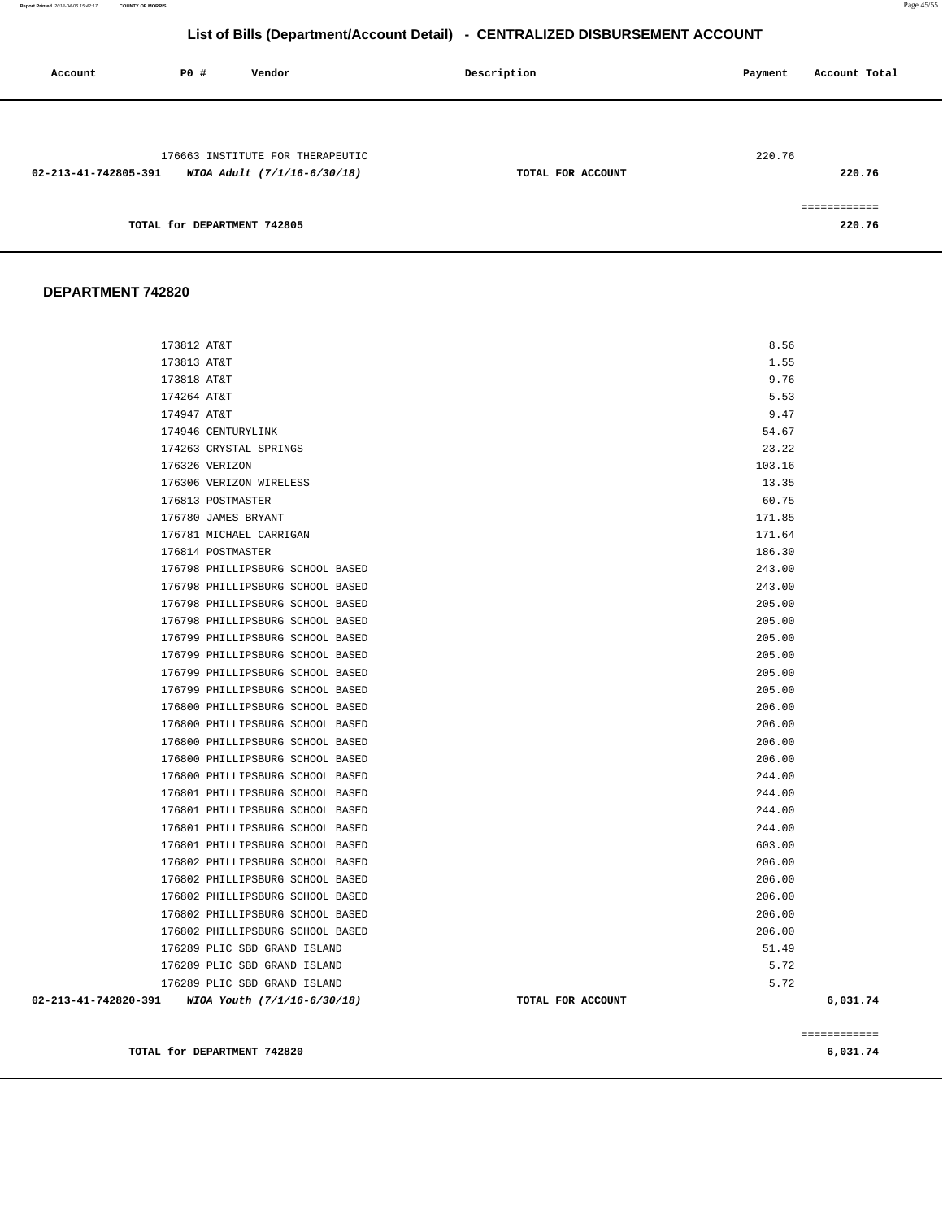**Report Printed** 2018-04-06 15:42:17 **COUNTY OF MORRIS** Page 45/55

# **List of Bills (Department/Account Detail) - CENTRALIZED DISBURSEMENT ACCOUNT**

| Account              | <b>PO #</b>                 | Vendor                                                          | Description       | Payment<br>Account Total |
|----------------------|-----------------------------|-----------------------------------------------------------------|-------------------|--------------------------|
| 02-213-41-742805-391 |                             | 176663 INSTITUTE FOR THERAPEUTIC<br>WIOA Adult (7/1/16-6/30/18) | TOTAL FOR ACCOUNT | 220.76<br>220.76         |
|                      | TOTAL for DEPARTMENT 742805 |                                                                 |                   | ============<br>220.76   |

|                                                  |                                                              |                   |               | ============ |
|--------------------------------------------------|--------------------------------------------------------------|-------------------|---------------|--------------|
|                                                  |                                                              |                   |               |              |
| 02-213-41-742820-391 WIOA Youth (7/1/16-6/30/18) |                                                              | TOTAL FOR ACCOUNT |               | 6,031.74     |
|                                                  | 176289 PLIC SBD GRAND ISLAND<br>176289 PLIC SBD GRAND ISLAND |                   | 5.72<br>5.72  |              |
|                                                  | 176289 PLIC SBD GRAND ISLAND                                 |                   | 51.49         |              |
|                                                  | 176802 PHILLIPSBURG SCHOOL BASED                             |                   | 206.00        |              |
|                                                  | 176802 PHILLIPSBURG SCHOOL BASED                             |                   | 206.00        |              |
|                                                  | 176802 PHILLIPSBURG SCHOOL BASED                             |                   | 206.00        |              |
|                                                  | 176802 PHILLIPSBURG SCHOOL BASED                             |                   | 206.00        |              |
|                                                  | 176802 PHILLIPSBURG SCHOOL BASED                             |                   | 206.00        |              |
|                                                  | 176801 PHILLIPSBURG SCHOOL BASED                             |                   | 603.00        |              |
|                                                  | 176801 PHILLIPSBURG SCHOOL BASED                             |                   | 244.00        |              |
|                                                  | 176801 PHILLIPSBURG SCHOOL BASED                             |                   | 244.00        |              |
|                                                  | 176801 PHILLIPSBURG SCHOOL BASED                             |                   | 244.00        |              |
|                                                  | 176800 PHILLIPSBURG SCHOOL BASED                             |                   | 244.00        |              |
|                                                  | 176800 PHILLIPSBURG SCHOOL BASED                             |                   | 206.00        |              |
|                                                  | 176800 PHILLIPSBURG SCHOOL BASED                             |                   | 206.00        |              |
|                                                  | 176800 PHILLIPSBURG SCHOOL BASED                             |                   | 206.00        |              |
|                                                  | 176800 PHILLIPSBURG SCHOOL BASED                             |                   | 206.00        |              |
|                                                  | 176799 PHILLIPSBURG SCHOOL BASED                             |                   | 205.00        |              |
|                                                  | 176799 PHILLIPSBURG SCHOOL BASED                             |                   | 205.00        |              |
|                                                  | 176799 PHILLIPSBURG SCHOOL BASED                             |                   | 205.00        |              |
|                                                  | 176799 PHILLIPSBURG SCHOOL BASED                             |                   | 205.00        |              |
|                                                  | 176798 PHILLIPSBURG SCHOOL BASED                             |                   | 205.00        |              |
|                                                  | 176798 PHILLIPSBURG SCHOOL BASED                             |                   | 205.00        |              |
|                                                  | 176798 PHILLIPSBURG SCHOOL BASED                             |                   | 243.00        |              |
|                                                  | 176798 PHILLIPSBURG SCHOOL BASED                             |                   | 243.00        |              |
|                                                  | 176814 POSTMASTER                                            |                   | 186.30        |              |
|                                                  | 176781 MICHAEL CARRIGAN                                      |                   | 171.64        |              |
|                                                  | 176780 JAMES BRYANT                                          |                   | 171.85        |              |
|                                                  | 176813 POSTMASTER                                            |                   | 60.75         |              |
|                                                  | 176306 VERIZON WIRELESS                                      |                   | 13.35         |              |
|                                                  | 176326 VERIZON                                               |                   | 103.16        |              |
|                                                  | 174263 CRYSTAL SPRINGS                                       |                   | 23.22         |              |
| 174947 AT&T                                      | 174946 CENTURYLINK                                           |                   | 9.47<br>54.67 |              |
| 174264 AT&T                                      |                                                              |                   | 5.53          |              |
| 173818 AT&T                                      |                                                              |                   | 9.76          |              |
| 173813 AT&T                                      |                                                              |                   | 1.55          |              |
| 173812 AT&T                                      |                                                              |                   | 8.56          |              |
|                                                  |                                                              |                   |               |              |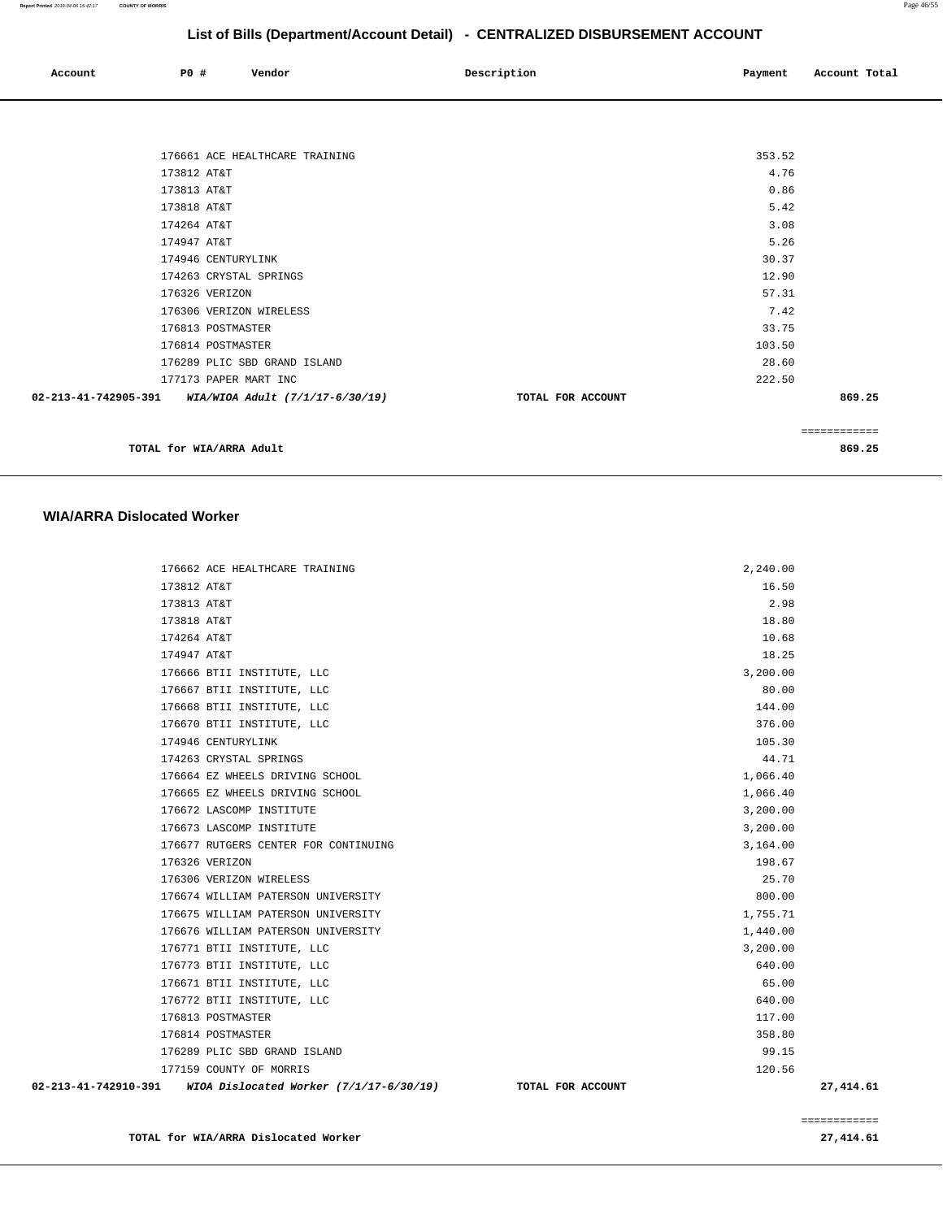| Account | PO# | Vendor<br>. | Description | Payment | Account Total |
|---------|-----|-------------|-------------|---------|---------------|
|         |     |             |             |         |               |

| 176661 ACE HEALTHCARE TRAINING                       |                   | 353.52 |              |
|------------------------------------------------------|-------------------|--------|--------------|
| 173812 AT&T                                          |                   | 4.76   |              |
| 173813 AT&T                                          |                   | 0.86   |              |
| 173818 AT&T                                          |                   | 5.42   |              |
| 174264 AT&T                                          |                   | 3.08   |              |
| 174947 AT&T                                          |                   | 5.26   |              |
| 174946 CENTURYLINK                                   |                   | 30.37  |              |
| 174263 CRYSTAL SPRINGS                               |                   | 12.90  |              |
| 176326 VERIZON                                       |                   | 57.31  |              |
| 176306 VERIZON WIRELESS                              |                   | 7.42   |              |
| 176813 POSTMASTER                                    |                   | 33.75  |              |
| 176814 POSTMASTER                                    |                   | 103.50 |              |
| 176289 PLIC SBD GRAND ISLAND                         |                   | 28.60  |              |
| 177173 PAPER MART INC                                |                   | 222.50 |              |
| 02-213-41-742905-391 WIA/WIOA Adult (7/1/17-6/30/19) | TOTAL FOR ACCOUNT |        | 869.25       |
|                                                      |                   |        |              |
|                                                      |                   |        | ------------ |
| TOTAL for WIA/ARRA Adult                             |                   |        | 869.25       |

**WIA/ARRA Dislocated Worker**

#### 176662 ACE HEALTHCARE TRAINING 2,240.00 173812 AT&T 16.50 173813 AT&T 2.98 173818 AT&T 18.80 174264 AT&T 10.68 174947 AT&T 18.25 176666 BTII INSTITUTE, LLC 3,200.00 176667 BTII INSTITUTE, LLC 80.00 176668 BTII INSTITUTE, LLC 144.00 176670 BTII INSTITUTE, LLC 376.00 174946 CENTURYLINK 105.30 174263 CRYSTAL SPRINGS 44.71 176664 EZ WHEELS DRIVING SCHOOL 1,066.40 176665 EZ WHEELS DRIVING SCHOOL 1,066.40 176672 LASCOMP INSTITUTE 3,200.00 176673 LASCOMP INSTITUTE 3,200.00 176677 RUTGERS CENTER FOR CONTINUING  $\begin{array}{ccc} 3,164.00 \end{array}$  176326 VERIZON 198.67 176306 VERIZON WIRELESS 25.70 176674 WILLIAM PATERSON UNIVERSITY 800.00 176675 WILLIAM PATERSON UNIVERSITY 1,755.71 176676 WILLIAM PATERSON UNIVERSITY 1,440.00 176771 BTII INSTITUTE, LLC 3,200.00 176773 BTII INSTITUTE, LLC 640.00 176671 BTII INSTITUTE, LLC 65.00 176772 BTII INSTITUTE, LLC 640.00 176813 POSTMASTER 117.00 176814 POSTMASTER 358.80 176289 PLIC SBD GRAND ISLAND 99.15 177159 COUNTY OF MORRIS 120.56  **02-213-41-742910-391 WIOA Dislocated Worker (7/1/17-6/30/19) TOTAL FOR ACCOUNT 27,414.61**

**TOTAL for WIA/ARRA Dislocated Worker 27,414.61** 

============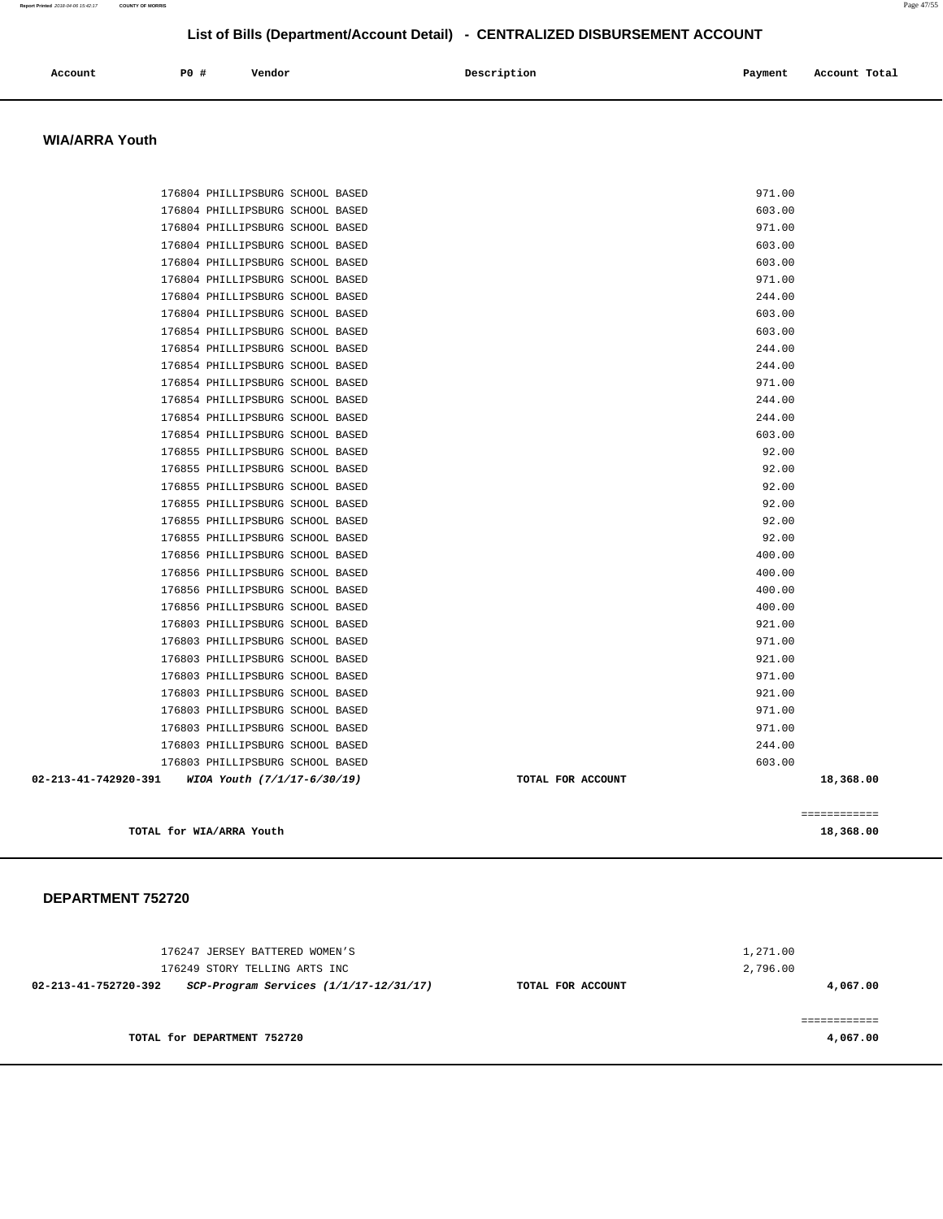| Account | P0 # | Vendor | Description | Payment | Account Total |
|---------|------|--------|-------------|---------|---------------|
|         |      |        |             |         |               |

#### **WIA/ARRA Youth**

|                      | TOTAL for WIA/ARRA Youth                                             |                   |                  | 18,368.00    |
|----------------------|----------------------------------------------------------------------|-------------------|------------------|--------------|
|                      |                                                                      |                   |                  | ============ |
| 02-213-41-742920-391 | WIOA Youth (7/1/17-6/30/19)                                          | TOTAL FOR ACCOUNT |                  | 18,368.00    |
|                      | 176803 PHILLIPSBURG SCHOOL BASED<br>176803 PHILLIPSBURG SCHOOL BASED |                   | 244.00<br>603.00 |              |
|                      | 176803 PHILLIPSBURG SCHOOL BASED                                     |                   | 971.00           |              |
|                      | 176803 PHILLIPSBURG SCHOOL BASED                                     |                   | 971.00           |              |
|                      | 176803 PHILLIPSBURG SCHOOL BASED                                     |                   | 921.00           |              |
|                      | 176803 PHILLIPSBURG SCHOOL BASED                                     |                   | 971.00           |              |
|                      | 176803 PHILLIPSBURG SCHOOL BASED                                     |                   | 921.00           |              |
|                      | 176803 PHILLIPSBURG SCHOOL BASED                                     |                   | 971.00           |              |
|                      | 176803 PHILLIPSBURG SCHOOL BASED                                     |                   | 921.00           |              |
|                      | 176856 PHILLIPSBURG SCHOOL BASED                                     |                   | 400.00           |              |
|                      | 176856 PHILLIPSBURG SCHOOL BASED                                     |                   | 400.00           |              |
|                      | 176856 PHILLIPSBURG SCHOOL BASED                                     |                   | 400.00           |              |
|                      | 176856 PHILLIPSBURG SCHOOL BASED                                     |                   | 400.00           |              |
|                      | 176855 PHILLIPSBURG SCHOOL BASED                                     |                   | 92.00            |              |
|                      | 176855 PHILLIPSBURG SCHOOL BASED                                     |                   | 92.00            |              |
|                      | 176855 PHILLIPSBURG SCHOOL BASED                                     |                   | 92.00            |              |
|                      | 176855 PHILLIPSBURG SCHOOL BASED                                     |                   | 92.00            |              |
|                      | 176855 PHILLIPSBURG SCHOOL BASED                                     |                   | 92.00            |              |
|                      | 176855 PHILLIPSBURG SCHOOL BASED                                     |                   | 92.00            |              |
|                      | 176854 PHILLIPSBURG SCHOOL BASED                                     |                   | 603.00           |              |
|                      | 176854 PHILLIPSBURG SCHOOL BASED                                     |                   | 244.00           |              |
|                      | 176854 PHILLIPSBURG SCHOOL BASED                                     |                   | 244.00           |              |
|                      | 176854 PHILLIPSBURG SCHOOL BASED                                     |                   | 971.00           |              |
|                      | 176854 PHILLIPSBURG SCHOOL BASED                                     |                   | 244.00           |              |
|                      | 176854 PHILLIPSBURG SCHOOL BASED                                     |                   | 244.00           |              |
|                      | 176854 PHILLIPSBURG SCHOOL BASED                                     |                   | 603.00           |              |
|                      | 176804 PHILLIPSBURG SCHOOL BASED                                     |                   | 603.00           |              |
|                      | 176804 PHILLIPSBURG SCHOOL BASED                                     |                   | 244.00           |              |
|                      | 176804 PHILLIPSBURG SCHOOL BASED                                     |                   | 971.00           |              |
|                      | 176804 PHILLIPSBURG SCHOOL BASED                                     |                   | 603.00           |              |
|                      | 176804 PHILLIPSBURG SCHOOL BASED                                     |                   | 603.00           |              |
|                      | 176804 PHILLIPSBURG SCHOOL BASED                                     |                   | 971.00           |              |
|                      | 176804 PHILLIPSBURG SCHOOL BASED                                     |                   | 603.00           |              |
|                      | 176804 PHILLIPSBURG SCHOOL BASED                                     |                   | 971.00           |              |

| 176247 JERSEY BATTERED WOMEN'S<br>176249 STORY TELLING ARTS INC |                   | 1,271.00<br>2,796.00 |
|-----------------------------------------------------------------|-------------------|----------------------|
| 02-213-41-752720-392<br>SCP-Program Services (1/1/17-12/31/17)  | TOTAL FOR ACCOUNT | 4,067.00             |
| TOTAL for DEPARTMENT 752720                                     |                   | 4,067.00             |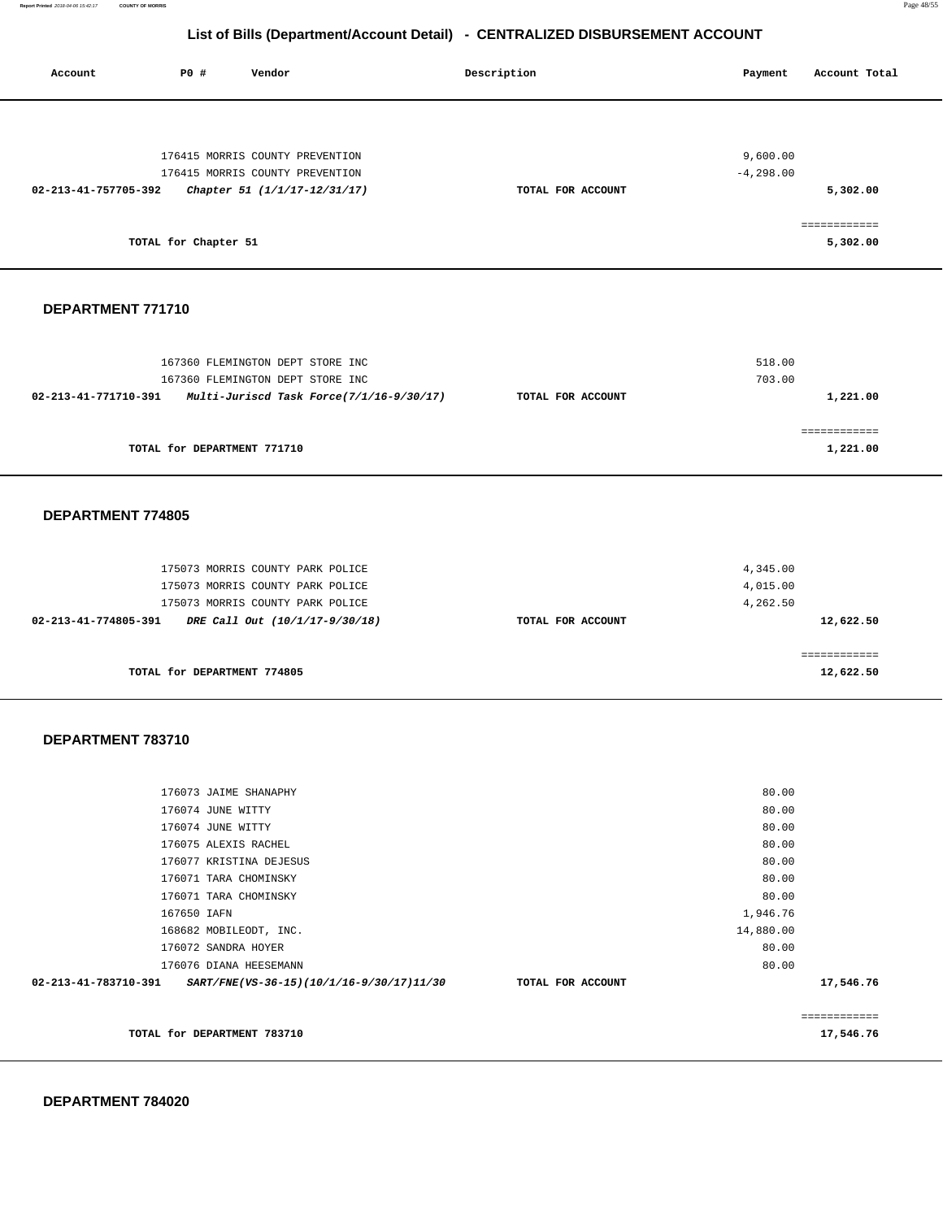**Report Printed** 2018-04-06 15:42:17 **COUNTY OF MORRIS** Page 48/55

# **List of Bills (Department/Account Detail) - CENTRALIZED DISBURSEMENT ACCOUNT**

| Account              | P0 #                        | Vendor                                                                                                                                     | Description       | Payment                          | Account Total             |
|----------------------|-----------------------------|--------------------------------------------------------------------------------------------------------------------------------------------|-------------------|----------------------------------|---------------------------|
|                      |                             | 176415 MORRIS COUNTY PREVENTION                                                                                                            |                   | 9,600.00                         |                           |
| 02-213-41-757705-392 |                             | 176415 MORRIS COUNTY PREVENTION<br>Chapter 51 (1/1/17-12/31/17)                                                                            | TOTAL FOR ACCOUNT | $-4, 298.00$                     | 5,302.00                  |
|                      | TOTAL for Chapter 51        |                                                                                                                                            |                   |                                  | ============<br>5,302.00  |
| DEPARTMENT 771710    |                             |                                                                                                                                            |                   |                                  |                           |
|                      |                             | 167360 FLEMINGTON DEPT STORE INC<br>167360 FLEMINGTON DEPT STORE INC                                                                       |                   | 518.00<br>703.00                 |                           |
| 02-213-41-771710-391 |                             | Multi-Juriscd Task Force(7/1/16-9/30/17)                                                                                                   | TOTAL FOR ACCOUNT |                                  | 1,221.00                  |
|                      | TOTAL for DEPARTMENT 771710 |                                                                                                                                            |                   |                                  | ============<br>1,221.00  |
| DEPARTMENT 774805    |                             |                                                                                                                                            |                   |                                  |                           |
| 02-213-41-774805-391 |                             | 175073 MORRIS COUNTY PARK POLICE<br>175073 MORRIS COUNTY PARK POLICE<br>175073 MORRIS COUNTY PARK POLICE<br>DRE Call Out (10/1/17-9/30/18) | TOTAL FOR ACCOUNT | 4,345.00<br>4,015.00<br>4,262.50 | 12,622.50                 |
|                      | TOTAL for DEPARTMENT 774805 |                                                                                                                                            |                   |                                  | ============<br>12,622.50 |
| DEPARTMENT 783710    |                             |                                                                                                                                            |                   |                                  |                           |
|                      | 176073 JAIME SHANAPHY       |                                                                                                                                            |                   | 80.00                            |                           |
|                      | 176074 JUNE WITTY           |                                                                                                                                            |                   | 80.00                            |                           |
|                      | 176074 JUNE WITTY           |                                                                                                                                            |                   | 80.00                            |                           |
|                      | 176075 ALEXIS RACHEL        |                                                                                                                                            |                   | 80.00                            |                           |
|                      | 176077 KRISTINA DEJESUS     |                                                                                                                                            |                   | 80.00                            |                           |
|                      | 176071 TARA CHOMINSKY       |                                                                                                                                            |                   | 80.00                            |                           |
|                      | 176071 TARA CHOMINSKY       |                                                                                                                                            |                   | 80.00                            |                           |
|                      | 167650 IAFN                 |                                                                                                                                            |                   | 1,946.76                         |                           |
|                      | 168682 MOBILEODT, INC.      |                                                                                                                                            |                   | 14,880.00                        |                           |
|                      | 176072 SANDRA HOYER         |                                                                                                                                            |                   | 80.00                            |                           |
|                      | 176076 DIANA HEESEMANN      |                                                                                                                                            |                   | 80.00                            |                           |
| 02-213-41-783710-391 |                             | SART/FNE(VS-36-15)(10/1/16-9/30/17)11/30                                                                                                   | TOTAL FOR ACCOUNT |                                  | 17,546.76                 |
|                      |                             |                                                                                                                                            |                   |                                  | ============              |
|                      | TOTAL for DEPARTMENT 783710 |                                                                                                                                            |                   |                                  | 17,546.76                 |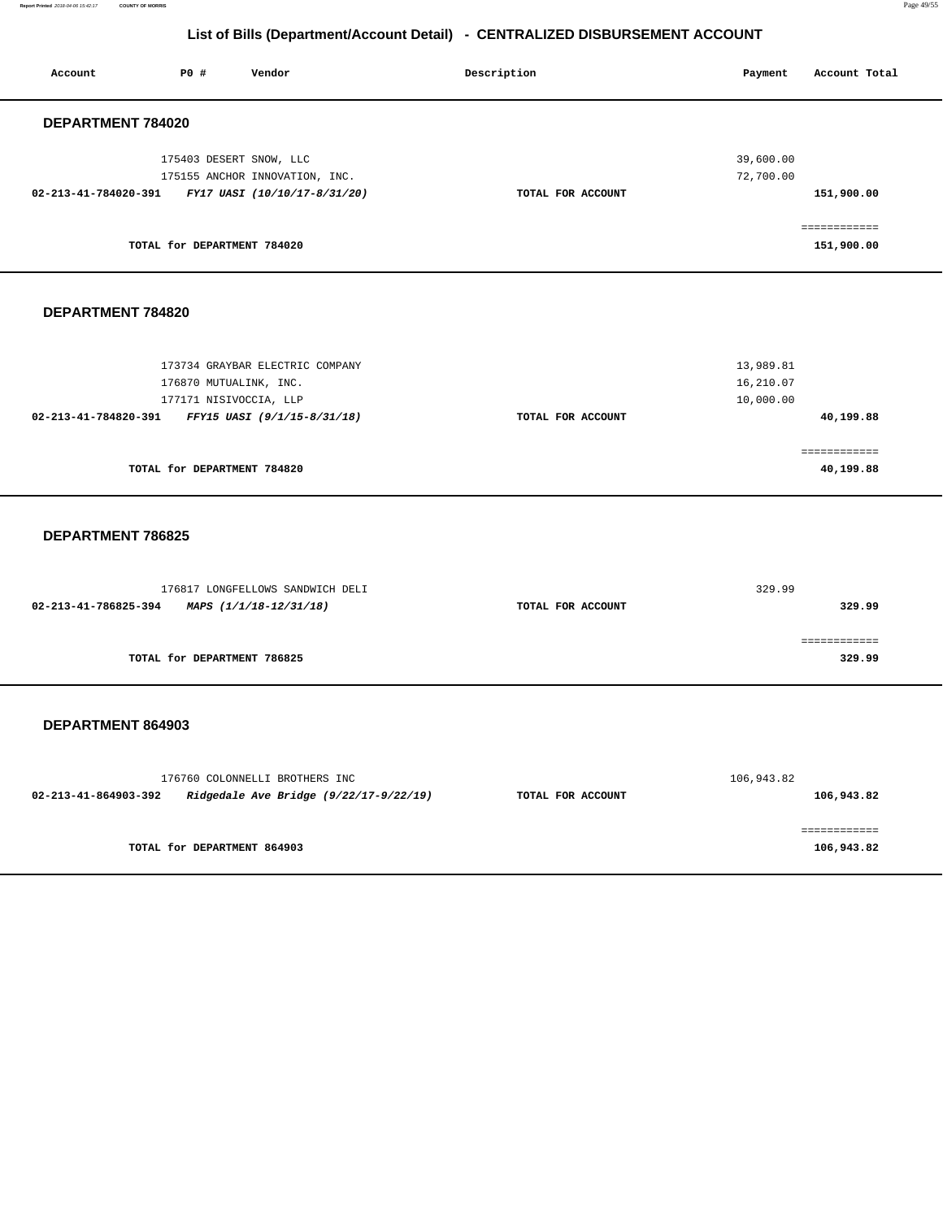**Report Printed** 2018-04-06 15:42:17 **COUNTY OF MORRIS** Page 49/55

# **List of Bills (Department/Account Detail) - CENTRALIZED DISBURSEMENT ACCOUNT**

| Account              | P0 #                        | Vendor                         | Description       | Payment   | Account Total |
|----------------------|-----------------------------|--------------------------------|-------------------|-----------|---------------|
| DEPARTMENT 784020    |                             |                                |                   |           |               |
|                      | 175403 DESERT SNOW, LLC     |                                |                   | 39,600.00 |               |
|                      |                             | 175155 ANCHOR INNOVATION, INC. |                   | 72,700.00 |               |
| 02-213-41-784020-391 |                             | FY17 UASI (10/10/17-8/31/20)   | TOTAL FOR ACCOUNT |           | 151,900.00    |
|                      |                             |                                |                   |           | .             |
|                      | TOTAL for DEPARTMENT 784020 |                                |                   |           | 151,900.00    |
|                      |                             |                                |                   |           |               |

#### **DEPARTMENT 784820**

| 173734 GRAYBAR ELECTRIC COMPANY                     |                   | 13,989.81 |
|-----------------------------------------------------|-------------------|-----------|
| 176870 MUTUALINK, INC.                              |                   | 16,210.07 |
| 177171 NISIVOCCIA, LLP                              |                   | 10,000.00 |
| 02-213-41-784820-391<br>FFY15 UASI (9/1/15-8/31/18) | TOTAL FOR ACCOUNT | 40,199.88 |
|                                                     |                   |           |
|                                                     |                   |           |
| TOTAL for DEPARTMENT 784820                         |                   | 40,199.88 |

#### **DEPARTMENT 786825**

| 176817 LONGFELLOWS SANDWICH DELI               |                   | 329.99 |
|------------------------------------------------|-------------------|--------|
| 02-213-41-786825-394<br>MAPS (1/1/18-12/31/18) | TOTAL FOR ACCOUNT | 329.99 |
|                                                |                   |        |
|                                                |                   |        |
| TOTAL for DEPARTMENT 786825                    |                   | 329.99 |

|                      | 176760 COLONNELLI BROTHERS INC         |                   | 106,943.82 |
|----------------------|----------------------------------------|-------------------|------------|
| 02-213-41-864903-392 | Ridgedale Ave Bridge (9/22/17-9/22/19) | TOTAL FOR ACCOUNT | 106,943.82 |
|                      | TOTAL for DEPARTMENT 864903            |                   | 106,943.82 |
|                      |                                        |                   |            |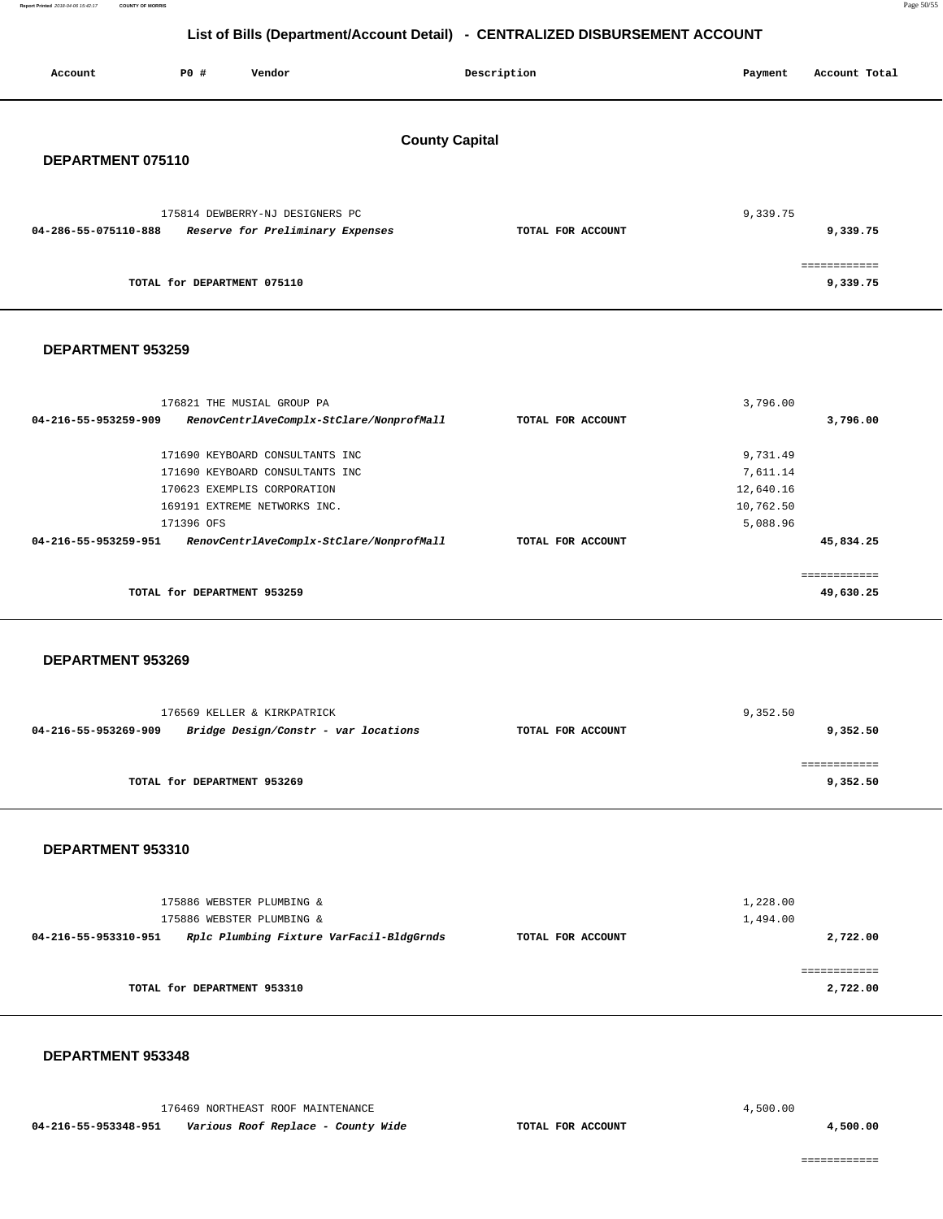**Report Printed** 2018-04-06 15:42:17 **COUNTY OF MORRIS** Page 50/55

# **List of Bills (Department/Account Detail) - CENTRALIZED DISBURSEMENT ACCOUNT**

| Account              | P0 #                        | Vendor                                                              |                                          | Description       | Payment  | Account Total            |
|----------------------|-----------------------------|---------------------------------------------------------------------|------------------------------------------|-------------------|----------|--------------------------|
| DEPARTMENT 075110    |                             |                                                                     | <b>County Capital</b>                    |                   |          |                          |
| 04-286-55-075110-888 |                             | 175814 DEWBERRY-NJ DESIGNERS PC<br>Reserve for Preliminary Expenses |                                          | TOTAL FOR ACCOUNT | 9,339.75 | 9,339.75                 |
|                      | TOTAL for DEPARTMENT 075110 |                                                                     |                                          |                   |          | ============<br>9,339.75 |
| DEPARTMENT 953259    |                             |                                                                     |                                          |                   |          |                          |
| 04-216-55-953259-909 |                             | 176821 THE MUSIAL GROUP PA                                          | RenovCentrlAveComplx-StClare/NonprofMall | TOTAL FOR ACCOUNT | 3,796.00 | 3,796.00                 |
|                      |                             | $1.77.700$ strategy came accepted maximal wave                      |                                          |                   | 0.721.42 |                          |

| TOTAL for DEPARTMENT 953259                                      |                   |           | 49,630.25 |
|------------------------------------------------------------------|-------------------|-----------|-----------|
| RenovCentrlAveComplx-StClare/NonprofMall<br>04-216-55-953259-951 | TOTAL FOR ACCOUNT |           | 45,834.25 |
| 171396 OFS                                                       |                   | 5,088.96  |           |
| 169191 EXTREME NETWORKS INC.                                     |                   | 10,762.50 |           |
| 170623 EXEMPLIS CORPORATION                                      |                   | 12,640.16 |           |
| 171690 KEYBOARD CONSULTANTS INC                                  |                   | 7,611.14  |           |
| 171690 KEYBOARD CONSULTANTS INC                                  |                   | 9,731.49  |           |
|                                                                  |                   |           |           |

### **DEPARTMENT 953269**

|                      | 176569 KELLER & KIRKPATRICK          |                   | 9,352.50 |
|----------------------|--------------------------------------|-------------------|----------|
| 04-216-55-953269-909 | Bridge Design/Constr - var locations | TOTAL FOR ACCOUNT | 9,352.50 |
|                      |                                      |                   |          |
|                      |                                      |                   |          |
|                      | TOTAL for DEPARTMENT 953269          |                   | 9,352.50 |
|                      |                                      |                   |          |

#### **DEPARTMENT 953310**

| 175886 WEBSTER PLUMBING &<br>175886 WEBSTER PLUMBING &           |                   | 1,228.00<br>1,494.00 |
|------------------------------------------------------------------|-------------------|----------------------|
| Rplc Plumbing Fixture VarFacil-BldgGrnds<br>04-216-55-953310-951 | TOTAL FOR ACCOUNT | 2,722.00             |
|                                                                  |                   |                      |
| TOTAL for DEPARTMENT 953310                                      |                   | 2,722.00             |

#### **DEPARTMENT 953348**

| 176469 NORTHEAST ROOF MAINTENANCE |                                    |                   | 4,500.00 |          |
|-----------------------------------|------------------------------------|-------------------|----------|----------|
| 04-216-55-953348-951              | Various Roof Replace - County Wide | TOTAL FOR ACCOUNT |          | 1,500.00 |

============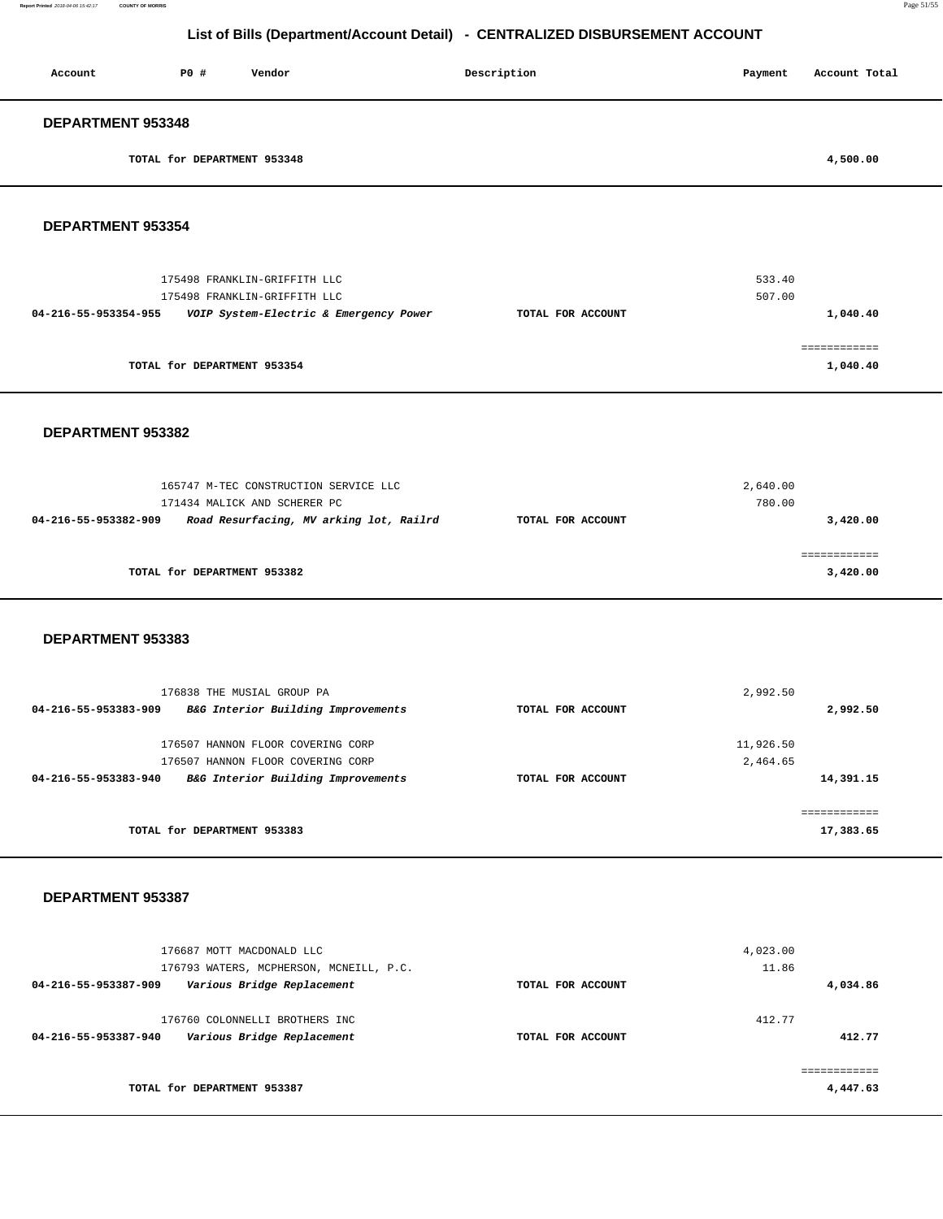| Account                  | P0#                         | Vendor | Description | Payment | Account Total |
|--------------------------|-----------------------------|--------|-------------|---------|---------------|
| <b>DEPARTMENT 953348</b> |                             |        |             |         |               |
|                          | TOTAL for DEPARTMENT 953348 |        |             |         | 4,500.00      |
|                          |                             |        |             |         |               |

### **DEPARTMENT 953354**

| 175498 FRANKLIN-GRIFFITH LLC<br>175498 FRANKLIN-GRIFFITH LLC   |                   | 533.40<br>507.00 |
|----------------------------------------------------------------|-------------------|------------------|
| VOIP System-Electric & Emergency Power<br>04-216-55-953354-955 | TOTAL FOR ACCOUNT | 1,040.40         |
| TOTAL for DEPARTMENT 953354                                    |                   | 1,040.40         |

#### **DEPARTMENT 953382**

|                      | 165747 M-TEC CONSTRUCTION SERVICE LLC<br>171434 MALICK AND SCHERER PC |                   | 2,640.00<br>780.00 |
|----------------------|-----------------------------------------------------------------------|-------------------|--------------------|
| 04-216-55-953382-909 | Road Resurfacing, MV arking lot, Railrd                               | TOTAL FOR ACCOUNT | 3,420,00           |
|                      | TOTAL for DEPARTMENT 953382                                           |                   | 3,420.00           |

#### **DEPARTMENT 953383**

| 176838 THE MUSIAL GROUP PA                                 |                   | 2,992.50  |
|------------------------------------------------------------|-------------------|-----------|
| B&G Interior Building Improvements<br>04-216-55-953383-909 | TOTAL FOR ACCOUNT | 2,992.50  |
| 176507 HANNON FLOOR COVERING CORP                          |                   | 11,926.50 |
| 176507 HANNON FLOOR COVERING CORP                          |                   | 2,464.65  |
|                                                            |                   |           |
| B&G Interior Building Improvements<br>04-216-55-953383-940 | TOTAL FOR ACCOUNT | 14,391.15 |
|                                                            |                   |           |
|                                                            |                   |           |
| TOTAL for DEPARTMENT 953383                                |                   | 17,383.65 |
|                                                            |                   |           |

| 176687 MOTT MACDONALD LLC<br>176793 WATERS, MCPHERSON, MCNEILL, P.C.                 |                   | 4,023.00<br>11.86 |
|--------------------------------------------------------------------------------------|-------------------|-------------------|
| Various Bridge Replacement<br>04-216-55-953387-909                                   | TOTAL FOR ACCOUNT | 4,034.86          |
| 176760 COLONNELLI BROTHERS INC<br>Various Bridge Replacement<br>04-216-55-953387-940 | TOTAL FOR ACCOUNT | 412.77<br>412.77  |
| TOTAL for DEPARTMENT 953387                                                          |                   | 4,447.63          |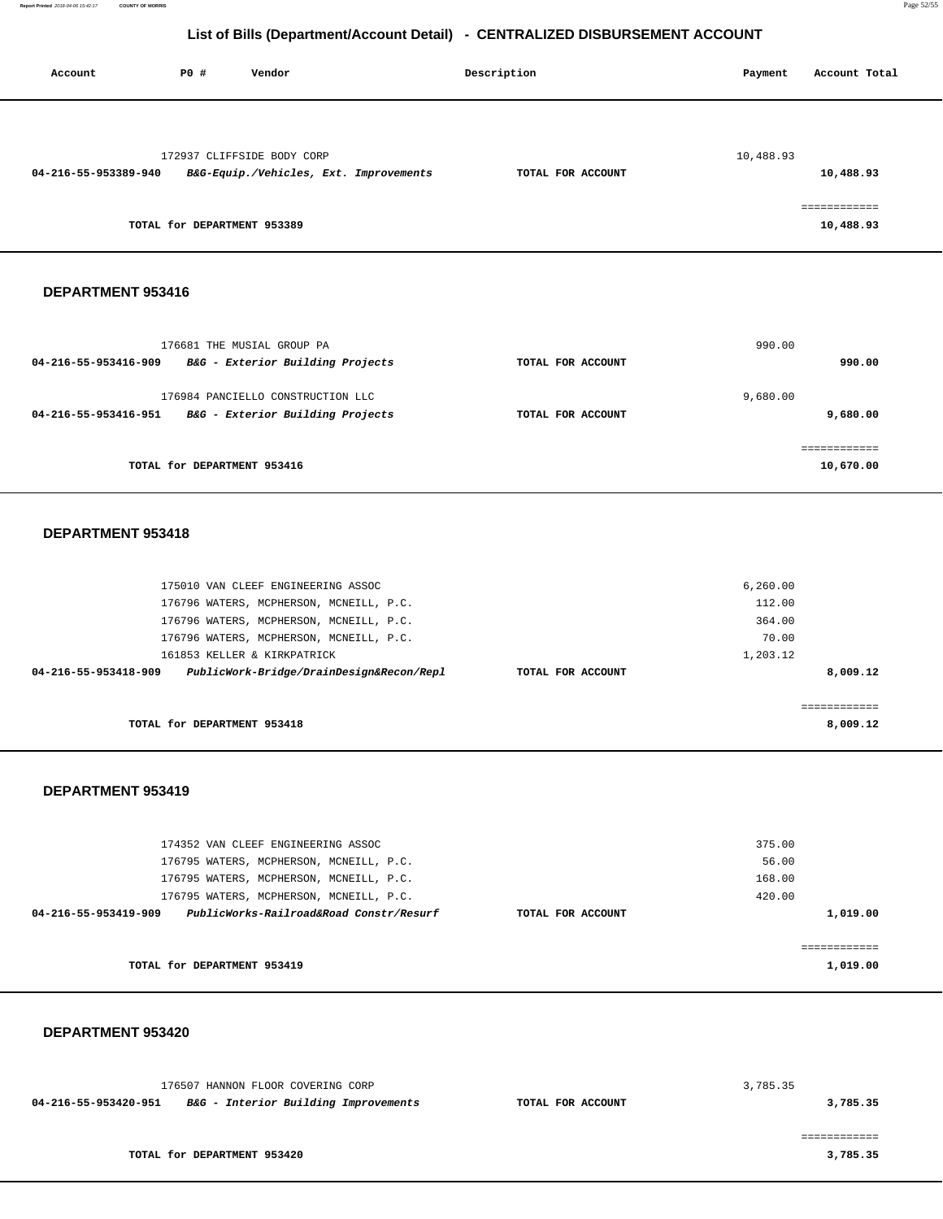| Account              | PO#                         | Vendor                                 | Description       | Payment   | Account Total |
|----------------------|-----------------------------|----------------------------------------|-------------------|-----------|---------------|
|                      |                             |                                        |                   |           |               |
|                      |                             | 172937 CLIFFSIDE BODY CORP             |                   | 10,488.93 |               |
| 04-216-55-953389-940 |                             | B&G-Equip./Vehicles, Ext. Improvements | TOTAL FOR ACCOUNT |           | 10,488.93     |
|                      |                             |                                        |                   |           | ------------  |
|                      | TOTAL for DEPARTMENT 953389 |                                        |                   |           | 10,488.93     |

#### **DEPARTMENT 953416**

| 176681 THE MUSIAL GROUP PA<br>B&G - Exterior Building Projects<br>04-216-55-953416-909        | TOTAL FOR ACCOUNT | 990.00<br>990.00          |
|-----------------------------------------------------------------------------------------------|-------------------|---------------------------|
| 176984 PANCIELLO CONSTRUCTION LLC<br>B&G - Exterior Building Projects<br>04-216-55-953416-951 | TOTAL FOR ACCOUNT | 9,680.00<br>9,680.00      |
| TOTAL for DEPARTMENT 953416                                                                   |                   | ------------<br>10,670.00 |

#### **DEPARTMENT 953418**

| 175010 VAN CLEEF ENGINEERING ASSOC                                                    | 6, 260.00   |
|---------------------------------------------------------------------------------------|-------------|
| 176796 WATERS, MCPHERSON, MCNEILL, P.C.                                               | 112.00      |
| 176796 WATERS, MCPHERSON, MCNEILL, P.C.                                               | 364.00      |
| 176796 WATERS, MCPHERSON, MCNEILL, P.C.                                               | 70.00       |
| 161853 KELLER & KIRKPATRICK                                                           | 1,203.12    |
| PublicWork-Bridge/DrainDesign&Recon/Repl<br>04-216-55-953418-909<br>TOTAL FOR ACCOUNT | 8,009.12    |
|                                                                                       |             |
|                                                                                       | =========== |
| TOTAL for DEPARTMENT 953418                                                           | 8,009.12    |

#### **DEPARTMENT 953419**

| 174352 VAN CLEEF ENGINEERING ASSOC                              |                   | 375.00   |
|-----------------------------------------------------------------|-------------------|----------|
| 176795 WATERS, MCPHERSON, MCNEILL, P.C.                         |                   | 56.00    |
| 176795 WATERS, MCPHERSON, MCNEILL, P.C.                         |                   | 168.00   |
| 176795 WATERS, MCPHERSON, MCNEILL, P.C.                         |                   | 420.00   |
| PublicWorks-Railroad&Road Constr/Resurf<br>04-216-55-953419-909 | TOTAL FOR ACCOUNT | 1,019.00 |
|                                                                 |                   |          |
|                                                                 |                   |          |
| TOTAL for DEPARTMENT 953419                                     |                   | 1,019.00 |
|                                                                 |                   |          |

#### **DEPARTMENT 953420**

| 176507 HANNON FLOOR COVERING CORP |                                      |                   | 3,785.35 |
|-----------------------------------|--------------------------------------|-------------------|----------|
| 04-216-55-953420-951              | B&G - Interior Building Improvements | TOTAL FOR ACCOUNT | 3,785.35 |
|                                   |                                      |                   |          |
|                                   |                                      |                   |          |

**TOTAL for DEPARTMENT 953420** 

**3,785.35**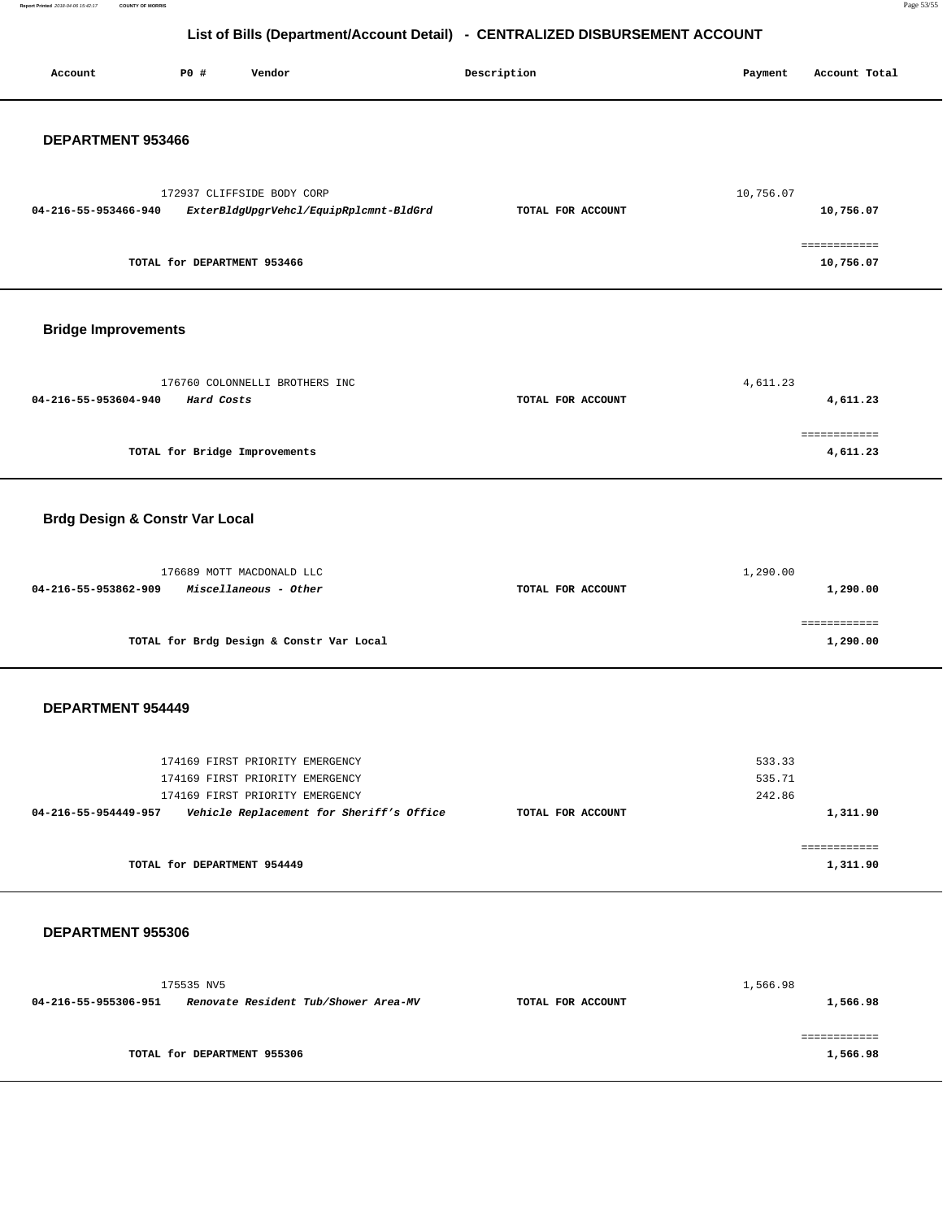**Report Printed** 2018-04-06 15:42:17 **COUNTY OF MORRIS** Page 53/55

# **List of Bills (Department/Account Detail) - CENTRALIZED DISBURSEMENT ACCOUNT**

| Account                                   | <b>PO #</b>                   | Vendor                                                               | Description       | Payment          | Account Total             |
|-------------------------------------------|-------------------------------|----------------------------------------------------------------------|-------------------|------------------|---------------------------|
| DEPARTMENT 953466                         |                               |                                                                      |                   |                  |                           |
|                                           |                               |                                                                      |                   |                  |                           |
| 04-216-55-953466-940                      |                               | 172937 CLIFFSIDE BODY CORP<br>ExterBldgUpgrVehcl/EquipRplcmnt-BldGrd | TOTAL FOR ACCOUNT | 10,756.07        | 10,756.07                 |
|                                           | TOTAL for DEPARTMENT 953466   |                                                                      |                   |                  | ============<br>10,756.07 |
|                                           |                               |                                                                      |                   |                  |                           |
| <b>Bridge Improvements</b>                |                               |                                                                      |                   |                  |                           |
|                                           |                               | 176760 COLONNELLI BROTHERS INC                                       |                   | 4,611.23         |                           |
| 04-216-55-953604-940                      | Hard Costs                    |                                                                      | TOTAL FOR ACCOUNT |                  | 4,611.23                  |
|                                           | TOTAL for Bridge Improvements |                                                                      |                   |                  | ============<br>4,611.23  |
|                                           |                               |                                                                      |                   |                  |                           |
| <b>Brdg Design &amp; Constr Var Local</b> |                               |                                                                      |                   |                  |                           |
|                                           |                               |                                                                      |                   |                  |                           |
|                                           |                               | 176689 MOTT MACDONALD LLC                                            |                   | 1,290.00         |                           |
| 04-216-55-953862-909                      |                               | Miscellaneous - Other                                                | TOTAL FOR ACCOUNT |                  | 1,290.00                  |
|                                           |                               | TOTAL for Brdg Design & Constr Var Local                             |                   |                  | ============<br>1,290.00  |
| DEPARTMENT 954449                         |                               |                                                                      |                   |                  |                           |
|                                           |                               |                                                                      |                   |                  |                           |
|                                           |                               | 174169 FIRST PRIORITY EMERGENCY                                      |                   | 533.33           |                           |
|                                           |                               | 174169 FIRST PRIORITY EMERGENCY<br>174169 FIRST PRIORITY EMERGENCY   |                   | 535.71<br>242.86 |                           |
| 04-216-55-954449-957                      |                               | Vehicle Replacement for Sheriff's Office                             | TOTAL FOR ACCOUNT |                  | 1,311.90                  |
|                                           | TOTAL for DEPARTMENT 954449   |                                                                      |                   |                  | ============              |
|                                           |                               |                                                                      |                   |                  | 1,311.90                  |
| DEPARTMENT 955306                         |                               |                                                                      |                   |                  |                           |
|                                           |                               |                                                                      |                   |                  |                           |
|                                           | 175535 NV5                    |                                                                      |                   | 1,566.98         |                           |
| 04-216-55-955306-951                      |                               | Renovate Resident Tub/Shower Area-MV                                 | TOTAL FOR ACCOUNT |                  | 1,566.98                  |

**TOTAL for DEPARTMENT 955306**  ============ **1,566.98**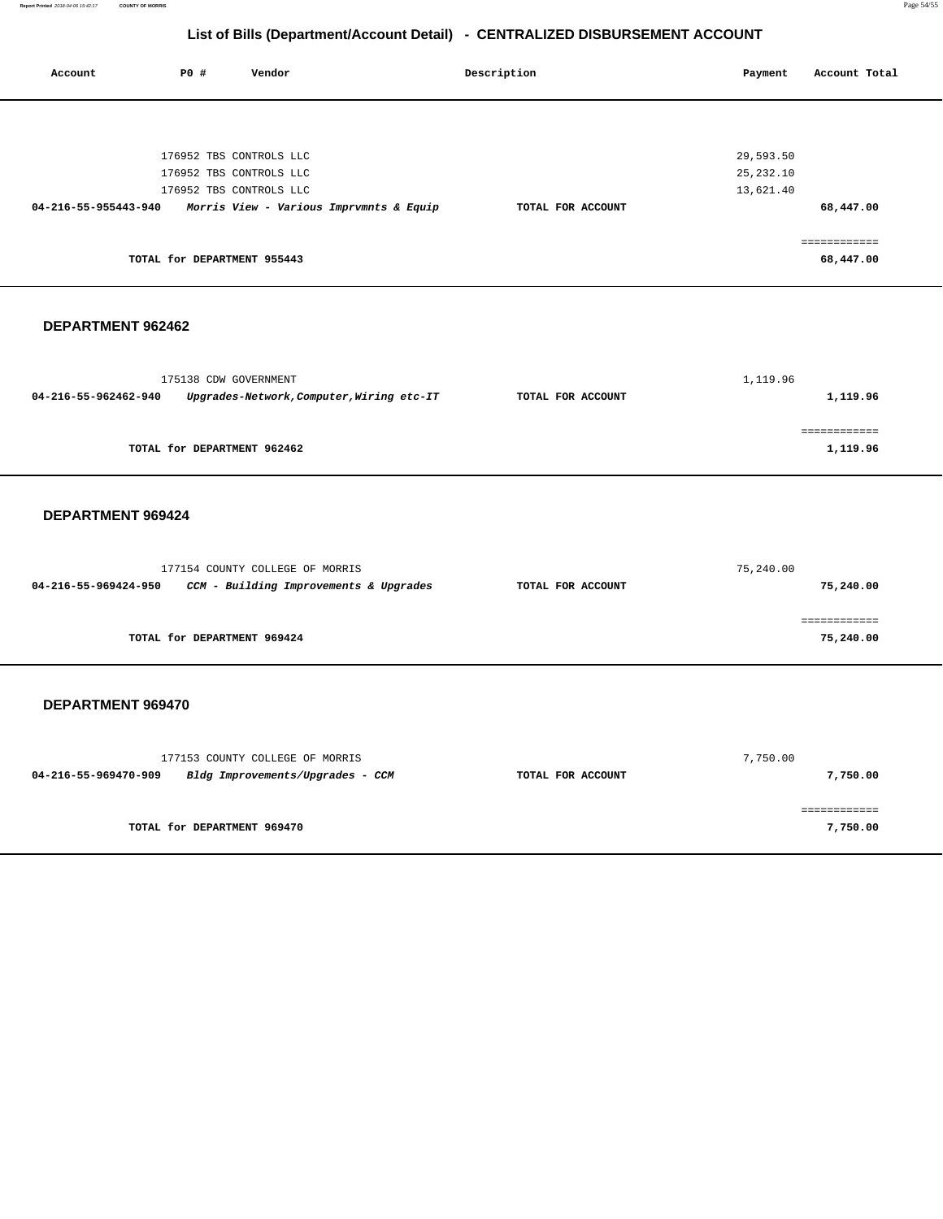**Report Printed** 2018-04-06 15:42:17 **COUNTY OF MORRIS** Page 54/55

# **List of Bills (Department/Account Detail) - CENTRALIZED DISBURSEMENT ACCOUNT**

| Account              | P0 #                        | Vendor                  |                                         | Description       | Payment    | Account Total |
|----------------------|-----------------------------|-------------------------|-----------------------------------------|-------------------|------------|---------------|
|                      |                             |                         |                                         |                   |            |               |
|                      |                             |                         |                                         |                   |            |               |
|                      |                             |                         |                                         |                   |            |               |
|                      |                             |                         |                                         |                   |            |               |
|                      |                             | 176952 TBS CONTROLS LLC |                                         |                   | 29,593.50  |               |
|                      |                             | 176952 TBS CONTROLS LLC |                                         |                   | 25, 232.10 |               |
|                      |                             | 176952 TBS CONTROLS LLC |                                         |                   | 13,621.40  |               |
| 04-216-55-955443-940 |                             |                         | Morris View - Various Imprvmnts & Equip | TOTAL FOR ACCOUNT |            | 68,447.00     |
|                      |                             |                         |                                         |                   |            | ============  |
|                      | TOTAL for DEPARTMENT 955443 |                         |                                         |                   |            | 68,447.00     |
|                      |                             |                         |                                         |                   |            |               |
|                      |                             |                         |                                         |                   |            |               |
|                      |                             |                         |                                         |                   |            |               |

### **DEPARTMENT 962462**

|                      | 175138 CDW GOVERNMENT                     |                   | 1,119.96 |
|----------------------|-------------------------------------------|-------------------|----------|
| 04-216-55-962462-940 | Upgrades-Network, Computer, Wiring etc-IT | TOTAL FOR ACCOUNT | 1,119.96 |
|                      |                                           |                   |          |
|                      |                                           |                   |          |
|                      | TOTAL for DEPARTMENT 962462               |                   | 1,119.96 |

#### **DEPARTMENT 969424**

|                      | 177154 COUNTY COLLEGE OF MORRIS        |                   | 75,240.00 |
|----------------------|----------------------------------------|-------------------|-----------|
| 04-216-55-969424-950 | CCM - Building Improvements & Upgrades | TOTAL FOR ACCOUNT | 75,240.00 |
|                      |                                        |                   |           |
|                      |                                        |                   |           |
|                      | TOTAL for DEPARTMENT 969424            |                   | 75,240.00 |

|                      | 177153 COUNTY COLLEGE OF MORRIS  |                   | 7,750.00 |
|----------------------|----------------------------------|-------------------|----------|
| 04-216-55-969470-909 | Bldg Improvements/Upgrades - CCM | TOTAL FOR ACCOUNT | 7,750.00 |
|                      | TOTAL for DEPARTMENT 969470      |                   | 7,750.00 |